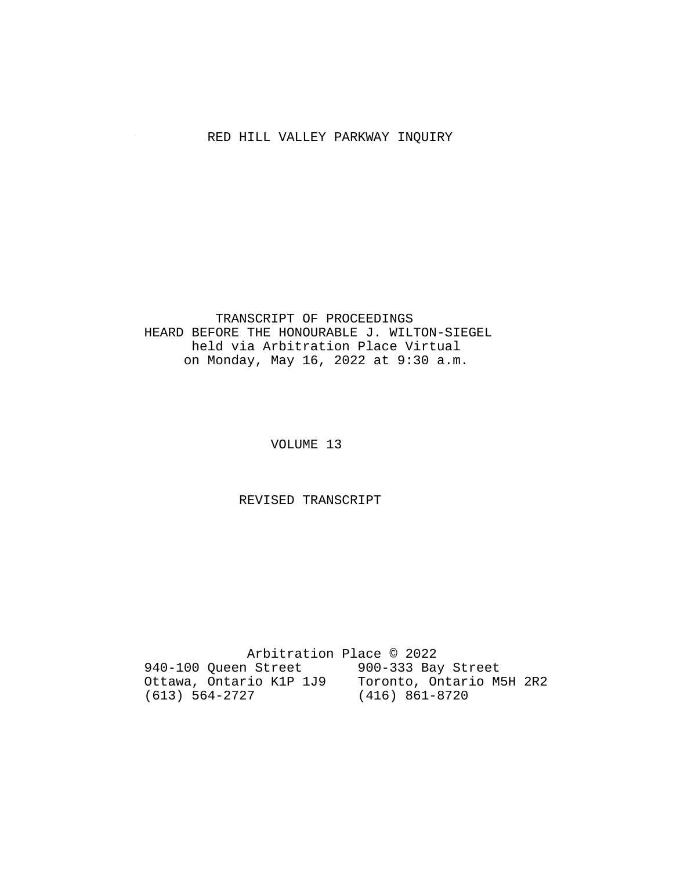# RED HILL VALLEY PARKWAY INQUIRY

#### TRANSCRIPT OF PROCEEDINGS HEARD BEFORE THE HONOURABLE J. WILTON-SIEGEL held via Arbitration Place Virtual on Monday, May 16, 2022 at 9:30 a.m.

VOLUME 13

REVISED TRANSCRIPT

 Arbitration Place © 2022 940-100 Queen Street 900-333 Bay Street Ottawa, Ontario K1P 1J9 Toronto, Ontario M5H 2R2 (613) 564-2727 (416) 861-8720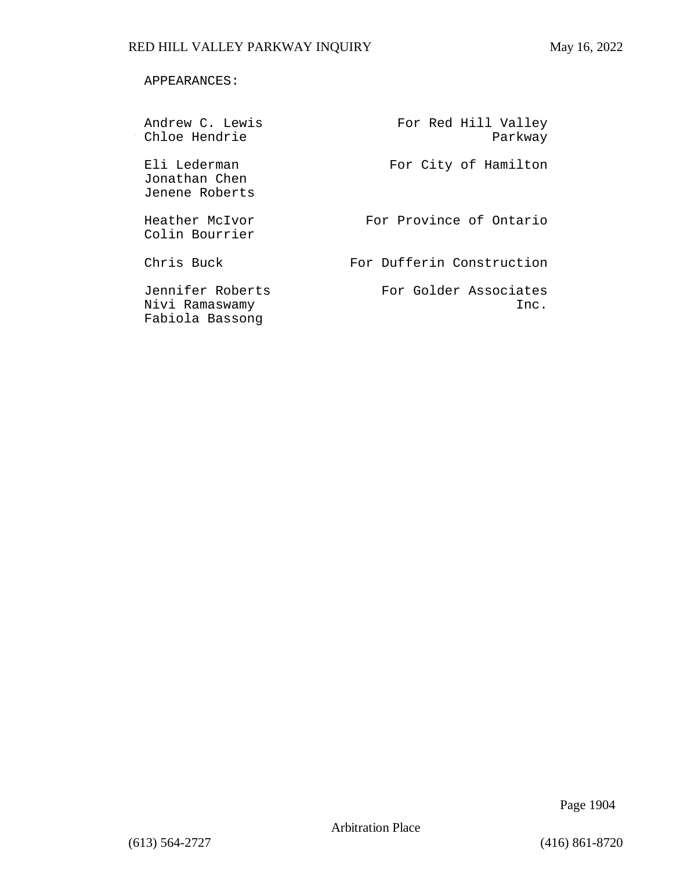#### APPEARANCES:

| Andrew C. Lewis<br>Chloe Hendrie                      | For Red Hill Valley<br>Parkway |
|-------------------------------------------------------|--------------------------------|
| Eli Lederman<br>Jonathan Chen<br>Jenene Roberts       | For City of Hamilton           |
| Heather McIvor<br>Colin Bourrier                      | For Province of Ontario        |
| Chris Buck                                            | For Dufferin Construction      |
| Jennifer Roberts<br>Nivi Ramaswamy<br>Fabiola Bassong | For Golder Associates<br>Inc.  |

Page 1904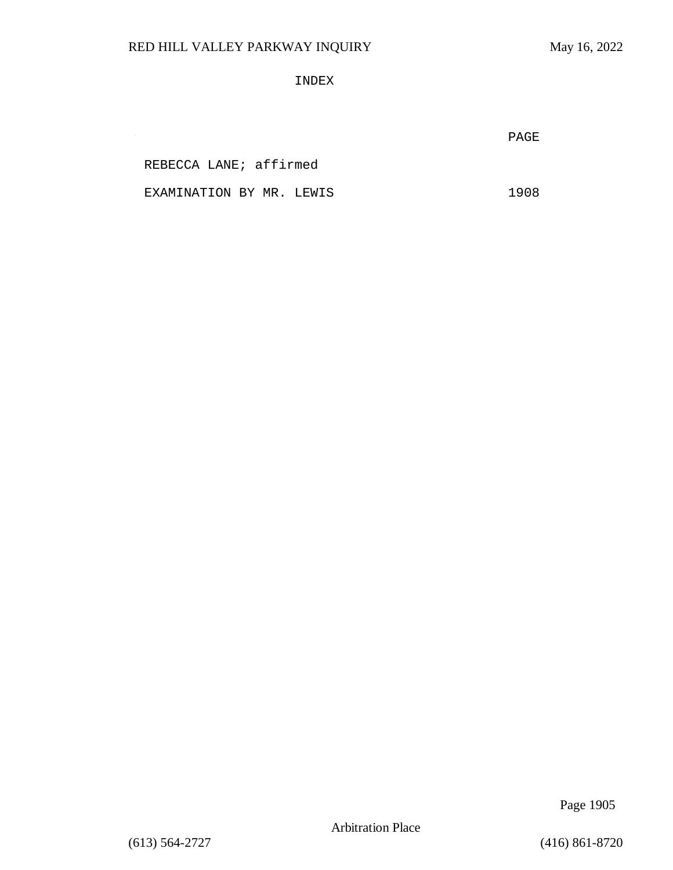INDEX

**PAGE** 

REBECCA LANE; affirmed

 $\sim$ 

EXAMINATION BY MR. LEWIS 1908

Page 1905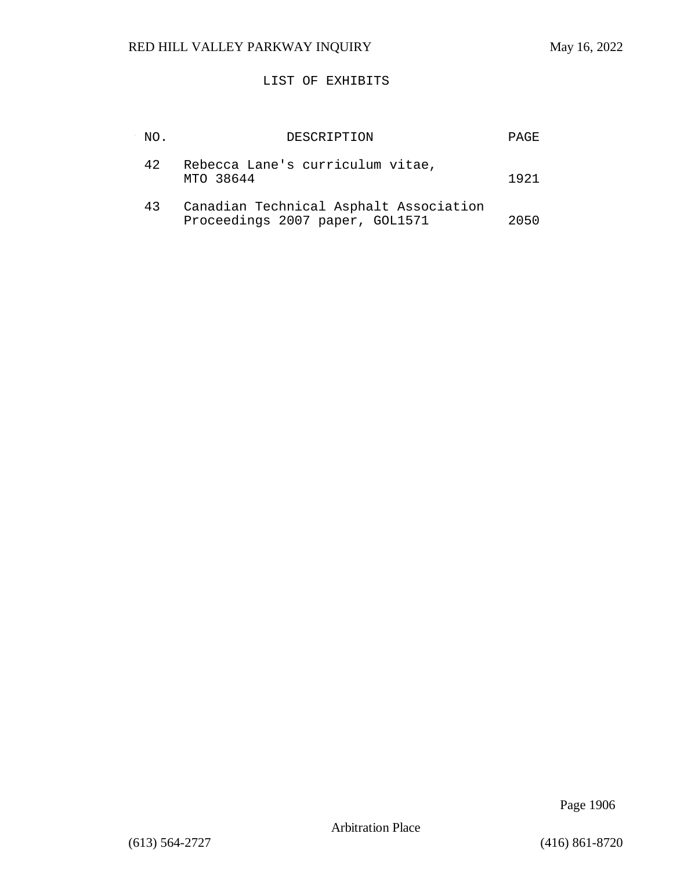### LIST OF EXHIBITS

| NO. | DESCRIPTION                                                               | <b>PAGE</b> |
|-----|---------------------------------------------------------------------------|-------------|
| 42. | Rebecca Lane's curriculum vitae,<br>MTO 38644                             | 1921        |
| 43  | Canadian Technical Asphalt Association<br>Proceedings 2007 paper, GOL1571 | 2050        |

Page 1906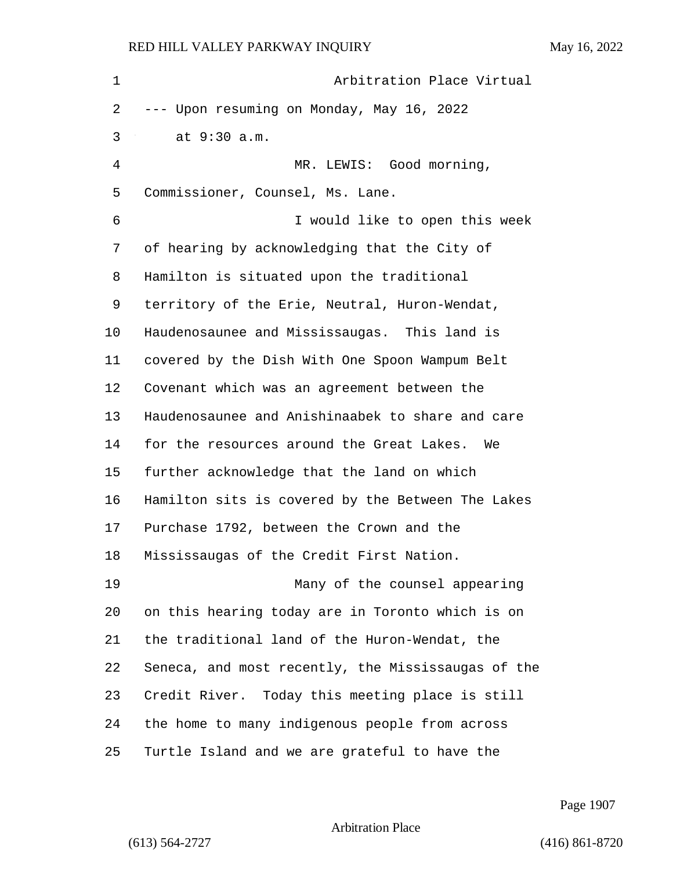| $\mathbf 1$    | Arbitration Place Virtual                          |
|----------------|----------------------------------------------------|
| 2              | --- Upon resuming on Monday, May 16, 2022          |
| 3              | at 9:30 a.m.                                       |
| $\overline{4}$ | MR. LEWIS: Good morning,                           |
| 5              | Commissioner, Counsel, Ms. Lane.                   |
| 6              | I would like to open this week                     |
| 7              | of hearing by acknowledging that the City of       |
| 8              | Hamilton is situated upon the traditional          |
| 9              | territory of the Erie, Neutral, Huron-Wendat,      |
| 10             | Haudenosaunee and Mississaugas. This land is       |
| 11             | covered by the Dish With One Spoon Wampum Belt     |
| 12             | Covenant which was an agreement between the        |
| 13             | Haudenosaunee and Anishinaabek to share and care   |
| 14             | for the resources around the Great Lakes. We       |
| 15             | further acknowledge that the land on which         |
| 16             | Hamilton sits is covered by the Between The Lakes  |
| 17             | Purchase 1792, between the Crown and the           |
| 18             | Mississaugas of the Credit First Nation.           |
| 19             | Many of the counsel appearing                      |
| 20             | on this hearing today are in Toronto which is on   |
| 21             | the traditional land of the Huron-Wendat, the      |
| 22             | Seneca, and most recently, the Mississaugas of the |
| 23             | Credit River. Today this meeting place is still    |
| 24             | the home to many indigenous people from across     |
| 25             | Turtle Island and we are grateful to have the      |

Page 1907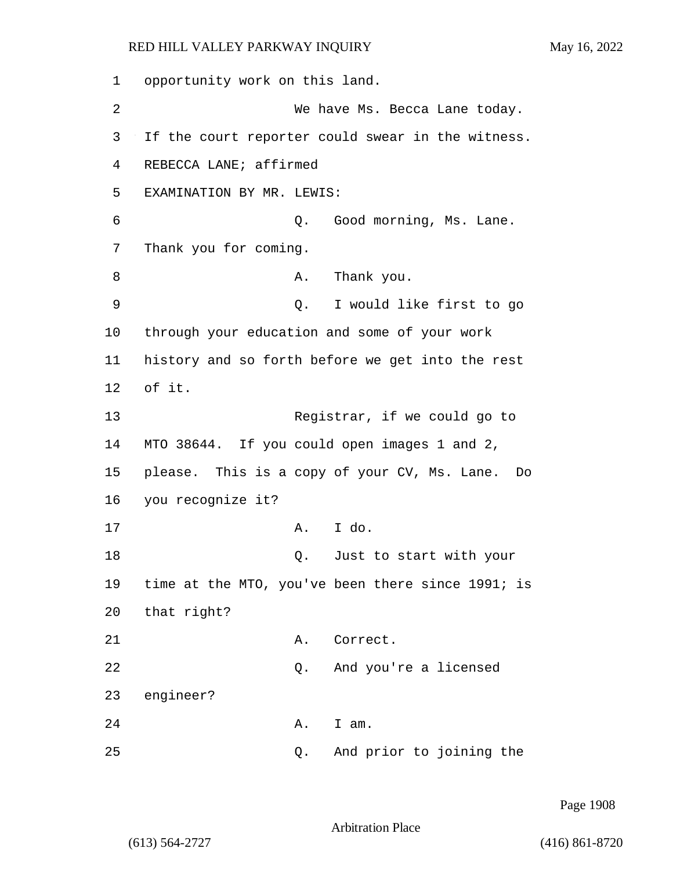1 opportunity work on this land. 2 We have Ms. Becca Lane today. 3 If the court reporter could swear in the witness. 4 REBECCA LANE; affirmed 5 EXAMINATION BY MR. LEWIS: 6 Q. Good morning, Ms. Lane. 7 Thank you for coming. 8 A. Thank you. 9 Q. I would like first to go 10 through your education and some of your work 11 history and so forth before we get into the rest 12 of it. 13 Registrar, if we could go to 14 MTO 38644. If you could open images 1 and 2, 15 please. This is a copy of your CV, Ms. Lane. Do 16 you recognize it? 17 A. I do. 18 and 18 Q. Just to start with your 19 time at the MTO, you've been there since 1991; is 20 that right? 21 A. Correct. 22 Q. And you're a licensed 23 engineer? 24 A. I am. 25 Q. And prior to joining the

Page 1908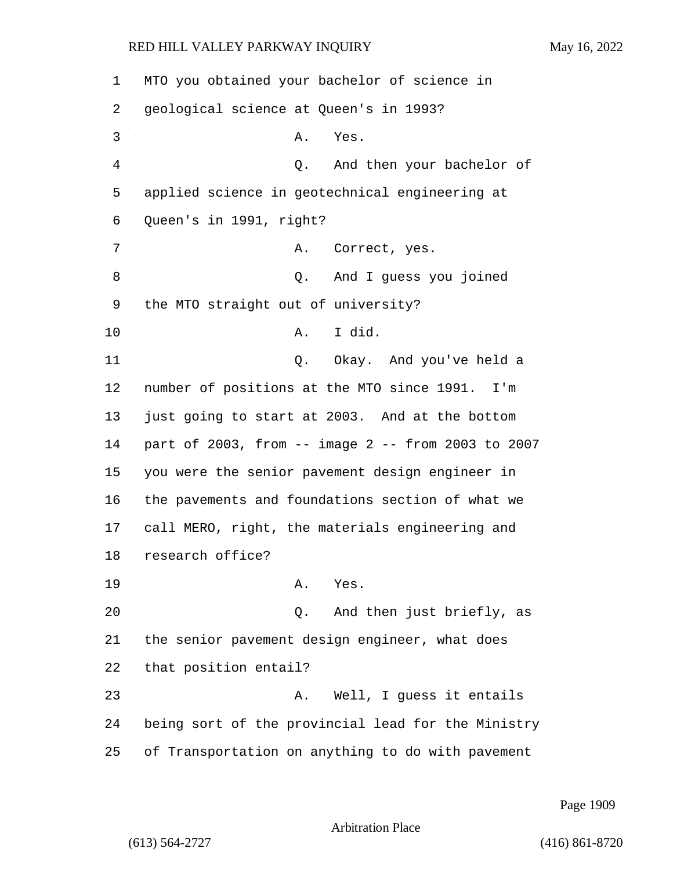MTO you obtained your bachelor of science in geological science at Queen's in 1993? 3 A. Yes. 4 Q. And then your bachelor of applied science in geotechnical engineering at Queen's in 1991, right? 7 A. Correct, yes. 8 Q. And I guess you joined the MTO straight out of university? 10 A. I did. 11 Q. Okay. And you've held a number of positions at the MTO since 1991. I'm just going to start at 2003. And at the bottom part of 2003, from -- image 2 -- from 2003 to 2007 you were the senior pavement design engineer in the pavements and foundations section of what we call MERO, right, the materials engineering and research office? 19 A. Yes. 20 Q. And then just briefly, as the senior pavement design engineer, what does that position entail? 23 A. Well, I guess it entails being sort of the provincial lead for the Ministry of Transportation on anything to do with pavement

Page 1909

Arbitration Place

(613) 564-2727 (416) 861-8720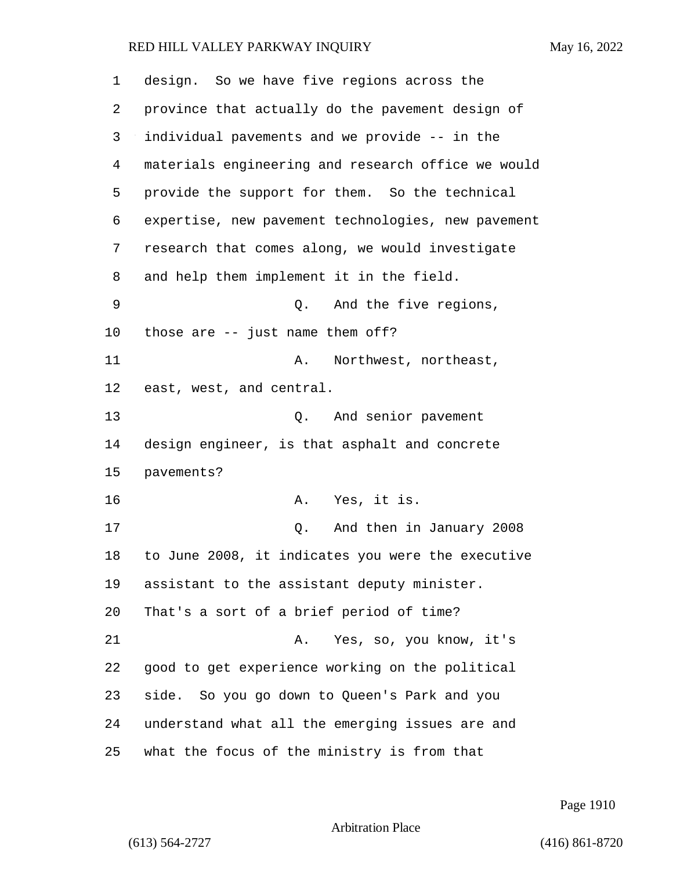| 1  | design. So we have five regions across the         |
|----|----------------------------------------------------|
| 2  | province that actually do the pavement design of   |
| 3  | individual pavements and we provide -- in the      |
| 4  | materials engineering and research office we would |
| 5  | provide the support for them. So the technical     |
| 6  | expertise, new pavement technologies, new pavement |
| 7  | research that comes along, we would investigate    |
| 8  | and help them implement it in the field.           |
| 9  | And the five regions,<br>0.                        |
| 10 | those are $--$ just name them off?                 |
| 11 | Northwest, northeast,<br>Α.                        |
| 12 | east, west, and central.                           |
| 13 | $\circ$ .<br>And senior pavement                   |
| 14 | design engineer, is that asphalt and concrete      |
| 15 | pavements?                                         |
| 16 | Yes, it is.<br>Α.                                  |
| 17 | And then in January 2008<br>0.                     |
| 18 | to June 2008, it indicates you were the executive  |
| 19 | assistant to the assistant deputy minister.        |
| 20 | That's a sort of a brief period of time?           |
| 21 | Yes, so, you know, it's<br>Α.                      |
| 22 | good to get experience working on the political    |
| 23 | side. So you go down to Queen's Park and you       |
| 24 | understand what all the emerging issues are and    |
| 25 | what the focus of the ministry is from that        |

Page 1910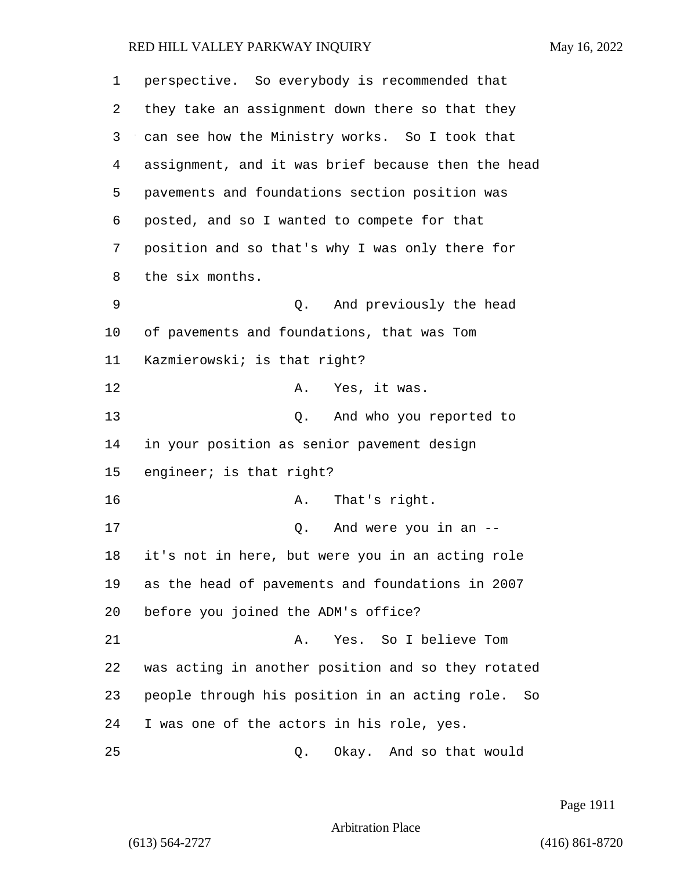| 1  | perspective. So everybody is recommended that        |
|----|------------------------------------------------------|
| 2  | they take an assignment down there so that they      |
| 3  | can see how the Ministry works. So I took that       |
| 4  | assignment, and it was brief because then the head   |
| 5  | pavements and foundations section position was       |
| 6  | posted, and so I wanted to compete for that          |
| 7  | position and so that's why I was only there for      |
| 8  | the six months.                                      |
| 9  | And previously the head<br>Q.                        |
| 10 | of pavements and foundations, that was Tom           |
| 11 | Kazmierowski; is that right?                         |
| 12 | Yes, it was.<br>Α.                                   |
| 13 | And who you reported to<br>Q.                        |
| 14 | in your position as senior pavement design           |
| 15 | engineer; is that right?                             |
| 16 | That's right.<br>Α.                                  |
| 17 | And were you in an --<br>Q.                          |
| 18 | it's not in here, but were you in an acting role     |
| 19 | as the head of pavements and foundations in 2007     |
| 20 | before you joined the ADM's office?                  |
| 21 | Yes. So I believe Tom<br>Α.                          |
| 22 | was acting in another position and so they rotated   |
| 23 | people through his position in an acting role.<br>So |
| 24 | I was one of the actors in his role, yes.            |
| 25 | Okay. And so that would<br>Q.                        |

Page 1911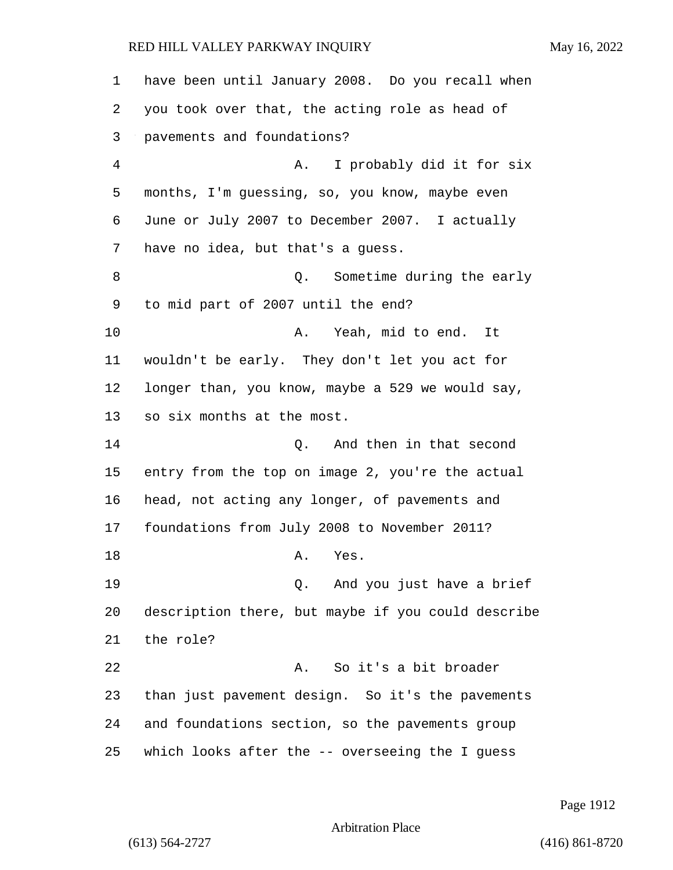have been until January 2008. Do you recall when you took over that, the acting role as head of pavements and foundations? 4 A. I probably did it for six months, I'm guessing, so, you know, maybe even June or July 2007 to December 2007. I actually have no idea, but that's a guess. 8 and 1 Q. Sometime during the early to mid part of 2007 until the end? 10 A. Yeah, mid to end. It wouldn't be early. They don't let you act for longer than, you know, maybe a 529 we would say, so six months at the most. 14 Q. And then in that second entry from the top on image 2, you're the actual head, not acting any longer, of pavements and foundations from July 2008 to November 2011? 18 A. Yes. 19 Q. And you just have a brief description there, but maybe if you could describe the role?

22 A. So it's a bit broader than just pavement design. So it's the pavements and foundations section, so the pavements group which looks after the -- overseeing the I guess

Page 1912

Arbitration Place

(613) 564-2727 (416) 861-8720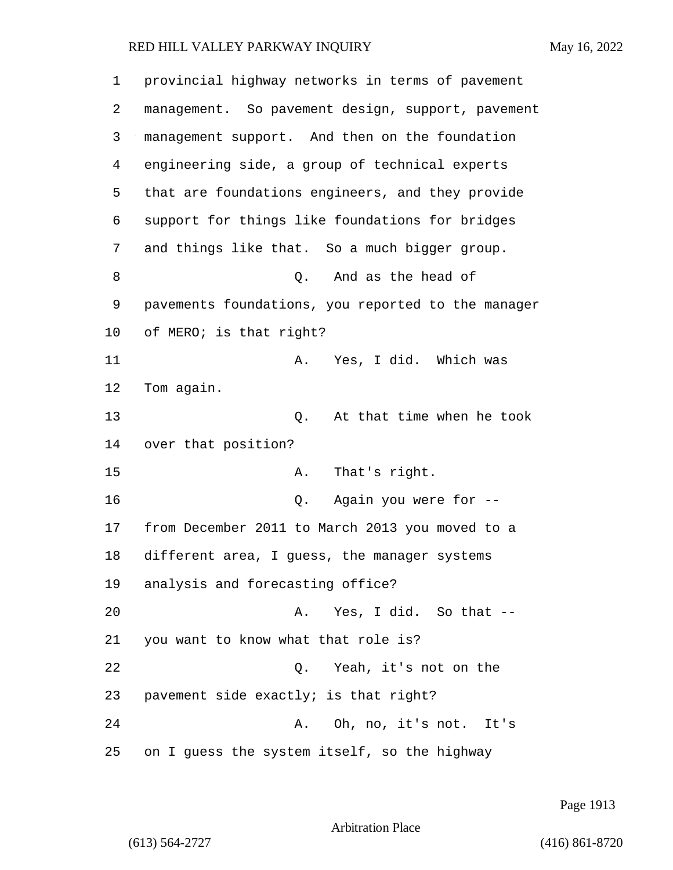| 1       | provincial highway networks in terms of pavement   |
|---------|----------------------------------------------------|
| 2       | management. So pavement design, support, pavement  |
| 3       | management support. And then on the foundation     |
| 4       | engineering side, a group of technical experts     |
| 5       | that are foundations engineers, and they provide   |
| 6       | support for things like foundations for bridges    |
| 7       | and things like that. So a much bigger group.      |
| 8       | And as the head of<br>Q.                           |
| 9       | pavements foundations, you reported to the manager |
| $10 \,$ | of MERO; is that right?                            |
| 11      | Yes, I did. Which was<br>Α.                        |
| 12      | Tom again.                                         |
| 13      | At that time when he took<br>Q.                    |
| 14      | over that position?                                |
| 15      | That's right.<br>Α.                                |
| 16      | Again you were for --<br>Q.                        |
| 17      | from December 2011 to March 2013 you moved to a    |
| 18      | different area, I guess, the manager systems       |
| 19      | analysis and forecasting office?                   |
| 20      | Yes, I did. So that --<br>Α.                       |
| 21      | you want to know what that role is?                |
| 22      | Q. Yeah, it's not on the                           |
| 23      | pavement side exactly; is that right?              |
| 24      | A. Oh, no, it's not. It's                          |
| 25      | on I guess the system itself, so the highway       |

Page 1913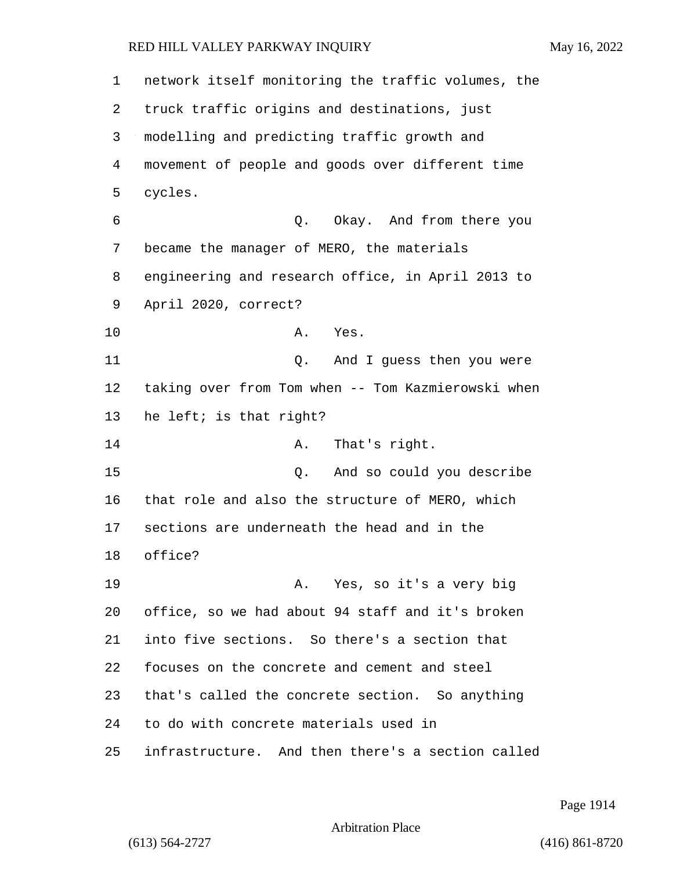network itself monitoring the traffic volumes, the truck traffic origins and destinations, just modelling and predicting traffic growth and movement of people and goods over different time cycles. 6 Q. Okay. And from there you became the manager of MERO, the materials engineering and research office, in April 2013 to April 2020, correct? 10 A. Yes. 11 Q. And I guess then you were taking over from Tom when -- Tom Kazmierowski when he left; is that right? 14 A. That's right. 15 Q. And so could you describe that role and also the structure of MERO, which sections are underneath the head and in the office? 19 A. Yes, so it's a very big office, so we had about 94 staff and it's broken into five sections. So there's a section that focuses on the concrete and cement and steel that's called the concrete section. So anything to do with concrete materials used in infrastructure. And then there's a section called

Page 1914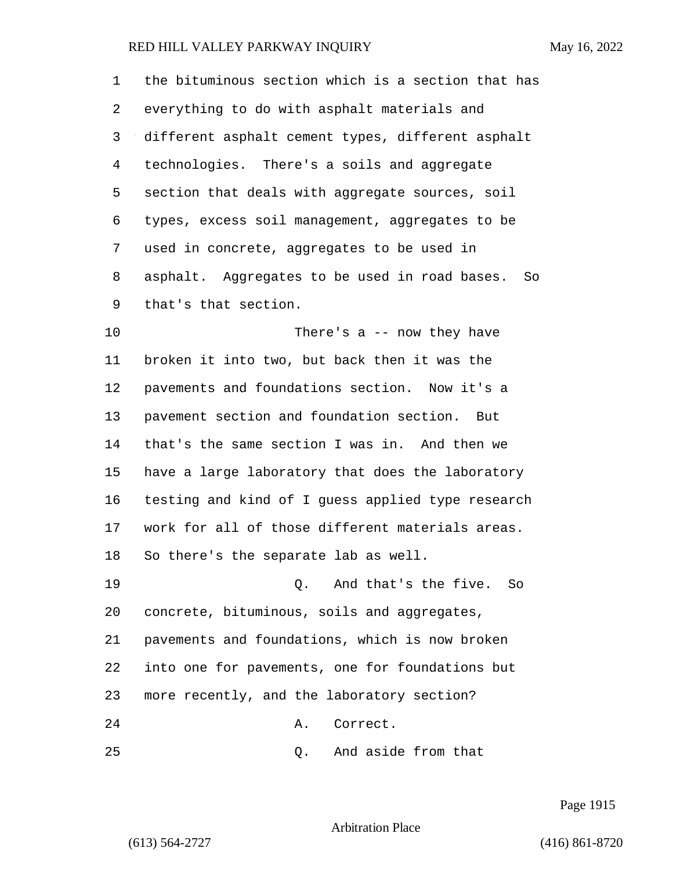the bituminous section which is a section that has everything to do with asphalt materials and different asphalt cement types, different asphalt technologies. There's a soils and aggregate section that deals with aggregate sources, soil types, excess soil management, aggregates to be used in concrete, aggregates to be used in asphalt. Aggregates to be used in road bases. So that's that section. 10 There's a -- now they have broken it into two, but back then it was the pavements and foundations section. Now it's a pavement section and foundation section. But that's the same section I was in. And then we have a large laboratory that does the laboratory testing and kind of I guess applied type research work for all of those different materials areas. So there's the separate lab as well. 19 Q. And that's the five. So concrete, bituminous, soils and aggregates, pavements and foundations, which is now broken into one for pavements, one for foundations but

more recently, and the laboratory section?

24 A. Correct.

25 Q. And aside from that

Page 1915

Arbitration Place

(613) 564-2727 (416) 861-8720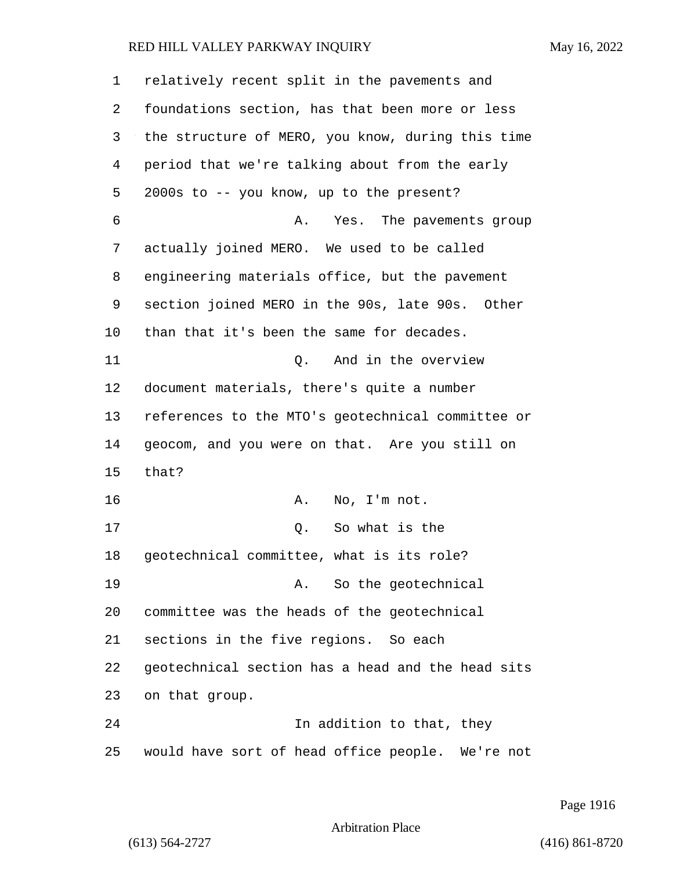| 1  | relatively recent split in the pavements and      |
|----|---------------------------------------------------|
| 2  | foundations section, has that been more or less   |
| 3  | the structure of MERO, you know, during this time |
| 4  | period that we're talking about from the early    |
| 5  | 2000s to -- you know, up to the present?          |
| 6  | Yes. The pavements group<br>Α.                    |
| 7  | actually joined MERO. We used to be called        |
| 8  | engineering materials office, but the pavement    |
| 9  | section joined MERO in the 90s, late 90s. Other   |
| 10 | than that it's been the same for decades.         |
| 11 | And in the overview<br>О.                         |
| 12 | document materials, there's quite a number        |
| 13 | references to the MTO's geotechnical committee or |
| 14 | geocom, and you were on that. Are you still on    |
| 15 | that?                                             |
| 16 | No, I'm not.<br>Α.                                |
| 17 | So what is the<br>Q.                              |
| 18 | geotechnical committee, what is its role?         |
| 19 | So the geotechnical<br>A.                         |
| 20 | committee was the heads of the geotechnical       |
| 21 | sections in the five regions. So each             |
| 22 | geotechnical section has a head and the head sits |
| 23 | on that group.                                    |
| 24 | In addition to that, they                         |
| 25 | would have sort of head office people. We're not  |

Page 1916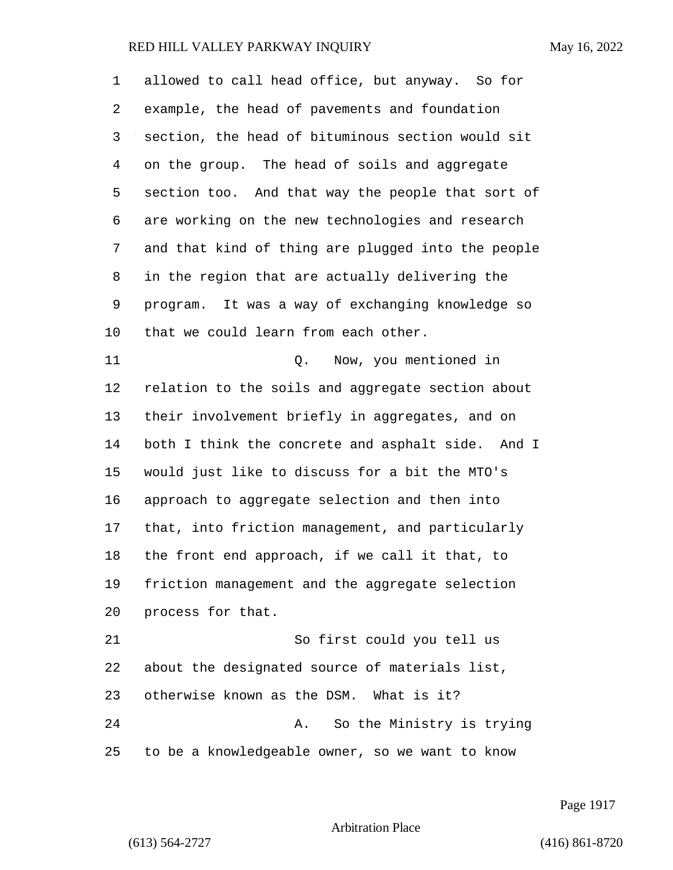allowed to call head office, but anyway. So for example, the head of pavements and foundation section, the head of bituminous section would sit on the group. The head of soils and aggregate section too. And that way the people that sort of are working on the new technologies and research and that kind of thing are plugged into the people in the region that are actually delivering the program. It was a way of exchanging knowledge so that we could learn from each other. 11 Q. Now, you mentioned in relation to the soils and aggregate section about their involvement briefly in aggregates, and on both I think the concrete and asphalt side. And I would just like to discuss for a bit the MTO's approach to aggregate selection and then into that, into friction management, and particularly the front end approach, if we call it that, to friction management and the aggregate selection process for that. 21 So first could you tell us about the designated source of materials list, otherwise known as the DSM. What is it? 24 A. So the Ministry is trying to be a knowledgeable owner, so we want to know

Page 1917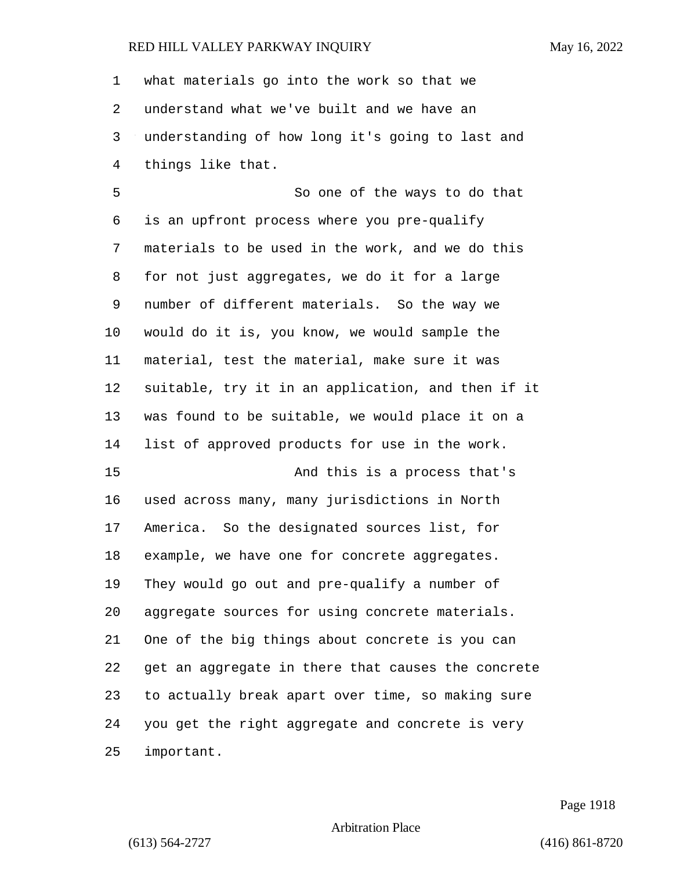what materials go into the work so that we understand what we've built and we have an understanding of how long it's going to last and things like that.

5 So one of the ways to do that is an upfront process where you pre-qualify materials to be used in the work, and we do this for not just aggregates, we do it for a large number of different materials. So the way we would do it is, you know, we would sample the material, test the material, make sure it was suitable, try it in an application, and then if it was found to be suitable, we would place it on a list of approved products for use in the work. 15 And this is a process that's used across many, many jurisdictions in North America. So the designated sources list, for example, we have one for concrete aggregates. They would go out and pre-qualify a number of aggregate sources for using concrete materials. One of the big things about concrete is you can get an aggregate in there that causes the concrete to actually break apart over time, so making sure you get the right aggregate and concrete is very important.

Page 1918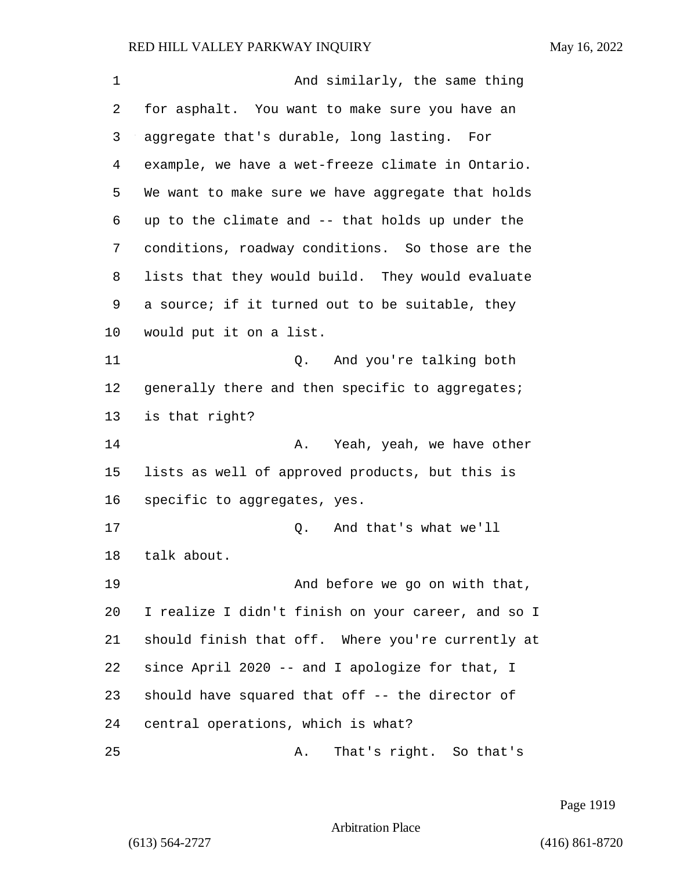| 1  | And similarly, the same thing                      |
|----|----------------------------------------------------|
| 2  | for asphalt. You want to make sure you have an     |
| 3  | aggregate that's durable, long lasting. For        |
| 4  | example, we have a wet-freeze climate in Ontario.  |
| 5  | We want to make sure we have aggregate that holds  |
| 6  | up to the climate and -- that holds up under the   |
| 7  | conditions, roadway conditions. So those are the   |
| 8  | lists that they would build. They would evaluate   |
| 9  | a source; if it turned out to be suitable, they    |
| 10 | would put it on a list.                            |
| 11 | And you're talking both<br>Q.                      |
| 12 | generally there and then specific to aggregates;   |
| 13 | is that right?                                     |
| 14 | Yeah, yeah, we have other<br>Α.                    |
| 15 | lists as well of approved products, but this is    |
| 16 | specific to aggregates, yes.                       |
| 17 | And that's what we'll<br>Q.                        |
| 18 | talk about.                                        |
| 19 | And before we go on with that,                     |
| 20 | I realize I didn't finish on your career, and so I |
| 21 | should finish that off. Where you're currently at  |
| 22 | since April 2020 -- and I apologize for that, I    |
| 23 | should have squared that off -- the director of    |
| 24 | central operations, which is what?                 |
| 25 | That's right. So that's<br>Α.                      |

Page 1919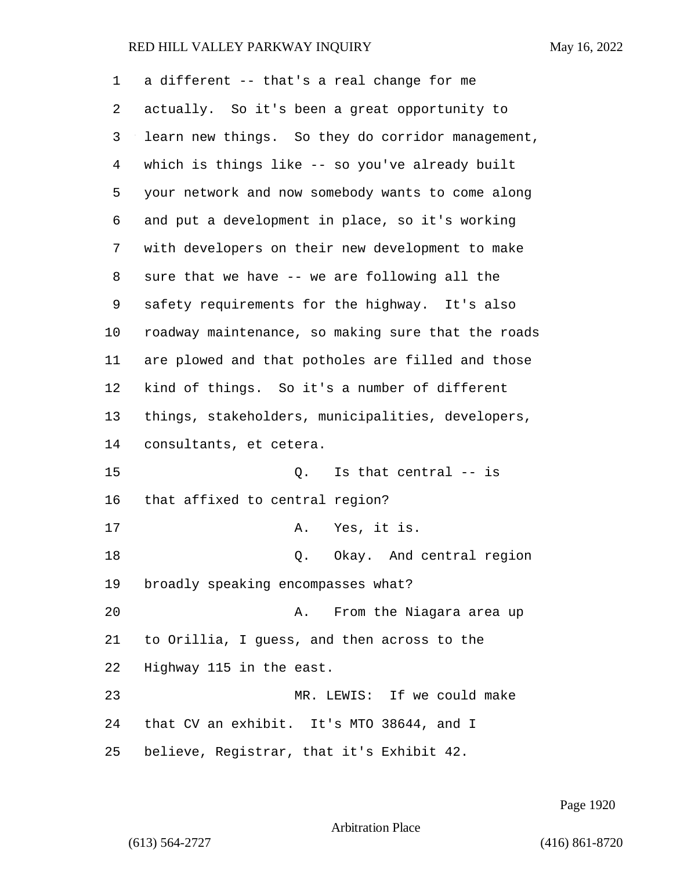| 1  | a different -- that's a real change for me         |
|----|----------------------------------------------------|
| 2  | actually. So it's been a great opportunity to      |
| 3  | learn new things. So they do corridor management,  |
| 4  | which is things like -- so you've already built    |
| 5  | your network and now somebody wants to come along  |
| 6  | and put a development in place, so it's working    |
| 7  | with developers on their new development to make   |
| 8  | sure that we have -- we are following all the      |
| 9  | safety requirements for the highway. It's also     |
| 10 | roadway maintenance, so making sure that the roads |
| 11 | are plowed and that potholes are filled and those  |
| 12 | kind of things. So it's a number of different      |
| 13 | things, stakeholders, municipalities, developers,  |
| 14 | consultants, et cetera.                            |
| 15 | Is that central -- is<br>Q.                        |
| 16 | that affixed to central region?                    |
| 17 | Yes, it is.<br>Α.                                  |
| 18 | Okay. And central region<br>Q.                     |
| 19 | broadly speaking encompasses what?                 |
| 20 | From the Niagara area up<br>Α.                     |
| 21 | to Orillia, I guess, and then across to the        |
| 22 | Highway 115 in the east.                           |
| 23 | MR. LEWIS: If we could make                        |
| 24 | that CV an exhibit. It's MTO 38644, and I          |
| 25 | believe, Registrar, that it's Exhibit 42.          |

Page 1920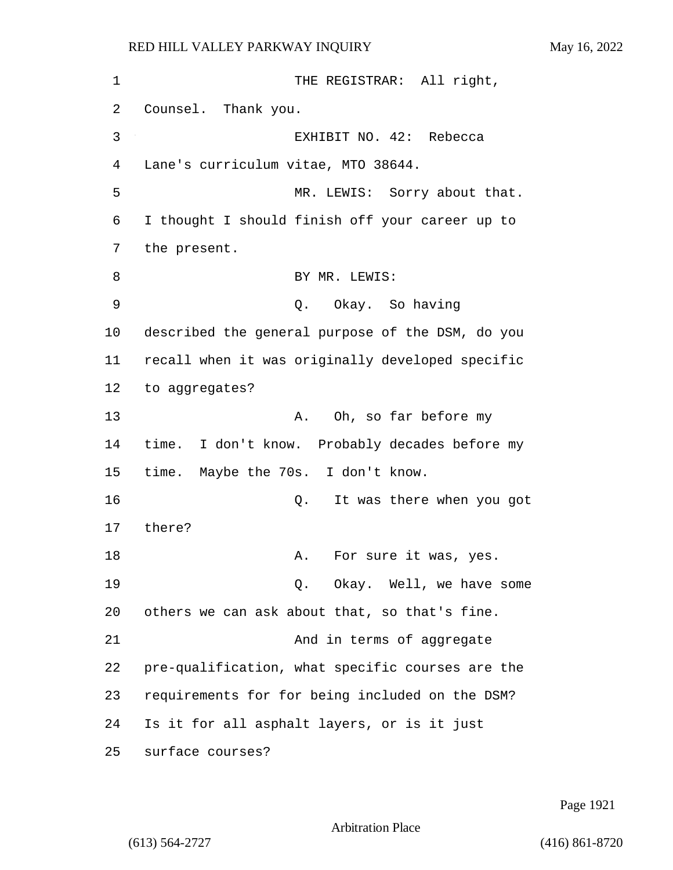| 1  | THE REGISTRAR: All right,                        |
|----|--------------------------------------------------|
| 2  | Counsel. Thank you.                              |
| 3  | EXHIBIT NO. 42: Rebecca                          |
| 4  | Lane's curriculum vitae, MTO 38644.              |
| 5  | MR. LEWIS: Sorry about that.                     |
| 6  | I thought I should finish off your career up to  |
| 7  | the present.                                     |
| 8  | BY MR. LEWIS:                                    |
| 9  | Okay. So having<br>Q.                            |
| 10 | described the general purpose of the DSM, do you |
| 11 | recall when it was originally developed specific |
| 12 | to aggregates?                                   |
| 13 | Oh, so far before my<br>Α.                       |
| 14 | time. I don't know. Probably decades before my   |
| 15 | time. Maybe the 70s. I don't know.               |
| 16 | It was there when you got<br>Q.                  |
| 17 | there?                                           |
| 18 | For sure it was, yes.<br>Α.                      |
| 19 | Q. Okay. Well, we have some                      |
| 20 | others we can ask about that, so that's fine.    |
| 21 | And in terms of aggregate                        |
| 22 | pre-qualification, what specific courses are the |
| 23 | requirements for for being included on the DSM?  |
| 24 | Is it for all asphalt layers, or is it just      |
| 25 | surface courses?                                 |

Page 1921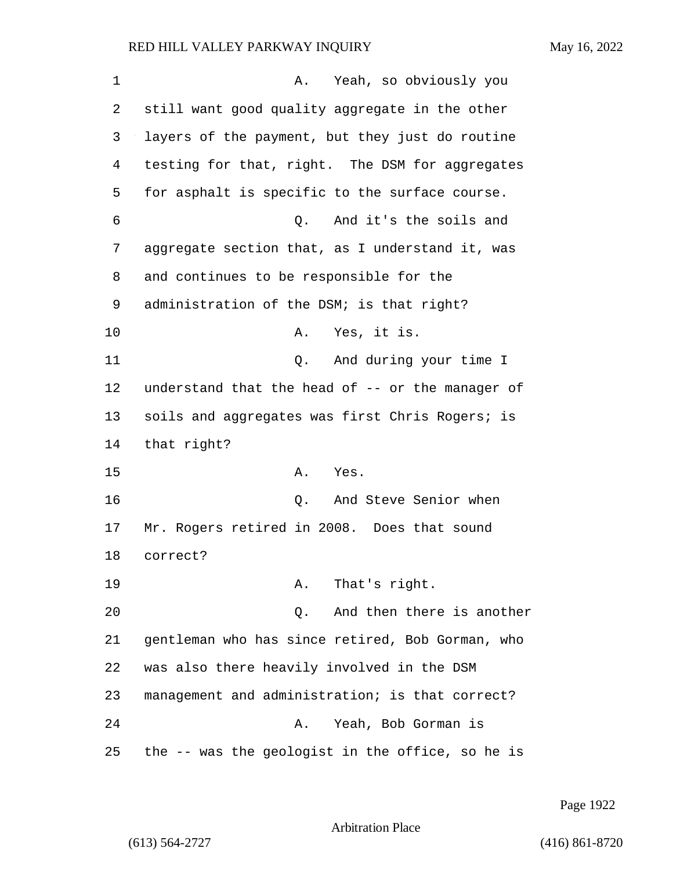| 1  | Yeah, so obviously you<br>Α.                     |
|----|--------------------------------------------------|
| 2  | still want good quality aggregate in the other   |
| 3  | layers of the payment, but they just do routine  |
| 4  | testing for that, right. The DSM for aggregates  |
| 5  | for asphalt is specific to the surface course.   |
| 6  | And it's the soils and<br>Q.                     |
| 7  | aggregate section that, as I understand it, was  |
| 8  | and continues to be responsible for the          |
| 9  | administration of the DSM; is that right?        |
| 10 | Yes, it is.<br>Α.                                |
| 11 | And during your time I<br>Q.                     |
| 12 | understand that the head of -- or the manager of |
| 13 | soils and aggregates was first Chris Rogers; is  |
| 14 | that right?                                      |
| 15 | Yes.<br>Α.                                       |
| 16 | And Steve Senior when<br>Q.                      |
| 17 | Mr. Rogers retired in 2008. Does that sound      |
| 18 | correct?                                         |
| 19 | That's right.<br>Α.                              |
| 20 | And then there is another<br>Q.                  |
| 21 | gentleman who has since retired, Bob Gorman, who |
| 22 | was also there heavily involved in the DSM       |
| 23 | management and administration; is that correct?  |
| 24 | Yeah, Bob Gorman is<br>Α.                        |
| 25 | the -- was the geologist in the office, so he is |

Page 1922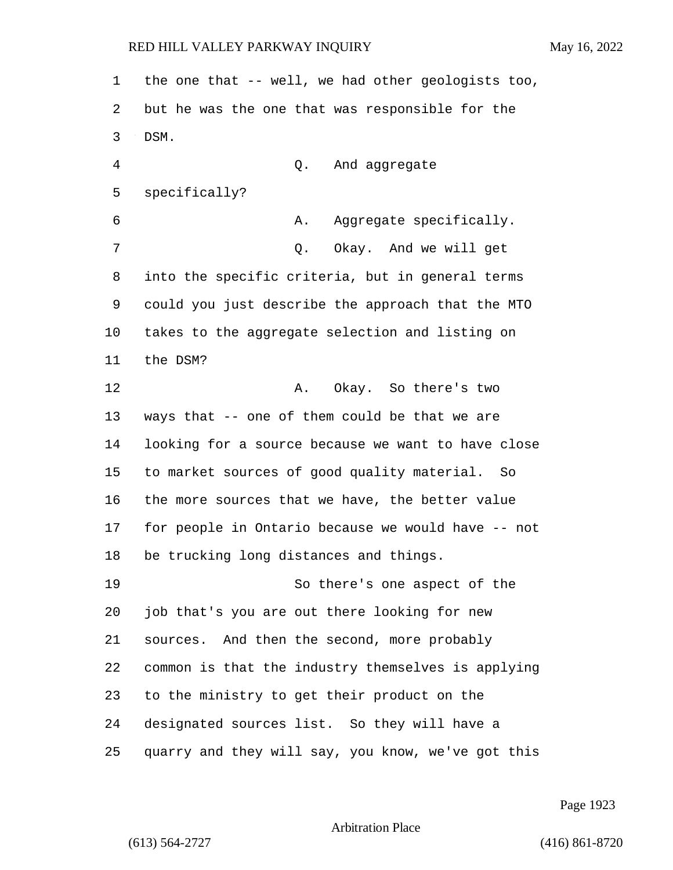the one that -- well, we had other geologists too, but he was the one that was responsible for the DSM. 4 Q. And aggregate specifically? 6 A. Aggregate specifically. 7 O. Okay. And we will get into the specific criteria, but in general terms could you just describe the approach that the MTO takes to the aggregate selection and listing on the DSM? 12 A. Okay. So there's two ways that -- one of them could be that we are looking for a source because we want to have close to market sources of good quality material. So the more sources that we have, the better value for people in Ontario because we would have -- not be trucking long distances and things. 19 So there's one aspect of the job that's you are out there looking for new sources. And then the second, more probably common is that the industry themselves is applying to the ministry to get their product on the designated sources list. So they will have a quarry and they will say, you know, we've got this

Page 1923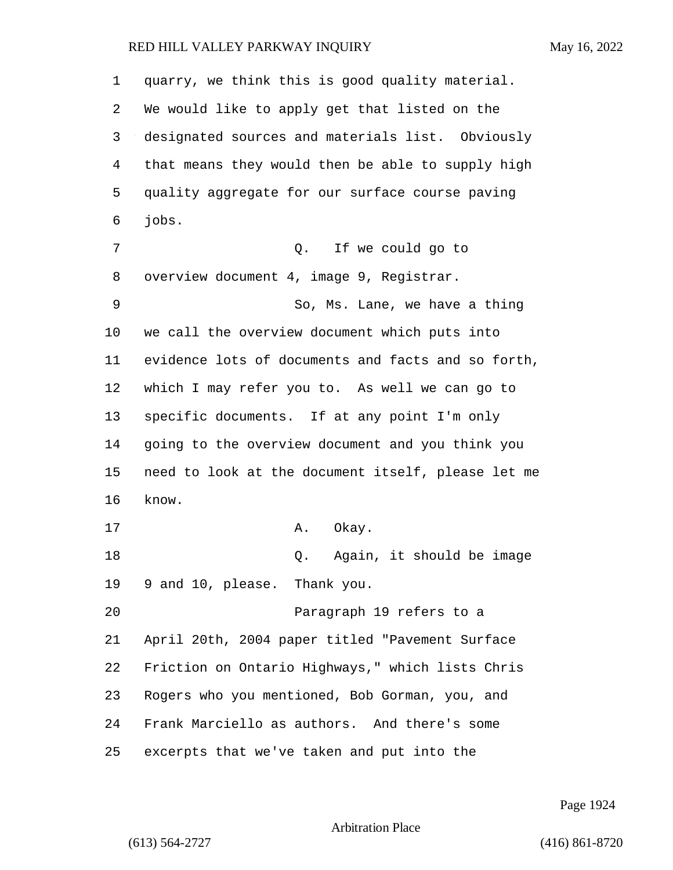| 1  | quarry, we think this is good quality material.    |
|----|----------------------------------------------------|
| 2  | We would like to apply get that listed on the      |
| 3  | designated sources and materials list. Obviously   |
| 4  | that means they would then be able to supply high  |
| 5  | quality aggregate for our surface course paving    |
| 6  | jobs.                                              |
| 7  | Q. If we could go to                               |
| 8  | overview document 4, image 9, Registrar.           |
| 9  | So, Ms. Lane, we have a thing                      |
| 10 | we call the overview document which puts into      |
| 11 | evidence lots of documents and facts and so forth, |
| 12 | which I may refer you to. As well we can go to     |
| 13 | specific documents. If at any point I'm only       |
| 14 | going to the overview document and you think you   |
| 15 | need to look at the document itself, please let me |
| 16 | know.                                              |
| 17 | A. Okay.                                           |
| 18 | Again, it should be image<br>Q.                    |
| 19 | 9 and 10, please. Thank you.                       |
| 20 | Paragraph 19 refers to a                           |
| 21 | April 20th, 2004 paper titled "Pavement Surface    |
| 22 | Friction on Ontario Highways," which lists Chris   |
| 23 | Rogers who you mentioned, Bob Gorman, you, and     |
| 24 | Frank Marciello as authors. And there's some       |
| 25 | excerpts that we've taken and put into the         |

Page 1924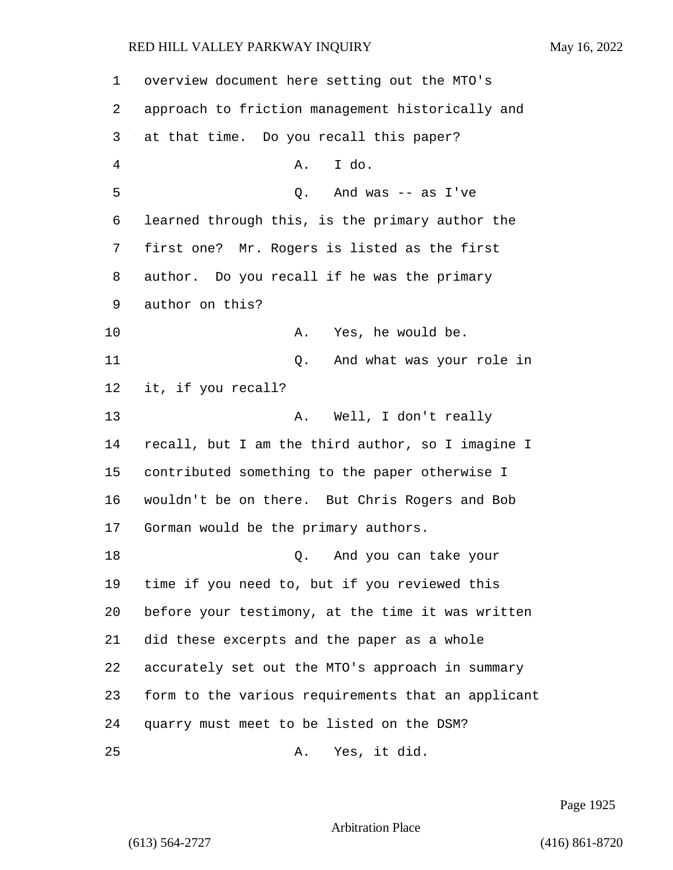overview document here setting out the MTO's approach to friction management historically and at that time. Do you recall this paper? 4 A. I do. 5 Q. And was -- as I've learned through this, is the primary author the first one? Mr. Rogers is listed as the first author. Do you recall if he was the primary author on this? 10 A. Yes, he would be. 11 Q. And what was your role in it, if you recall? 13 A. Well, I don't really recall, but I am the third author, so I imagine I contributed something to the paper otherwise I wouldn't be on there. But Chris Rogers and Bob Gorman would be the primary authors. 18 Q. And you can take your time if you need to, but if you reviewed this before your testimony, at the time it was written did these excerpts and the paper as a whole accurately set out the MTO's approach in summary form to the various requirements that an applicant quarry must meet to be listed on the DSM? 25 A. Yes, it did.

Page 1925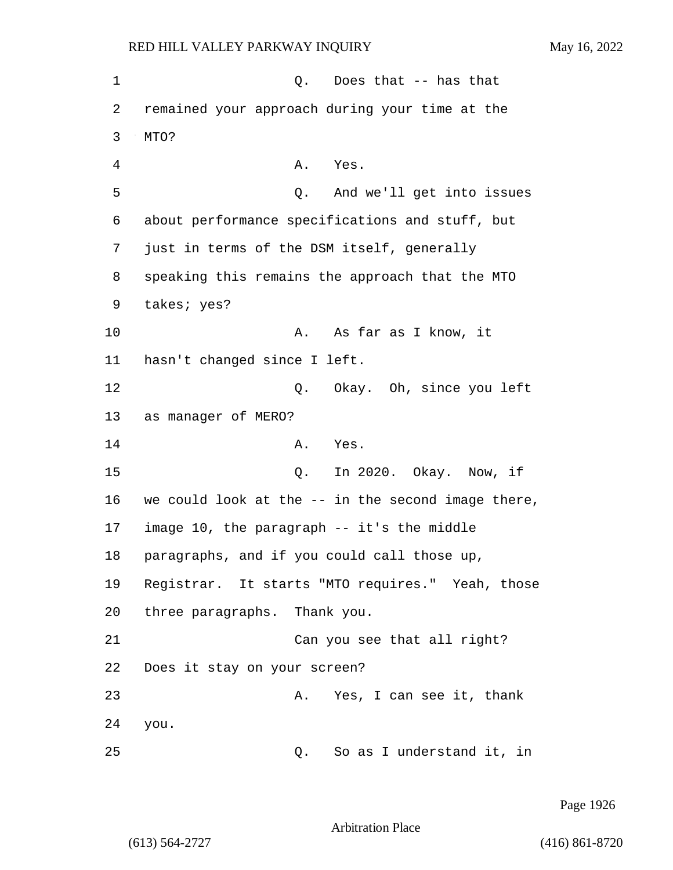1 Q. Does that -- has that 2 remained your approach during your time at the 3 MTO? 4 A. Yes. 5 Q. And we'll get into issues 6 about performance specifications and stuff, but 7 just in terms of the DSM itself, generally 8 speaking this remains the approach that the MTO 9 takes; yes? 10 A. As far as I know, it 11 hasn't changed since I left. 12 Q. Okay. Oh, since you left 13 as manager of MERO? 14 A. Yes. 15 Q. In 2020. Okay. Now, if 16 we could look at the -- in the second image there, 17 image 10, the paragraph -- it's the middle 18 paragraphs, and if you could call those up, 19 Registrar. It starts "MTO requires." Yeah, those 20 three paragraphs. Thank you. 21 Can you see that all right? 22 Does it stay on your screen? 23 A. Yes, I can see it, thank 24 you. 25 Q. So as I understand it, in

Page 1926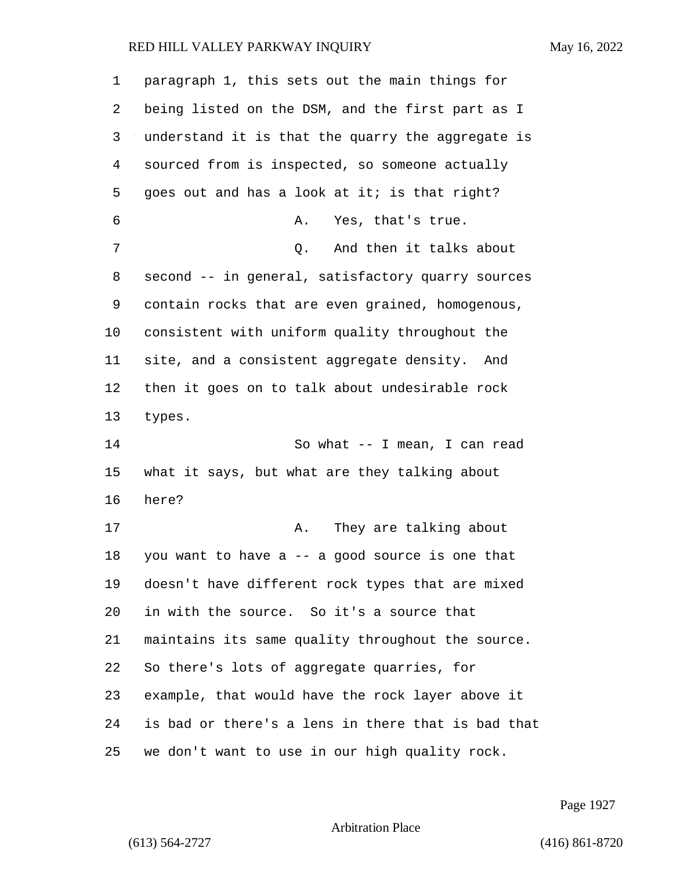paragraph 1, this sets out the main things for being listed on the DSM, and the first part as I understand it is that the quarry the aggregate is sourced from is inspected, so someone actually 5 goes out and has a look at it; is that right? 6 A. Yes, that's true. 7 0. And then it talks about second -- in general, satisfactory quarry sources contain rocks that are even grained, homogenous, consistent with uniform quality throughout the site, and a consistent aggregate density. And then it goes on to talk about undesirable rock types. 14 So what -- I mean, I can read what it says, but what are they talking about here? 17 A. They are talking about you want to have a -- a good source is one that doesn't have different rock types that are mixed in with the source. So it's a source that maintains its same quality throughout the source. So there's lots of aggregate quarries, for example, that would have the rock layer above it is bad or there's a lens in there that is bad that we don't want to use in our high quality rock.

Page 1927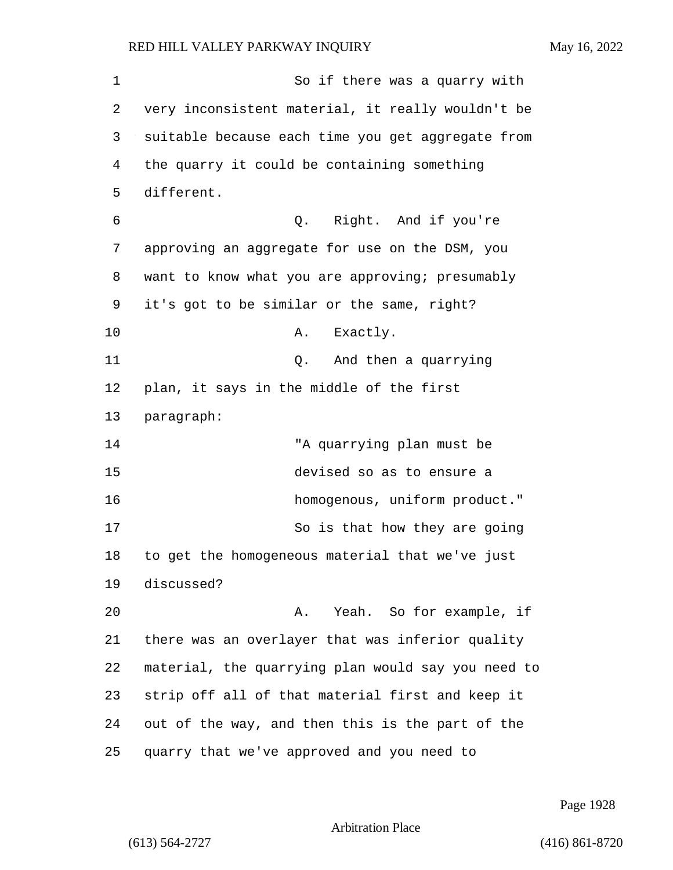1 So if there was a quarry with very inconsistent material, it really wouldn't be suitable because each time you get aggregate from the quarry it could be containing something different. 6 Q. Right. And if you're approving an aggregate for use on the DSM, you want to know what you are approving; presumably it's got to be similar or the same, right? 10 A. Exactly. 11 Q. And then a quarrying plan, it says in the middle of the first paragraph: 14 "A quarrying plan must be 15 devised so as to ensure a 16 homogenous, uniform product." 17 So is that how they are going to get the homogeneous material that we've just discussed? 20 A. Yeah. So for example, if there was an overlayer that was inferior quality material, the quarrying plan would say you need to strip off all of that material first and keep it out of the way, and then this is the part of the quarry that we've approved and you need to

Page 1928

Arbitration Place

(613) 564-2727 (416) 861-8720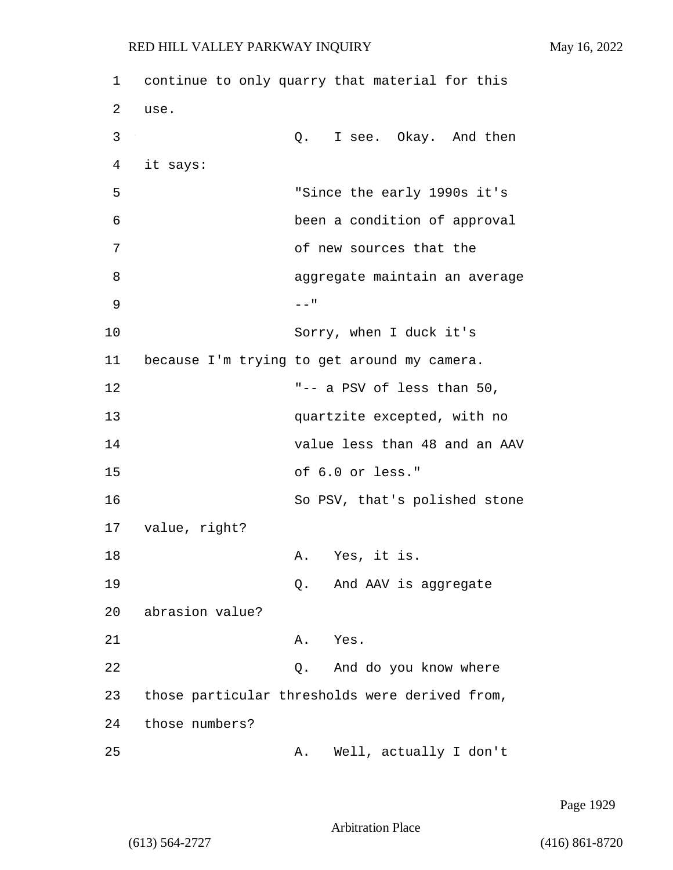1 continue to only quarry that material for this 2 use. 3 Q. I see. Okay. And then 4 it says: 5 "Since the early 1990s it's 6 been a condition of approval 7 of new sources that the 8 aggregate maintain an average  $9$  --" 10 Sorry, when I duck it's 11 because I'm trying to get around my camera. 12 "-- a PSV of less than 50, 13 quartzite excepted, with no 14 value less than 48 and an AAV 15 of 6.0 or less." 16 So PSV, that's polished stone 17 value, right? 18 A. Yes, it is. 19 Q. And AAV is aggregate 20 abrasion value? 21 A. Yes. 22 Q. And do you know where 23 those particular thresholds were derived from, 24 those numbers? 25 A. Well, actually I don't

Page 1929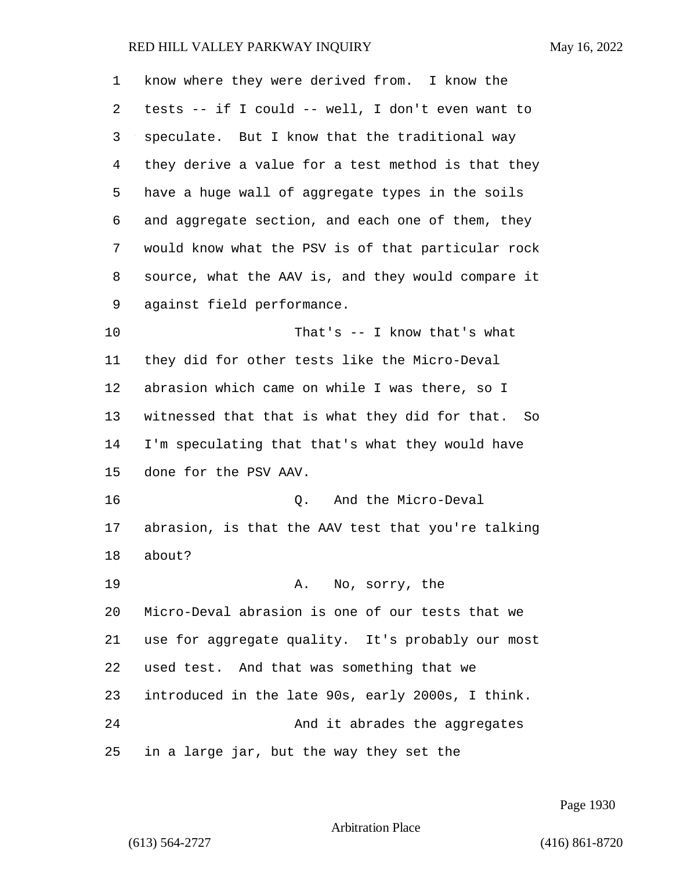| 1  | know where they were derived from. I know the      |
|----|----------------------------------------------------|
| 2  | tests -- if I could -- well, I don't even want to  |
| 3  | speculate. But I know that the traditional way     |
| 4  | they derive a value for a test method is that they |
| 5  | have a huge wall of aggregate types in the soils   |
| 6  | and aggregate section, and each one of them, they  |
| 7  | would know what the PSV is of that particular rock |
| 8  | source, what the AAV is, and they would compare it |
| 9  | against field performance.                         |
| 10 | That's $--$ I know that's what                     |
| 11 | they did for other tests like the Micro-Deval      |
| 12 | abrasion which came on while I was there, so I     |
| 13 | witnessed that that is what they did for that. So  |
| 14 | I'm speculating that that's what they would have   |
| 15 | done for the PSV AAV.                              |
| 16 | And the Micro-Deval<br>Q.                          |
| 17 | abrasion, is that the AAV test that you're talking |
| 18 | about?                                             |
| 19 | No, sorry, the<br>Α.                               |
| 20 | Micro-Deval abrasion is one of our tests that we   |
| 21 | use for aggregate quality. It's probably our most  |
| 22 | used test. And that was something that we          |
| 23 | introduced in the late 90s, early 2000s, I think.  |
| 24 | And it abrades the aggregates                      |
| 25 | in a large jar, but the way they set the           |

Page 1930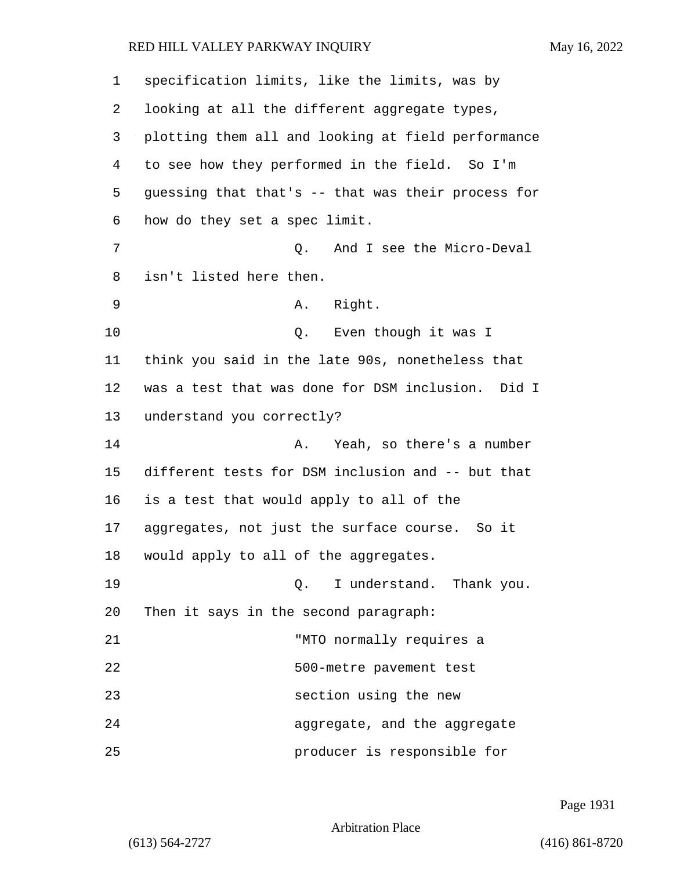| 1  | specification limits, like the limits, was by      |
|----|----------------------------------------------------|
| 2  | looking at all the different aggregate types,      |
| 3  | plotting them all and looking at field performance |
| 4  | to see how they performed in the field. So I'm     |
| 5  | guessing that that's -- that was their process for |
| 6  | how do they set a spec limit.                      |
| 7  | And I see the Micro-Deval<br>Q.                    |
| 8  | isn't listed here then.                            |
| 9  | A. Right.                                          |
| 10 | Q. Even though it was I                            |
| 11 | think you said in the late 90s, nonetheless that   |
| 12 | was a test that was done for DSM inclusion. Did I  |
| 13 | understand you correctly?                          |
| 14 | Yeah, so there's a number<br>Α.                    |
| 15 | different tests for DSM inclusion and -- but that  |
| 16 | is a test that would apply to all of the           |
| 17 | aggregates, not just the surface course. So it     |
| 18 | would apply to all of the aggregates.              |
| 19 | Q. I understand. Thank you.                        |
| 20 | Then it says in the second paragraph:              |
| 21 | "MTO normally requires a                           |
| 22 | 500-metre pavement test                            |
| 23 | section using the new                              |
| 24 | aggregate, and the aggregate                       |
| 25 | producer is responsible for                        |

Page 1931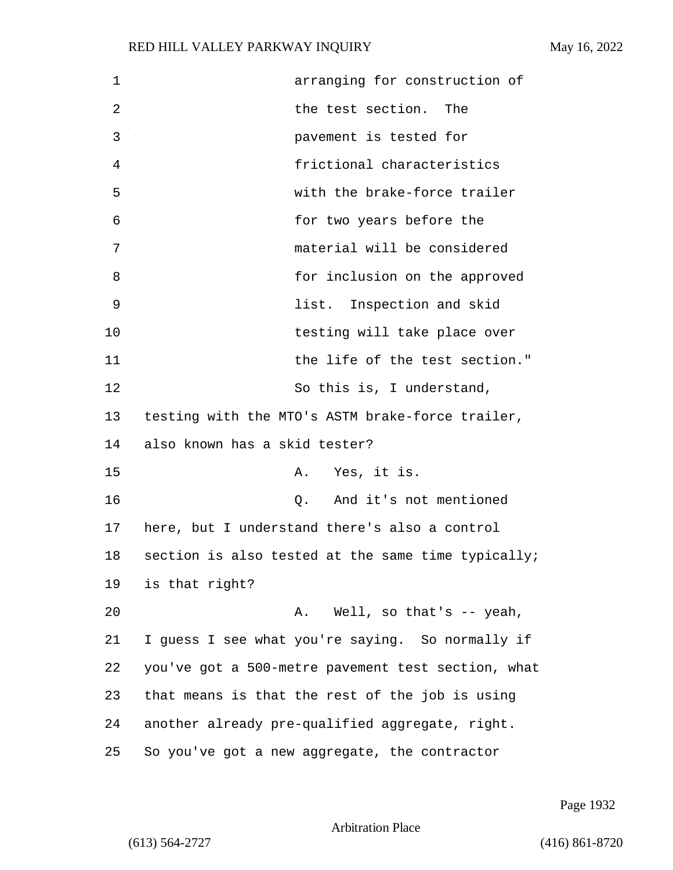| 1  | arranging for construction of                      |
|----|----------------------------------------------------|
| 2  | the test section.<br>The                           |
| 3  | pavement is tested for                             |
| 4  | frictional characteristics                         |
| 5  | with the brake-force trailer                       |
| 6  | for two years before the                           |
| 7  | material will be considered                        |
| 8  | for inclusion on the approved                      |
| 9  | list. Inspection and skid                          |
| 10 | testing will take place over                       |
| 11 | the life of the test section."                     |
| 12 | So this is, I understand,                          |
| 13 | testing with the MTO's ASTM brake-force trailer,   |
| 14 | also known has a skid tester?                      |
| 15 | Yes, it is.<br>Α.                                  |
| 16 | Q. And it's not mentioned                          |
| 17 | here, but I understand there's also a control      |
| 18 | section is also tested at the same time typically; |
| 19 | is that right?                                     |
| 20 | Well, so that's -- yeah,<br>Α.                     |
| 21 | I guess I see what you're saying. So normally if   |
| 22 | you've got a 500-metre pavement test section, what |
| 23 | that means is that the rest of the job is using    |
| 24 | another already pre-qualified aggregate, right.    |
| 25 | So you've got a new aggregate, the contractor      |

Page 1932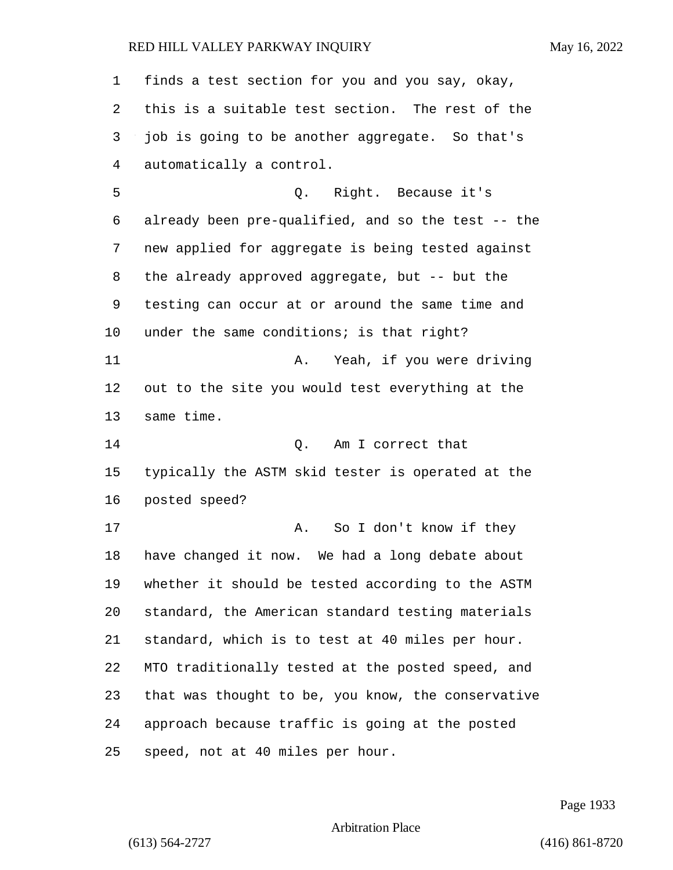finds a test section for you and you say, okay, this is a suitable test section. The rest of the job is going to be another aggregate. So that's automatically a control. 5 Q. Right. Because it's already been pre-qualified, and so the test -- the new applied for aggregate is being tested against the already approved aggregate, but -- but the testing can occur at or around the same time and 10 under the same conditions; is that right? 11 A. Yeah, if you were driving out to the site you would test everything at the same time. 14 C. Am I correct that typically the ASTM skid tester is operated at the posted speed? 17 A. So I don't know if they have changed it now. We had a long debate about whether it should be tested according to the ASTM standard, the American standard testing materials standard, which is to test at 40 miles per hour. MTO traditionally tested at the posted speed, and that was thought to be, you know, the conservative approach because traffic is going at the posted speed, not at 40 miles per hour.

Page 1933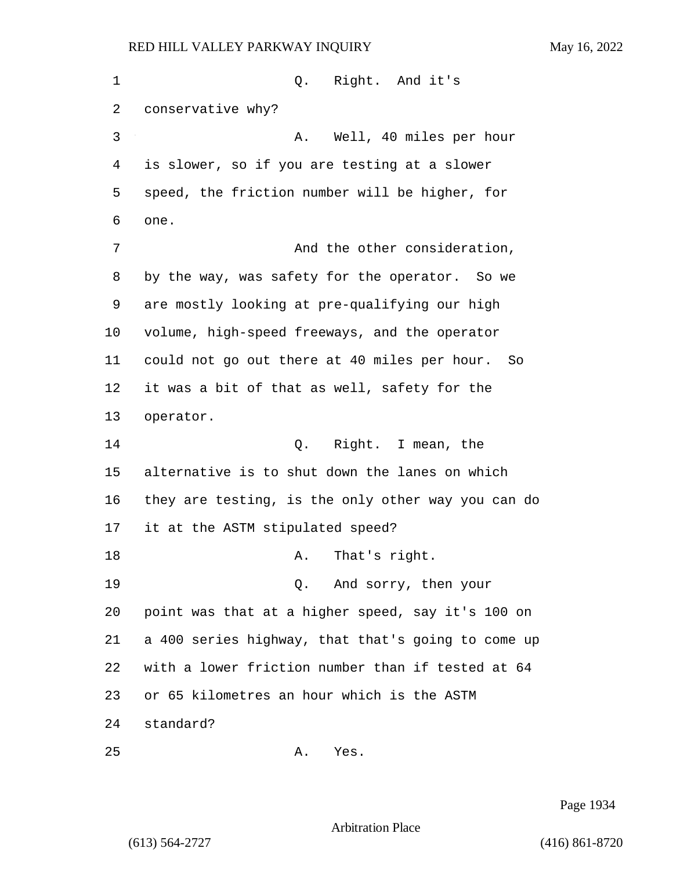1 0. Right. And it's conservative why? 3 A. Well, 40 miles per hour is slower, so if you are testing at a slower speed, the friction number will be higher, for one. 7 And the other consideration, by the way, was safety for the operator. So we are mostly looking at pre-qualifying our high volume, high-speed freeways, and the operator could not go out there at 40 miles per hour. So it was a bit of that as well, safety for the operator. 14 Q. Right. I mean, the alternative is to shut down the lanes on which they are testing, is the only other way you can do it at the ASTM stipulated speed? 18 A. That's right. 19 Q. And sorry, then your point was that at a higher speed, say it's 100 on a 400 series highway, that that's going to come up with a lower friction number than if tested at 64 or 65 kilometres an hour which is the ASTM standard?

Page 1934

Arbitration Place

25 A. Yes.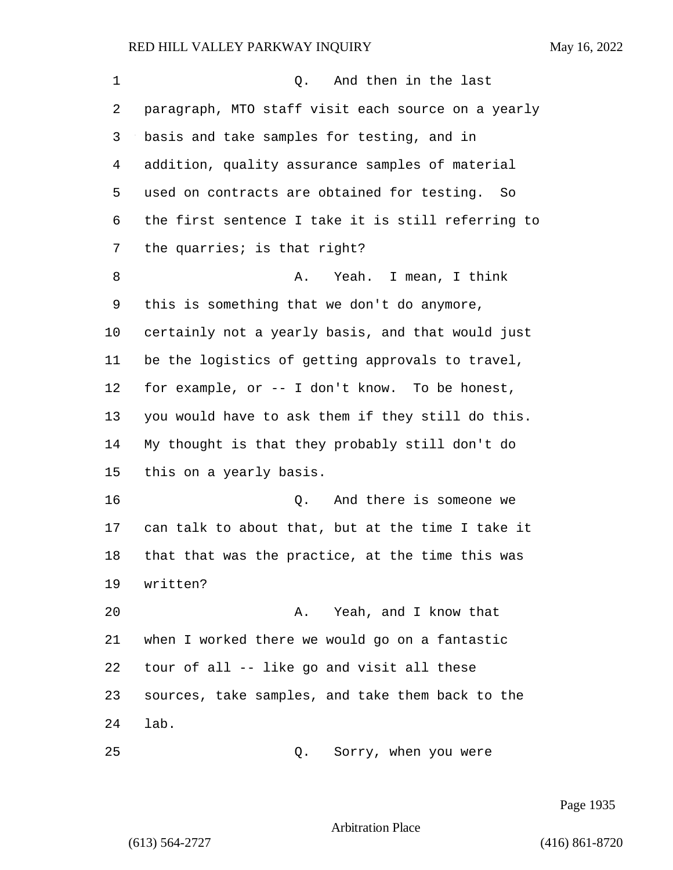| $\mathbf 1$ | And then in the last<br>Q.                          |
|-------------|-----------------------------------------------------|
| 2           | paragraph, MTO staff visit each source on a yearly  |
| 3           | basis and take samples for testing, and in          |
| 4           | addition, quality assurance samples of material     |
| 5           | used on contracts are obtained for testing.<br>- So |
| 6           | the first sentence I take it is still referring to  |
| 7           | the quarries; is that right?                        |
| 8           | Yeah. I mean, I think<br>Α.                         |
| 9           | this is something that we don't do anymore,         |
| 10          | certainly not a yearly basis, and that would just   |
| 11          | be the logistics of getting approvals to travel,    |
| 12          | for example, or -- I don't know. To be honest,      |
| 13          | you would have to ask them if they still do this.   |
| 14          | My thought is that they probably still don't do     |
| 15          | this on a yearly basis.                             |
| 16          | And there is someone we<br>Q.                       |
| 17          | can talk to about that, but at the time I take it   |
| 18          | that that was the practice, at the time this was    |
| 19          | written?                                            |
| 20          | A. Yeah, and I know that                            |
| 21          | when I worked there we would go on a fantastic      |
| 22          | tour of all -- like go and visit all these          |
| 23          | sources, take samples, and take them back to the    |
| 24          | lab.                                                |
| 25          | Sorry, when you were<br>Q.                          |

Page 1935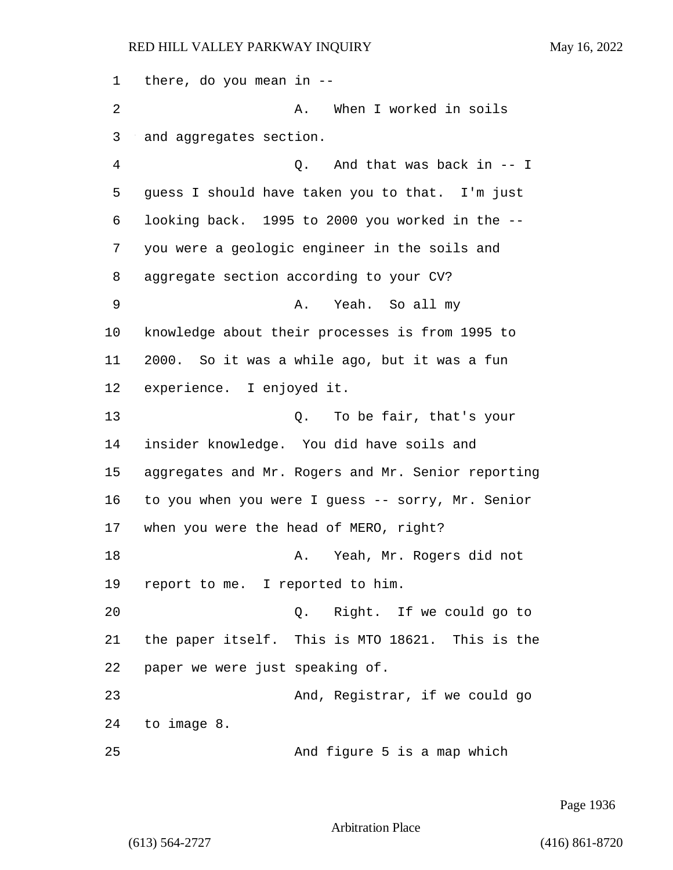there, do you mean in -- 2 A. When I worked in soils and aggregates section. 4 Q. And that was back in -- I guess I should have taken you to that. I'm just looking back. 1995 to 2000 you worked in the -- you were a geologic engineer in the soils and aggregate section according to your CV? 9 A. Yeah. So all my knowledge about their processes is from 1995 to 2000. So it was a while ago, but it was a fun experience. I enjoyed it. 13 Q. To be fair, that's your insider knowledge. You did have soils and aggregates and Mr. Rogers and Mr. Senior reporting to you when you were I guess -- sorry, Mr. Senior when you were the head of MERO, right? 18 A. Yeah, Mr. Rogers did not report to me. I reported to him. 20 Q. Right. If we could go to the paper itself. This is MTO 18621. This is the paper we were just speaking of. 23 And, Registrar, if we could go to image 8. 25 And figure 5 is a map which

Page 1936

Arbitration Place

(613) 564-2727 (416) 861-8720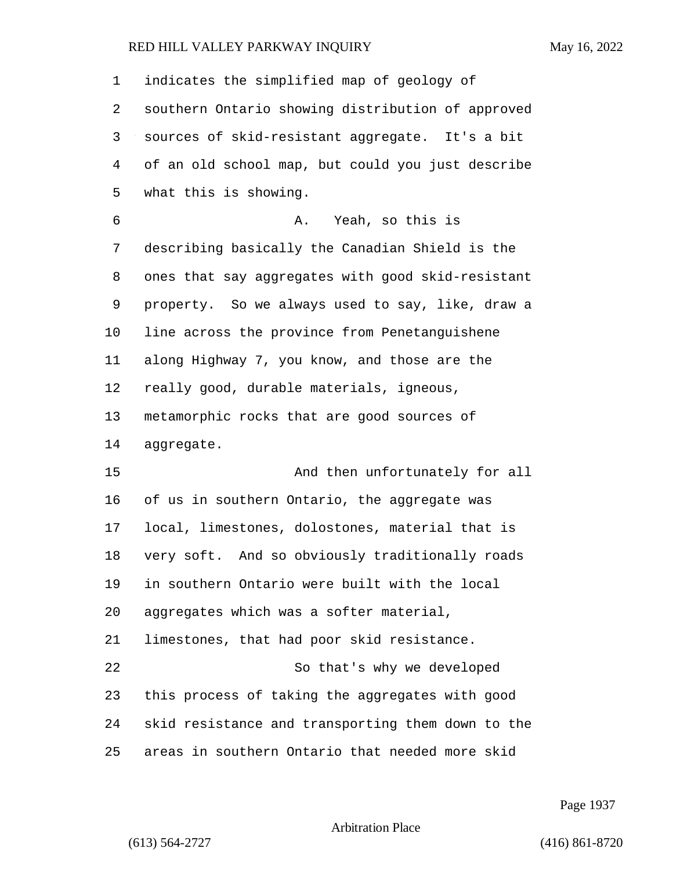| 1  | indicates the simplified map of geology of        |
|----|---------------------------------------------------|
| 2  | southern Ontario showing distribution of approved |
| 3  | sources of skid-resistant aggregate. It's a bit   |
| 4  | of an old school map, but could you just describe |
| 5  | what this is showing.                             |
| 6  | Yeah, so this is<br>Α.                            |
| 7  | describing basically the Canadian Shield is the   |
| 8  | ones that say aggregates with good skid-resistant |
| 9  | property. So we always used to say, like, draw a  |
| 10 | line across the province from Penetanguishene     |
| 11 | along Highway 7, you know, and those are the      |
| 12 | really good, durable materials, igneous,          |
| 13 | metamorphic rocks that are good sources of        |
| 14 | aggregate.                                        |
| 15 | And then unfortunately for all                    |
| 16 | of us in southern Ontario, the aggregate was      |
| 17 | local, limestones, dolostones, material that is   |
| 18 | very soft. And so obviously traditionally roads   |
| 19 | in southern Ontario were built with the local     |
| 20 | aggregates which was a softer material,           |
| 21 | limestones, that had poor skid resistance.        |
| 22 | So that's why we developed                        |
| 23 | this process of taking the aggregates with good   |
| 24 | skid resistance and transporting them down to the |
| 25 | areas in southern Ontario that needed more skid   |

Page 1937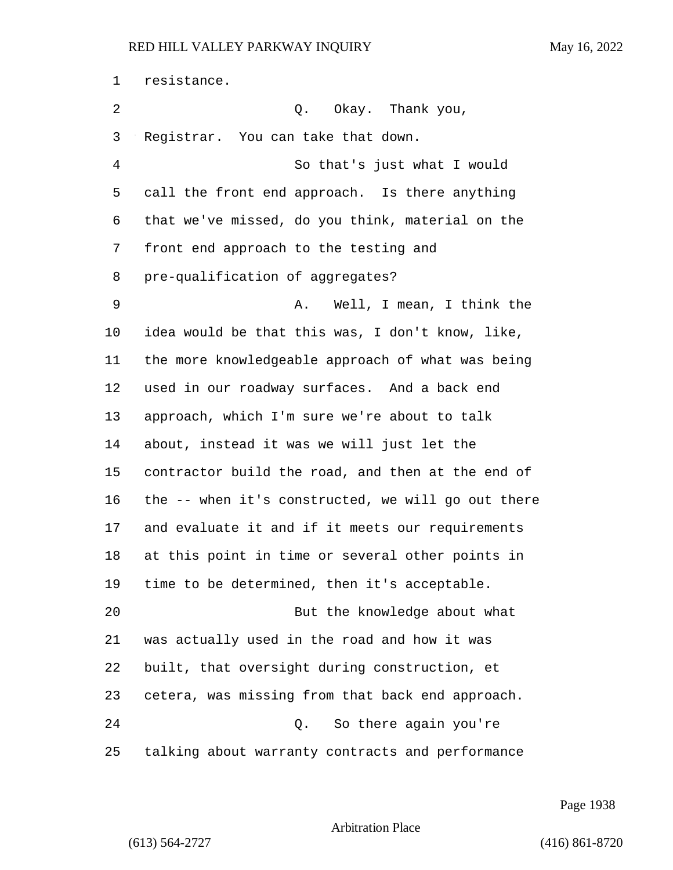resistance. 2 Q. Okay. Thank you, Registrar. You can take that down. 4 So that's just what I would call the front end approach. Is there anything that we've missed, do you think, material on the front end approach to the testing and pre-qualification of aggregates? 9 A. Well, I mean, I think the idea would be that this was, I don't know, like, the more knowledgeable approach of what was being used in our roadway surfaces. And a back end approach, which I'm sure we're about to talk about, instead it was we will just let the contractor build the road, and then at the end of the -- when it's constructed, we will go out there and evaluate it and if it meets our requirements at this point in time or several other points in time to be determined, then it's acceptable. 20 But the knowledge about what was actually used in the road and how it was built, that oversight during construction, et cetera, was missing from that back end approach. 24 Q. So there again you're talking about warranty contracts and performance

Page 1938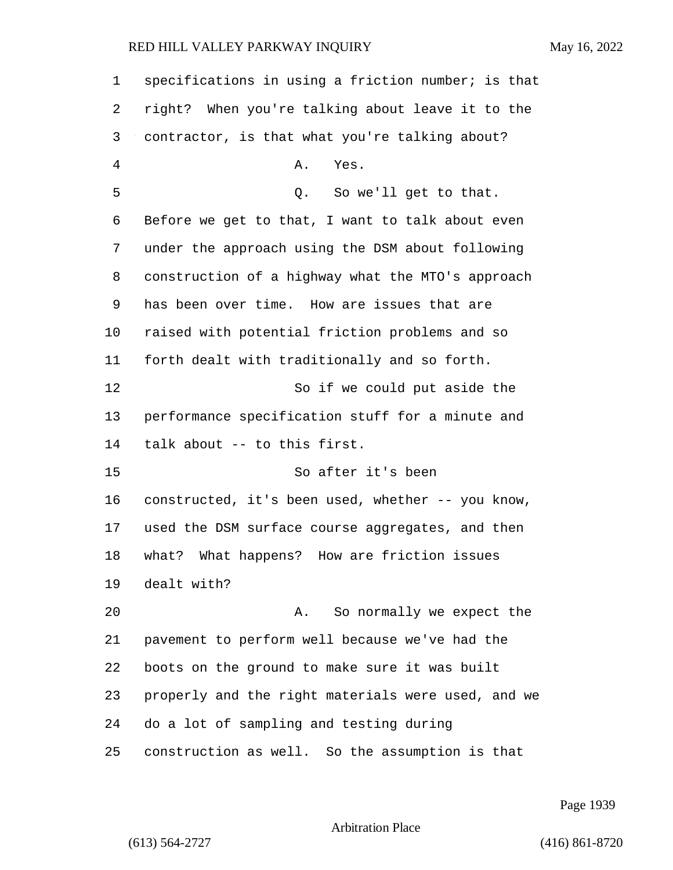| 1  | specifications in using a friction number; is that |
|----|----------------------------------------------------|
| 2  | right? When you're talking about leave it to the   |
| 3  | contractor, is that what you're talking about?     |
| 4  | Yes.<br>Α.                                         |
| 5  | So we'll get to that.<br>Q.                        |
| 6  | Before we get to that, I want to talk about even   |
| 7  | under the approach using the DSM about following   |
| 8  | construction of a highway what the MTO's approach  |
| 9  | has been over time. How are issues that are        |
| 10 | raised with potential friction problems and so     |
| 11 | forth dealt with traditionally and so forth.       |
| 12 | So if we could put aside the                       |
| 13 | performance specification stuff for a minute and   |
| 14 | talk about -- to this first.                       |
| 15 | So after it's been                                 |
| 16 | constructed, it's been used, whether -- you know,  |
| 17 | used the DSM surface course aggregates, and then   |
| 18 | What happens?<br>How are friction issues<br>what?  |
| 19 | dealt with?                                        |
| 20 | So normally we expect the<br>Α.                    |
| 21 | pavement to perform well because we've had the     |
| 22 | boots on the ground to make sure it was built      |
| 23 | properly and the right materials were used, and we |
| 24 | do a lot of sampling and testing during            |
| 25 | construction as well. So the assumption is that    |

Page 1939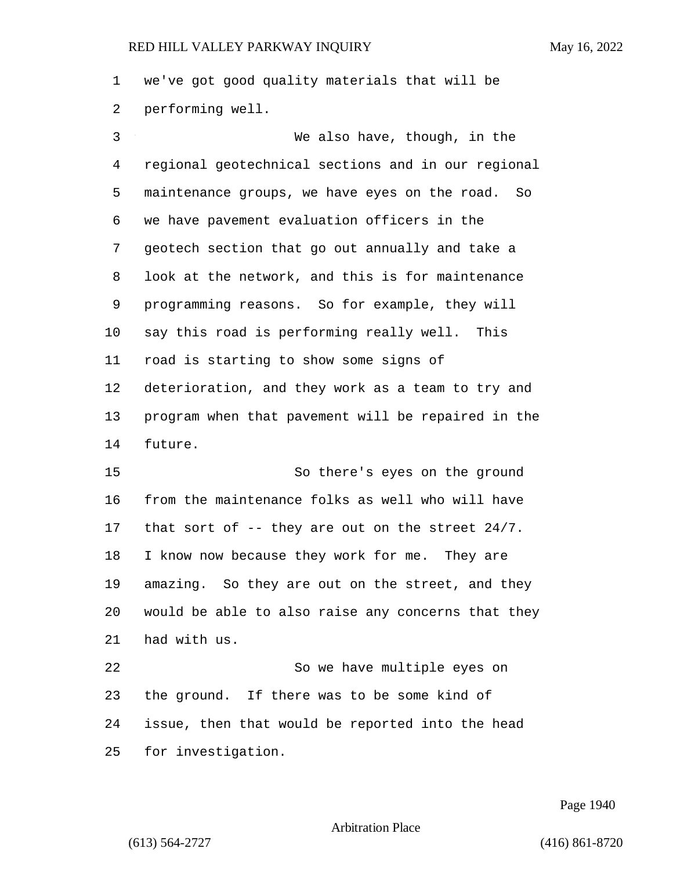we've got good quality materials that will be performing well.

3 We also have, though, in the regional geotechnical sections and in our regional maintenance groups, we have eyes on the road. So we have pavement evaluation officers in the geotech section that go out annually and take a look at the network, and this is for maintenance programming reasons. So for example, they will say this road is performing really well. This road is starting to show some signs of deterioration, and they work as a team to try and program when that pavement will be repaired in the future. 15 So there's eyes on the ground from the maintenance folks as well who will have that sort of -- they are out on the street 24/7. I know now because they work for me. They are amazing. So they are out on the street, and they would be able to also raise any concerns that they had with us. 22 So we have multiple eyes on the ground. If there was to be some kind of

issue, then that would be reported into the head

for investigation.

Page 1940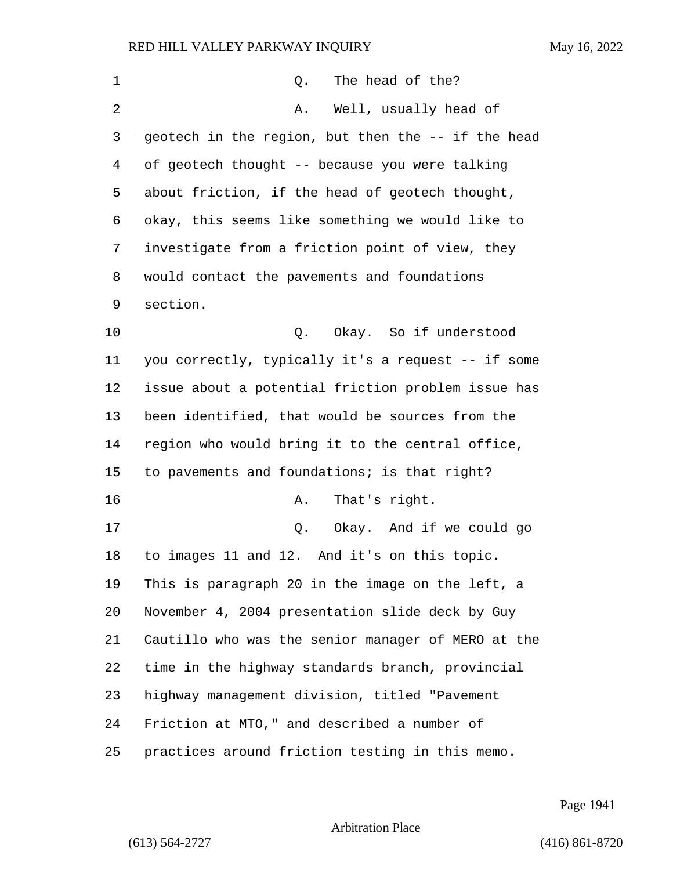| 1  | The head of the?<br>Q.                             |
|----|----------------------------------------------------|
| 2  | Well, usually head of<br>Α.                        |
| 3  | geotech in the region, but then the -- if the head |
| 4  | of geotech thought -- because you were talking     |
| 5  | about friction, if the head of geotech thought,    |
| 6  | okay, this seems like something we would like to   |
| 7  | investigate from a friction point of view, they    |
| 8  | would contact the pavements and foundations        |
| 9  | section.                                           |
| 10 | Okay. So if understood<br>Q.                       |
| 11 | you correctly, typically it's a request -- if some |
| 12 | issue about a potential friction problem issue has |
| 13 | been identified, that would be sources from the    |
| 14 | region who would bring it to the central office,   |
| 15 | to pavements and foundations; is that right?       |
| 16 | That's right.<br>Α.                                |
| 17 | Okay. And if we could go<br>Q.                     |
| 18 | to images 11 and 12. And it's on this topic.       |
| 19 | This is paragraph 20 in the image on the left, a   |
| 20 | November 4, 2004 presentation slide deck by Guy    |
| 21 | Cautillo who was the senior manager of MERO at the |
| 22 | time in the highway standards branch, provincial   |
| 23 | highway management division, titled "Pavement      |
| 24 | Friction at MTO," and described a number of        |
| 25 | practices around friction testing in this memo.    |

Page 1941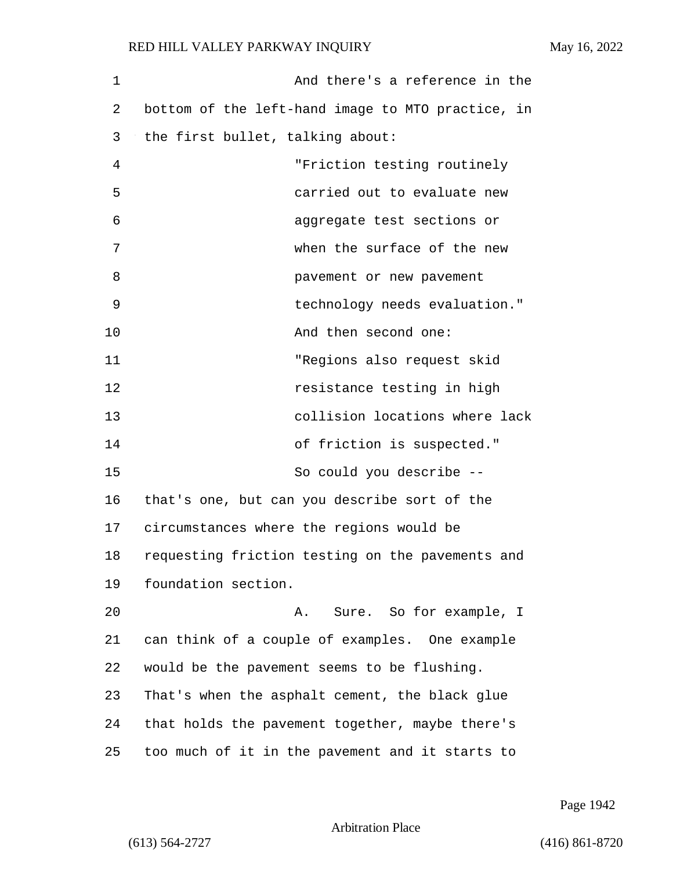1 And there's a reference in the 2 bottom of the left-hand image to MTO practice, in 3 the first bullet, talking about: 4 "Friction testing routinely 5 carried out to evaluate new 6 aggregate test sections or 7 when the surface of the new 8 pavement or new pavement 9 technology needs evaluation." 10 And then second one: 11 "Regions also request skid 12 resistance testing in high 13 collision locations where lack 14 of friction is suspected." 15 So could you describe -- 16 that's one, but can you describe sort of the 17 circumstances where the regions would be 18 requesting friction testing on the pavements and 19 foundation section. 20 A. Sure. So for example, I 21 can think of a couple of examples. One example 22 would be the pavement seems to be flushing. 23 That's when the asphalt cement, the black glue 24 that holds the pavement together, maybe there's 25 too much of it in the pavement and it starts to

Page 1942

Arbitration Place

(613) 564-2727 (416) 861-8720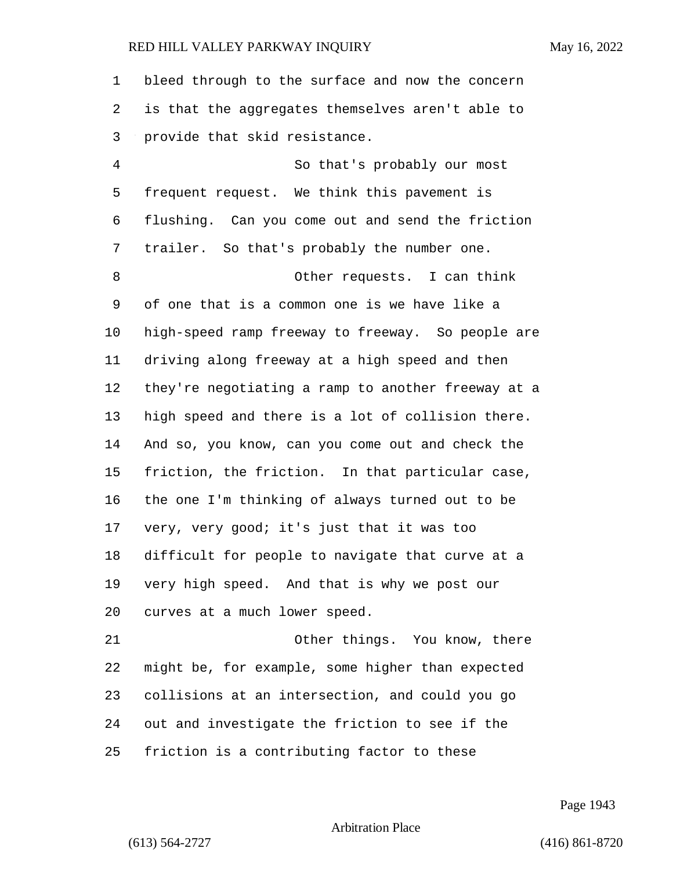bleed through to the surface and now the concern is that the aggregates themselves aren't able to provide that skid resistance. 4 So that's probably our most frequent request. We think this pavement is flushing. Can you come out and send the friction trailer. So that's probably the number one. 8 Other requests. I can think of one that is a common one is we have like a high-speed ramp freeway to freeway. So people are driving along freeway at a high speed and then they're negotiating a ramp to another freeway at a high speed and there is a lot of collision there. And so, you know, can you come out and check the friction, the friction. In that particular case, the one I'm thinking of always turned out to be very, very good; it's just that it was too difficult for people to navigate that curve at a very high speed. And that is why we post our curves at a much lower speed. 21 Other things. You know, there might be, for example, some higher than expected

collisions at an intersection, and could you go

out and investigate the friction to see if the

friction is a contributing factor to these

Page 1943

Arbitration Place

(613) 564-2727 (416) 861-8720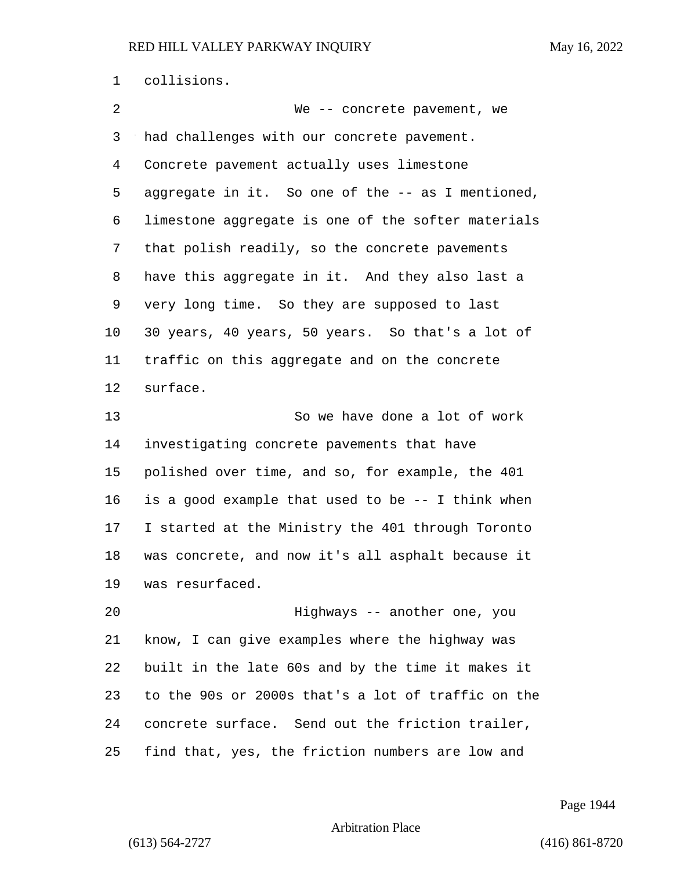collisions. 2 We -- concrete pavement, we had challenges with our concrete pavement. Concrete pavement actually uses limestone aggregate in it. So one of the -- as I mentioned, limestone aggregate is one of the softer materials that polish readily, so the concrete pavements have this aggregate in it. And they also last a very long time. So they are supposed to last 30 years, 40 years, 50 years. So that's a lot of traffic on this aggregate and on the concrete surface. 13 So we have done a lot of work investigating concrete pavements that have polished over time, and so, for example, the 401 is a good example that used to be -- I think when I started at the Ministry the 401 through Toronto was concrete, and now it's all asphalt because it was resurfaced. 20 Highways -- another one, you know, I can give examples where the highway was built in the late 60s and by the time it makes it to the 90s or 2000s that's a lot of traffic on the concrete surface. Send out the friction trailer, find that, yes, the friction numbers are low and

Page 1944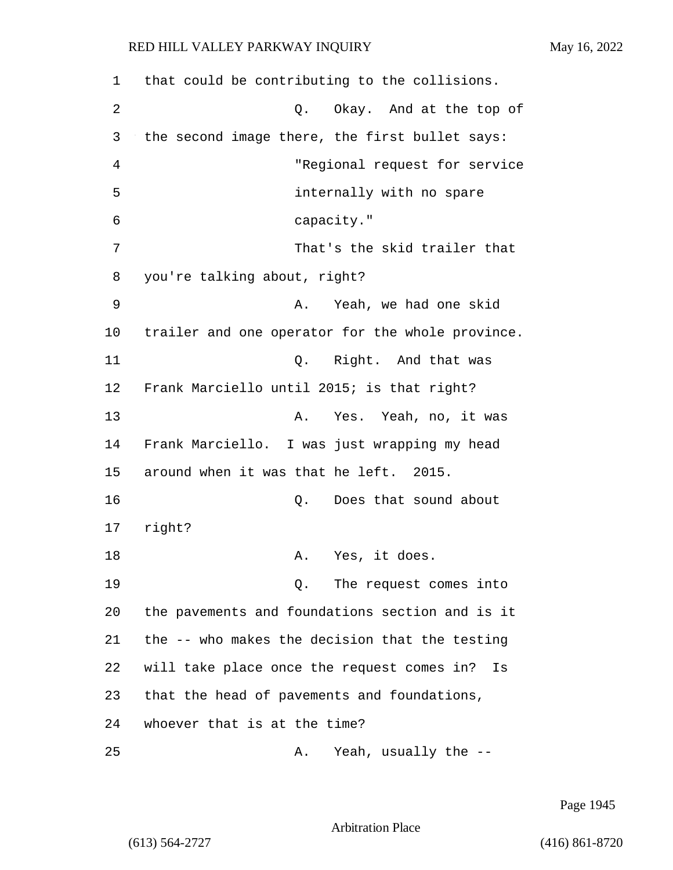| 1  | that could be contributing to the collisions.    |
|----|--------------------------------------------------|
| 2  | Q. Okay. And at the top of                       |
| 3  | the second image there, the first bullet says:   |
| 4  | "Regional request for service                    |
| 5  | internally with no spare                         |
| 6  | capacity."                                       |
| 7  | That's the skid trailer that                     |
| 8  | you're talking about, right?                     |
| 9  | Yeah, we had one skid<br>Α.                      |
| 10 | trailer and one operator for the whole province. |
| 11 | Q. Right. And that was                           |
| 12 | Frank Marciello until 2015; is that right?       |
| 13 | Yes. Yeah, no, it was<br>Α.                      |
| 14 | Frank Marciello. I was just wrapping my head     |
| 15 | around when it was that he left. 2015.           |
| 16 | Does that sound about<br>Q.                      |
| 17 | right?                                           |
| 18 | A. Yes, it does.                                 |
| 19 | Q. The request comes into                        |
| 20 | the pavements and foundations section and is it  |
| 21 | the -- who makes the decision that the testing   |
| 22 | will take place once the request comes in?<br>Is |
| 23 | that the head of pavements and foundations,      |
| 24 | whoever that is at the time?                     |
| 25 | Yeah, usually the --<br>Α.                       |

Page 1945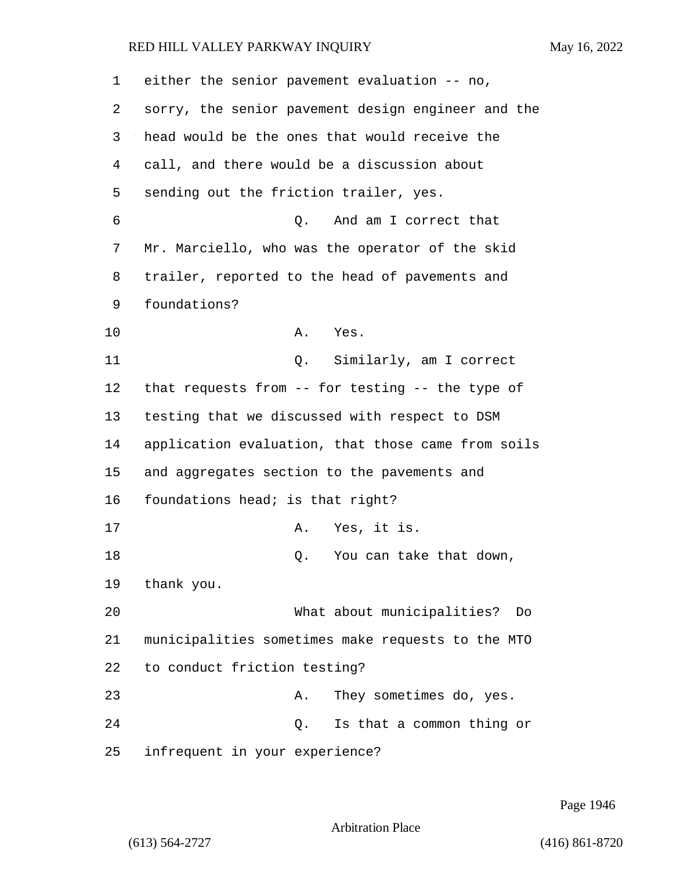| 1  | either the senior pavement evaluation -- no,       |
|----|----------------------------------------------------|
| 2  | sorry, the senior pavement design engineer and the |
| 3  | head would be the ones that would receive the      |
| 4  | call, and there would be a discussion about        |
| 5  | sending out the friction trailer, yes.             |
| 6  | Q.<br>And am I correct that                        |
| 7  | Mr. Marciello, who was the operator of the skid    |
| 8  | trailer, reported to the head of pavements and     |
| 9  | foundations?                                       |
| 10 | Α.<br>Yes.                                         |
| 11 | Similarly, am I correct<br>Q.                      |
| 12 | that requests from -- for testing -- the type of   |
| 13 | testing that we discussed with respect to DSM      |
| 14 | application evaluation, that those came from soils |
| 15 | and aggregates section to the pavements and        |
| 16 | foundations head; is that right?                   |
| 17 | Yes, it is.<br>Α.                                  |
| 18 | You can take that down,<br>Q.                      |
| 19 | thank you.                                         |
| 20 | What about municipalities?<br>Do                   |
| 21 | municipalities sometimes make requests to the MTO  |
| 22 | to conduct friction testing?                       |
| 23 | They sometimes do, yes.<br>Α.                      |
| 24 | Is that a common thing or<br>Q.                    |
| 25 | infrequent in your experience?                     |

Page 1946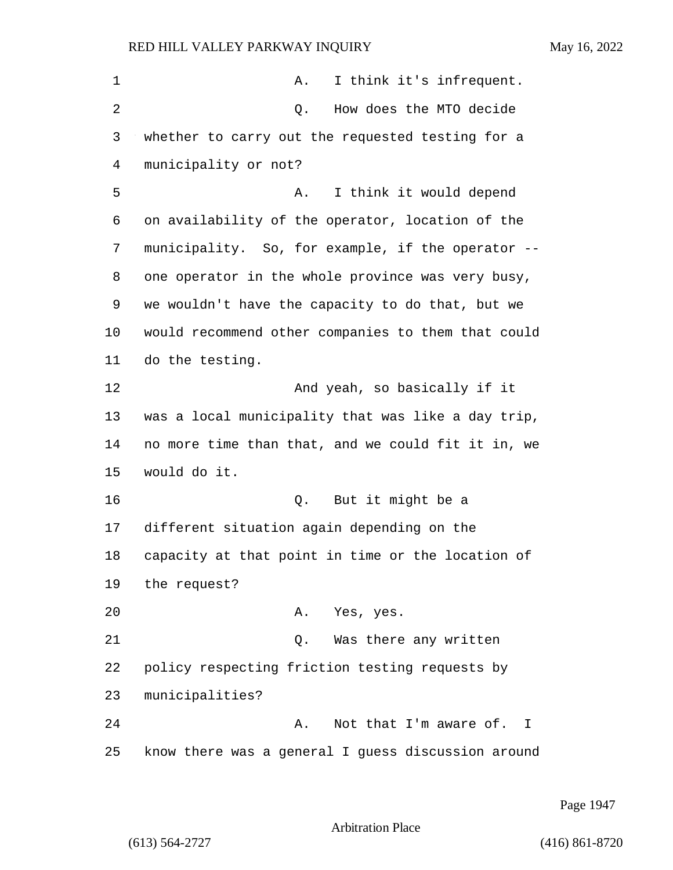| 1  | Α.<br>I think it's infrequent.                     |
|----|----------------------------------------------------|
| 2  | How does the MTO decide<br>Q.                      |
| 3  | whether to carry out the requested testing for a   |
| 4  | municipality or not?                               |
| 5  | I think it would depend<br>Α.                      |
| 6  | on availability of the operator, location of the   |
| 7  | municipality. So, for example, if the operator --  |
| 8  | one operator in the whole province was very busy,  |
| 9  | we wouldn't have the capacity to do that, but we   |
| 10 | would recommend other companies to them that could |
| 11 | do the testing.                                    |
| 12 | And yeah, so basically if it                       |
| 13 | was a local municipality that was like a day trip, |
| 14 | no more time than that, and we could fit it in, we |
| 15 | would do it.                                       |
| 16 | But it might be a<br>Q.                            |
| 17 | different situation again depending on the         |
| 18 | capacity at that point in time or the location of  |
| 19 | the request?                                       |
| 20 | Yes, yes.<br>Α.                                    |
| 21 | Was there any written<br>Q.                        |
| 22 | policy respecting friction testing requests by     |
| 23 | municipalities?                                    |
| 24 | Not that I'm aware of. I<br>Α.                     |
| 25 | know there was a general I guess discussion around |

Page 1947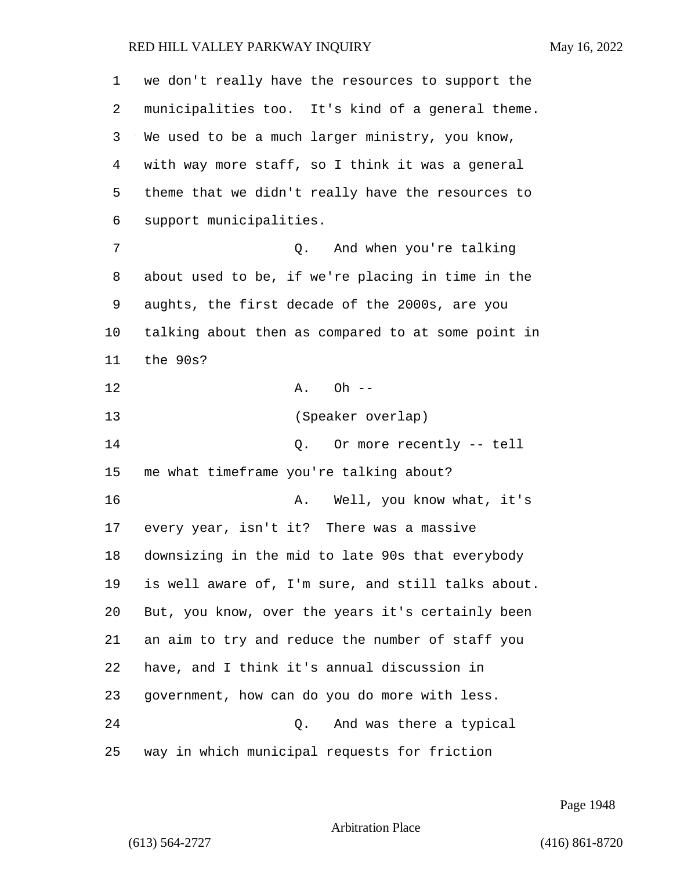| 1  | we don't really have the resources to support the  |
|----|----------------------------------------------------|
| 2  | municipalities too. It's kind of a general theme.  |
| 3  | We used to be a much larger ministry, you know,    |
| 4  | with way more staff, so I think it was a general   |
| 5  | theme that we didn't really have the resources to  |
| 6  | support municipalities.                            |
| 7  | Q. And when you're talking                         |
| 8  | about used to be, if we're placing in time in the  |
| 9  | aughts, the first decade of the 2000s, are you     |
| 10 | talking about then as compared to at some point in |
| 11 | the 90s?                                           |
| 12 | Oh $--$<br>Α.                                      |
| 13 | (Speaker overlap)                                  |
| 14 | Or more recently -- tell<br>Q.                     |
| 15 | me what timeframe you're talking about?            |
| 16 | Well, you know what, it's<br>Α.                    |
| 17 | every year, isn't it? There was a massive          |
| 18 | downsizing in the mid to late 90s that everybody   |
| 19 | is well aware of, I'm sure, and still talks about. |
| 20 | But, you know, over the years it's certainly been  |
| 21 | an aim to try and reduce the number of staff you   |
| 22 | have, and I think it's annual discussion in        |
| 23 | government, how can do you do more with less.      |
| 24 | Q.<br>And was there a typical                      |
| 25 | way in which municipal requests for friction       |

Page 1948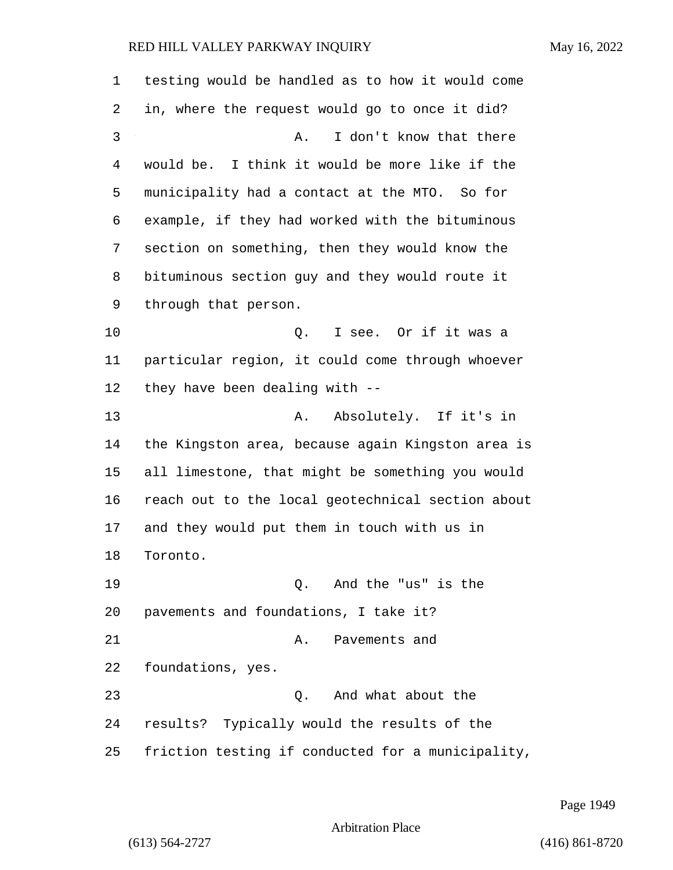| 1  | testing would be handled as to how it would come  |
|----|---------------------------------------------------|
| 2  | in, where the request would go to once it did?    |
| 3  | I don't know that there<br>Α.                     |
| 4  | would be. I think it would be more like if the    |
| 5  | municipality had a contact at the MTO. So for     |
| 6  | example, if they had worked with the bituminous   |
| 7  | section on something, then they would know the    |
| 8  | bituminous section guy and they would route it    |
| 9  | through that person.                              |
| 10 | I see. Or if it was a<br>Q.                       |
| 11 | particular region, it could come through whoever  |
| 12 | they have been dealing with --                    |
| 13 | Absolutely. If it's in<br>Α.                      |
| 14 | the Kingston area, because again Kingston area is |
| 15 | all limestone, that might be something you would  |
| 16 | reach out to the local geotechnical section about |
| 17 | and they would put them in touch with us in       |
| 18 | Toronto.                                          |
| 19 | And the "us" is the<br>$\circ$ .                  |
| 20 | pavements and foundations, I take it?             |
| 21 | Pavements and<br>Α.                               |
| 22 | foundations, yes.                                 |
| 23 | And what about the<br>О.                          |
| 24 | results? Typically would the results of the       |
| 25 | friction testing if conducted for a municipality, |

Page 1949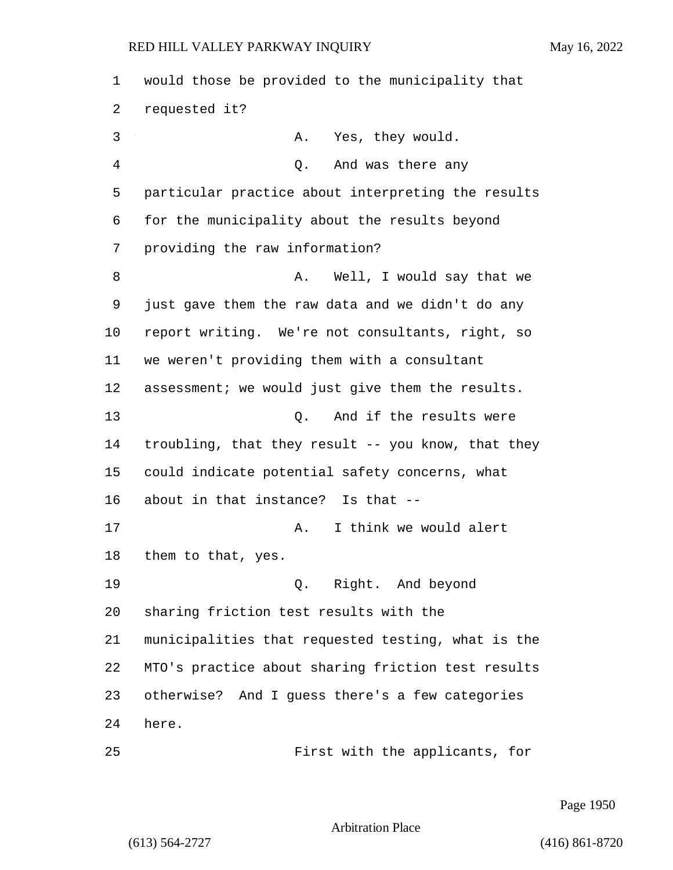would those be provided to the municipality that requested it? 3 A. Yes, they would. 4 Q. And was there any particular practice about interpreting the results for the municipality about the results beyond providing the raw information? 8 A. Well, I would say that we just gave them the raw data and we didn't do any report writing. We're not consultants, right, so we weren't providing them with a consultant assessment; we would just give them the results. 13 O. And if the results were troubling, that they result -- you know, that they could indicate potential safety concerns, what about in that instance? Is that -- 17 A. I think we would alert them to that, yes. 19 Q. Right. And beyond sharing friction test results with the municipalities that requested testing, what is the MTO's practice about sharing friction test results otherwise? And I guess there's a few categories here. 25 First with the applicants, for

Page 1950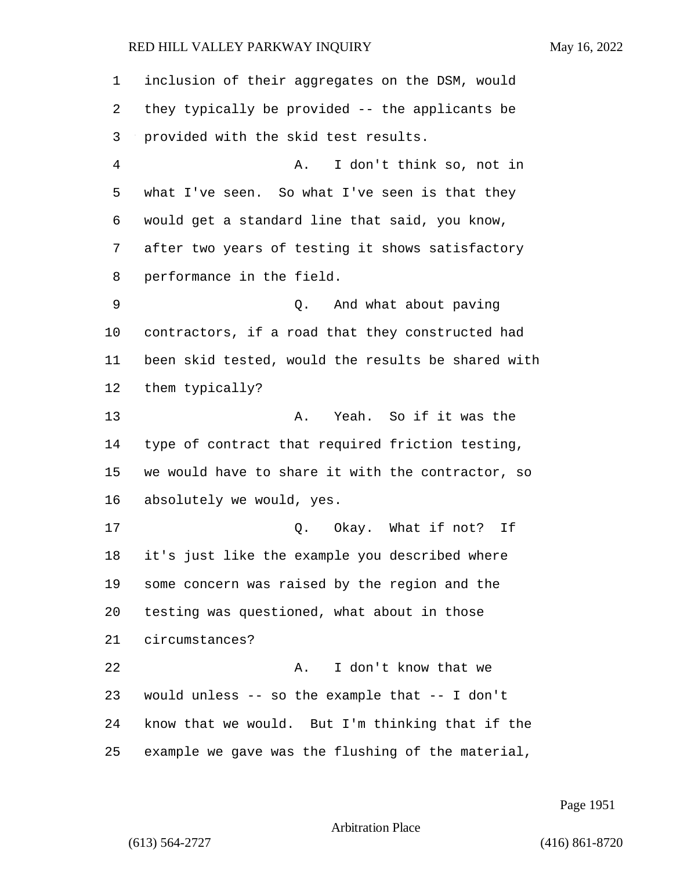inclusion of their aggregates on the DSM, would they typically be provided -- the applicants be provided with the skid test results. 4 A. I don't think so, not in what I've seen. So what I've seen is that they would get a standard line that said, you know, after two years of testing it shows satisfactory performance in the field. 9 Q. And what about paving contractors, if a road that they constructed had been skid tested, would the results be shared with them typically? 13 A. Yeah. So if it was the type of contract that required friction testing, we would have to share it with the contractor, so absolutely we would, yes. 17 C. Okay. What if not? If it's just like the example you described where some concern was raised by the region and the testing was questioned, what about in those circumstances? 22 A. I don't know that we would unless -- so the example that -- I don't know that we would. But I'm thinking that if the example we gave was the flushing of the material,

Page 1951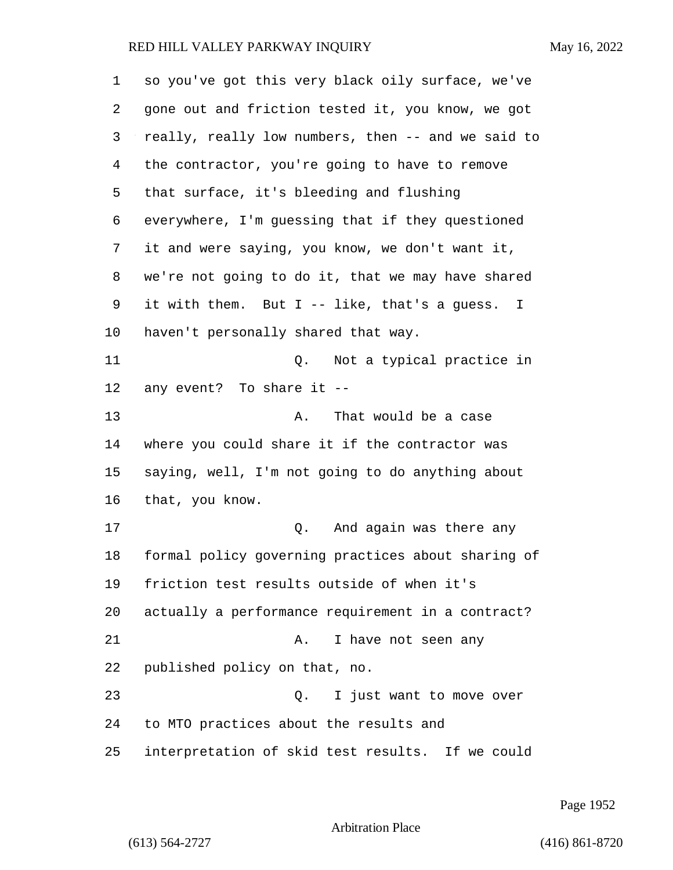| 1  | so you've got this very black oily surface, we've            |
|----|--------------------------------------------------------------|
| 2  | gone out and friction tested it, you know, we got            |
| 3  | really, really low numbers, then -- and we said to           |
| 4  | the contractor, you're going to have to remove               |
| 5  | that surface, it's bleeding and flushing                     |
| 6  | everywhere, I'm guessing that if they questioned             |
| 7  | it and were saying, you know, we don't want it,              |
| 8  | we're not going to do it, that we may have shared            |
| 9  | it with them. But I -- like, that's a guess.<br>$\mathbf{I}$ |
| 10 | haven't personally shared that way.                          |
| 11 | Q.<br>Not a typical practice in                              |
| 12 | any event? To share it --                                    |
| 13 | That would be a case<br>Α.                                   |
| 14 | where you could share it if the contractor was               |
| 15 | saying, well, I'm not going to do anything about             |
| 16 | that, you know.                                              |
| 17 | And again was there any<br>Q.                                |
| 18 | formal policy governing practices about sharing of           |
| 19 | friction test results outside of when it's                   |
| 20 | actually a performance requirement in a contract?            |
| 21 | I have not seen any<br>Α.                                    |
| 22 | published policy on that, no.                                |
| 23 | I just want to move over<br>Q.                               |
| 24 | to MTO practices about the results and                       |
| 25 | interpretation of skid test results. If we could             |

Page 1952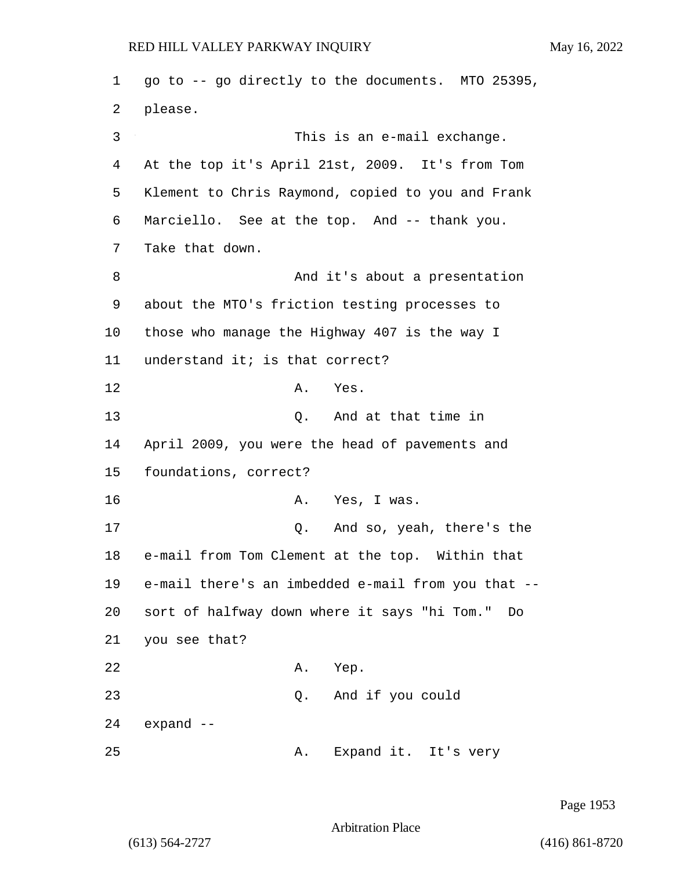1 go to -- go directly to the documents. MTO 25395, 2 please. 3 This is an e-mail exchange. 4 At the top it's April 21st, 2009. It's from Tom 5 Klement to Chris Raymond, copied to you and Frank 6 Marciello. See at the top. And -- thank you. 7 Take that down. 8 And it's about a presentation 9 about the MTO's friction testing processes to 10 those who manage the Highway 407 is the way I 11 understand it; is that correct? 12 A. Yes. 13 C. And at that time in 14 April 2009, you were the head of pavements and 15 foundations, correct? 16 A. Yes, I was. 17 Q. And so, yeah, there's the 18 e-mail from Tom Clement at the top. Within that 19 e-mail there's an imbedded e-mail from you that -- 20 sort of halfway down where it says "hi Tom." Do 21 you see that? 22 A. Yep. 23 Q. And if you could 24 expand -- 25 A. Expand it. It's very

Page 1953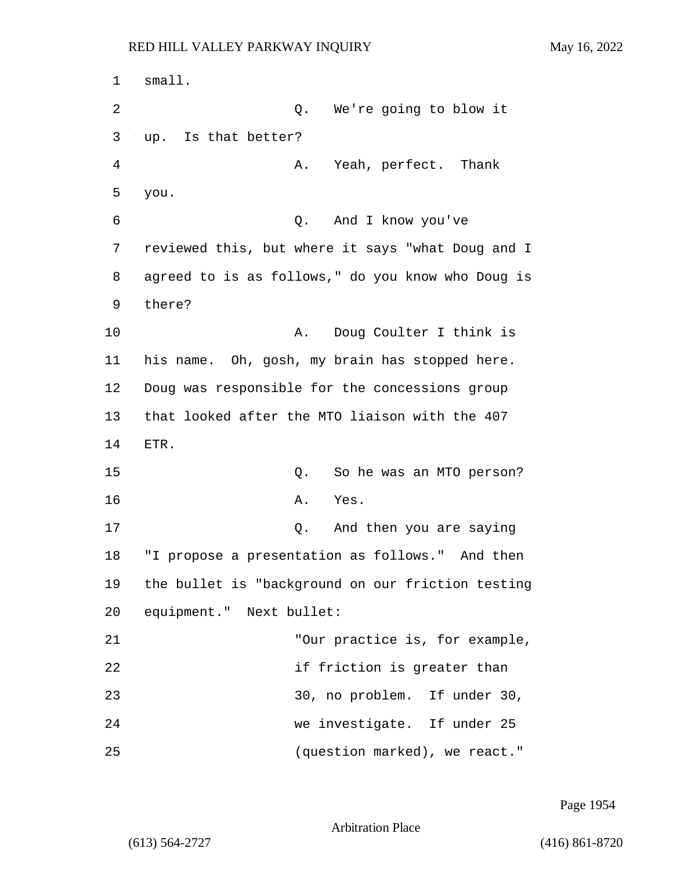1 small. 2 Q. We're going to blow it 3 up. Is that better? 4 A. Yeah, perfect. Thank 5 you. 6 Q. And I know you've 7 reviewed this, but where it says "what Doug and I 8 agreed to is as follows," do you know who Doug is 9 there? 10 A. Doug Coulter I think is 11 his name. Oh, gosh, my brain has stopped here. 12 Doug was responsible for the concessions group 13 that looked after the MTO liaison with the 407 14 ETR. 15 Q. So he was an MTO person? 16 A. Yes. 17 Q. And then you are saying 18 "I propose a presentation as follows." And then 19 the bullet is "background on our friction testing 20 equipment." Next bullet: 21 "Our practice is, for example, 22 if friction is greater than 23 30, no problem. If under 30, 24 we investigate. If under 25 25 (question marked), we react."

Page 1954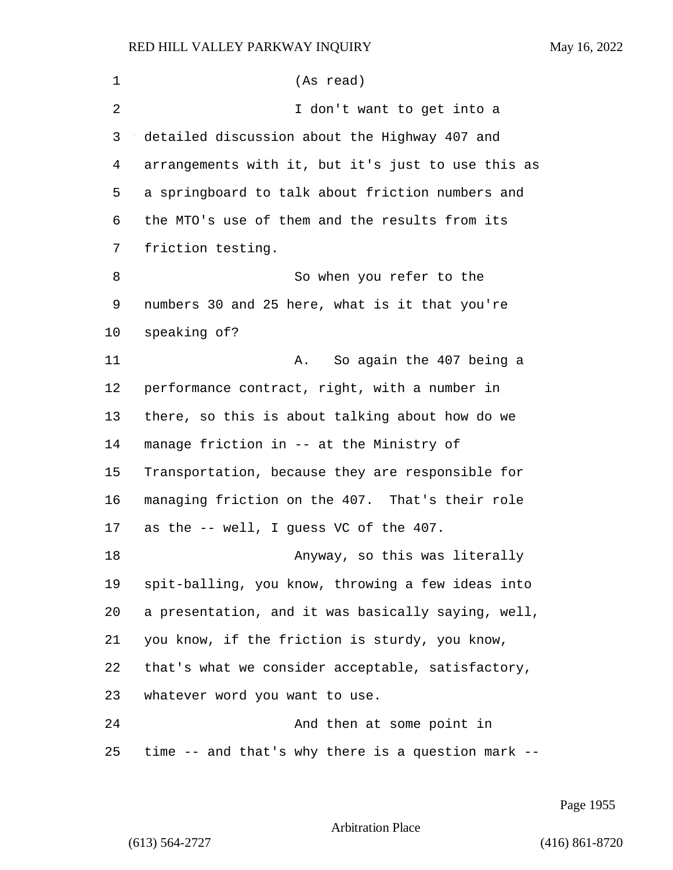| 1  | (As read)                                          |
|----|----------------------------------------------------|
| 2  | I don't want to get into a                         |
| 3  | detailed discussion about the Highway 407 and      |
| 4  | arrangements with it, but it's just to use this as |
| 5  | a springboard to talk about friction numbers and   |
| 6  | the MTO's use of them and the results from its     |
| 7  | friction testing.                                  |
| 8  | So when you refer to the                           |
| 9  | numbers 30 and 25 here, what is it that you're     |
| 10 | speaking of?                                       |
| 11 | So again the 407 being a<br>Α.                     |
| 12 | performance contract, right, with a number in      |
| 13 | there, so this is about talking about how do we    |
| 14 | manage friction in -- at the Ministry of           |
| 15 | Transportation, because they are responsible for   |
| 16 | managing friction on the 407. That's their role    |
| 17 | as the -- well, I guess VC of the 407.             |
| 18 | Anyway, so this was literally                      |
| 19 | spit-balling, you know, throwing a few ideas into  |
| 20 | a presentation, and it was basically saying, well, |
| 21 | you know, if the friction is sturdy, you know,     |
| 22 | that's what we consider acceptable, satisfactory,  |
| 23 | whatever word you want to use.                     |
| 24 | And then at some point in                          |
| 25 | time -- and that's why there is a question mark -- |

Page 1955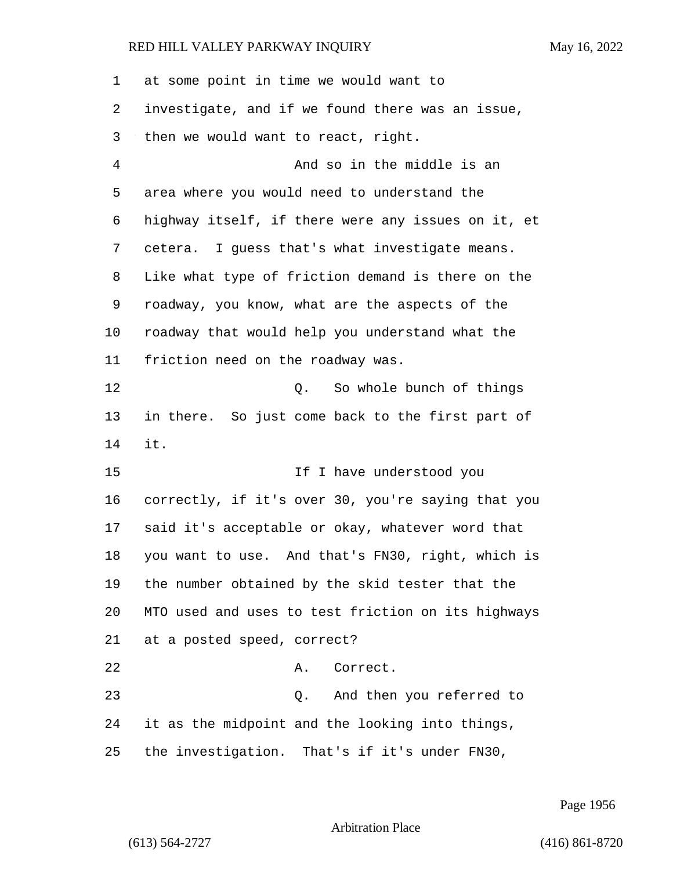at some point in time we would want to investigate, and if we found there was an issue, then we would want to react, right. 4 And so in the middle is an area where you would need to understand the highway itself, if there were any issues on it, et cetera. I guess that's what investigate means. Like what type of friction demand is there on the roadway, you know, what are the aspects of the roadway that would help you understand what the friction need on the roadway was. 12 C. So whole bunch of things in there. So just come back to the first part of it. 15 If I have understood you correctly, if it's over 30, you're saying that you said it's acceptable or okay, whatever word that you want to use. And that's FN30, right, which is the number obtained by the skid tester that the MTO used and uses to test friction on its highways at a posted speed, correct? 22 A. Correct. 23 Q. And then you referred to it as the midpoint and the looking into things, the investigation. That's if it's under FN30,

Page 1956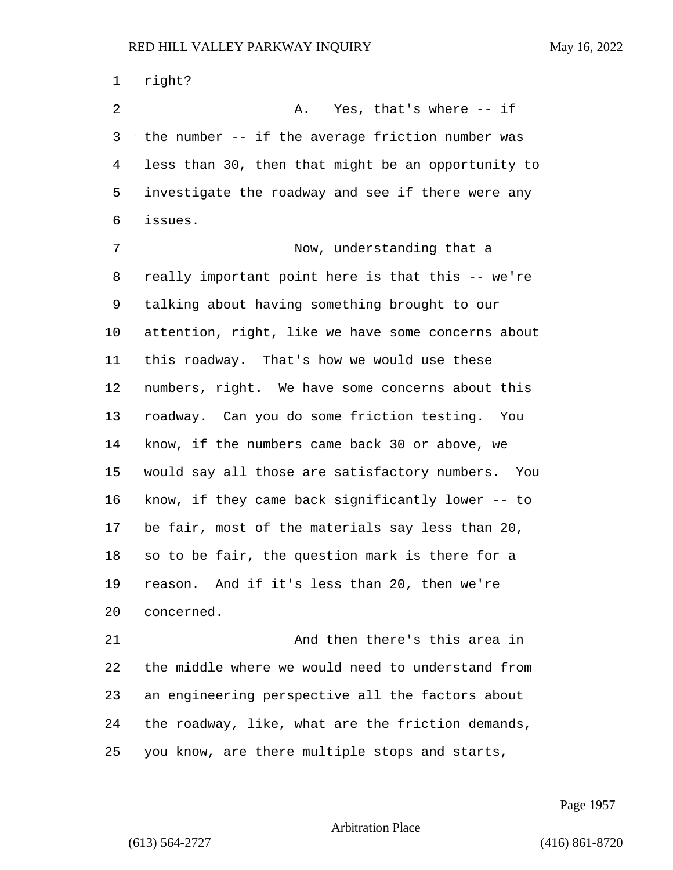right? 2 A. Yes, that's where -- if the number -- if the average friction number was less than 30, then that might be an opportunity to investigate the roadway and see if there were any issues. 7 Now, understanding that a really important point here is that this -- we're talking about having something brought to our attention, right, like we have some concerns about this roadway. That's how we would use these numbers, right. We have some concerns about this roadway. Can you do some friction testing. You know, if the numbers came back 30 or above, we would say all those are satisfactory numbers. You know, if they came back significantly lower -- to be fair, most of the materials say less than 20, so to be fair, the question mark is there for a reason. And if it's less than 20, then we're concerned. 21 And then there's this area in the middle where we would need to understand from an engineering perspective all the factors about

the roadway, like, what are the friction demands,

you know, are there multiple stops and starts,

Page 1957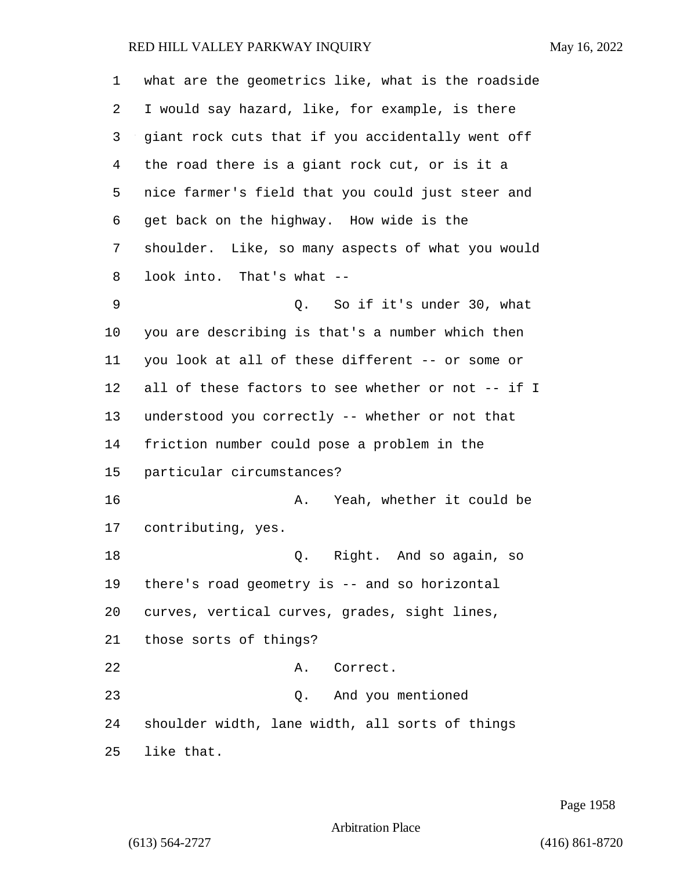| 1  | what are the geometrics like, what is the roadside |
|----|----------------------------------------------------|
| 2  | I would say hazard, like, for example, is there    |
| 3  | giant rock cuts that if you accidentally went off  |
| 4  | the road there is a giant rock cut, or is it a     |
| 5  | nice farmer's field that you could just steer and  |
| 6  | get back on the highway. How wide is the           |
| 7  | shoulder. Like, so many aspects of what you would  |
| 8  | look into. That's what --                          |
| 9  | Q. So if it's under 30, what                       |
| 10 | you are describing is that's a number which then   |
| 11 | you look at all of these different -- or some or   |
| 12 | all of these factors to see whether or not -- if I |
| 13 | understood you correctly -- whether or not that    |
| 14 | friction number could pose a problem in the        |
| 15 | particular circumstances?                          |
| 16 | Yeah, whether it could be<br>А.                    |
| 17 | contributing, yes.                                 |
| 18 | Q. Right. And so again, so                         |
| 19 | there's road geometry is -- and so horizontal      |
| 20 | curves, vertical curves, grades, sight lines,      |
| 21 | those sorts of things?                             |
| 22 | A. Correct.                                        |
| 23 | Q. And you mentioned                               |
| 24 | shoulder width, lane width, all sorts of things    |
| 25 | like that.                                         |

Page 1958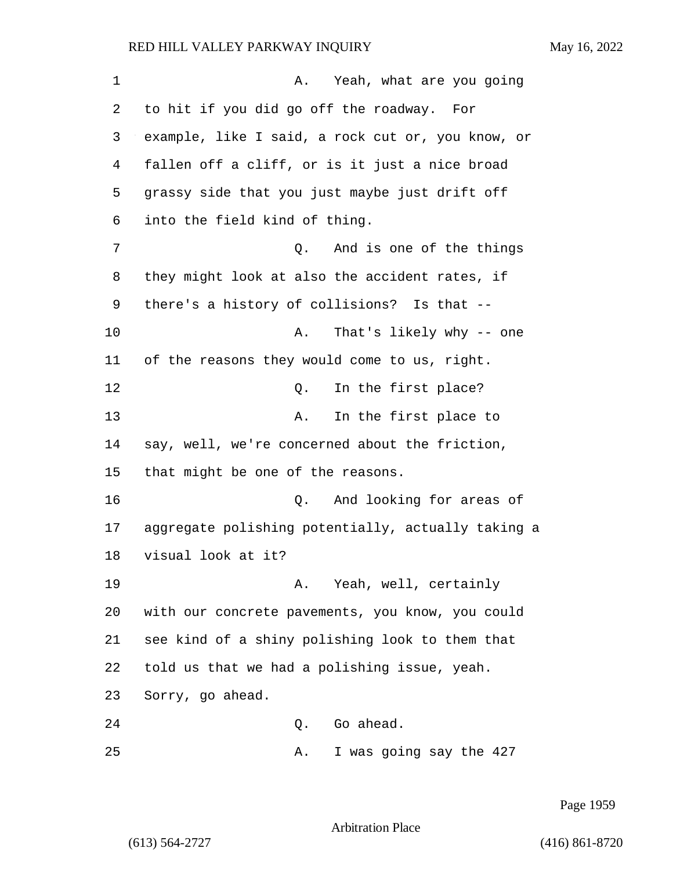| 1  | Yeah, what are you going<br>Α.                     |
|----|----------------------------------------------------|
| 2  | to hit if you did go off the roadway. For          |
| 3  | example, like I said, a rock cut or, you know, or  |
| 4  | fallen off a cliff, or is it just a nice broad     |
| 5  | grassy side that you just maybe just drift off     |
| 6  | into the field kind of thing.                      |
| 7  | And is one of the things<br>Q.                     |
| 8  | they might look at also the accident rates, if     |
| 9  | there's a history of collisions? Is that --        |
| 10 | That's likely why -- one<br>Α.                     |
| 11 | of the reasons they would come to us, right.       |
| 12 | In the first place?<br>Q.                          |
| 13 | In the first place to<br>Α.                        |
| 14 | say, well, we're concerned about the friction,     |
| 15 | that might be one of the reasons.                  |
| 16 | And looking for areas of<br>Q.                     |
| 17 | aggregate polishing potentially, actually taking a |
| 18 | visual look at it?                                 |
| 19 | Yeah, well, certainly<br>Α.                        |
| 20 | with our concrete pavements, you know, you could   |
| 21 | see kind of a shiny polishing look to them that    |
| 22 | told us that we had a polishing issue, yeah.       |
| 23 | Sorry, go ahead.                                   |
| 24 | Go ahead.<br>Q.                                    |
| 25 | I was going say the 427<br>Α.                      |

Page 1959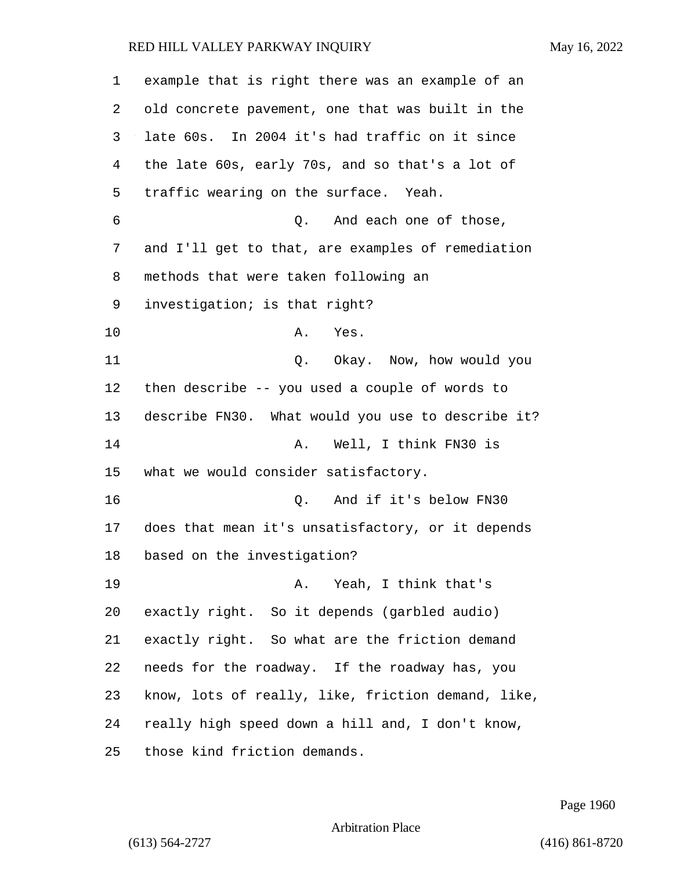| $\mathbf 1$ | example that is right there was an example of an   |
|-------------|----------------------------------------------------|
| 2           | old concrete pavement, one that was built in the   |
| 3           | late 60s. In 2004 it's had traffic on it since     |
| 4           | the late 60s, early 70s, and so that's a lot of    |
| 5           | traffic wearing on the surface. Yeah.              |
| 6           | And each one of those,<br>Q.                       |
| 7           | and I'll get to that, are examples of remediation  |
| 8           | methods that were taken following an               |
| 9           | investigation; is that right?                      |
| 10          | Α.<br>Yes.                                         |
| 11          | Q. Okay. Now, how would you                        |
| 12          | then describe -- you used a couple of words to     |
| 13          | describe FN30. What would you use to describe it?  |
| 14          | Well, I think FN30 is<br>Α.                        |
| 15          | what we would consider satisfactory.               |
| 16          | And if it's below FN30<br>Q.                       |
| 17          | does that mean it's unsatisfactory, or it depends  |
| 18          | based on the investigation?                        |
| 19          | Yeah, I think that's<br>Α.                         |
| 20          | exactly right. So it depends (garbled audio)       |
| 21          | exactly right. So what are the friction demand     |
| 22          | needs for the roadway. If the roadway has, you     |
| 23          | know, lots of really, like, friction demand, like, |
| 24          | really high speed down a hill and, I don't know,   |
| 25          | those kind friction demands.                       |

Page 1960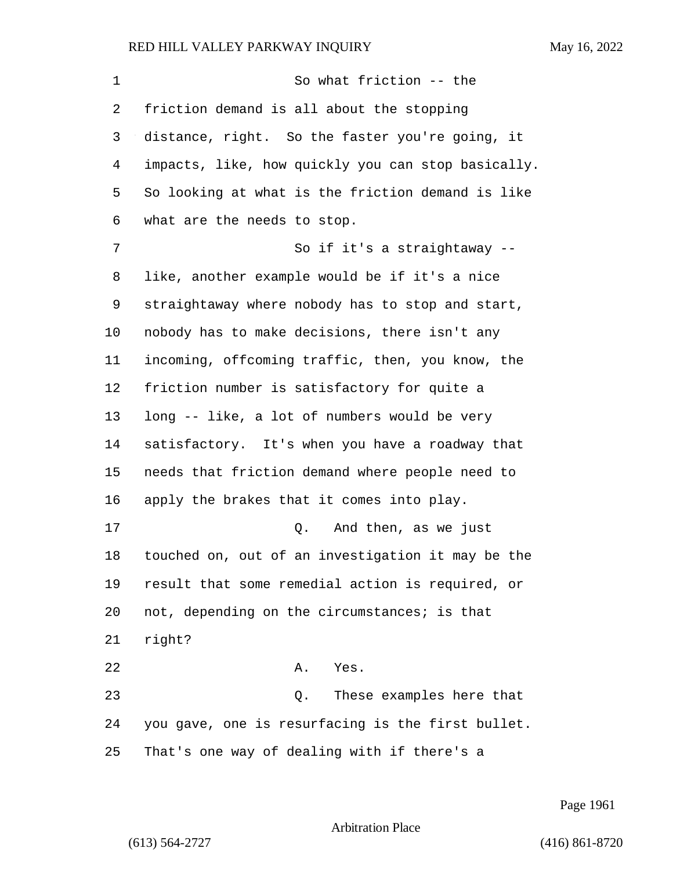# RED HILL VALLEY PARKWAY INQUIRY

|  | May 16, 2022 |
|--|--------------|

| 1  | So what friction -- the                            |
|----|----------------------------------------------------|
| 2  | friction demand is all about the stopping          |
| 3  | distance, right. So the faster you're going, it    |
| 4  | impacts, like, how quickly you can stop basically. |
| 5  | So looking at what is the friction demand is like  |
| 6  | what are the needs to stop.                        |
| 7  | So if it's a straightaway --                       |
| 8  | like, another example would be if it's a nice      |
| 9  | straightaway where nobody has to stop and start,   |
| 10 | nobody has to make decisions, there isn't any      |
| 11 | incoming, offcoming traffic, then, you know, the   |
| 12 | friction number is satisfactory for quite a        |
| 13 | long -- like, a lot of numbers would be very       |
| 14 | satisfactory. It's when you have a roadway that    |
| 15 | needs that friction demand where people need to    |
| 16 | apply the brakes that it comes into play.          |
| 17 | And then, as we just<br>Q.                         |
| 18 | touched on, out of an investigation it may be the  |
| 19 | result that some remedial action is required, or   |
| 20 | not, depending on the circumstances; is that       |
| 21 | right?                                             |
| 22 | Α.<br>Yes.                                         |
| 23 | These examples here that<br>Q.                     |
| 24 | you gave, one is resurfacing is the first bullet.  |
| 25 | That's one way of dealing with if there's a        |

Page 1961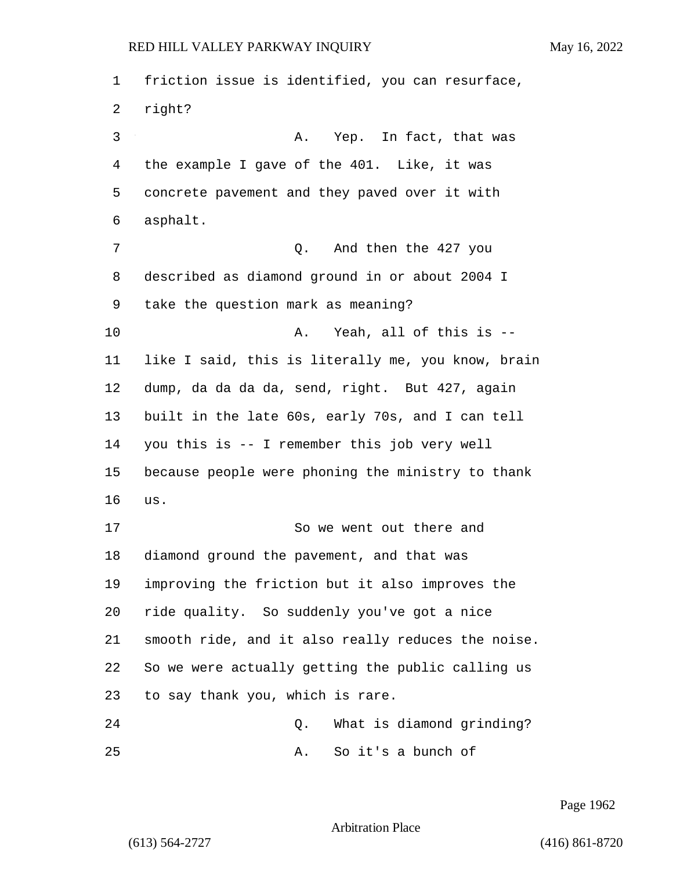friction issue is identified, you can resurface, right? 3 A. Yep. In fact, that was the example I gave of the 401. Like, it was concrete pavement and they paved over it with asphalt. 7 Q. And then the 427 you described as diamond ground in or about 2004 I take the question mark as meaning? 10 A. Yeah, all of this is -- like I said, this is literally me, you know, brain dump, da da da da, send, right. But 427, again built in the late 60s, early 70s, and I can tell you this is -- I remember this job very well because people were phoning the ministry to thank us. 17 So we went out there and diamond ground the pavement, and that was improving the friction but it also improves the ride quality. So suddenly you've got a nice smooth ride, and it also really reduces the noise. So we were actually getting the public calling us to say thank you, which is rare. 24 Q. What is diamond grinding? 25 A. So it's a bunch of

Page 1962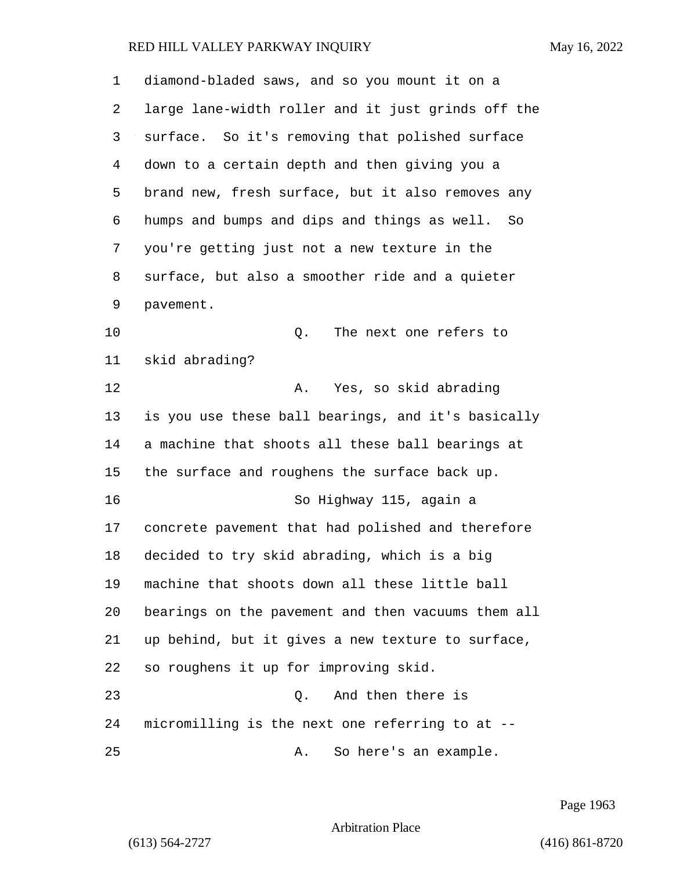| 1  | diamond-bladed saws, and so you mount it on a      |
|----|----------------------------------------------------|
| 2  | large lane-width roller and it just grinds off the |
| 3  | surface. So it's removing that polished surface    |
| 4  | down to a certain depth and then giving you a      |
| 5  | brand new, fresh surface, but it also removes any  |
| 6  | humps and bumps and dips and things as well. So    |
| 7  | you're getting just not a new texture in the       |
| 8  | surface, but also a smoother ride and a quieter    |
| 9  | pavement.                                          |
| 10 | Q.<br>The next one refers to                       |
| 11 | skid abrading?                                     |
| 12 | Yes, so skid abrading<br>Α.                        |
| 13 | is you use these ball bearings, and it's basically |
| 14 | a machine that shoots all these ball bearings at   |
| 15 | the surface and roughens the surface back up.      |
| 16 | So Highway 115, again a                            |
| 17 | concrete pavement that had polished and therefore  |
| 18 | decided to try skid abrading, which is a big       |
| 19 | machine that shoots down all these little ball     |
| 20 | bearings on the pavement and then vacuums them all |
| 21 | up behind, but it gives a new texture to surface,  |
| 22 | so roughens it up for improving skid.              |
| 23 | And then there is<br>Q.                            |
| 24 | micromilling is the next one referring to at --    |
| 25 | So here's an example.<br>Α.                        |

Page 1963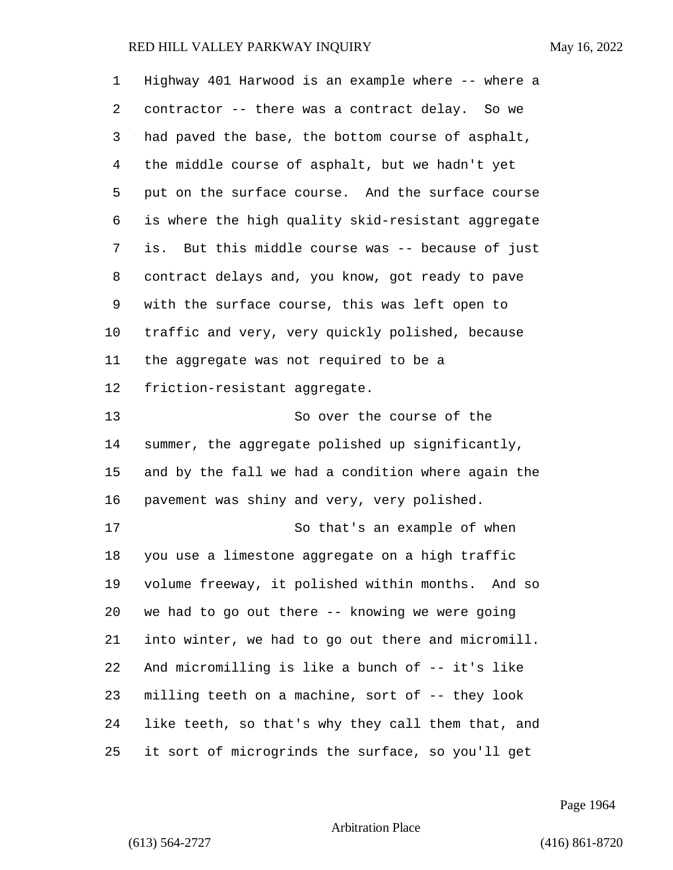| 1  | Highway 401 Harwood is an example where -- where a |
|----|----------------------------------------------------|
| 2  | contractor -- there was a contract delay. So we    |
| 3  | had paved the base, the bottom course of asphalt,  |
| 4  | the middle course of asphalt, but we hadn't yet    |
| 5  | put on the surface course. And the surface course  |
| 6  | is where the high quality skid-resistant aggregate |
| 7  | is. But this middle course was -- because of just  |
| 8  | contract delays and, you know, got ready to pave   |
| 9  | with the surface course, this was left open to     |
| 10 | traffic and very, very quickly polished, because   |
| 11 | the aggregate was not required to be a             |
| 12 | friction-resistant aggregate.                      |
| 13 | So over the course of the                          |
| 14 | summer, the aggregate polished up significantly,   |
| 15 | and by the fall we had a condition where again the |
| 16 | pavement was shiny and very, very polished.        |
| 17 | So that's an example of when                       |
| 18 | you use a limestone aggregate on a high traffic    |
| 19 | volume freeway, it polished within months. And so  |
| 20 | we had to go out there -- knowing we were going    |
| 21 | into winter, we had to go out there and micromill. |
| 22 | And micromilling is like a bunch of -- it's like   |
| 23 | milling teeth on a machine, sort of -- they look   |
| 24 | like teeth, so that's why they call them that, and |
| 25 | it sort of microgrinds the surface, so you'll get  |

Page 1964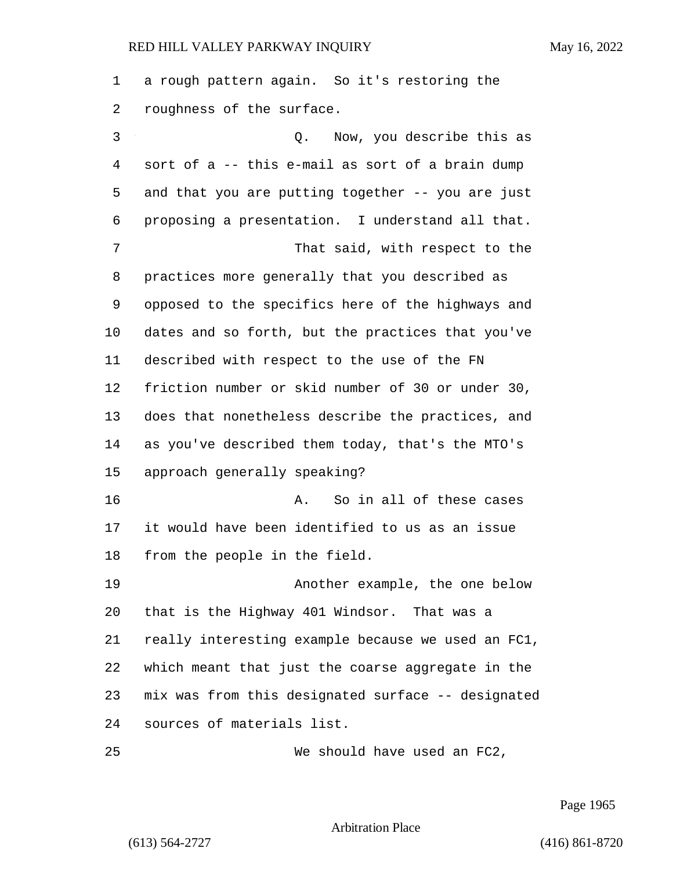a rough pattern again. So it's restoring the roughness of the surface.

3 Q. Now, you describe this as sort of a -- this e-mail as sort of a brain dump and that you are putting together -- you are just proposing a presentation. I understand all that. 7 That said, with respect to the practices more generally that you described as opposed to the specifics here of the highways and dates and so forth, but the practices that you've described with respect to the use of the FN friction number or skid number of 30 or under 30, does that nonetheless describe the practices, and as you've described them today, that's the MTO's approach generally speaking? **A.** So in all of these cases it would have been identified to us as an issue from the people in the field. 19 Another example, the one below that is the Highway 401 Windsor. That was a really interesting example because we used an FC1, which meant that just the coarse aggregate in the mix was from this designated surface -- designated sources of materials list.

25 We should have used an FC2,

Page 1965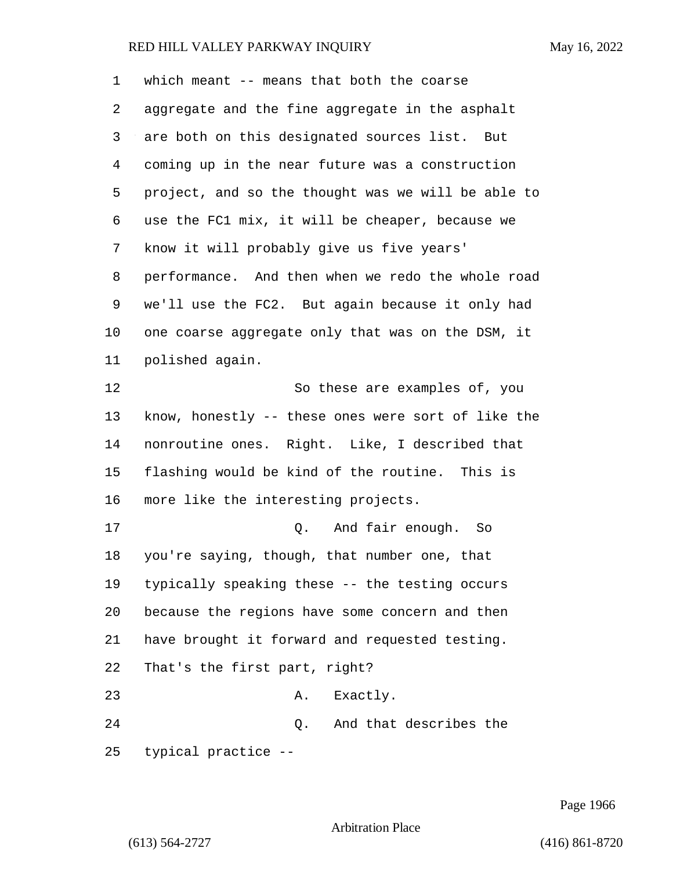which meant -- means that both the coarse aggregate and the fine aggregate in the asphalt are both on this designated sources list. But coming up in the near future was a construction project, and so the thought was we will be able to use the FC1 mix, it will be cheaper, because we know it will probably give us five years' performance. And then when we redo the whole road we'll use the FC2. But again because it only had one coarse aggregate only that was on the DSM, it polished again. 12 So these are examples of, you know, honestly -- these ones were sort of like the nonroutine ones. Right. Like, I described that flashing would be kind of the routine. This is more like the interesting projects. 17 and fair enough. So you're saying, though, that number one, that typically speaking these -- the testing occurs because the regions have some concern and then have brought it forward and requested testing. That's the first part, right? 23 A. Exactly. 24 Q. And that describes the

typical practice --

Page 1966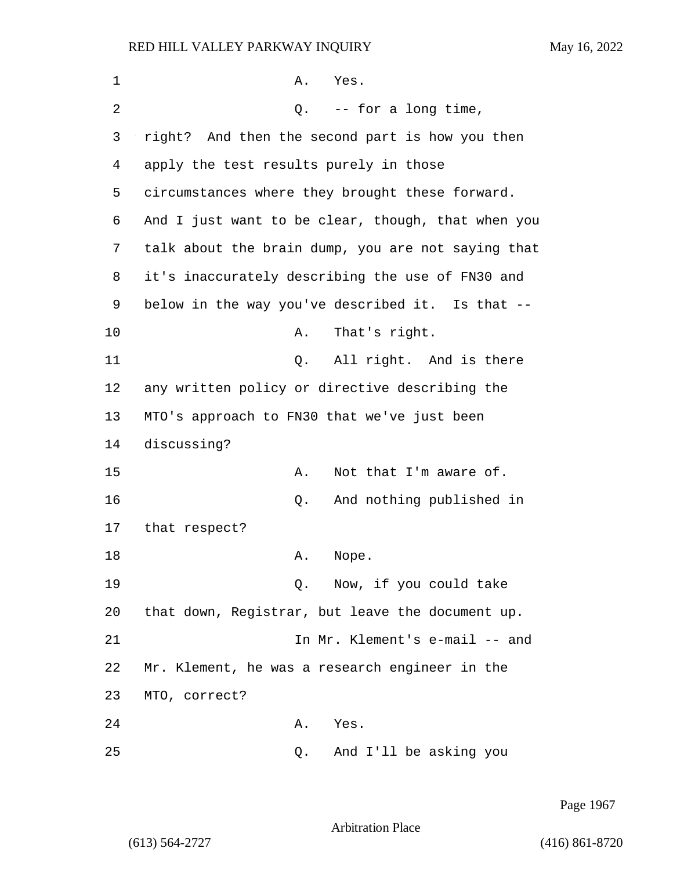| $\mathbf 1$ | A.<br>Yes.                                         |
|-------------|----------------------------------------------------|
| 2           | $Q.$ -- for a long time,                           |
| 3           | right? And then the second part is how you then    |
| 4           | apply the test results purely in those             |
| 5           | circumstances where they brought these forward.    |
| 6           | And I just want to be clear, though, that when you |
| 7           | talk about the brain dump, you are not saying that |
| 8           | it's inaccurately describing the use of FN30 and   |
| 9           | below in the way you've described it. Is that --   |
| 10          | That's right.<br>Α.                                |
| 11          | All right. And is there<br>Q.                      |
| 12          | any written policy or directive describing the     |
| 13          | MTO's approach to FN30 that we've just been        |
| 14          | discussing?                                        |
| 15          | Not that I'm aware of.<br>Α.                       |
| 16          | And nothing published in<br>Q.                     |
| 17          | that respect?                                      |
| 18          | Α.<br>Nope.                                        |
| 19          | Now, if you could take<br>Q.                       |
| 20          | that down, Registrar, but leave the document up.   |
| 21          | In Mr. Klement's e-mail -- and                     |
| 22          | Mr. Klement, he was a research engineer in the     |
| 23          | MTO, correct?                                      |
| 24          | Yes.<br>Α.                                         |
| 25          | And I'll be asking you<br>О.                       |

Page 1967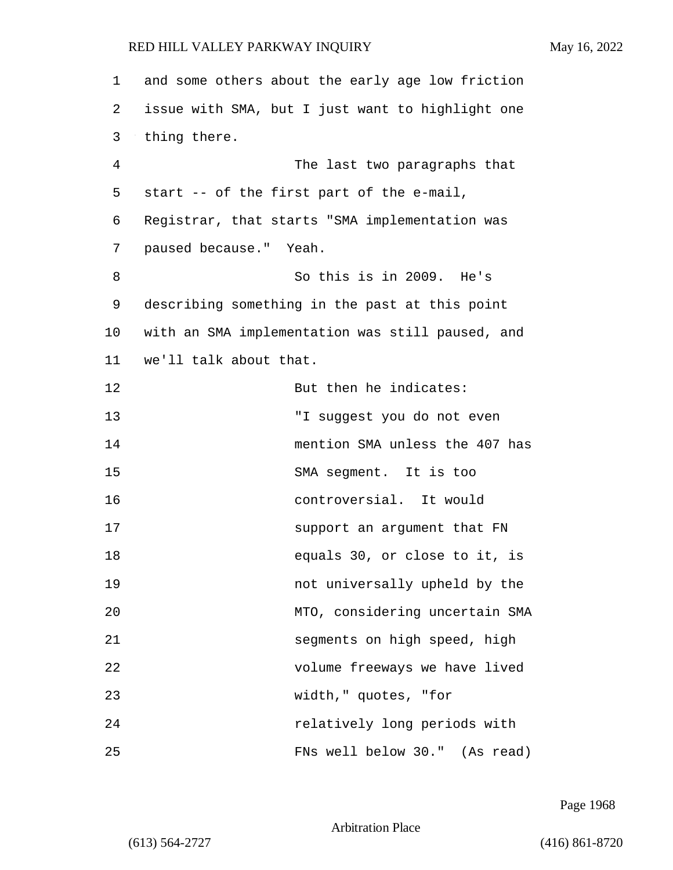| $\mathbf 1$ | and some others about the early age low friction |
|-------------|--------------------------------------------------|
| 2           | issue with SMA, but I just want to highlight one |
| 3           | thing there.                                     |
| 4           | The last two paragraphs that                     |
| 5           | start -- of the first part of the e-mail,        |
| 6           | Registrar, that starts "SMA implementation was   |
| 7           | paused because." Yeah.                           |
| 8           | So this is in 2009. He's                         |
| 9           | describing something in the past at this point   |
| $10 \,$     | with an SMA implementation was still paused, and |
| 11          | we'll talk about that.                           |
| 12          | But then he indicates:                           |
| 13          | "I suggest you do not even                       |
| 14          | mention SMA unless the 407 has                   |
| 15          | SMA segment. It is too                           |
| 16          | controversial. It would                          |
| 17          | support an argument that FN                      |
| 18          | equals 30, or close to it, is                    |
| 19          | not universally upheld by the                    |
| 20          | MTO, considering uncertain SMA                   |
| 21          | segments on high speed, high                     |
| 22          | volume freeways we have lived                    |
| 23          | width," quotes, "for                             |
| 24          | relatively long periods with                     |
| 25          | FNs well below 30." (As read)                    |

Page 1968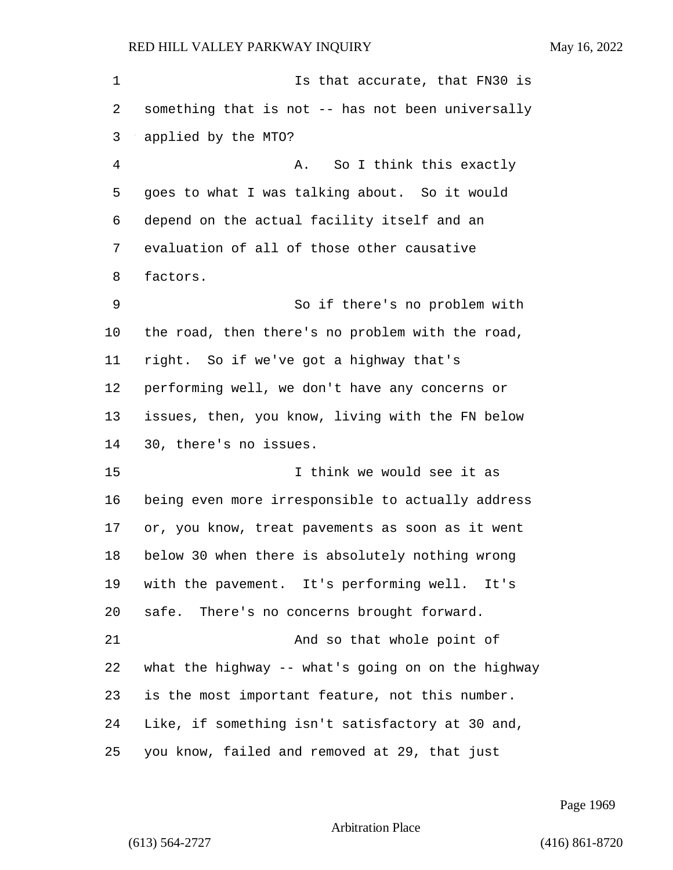1 Is that accurate, that FN30 is something that is not -- has not been universally applied by the MTO? 4 A. So I think this exactly goes to what I was talking about. So it would depend on the actual facility itself and an evaluation of all of those other causative factors. 9 So if there's no problem with the road, then there's no problem with the road, right. So if we've got a highway that's performing well, we don't have any concerns or issues, then, you know, living with the FN below 30, there's no issues. 15 I think we would see it as being even more irresponsible to actually address or, you know, treat pavements as soon as it went below 30 when there is absolutely nothing wrong with the pavement. It's performing well. It's safe. There's no concerns brought forward. 21 And so that whole point of what the highway -- what's going on on the highway is the most important feature, not this number. Like, if something isn't satisfactory at 30 and, you know, failed and removed at 29, that just

Page 1969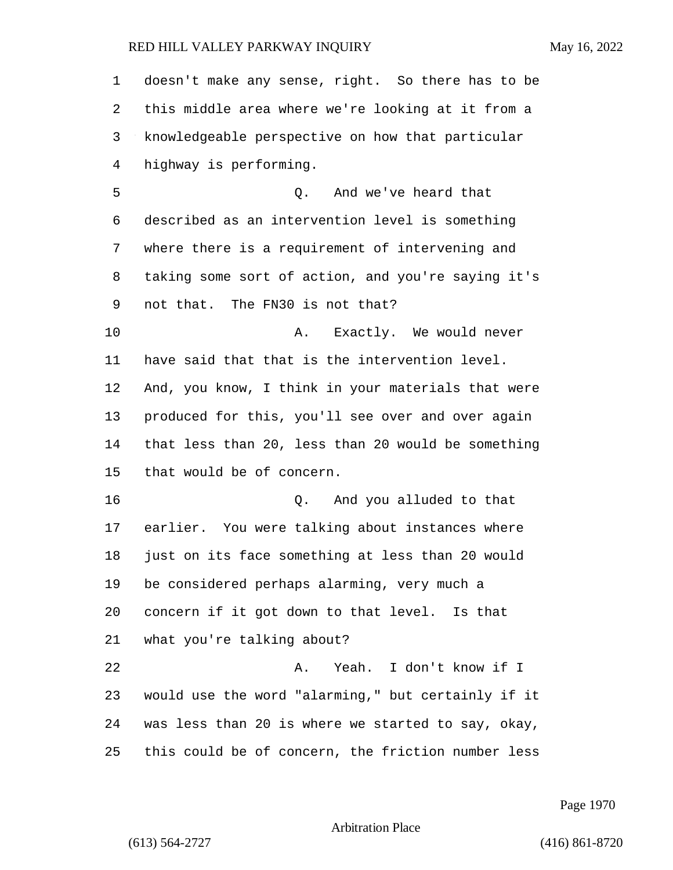doesn't make any sense, right. So there has to be this middle area where we're looking at it from a knowledgeable perspective on how that particular highway is performing. 5 Q. And we've heard that described as an intervention level is something where there is a requirement of intervening and taking some sort of action, and you're saying it's not that. The FN30 is not that? 10 A. Exactly. We would never have said that that is the intervention level. And, you know, I think in your materials that were produced for this, you'll see over and over again that less than 20, less than 20 would be something that would be of concern. 16 Q. And you alluded to that earlier. You were talking about instances where just on its face something at less than 20 would be considered perhaps alarming, very much a concern if it got down to that level. Is that what you're talking about? 22 A. Yeah. I don't know if I would use the word "alarming," but certainly if it was less than 20 is where we started to say, okay, this could be of concern, the friction number less

Page 1970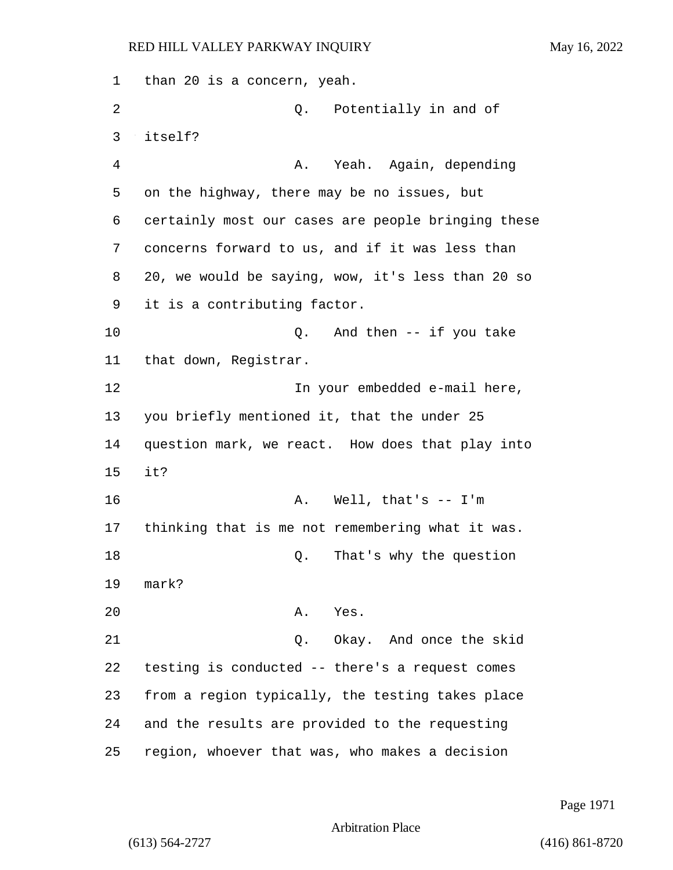1 than 20 is a concern, yeah. 2 Q. Potentially in and of 3 itself? 4 A. Yeah. Again, depending 5 on the highway, there may be no issues, but 6 certainly most our cases are people bringing these 7 concerns forward to us, and if it was less than 8 20, we would be saying, wow, it's less than 20 so 9 it is a contributing factor. 10 Q. And then -- if you take 11 that down, Registrar. 12 In your embedded e-mail here, 13 you briefly mentioned it, that the under 25 14 question mark, we react. How does that play into 15 it? 16 A. Well, that's -- I'm 17 thinking that is me not remembering what it was. 18 Q. That's why the question 19 mark? 20 A. Yes. 21 Q. Okay. And once the skid 22 testing is conducted -- there's a request comes 23 from a region typically, the testing takes place 24 and the results are provided to the requesting 25 region, whoever that was, who makes a decision

Page 1971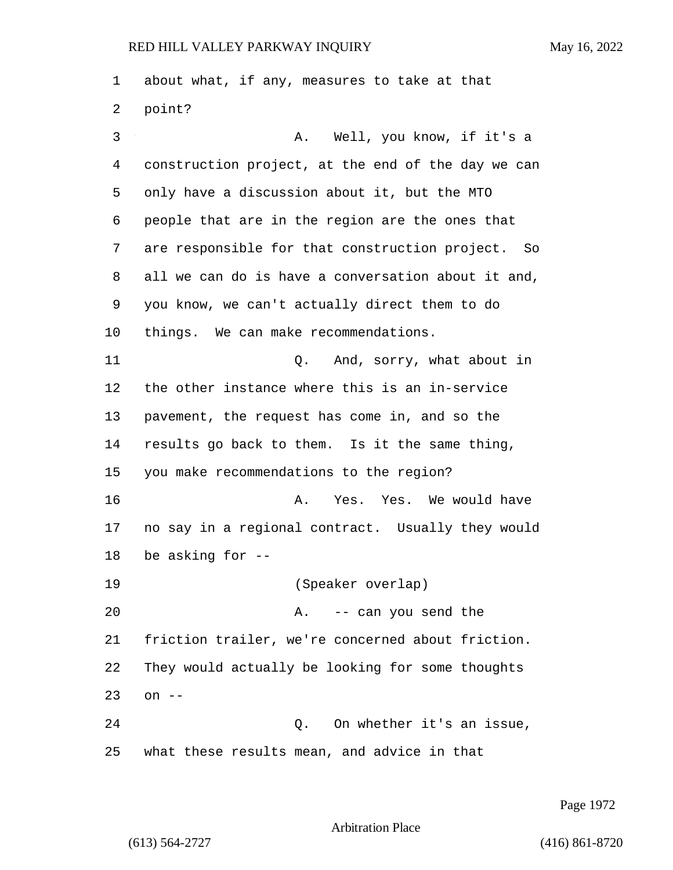about what, if any, measures to take at that point? 3 A. Well, you know, if it's a construction project, at the end of the day we can only have a discussion about it, but the MTO people that are in the region are the ones that are responsible for that construction project. So all we can do is have a conversation about it and, you know, we can't actually direct them to do things. We can make recommendations. 11 Q. And, sorry, what about in the other instance where this is an in-service pavement, the request has come in, and so the results go back to them. Is it the same thing, you make recommendations to the region? 16 A. Yes. Yes. We would have no say in a regional contract. Usually they would be asking for -- 19 (Speaker overlap) 20 A. -- can you send the friction trailer, we're concerned about friction. They would actually be looking for some thoughts on -- 24 Q. On whether it's an issue, what these results mean, and advice in that

Page 1972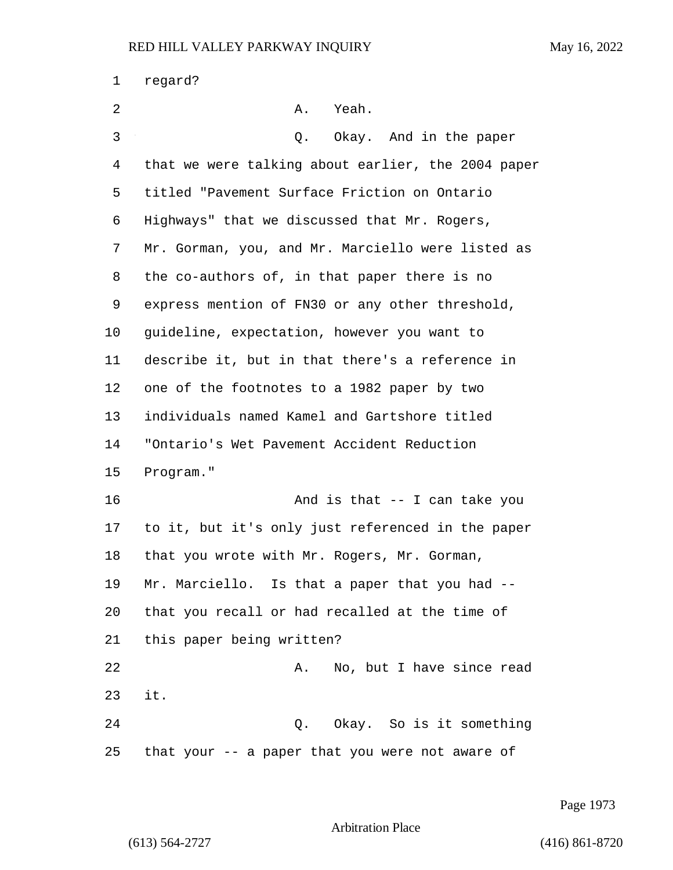| 1  | regard?                                            |
|----|----------------------------------------------------|
| 2  | Α.<br>Yeah.                                        |
| 3  | Okay. And in the paper<br>Q.                       |
| 4  | that we were talking about earlier, the 2004 paper |
| 5  | titled "Pavement Surface Friction on Ontario       |
| 6  | Highways" that we discussed that Mr. Rogers,       |
| 7  | Mr. Gorman, you, and Mr. Marciello were listed as  |
| 8  | the co-authors of, in that paper there is no       |
| 9  | express mention of FN30 or any other threshold,    |
| 10 | guideline, expectation, however you want to        |
| 11 | describe it, but in that there's a reference in    |
| 12 | one of the footnotes to a 1982 paper by two        |
| 13 | individuals named Kamel and Gartshore titled       |
| 14 | "Ontario's Wet Pavement Accident Reduction         |
| 15 | Program."                                          |
| 16 | And is that -- I can take you                      |
| 17 | to it, but it's only just referenced in the paper  |
| 18 | that you wrote with Mr. Rogers, Mr. Gorman,        |
| 19 | Mr. Marciello. Is that a paper that you had --     |
| 20 | that you recall or had recalled at the time of     |
| 21 | this paper being written?                          |
| 22 | No, but I have since read<br>Α.                    |
| 23 | it.                                                |
| 24 | Okay. So is it something<br>Q.                     |
| 25 | that your -- a paper that you were not aware of    |

Page 1973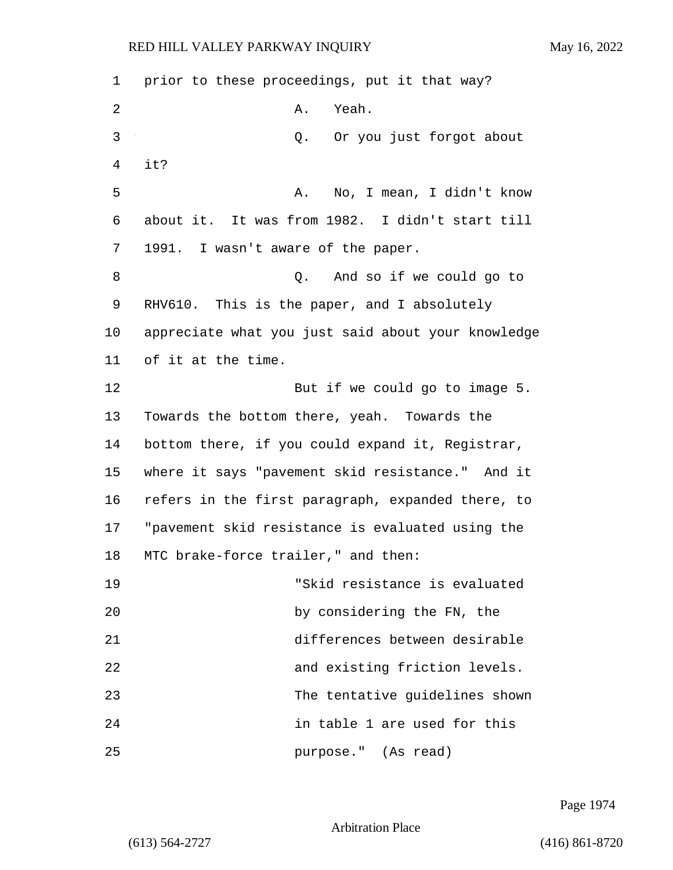| 1  | prior to these proceedings, put it that way?       |
|----|----------------------------------------------------|
| 2  | Yeah.<br>Α.                                        |
| 3  | Q. Or you just forgot about                        |
| 4  | it?                                                |
| 5  | No, I mean, I didn't know<br>A.                    |
| 6  | about it. It was from 1982. I didn't start till    |
| 7  | 1991. I wasn't aware of the paper.                 |
| 8  | And so if we could go to<br>Q.                     |
| 9  | RHV610. This is the paper, and I absolutely        |
| 10 | appreciate what you just said about your knowledge |
| 11 | of it at the time.                                 |
| 12 | But if we could go to image 5.                     |
| 13 | Towards the bottom there, yeah. Towards the        |
| 14 | bottom there, if you could expand it, Registrar,   |
| 15 | where it says "pavement skid resistance." And it   |
| 16 | refers in the first paragraph, expanded there, to  |
| 17 | "pavement skid resistance is evaluated using the   |
| 18 | MTC brake-force trailer," and then:                |
| 19 | "Skid resistance is evaluated                      |
| 20 | by considering the FN, the                         |
| 21 | differences between desirable                      |
| 22 | and existing friction levels.                      |
| 23 | The tentative guidelines shown                     |
| 24 | in table 1 are used for this                       |
| 25 | purpose." (As read)                                |

Page 1974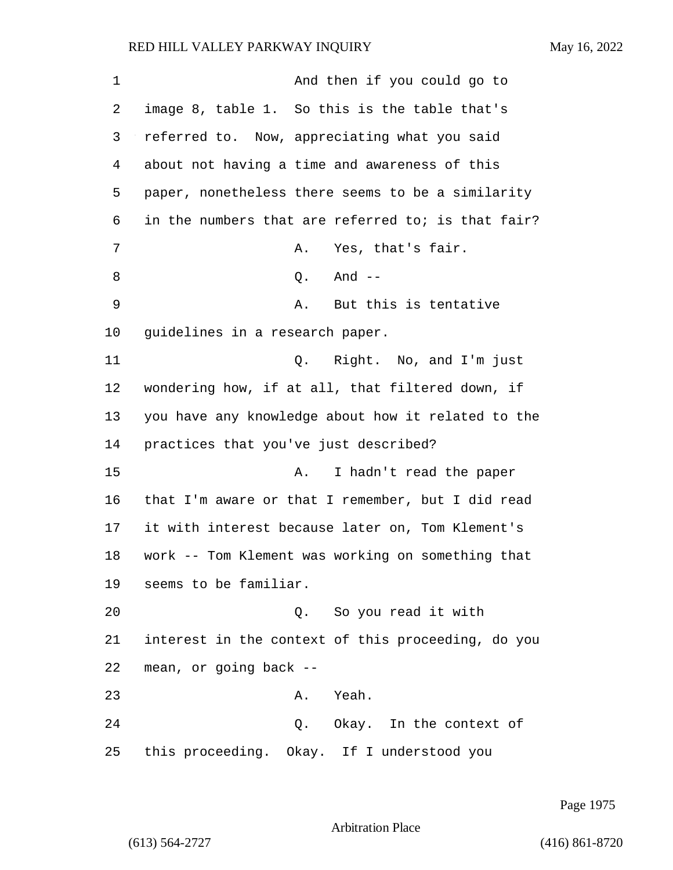| 1  | And then if you could go to                        |
|----|----------------------------------------------------|
| 2  | image 8, table 1. So this is the table that's      |
| 3  | referred to. Now, appreciating what you said       |
| 4  | about not having a time and awareness of this      |
| 5  | paper, nonetheless there seems to be a similarity  |
| 6  | in the numbers that are referred to; is that fair? |
| 7  | Yes, that's fair.<br>Α.                            |
| 8  | And $--$<br>Q.                                     |
| 9  | But this is tentative<br>Α.                        |
| 10 | guidelines in a research paper.                    |
| 11 | Right. No, and I'm just<br>Q.                      |
| 12 | wondering how, if at all, that filtered down, if   |
| 13 | you have any knowledge about how it related to the |
| 14 | practices that you've just described?              |
| 15 | I hadn't read the paper<br>Α.                      |
| 16 | that I'm aware or that I remember, but I did read  |
| 17 | it with interest because later on, Tom Klement's   |
| 18 | work -- Tom Klement was working on something that  |
| 19 | seems to be familiar.                              |
| 20 | Q. So you read it with                             |
| 21 | interest in the context of this proceeding, do you |
| 22 | mean, or going back --                             |
| 23 | Yeah.<br>Α.                                        |
| 24 | Q. Okay. In the context of                         |
| 25 | this proceeding. Okay. If I understood you         |

Page 1975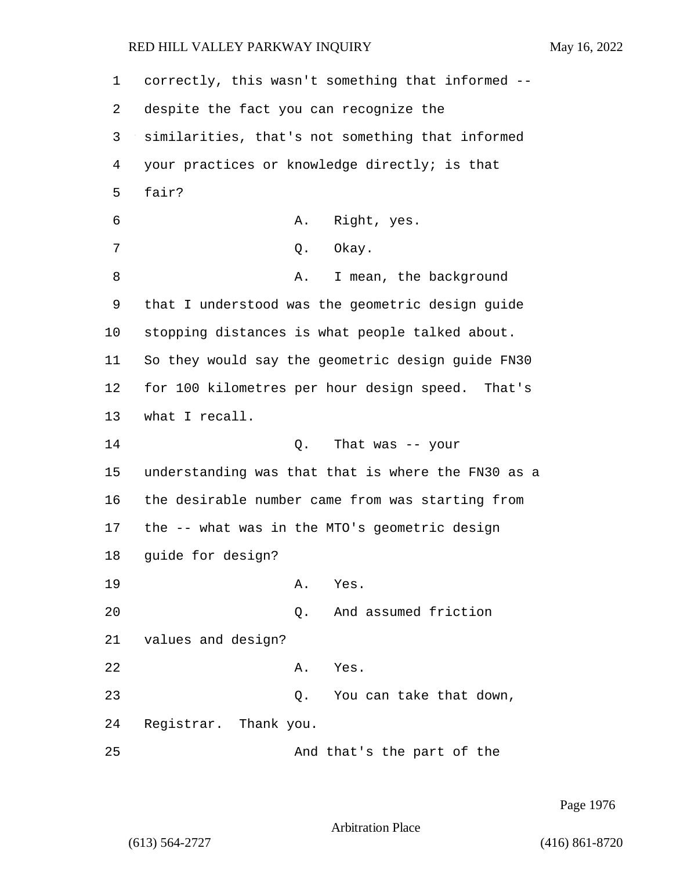1 correctly, this wasn't something that informed -- 2 despite the fact you can recognize the 3 similarities, that's not something that informed 4 your practices or knowledge directly; is that 5 fair? 6 A. Right, yes. 7 O. Okay. 8 A. I mean, the background 9 that I understood was the geometric design guide 10 stopping distances is what people talked about. 11 So they would say the geometric design guide FN30 12 for 100 kilometres per hour design speed. That's 13 what I recall. 14 Q. That was -- your 15 understanding was that that is where the FN30 as a 16 the desirable number came from was starting from 17 the -- what was in the MTO's geometric design 18 guide for design? 19 A. Yes. 20 Q. And assumed friction 21 values and design? 22 A. Yes. 23 Q. You can take that down, 24 Registrar. Thank you. 25 And that's the part of the

Page 1976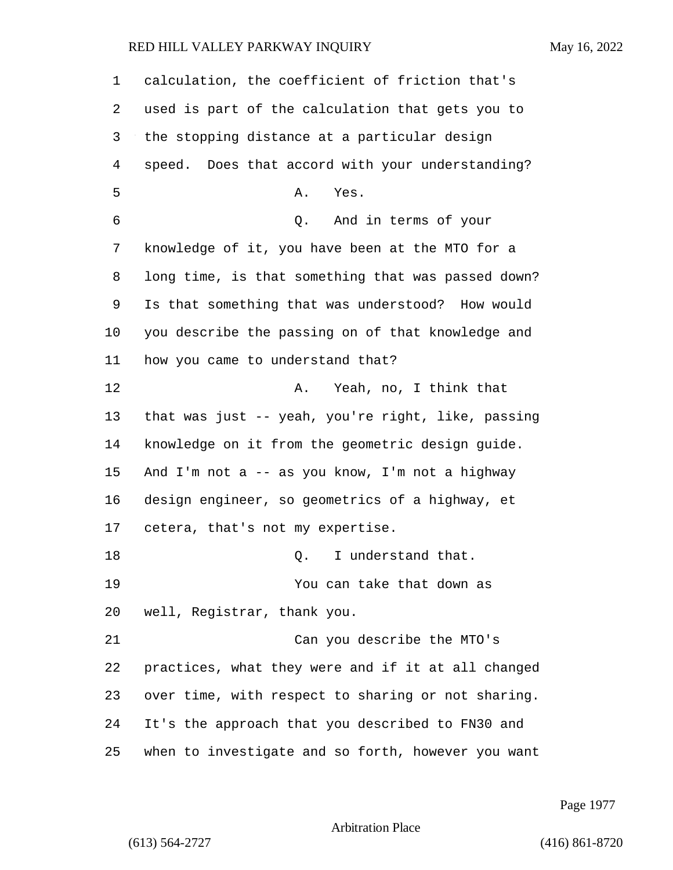| 1              | calculation, the coefficient of friction that's    |
|----------------|----------------------------------------------------|
| 2              | used is part of the calculation that gets you to   |
| 3              | the stopping distance at a particular design       |
| $\overline{4}$ | speed. Does that accord with your understanding?   |
| 5              | Yes.<br>Α.                                         |
| 6              | Q. And in terms of your                            |
| 7              | knowledge of it, you have been at the MTO for a    |
| 8              | long time, is that something that was passed down? |
| 9              | Is that something that was understood? How would   |
| 10             | you describe the passing on of that knowledge and  |
| 11             | how you came to understand that?                   |
| 12             | Yeah, no, I think that<br>Α.                       |
| 13             | that was just -- yeah, you're right, like, passing |
| 14             | knowledge on it from the geometric design guide.   |
| 15             | And I'm not a -- as you know, I'm not a highway    |
| 16             | design engineer, so geometrics of a highway, et    |
| 17             | cetera, that's not my expertise.                   |
| 18             | I understand that.<br>Q.                           |
| 19             | You can take that down as                          |
| 20             | well, Registrar, thank you.                        |
| 21             | Can you describe the MTO's                         |
| 22             | practices, what they were and if it at all changed |
| 23             | over time, with respect to sharing or not sharing. |
| 24             | It's the approach that you described to FN30 and   |
| 25             | when to investigate and so forth, however you want |

Page 1977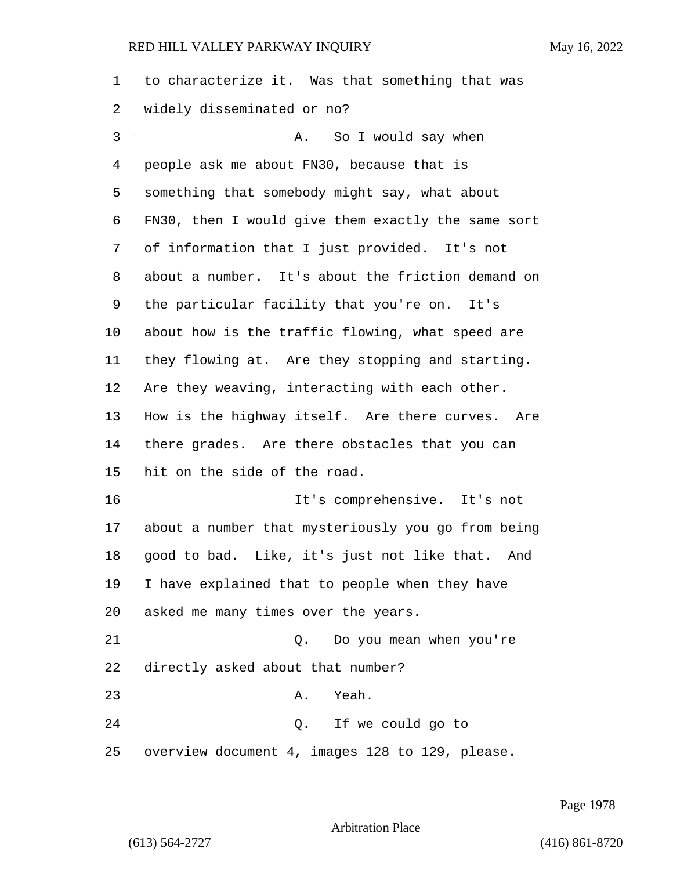| $\mathbf 1$ | to characterize it. Was that something that was    |
|-------------|----------------------------------------------------|
| 2           | widely disseminated or no?                         |
| 3           | So I would say when<br>Α.                          |
| 4           | people ask me about FN30, because that is          |
| 5           | something that somebody might say, what about      |
| 6           | FN30, then I would give them exactly the same sort |
| 7           | of information that I just provided. It's not      |
| 8           | about a number. It's about the friction demand on  |
| 9           | the particular facility that you're on.<br>It's    |
| $10 \,$     | about how is the traffic flowing, what speed are   |
| 11          | they flowing at. Are they stopping and starting.   |
| 12          | Are they weaving, interacting with each other.     |
| 13          | How is the highway itself. Are there curves. Are   |
| 14          | there grades. Are there obstacles that you can     |
| 15          | hit on the side of the road.                       |
| 16          | It's comprehensive. It's not                       |
| 17          | about a number that mysteriously you go from being |
| 18          | good to bad. Like, it's just not like that.<br>And |
| 19          | I have explained that to people when they have     |
| 20          | asked me many times over the years.                |
| 21          | Q. Do you mean when you're                         |
| 22          | directly asked about that number?                  |
| 23          | Yeah.<br>Α.                                        |
| 24          | Q. If we could go to                               |
| 25          | overview document 4, images 128 to 129, please.    |

Page 1978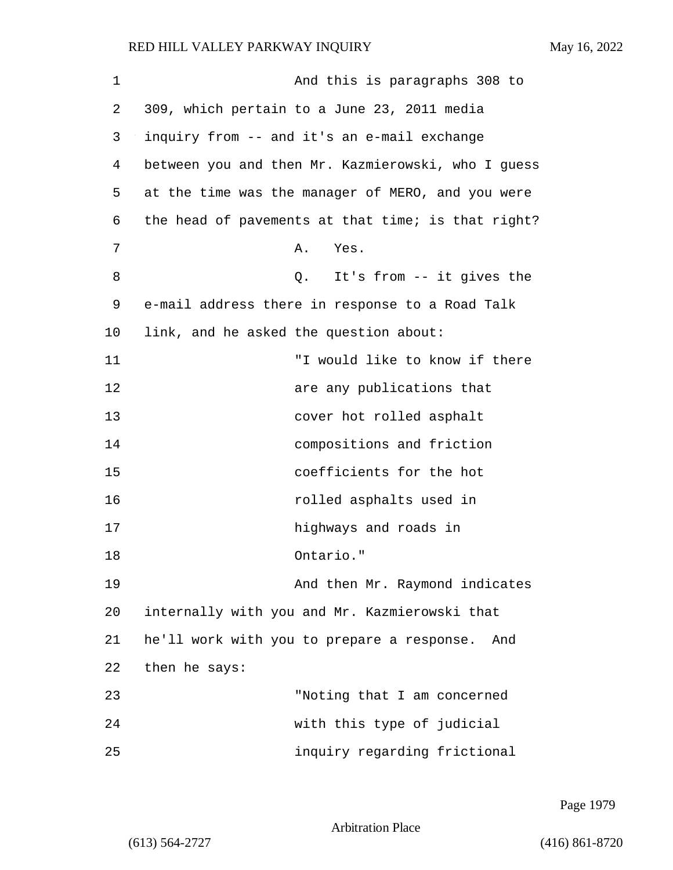1 And this is paragraphs 308 to 2 309, which pertain to a June 23, 2011 media 3 inquiry from -- and it's an e-mail exchange 4 between you and then Mr. Kazmierowski, who I guess 5 at the time was the manager of MERO, and you were 6 the head of pavements at that time; is that right? 7 A. Yes. 8 a Q. It's from -- it gives the 9 e-mail address there in response to a Road Talk 10 link, and he asked the question about: 11 "I would like to know if there 12 are any publications that 13 cover hot rolled asphalt 14 compositions and friction 15 coefficients for the hot 16 rolled asphalts used in 17 highways and roads in 18 Ontario." 19 And then Mr. Raymond indicates 20 internally with you and Mr. Kazmierowski that 21 he'll work with you to prepare a response. And 22 then he says: 23 "Noting that I am concerned 24 with this type of judicial 25 inquiry regarding frictional

Page 1979

Arbitration Place

(613) 564-2727 (416) 861-8720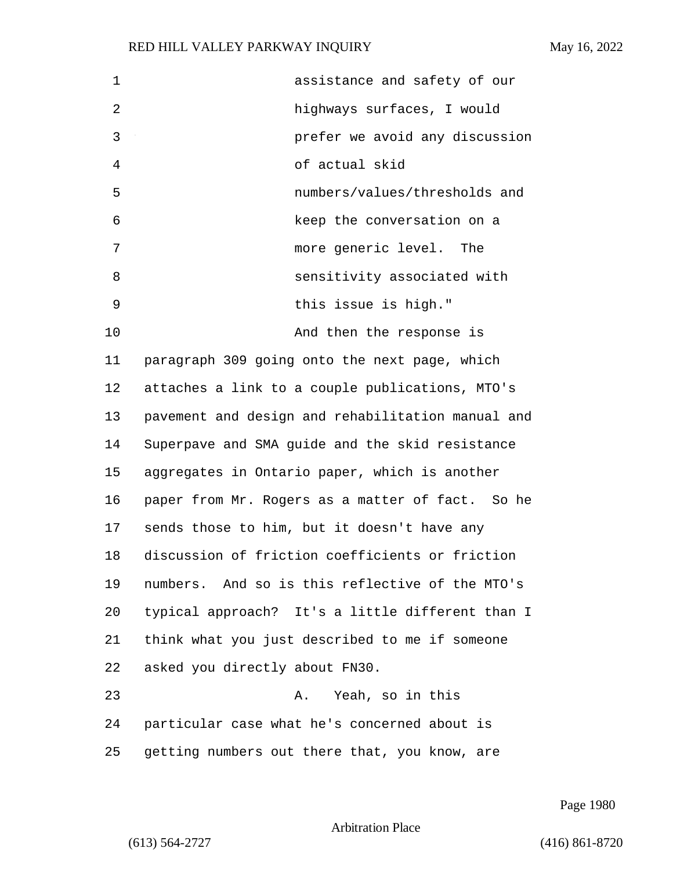| $\mathbf 1$ | assistance and safety of our                      |
|-------------|---------------------------------------------------|
| 2           | highways surfaces, I would                        |
| 3           | prefer we avoid any discussion                    |
| 4           | of actual skid                                    |
| 5           | numbers/values/thresholds and                     |
| 6           | keep the conversation on a                        |
| 7           | more generic level.<br>The                        |
| 8           | sensitivity associated with                       |
| 9           | this issue is high."                              |
| 10          | And then the response is                          |
| 11          | paragraph 309 going onto the next page, which     |
| 12          | attaches a link to a couple publications, MTO's   |
| 13          | pavement and design and rehabilitation manual and |
| 14          | Superpave and SMA guide and the skid resistance   |
| 15          | aggregates in Ontario paper, which is another     |
| 16          | paper from Mr. Rogers as a matter of fact. So he  |
| 17          | sends those to him, but it doesn't have any       |
| 18          | discussion of friction coefficients or friction   |
| 19          | numbers. And so is this reflective of the MTO's   |
| 20          | typical approach? It's a little different than I  |
| 21          | think what you just described to me if someone    |
| 22          | asked you directly about FN30.                    |
| 23          | Yeah, so in this<br>Α.                            |
| 24          | particular case what he's concerned about is      |
| 25          | getting numbers out there that, you know, are     |

Page 1980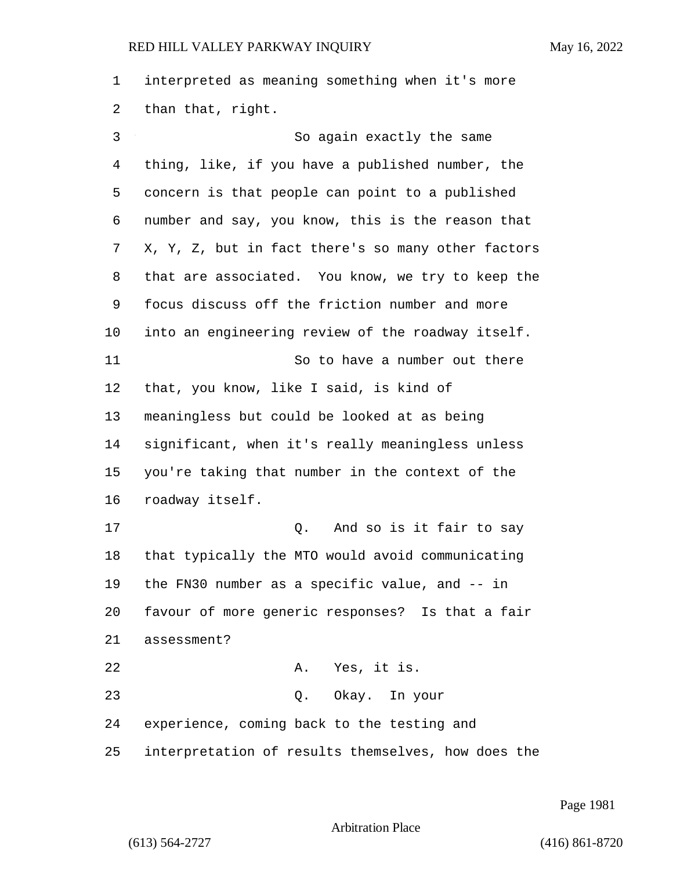interpreted as meaning something when it's more than that, right.

3 So again exactly the same thing, like, if you have a published number, the concern is that people can point to a published number and say, you know, this is the reason that X, Y, Z, but in fact there's so many other factors that are associated. You know, we try to keep the focus discuss off the friction number and more into an engineering review of the roadway itself. 11 So to have a number out there that, you know, like I said, is kind of meaningless but could be looked at as being significant, when it's really meaningless unless you're taking that number in the context of the roadway itself. 17 and so is it fair to say that typically the MTO would avoid communicating the FN30 number as a specific value, and -- in favour of more generic responses? Is that a fair assessment? 22 A. Yes, it is. 23 Q. Okay. In your experience, coming back to the testing and interpretation of results themselves, how does the

Page 1981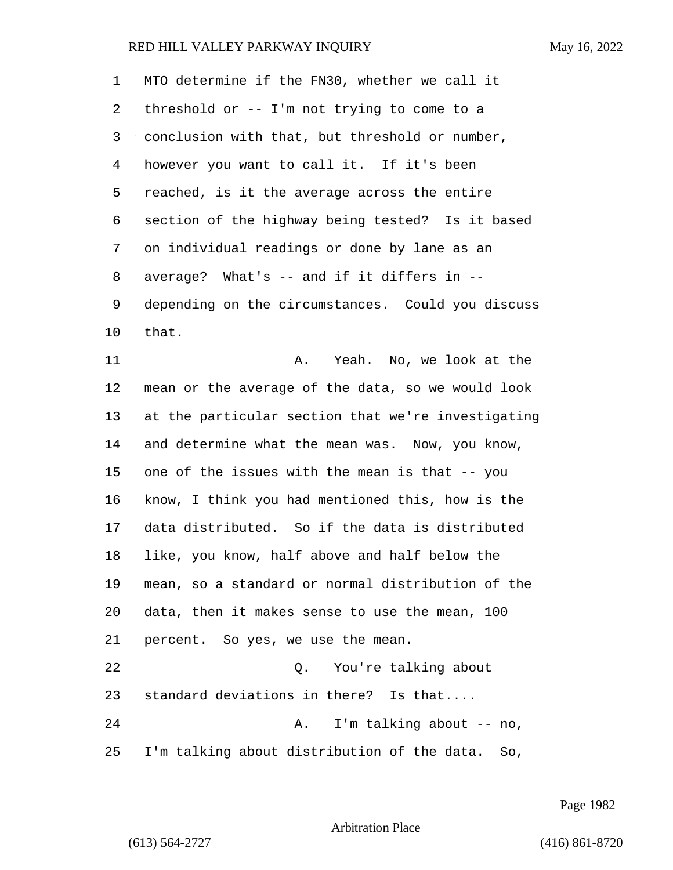MTO determine if the FN30, whether we call it threshold or -- I'm not trying to come to a conclusion with that, but threshold or number, however you want to call it. If it's been reached, is it the average across the entire section of the highway being tested? Is it based on individual readings or done by lane as an average? What's -- and if it differs in -- depending on the circumstances. Could you discuss that. 11 A. Yeah. No, we look at the mean or the average of the data, so we would look at the particular section that we're investigating and determine what the mean was. Now, you know, one of the issues with the mean is that -- you know, I think you had mentioned this, how is the data distributed. So if the data is distributed like, you know, half above and half below the mean, so a standard or normal distribution of the data, then it makes sense to use the mean, 100 percent. So yes, we use the mean. 22 Q. You're talking about standard deviations in there? Is that.... 24 A. I'm talking about -- no, I'm talking about distribution of the data. So,

Page 1982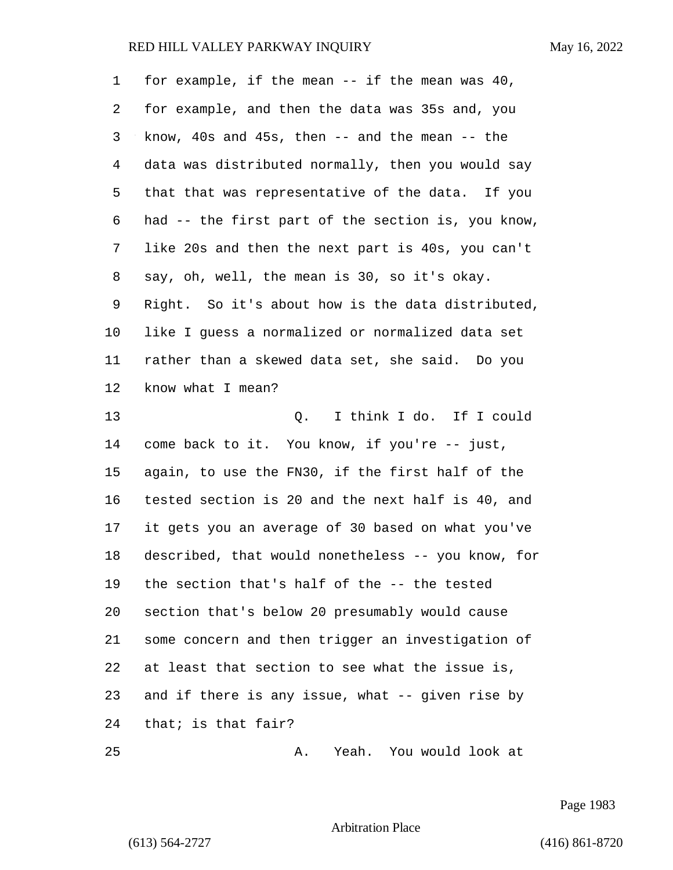| $\mathbf 1$ | for example, if the mean $--$ if the mean was 40,     |
|-------------|-------------------------------------------------------|
| 2           | for example, and then the data was 35s and, you       |
| 3           | know, $40s$ and $45s$ , then $-$ and the mean $-$ the |
| 4           | data was distributed normally, then you would say     |
| 5           | that that was representative of the data. If you      |
| 6           | had -- the first part of the section is, you know,    |
| 7           | like 20s and then the next part is 40s, you can't     |
| 8           | say, oh, well, the mean is 30, so it's okay.          |
| 9           | Right. So it's about how is the data distributed,     |
| 10          | like I guess a normalized or normalized data set      |
| 11          | rather than a skewed data set, she said. Do you       |
| 12          | know what I mean?                                     |
| 13          | I think I do. If I could<br>Q.                        |
| 14          | come back to it. You know, if you're -- just,         |
| 15          | again, to use the FN30, if the first half of the      |
| 16          | tested section is 20 and the next half is 40, and     |
| 17          | it gets you an average of 30 based on what you've     |
| 18          | described, that would nonetheless -- you know, for    |
| 19          | the section that's half of the -- the tested          |
| 20          | section that's below 20 presumably would cause        |
| 21          | some concern and then trigger an investigation of     |
| 22          | at least that section to see what the issue is,       |
| 23          | and if there is any issue, what -- given rise by      |
| 24          | that; is that fair?                                   |
| 25          | Yeah. You would look at<br>Α.                         |

Page 1983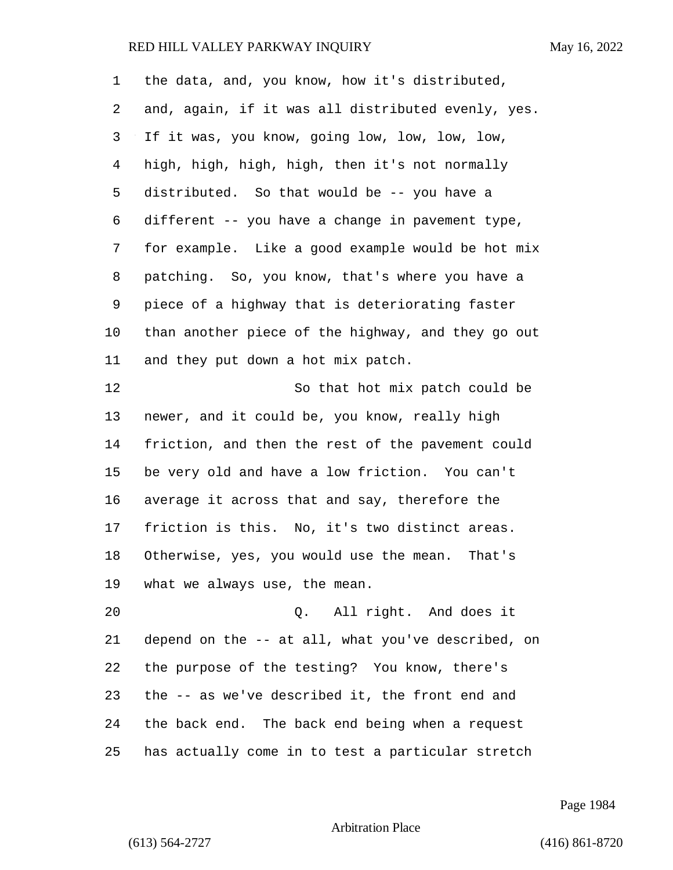| 1  | the data, and, you know, how it's distributed,     |
|----|----------------------------------------------------|
| 2  | and, again, if it was all distributed evenly, yes. |
| 3  | If it was, you know, going low, low, low, low,     |
| 4  | high, high, high, high, then it's not normally     |
| 5  | distributed. So that would be -- you have a        |
| 6  | different -- you have a change in pavement type,   |
| 7  | for example. Like a good example would be hot mix  |
| 8  | patching. So, you know, that's where you have a    |
| 9  | piece of a highway that is deteriorating faster    |
| 10 | than another piece of the highway, and they go out |
| 11 | and they put down a hot mix patch.                 |
| 12 | So that hot mix patch could be                     |
| 13 | newer, and it could be, you know, really high      |
| 14 | friction, and then the rest of the pavement could  |
| 15 | be very old and have a low friction. You can't     |
| 16 | average it across that and say, therefore the      |
| 17 | friction is this. No, it's two distinct areas.     |
| 18 | Otherwise, yes, you would use the mean. That's     |
| 19 | what we always use, the mean.                      |
| 20 | Q. All right. And does it                          |
| 21 | depend on the -- at all, what you've described, on |
| 22 | the purpose of the testing? You know, there's      |
| 23 | the -- as we've described it, the front end and    |
| 24 | the back end. The back end being when a request    |
| 25 | has actually come in to test a particular stretch  |

Page 1984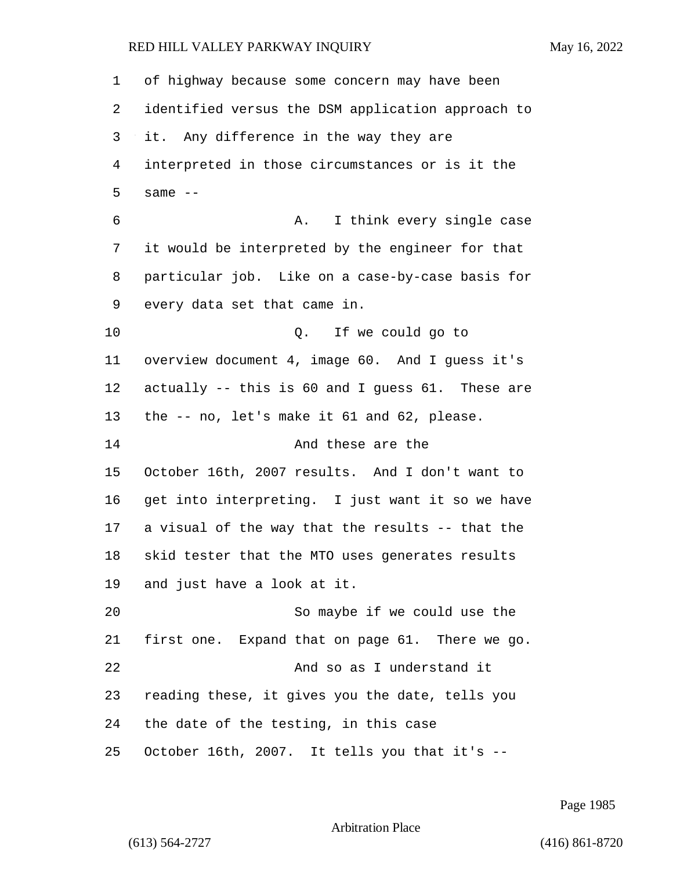| 1  | of highway because some concern may have been     |
|----|---------------------------------------------------|
| 2  | identified versus the DSM application approach to |
| 3  | it. Any difference in the way they are            |
| 4  | interpreted in those circumstances or is it the   |
| 5  | same $--$                                         |
| 6  | I think every single case<br>Α.                   |
| 7  | it would be interpreted by the engineer for that  |
| 8  | particular job. Like on a case-by-case basis for  |
| 9  | every data set that came in.                      |
| 10 | Q. If we could go to                              |
| 11 | overview document 4, image 60. And I guess it's   |
| 12 | actually -- this is 60 and I guess 61. These are  |
| 13 | the -- no, let's make it 61 and 62, please.       |
| 14 | And these are the                                 |
| 15 | October 16th, 2007 results. And I don't want to   |
| 16 | get into interpreting. I just want it so we have  |
| 17 | a visual of the way that the results -- that the  |
| 18 | skid tester that the MTO uses generates results   |
| 19 | and just have a look at it.                       |
| 20 | So maybe if we could use the                      |
| 21 | first one. Expand that on page 61. There we go.   |
| 22 | And so as I understand it                         |
| 23 | reading these, it gives you the date, tells you   |
| 24 | the date of the testing, in this case             |
| 25 | October 16th, 2007. It tells you that it's --     |

Page 1985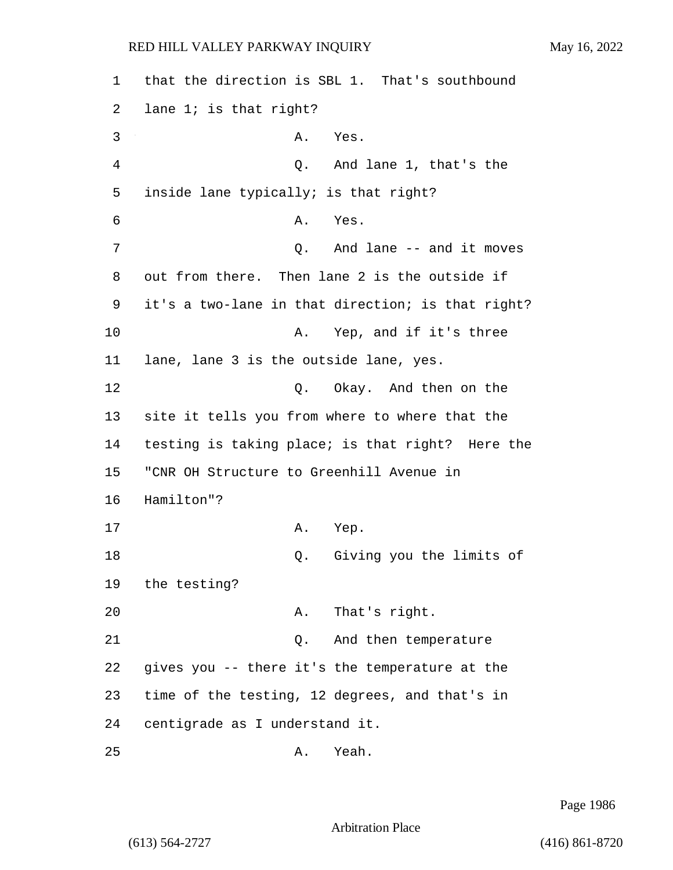1 that the direction is SBL 1. That's southbound 2 lane 1; is that right? 3 A. Yes. 4 Q. And lane 1, that's the 5 inside lane typically; is that right? 6 A. Yes. 7 C. And lane -- and it moves 8 out from there. Then lane 2 is the outside if 9 it's a two-lane in that direction; is that right? 10 A. Yep, and if it's three 11 lane, lane 3 is the outside lane, yes. 12 O. Okay. And then on the 13 site it tells you from where to where that the 14 testing is taking place; is that right? Here the 15 "CNR OH Structure to Greenhill Avenue in 16 Hamilton"? 17 A. Yep. 18 Q. Giving you the limits of 19 the testing? 20 A. That's right. 21 Q. And then temperature 22 gives you -- there it's the temperature at the 23 time of the testing, 12 degrees, and that's in 24 centigrade as I understand it.

25 A. Yeah.

Page 1986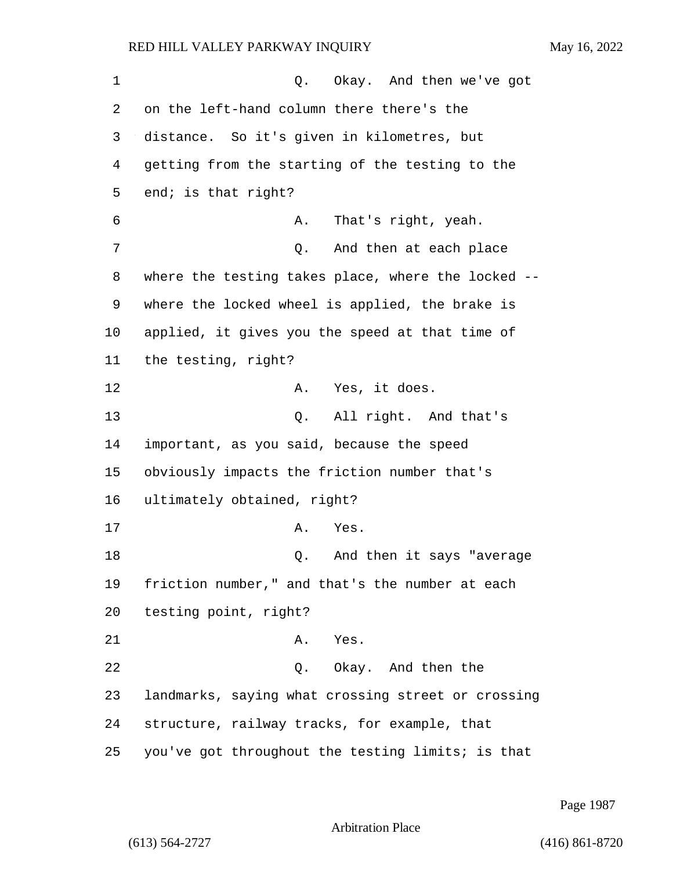1 C. Okay. And then we've got on the left-hand column there there's the distance. So it's given in kilometres, but getting from the starting of the testing to the end; is that right? 6 A. That's right, yeah. 7 and then at each place 7 where the testing takes place, where the locked -- where the locked wheel is applied, the brake is applied, it gives you the speed at that time of the testing, right? 12 A. Yes, it does. 13 Q. All right. And that's important, as you said, because the speed obviously impacts the friction number that's ultimately obtained, right? 17 A. Yes. 18 and then it says "average" friction number," and that's the number at each testing point, right? 21 A. Yes. 22 Q. Okay. And then the landmarks, saying what crossing street or crossing structure, railway tracks, for example, that you've got throughout the testing limits; is that

Page 1987

Arbitration Place

(613) 564-2727 (416) 861-8720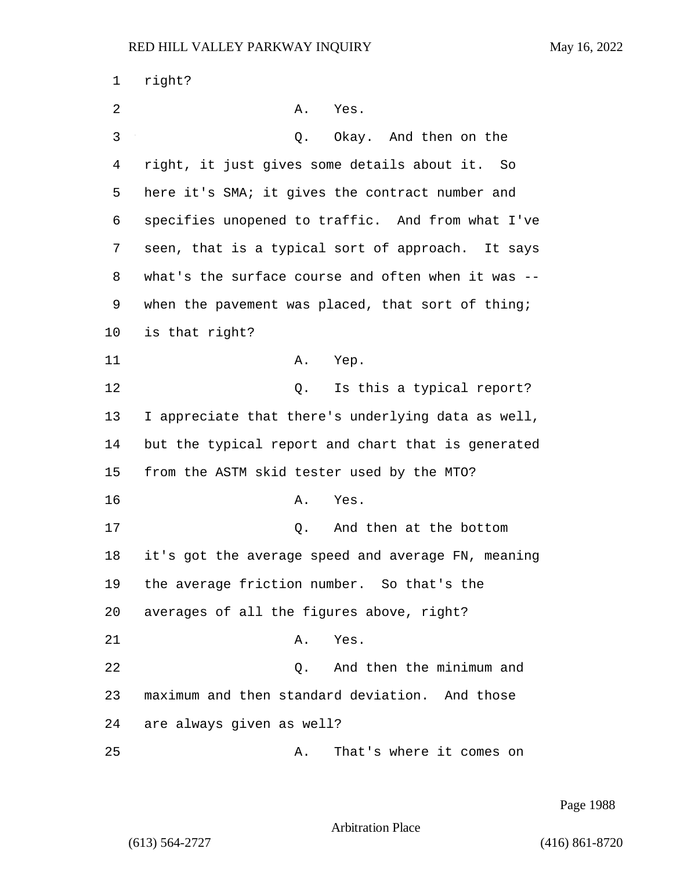| 1  | right?                                             |
|----|----------------------------------------------------|
| 2  | Α.<br>Yes.                                         |
| 3  | Okay. And then on the<br>Q.                        |
| 4  | right, it just gives some details about it. So     |
| 5  | here it's SMA; it gives the contract number and    |
| 6  | specifies unopened to traffic. And from what I've  |
| 7  | seen, that is a typical sort of approach. It says  |
| 8  | what's the surface course and often when it was -- |
| 9  | when the pavement was placed, that sort of thing;  |
| 10 | is that right?                                     |
| 11 | Α.<br>Yep.                                         |
| 12 | Q. Is this a typical report?                       |
| 13 | I appreciate that there's underlying data as well, |
| 14 | but the typical report and chart that is generated |
| 15 | from the ASTM skid tester used by the MTO?         |
| 16 | Α.<br>Yes.                                         |
| 17 | And then at the bottom<br>Q.                       |
| 18 | it's got the average speed and average FN, meaning |
| 19 | the average friction number. So that's the         |
| 20 | averages of all the figures above, right?          |
| 21 | Α.<br>Yes.                                         |
| 22 | And then the minimum and<br>Q.                     |
| 23 | maximum and then standard deviation. And those     |
| 24 | are always given as well?                          |
| 25 | That's where it comes on<br>Α.                     |

Page 1988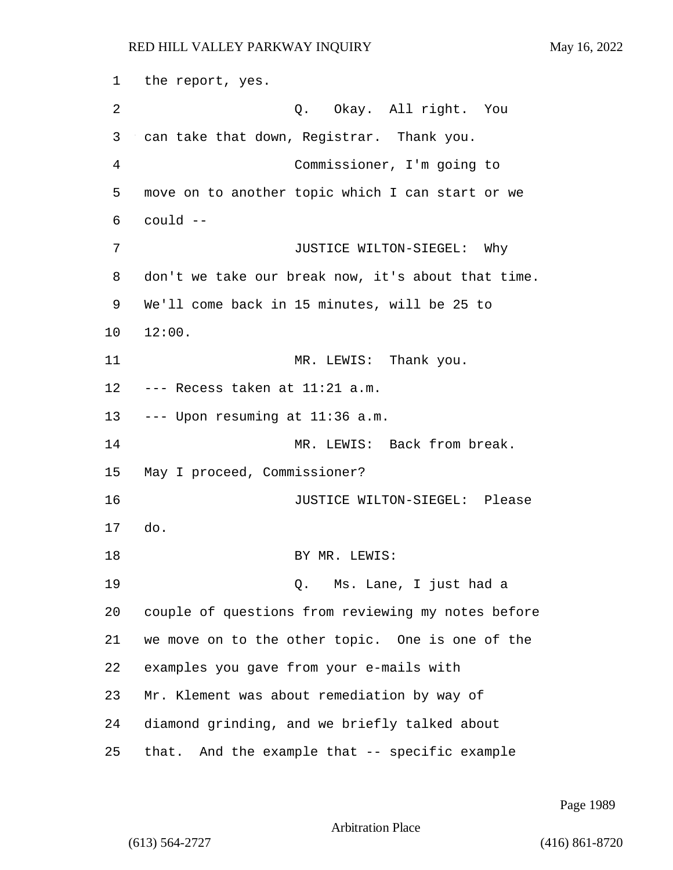1 the report, yes. 2 Q. Okay. All right. You 3 can take that down, Registrar. Thank you. 4 Commissioner, I'm going to 5 move on to another topic which I can start or we 6 could -- 7 JUSTICE WILTON-SIEGEL: Why 8 don't we take our break now, it's about that time. 9 We'll come back in 15 minutes, will be 25 to 10 12:00. 11 MR. LEWIS: Thank you. 12 --- Recess taken at 11:21 a.m. 13 --- Upon resuming at 11:36 a.m. 14 MR. LEWIS: Back from break. 15 May I proceed, Commissioner? 16 JUSTICE WILTON-SIEGEL: Please 17 do. 18 BY MR. LEWIS: 19 Q. Ms. Lane, I just had a 20 couple of questions from reviewing my notes before 21 we move on to the other topic. One is one of the 22 examples you gave from your e-mails with 23 Mr. Klement was about remediation by way of 24 diamond grinding, and we briefly talked about 25 that. And the example that -- specific example

Page 1989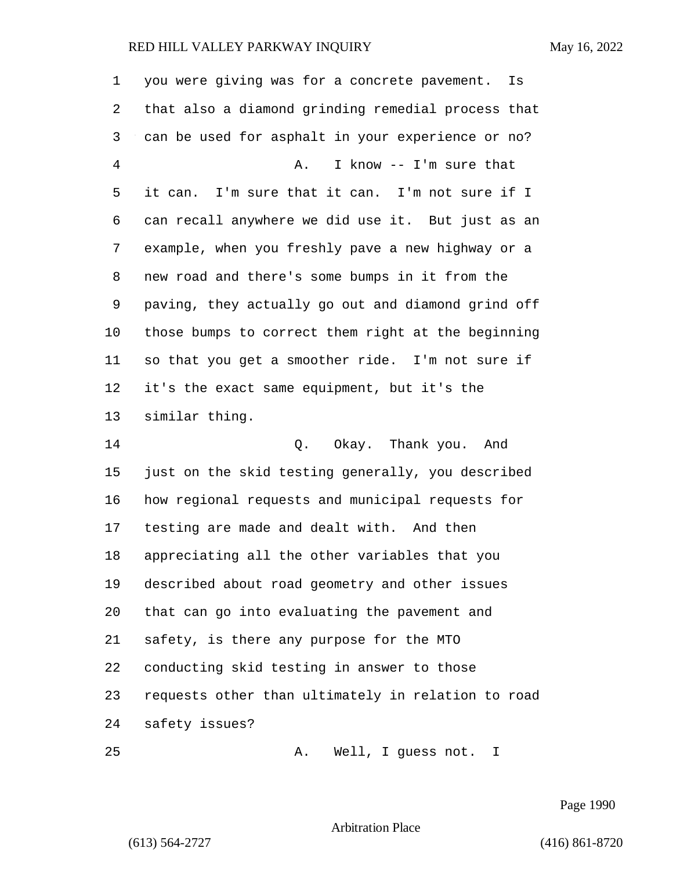| 1  | you were giving was for a concrete pavement.<br>Is |
|----|----------------------------------------------------|
| 2  | that also a diamond grinding remedial process that |
| 3  | can be used for asphalt in your experience or no?  |
| 4  | I know -- I'm sure that<br>Α.                      |
| 5  | it can. I'm sure that it can. I'm not sure if I    |
| 6  | can recall anywhere we did use it. But just as an  |
| 7  | example, when you freshly pave a new highway or a  |
| 8  | new road and there's some bumps in it from the     |
| 9  | paving, they actually go out and diamond grind off |
| 10 | those bumps to correct them right at the beginning |
| 11 | so that you get a smoother ride. I'm not sure if   |
| 12 | it's the exact same equipment, but it's the        |
| 13 | similar thing.                                     |
| 14 | Q. Okay. Thank you. And                            |
| 15 | just on the skid testing generally, you described  |
| 16 | how regional requests and municipal requests for   |
| 17 | testing are made and dealt with. And then          |
| 18 | appreciating all the other variables that you      |
| 19 | described about road geometry and other issues     |
| 20 | that can go into evaluating the pavement and       |
| 21 | safety, is there any purpose for the MTO           |
| 22 | conducting skid testing in answer to those         |
| 23 | requests other than ultimately in relation to road |
| 24 | safety issues?                                     |
| 25 | Well, I guess not.<br>Α.<br>I                      |

Page 1990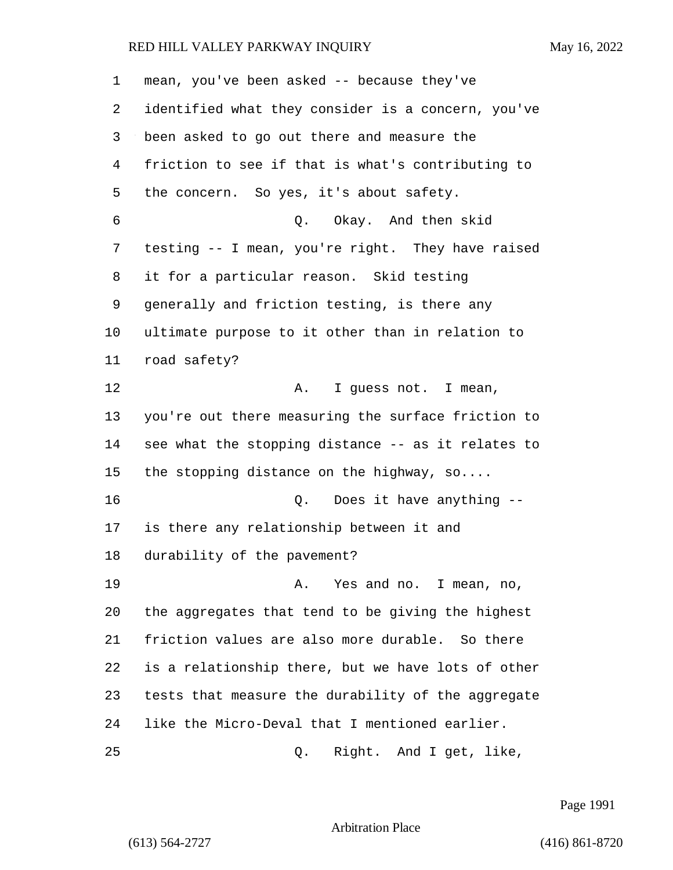| 1  | mean, you've been asked -- because they've         |
|----|----------------------------------------------------|
| 2  | identified what they consider is a concern, you've |
| 3  | been asked to go out there and measure the         |
| 4  | friction to see if that is what's contributing to  |
| 5  | the concern. So yes, it's about safety.            |
| 6  | Q. Okay. And then skid                             |
| 7  | testing -- I mean, you're right. They have raised  |
| 8  | it for a particular reason. Skid testing           |
| 9  | generally and friction testing, is there any       |
| 10 | ultimate purpose to it other than in relation to   |
| 11 | road safety?                                       |
| 12 | I guess not. I mean,<br>Α.                         |
| 13 | you're out there measuring the surface friction to |
| 14 | see what the stopping distance -- as it relates to |
| 15 | the stopping distance on the highway, so           |
| 16 | Does it have anything --<br>Q.                     |
| 17 | is there any relationship between it and           |
| 18 | durability of the pavement?                        |
| 19 | Yes and no. I mean, no,<br>Α.                      |
| 20 | the aggregates that tend to be giving the highest  |
| 21 | friction values are also more durable. So there    |
| 22 | is a relationship there, but we have lots of other |
| 23 | tests that measure the durability of the aggregate |
| 24 | like the Micro-Deval that I mentioned earlier.     |
| 25 | Right. And I get, like,<br>Q.                      |

Page 1991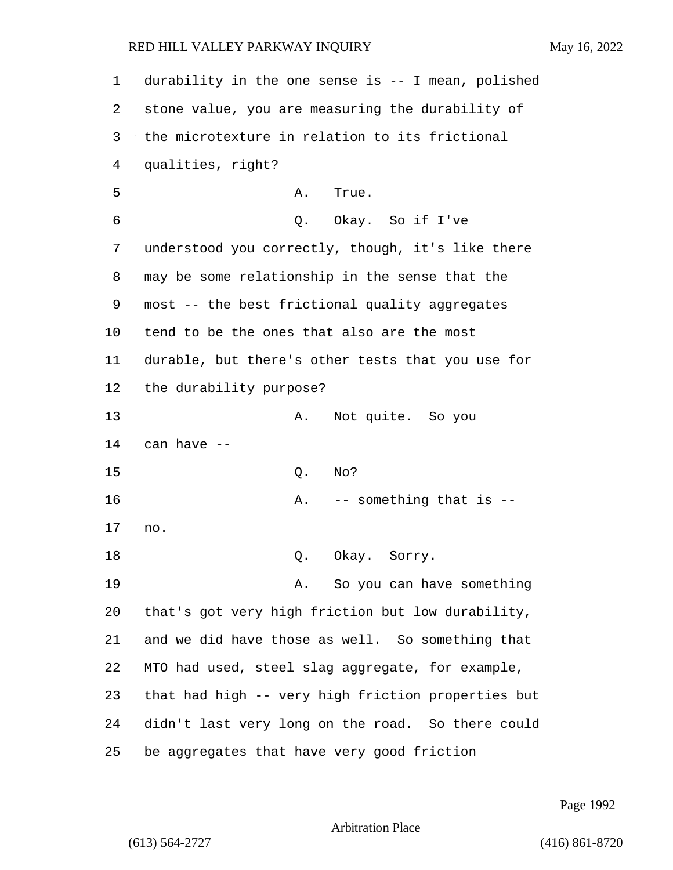| 1  | durability in the one sense is -- I mean, polished |
|----|----------------------------------------------------|
| 2  | stone value, you are measuring the durability of   |
| 3  | the microtexture in relation to its frictional     |
| 4  | qualities, right?                                  |
| 5  | Α.<br>True.                                        |
| 6  | Q. Okay. So if I've                                |
| 7  | understood you correctly, though, it's like there  |
| 8  | may be some relationship in the sense that the     |
| 9  | most -- the best frictional quality aggregates     |
| 10 | tend to be the ones that also are the most         |
| 11 | durable, but there's other tests that you use for  |
| 12 | the durability purpose?                            |
| 13 | Not quite. So you<br>Α.                            |
| 14 | can have --                                        |
| 15 | Q.<br>No?                                          |
| 16 | -- something that is --<br>Α.                      |
| 17 | no.                                                |
| 18 | Okay. Sorry.<br>Q.                                 |
| 19 | So you can have something<br>Α.                    |
| 20 | that's got very high friction but low durability,  |
| 21 | and we did have those as well. So something that   |
| 22 | MTO had used, steel slag aggregate, for example,   |
| 23 | that had high -- very high friction properties but |
| 24 | didn't last very long on the road. So there could  |
| 25 | be aggregates that have very good friction         |

Page 1992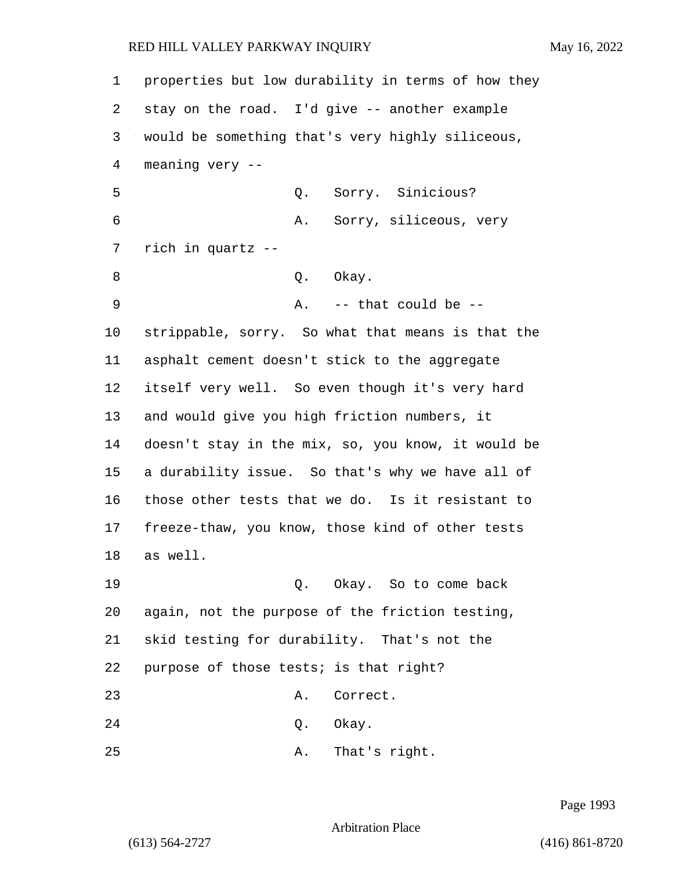properties but low durability in terms of how they stay on the road. I'd give -- another example would be something that's very highly siliceous, meaning very -- 5 Q. Sorry. Sinicious? 6 A. Sorry, siliceous, very rich in quartz -- 8 Q. Okay. 9 A. -- that could be -- strippable, sorry. So what that means is that the asphalt cement doesn't stick to the aggregate itself very well. So even though it's very hard and would give you high friction numbers, it doesn't stay in the mix, so, you know, it would be a durability issue. So that's why we have all of those other tests that we do. Is it resistant to freeze-thaw, you know, those kind of other tests 18 as well. 19 Q. Okay. So to come back again, not the purpose of the friction testing, skid testing for durability. That's not the purpose of those tests; is that right? 23 A. Correct. 24 Q. Okay. 25 A. That's right.

Page 1993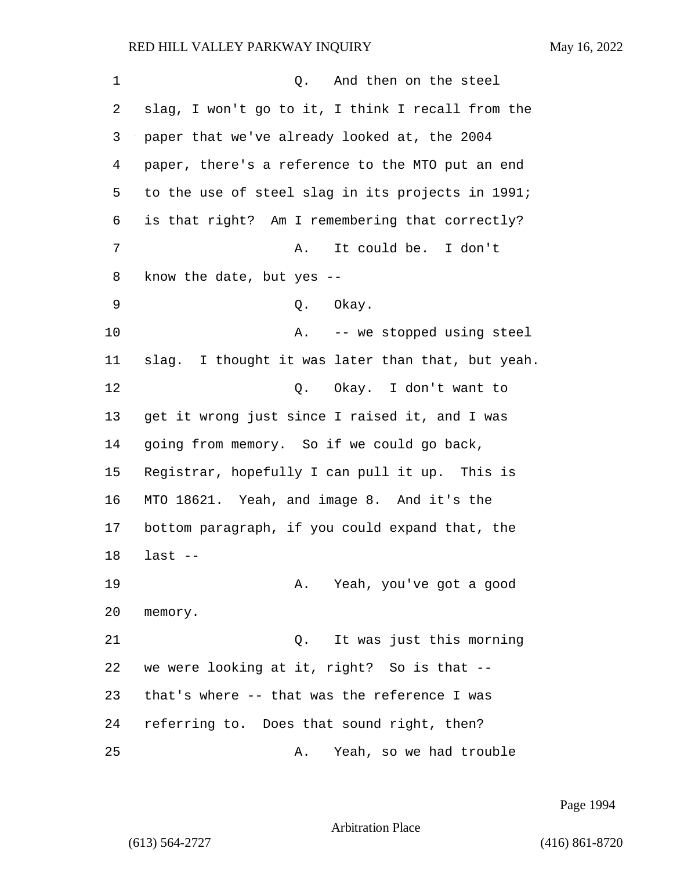| 1  | And then on the steel<br>Q.                       |
|----|---------------------------------------------------|
| 2  | slag, I won't go to it, I think I recall from the |
| 3  | paper that we've already looked at, the 2004      |
| 4  | paper, there's a reference to the MTO put an end  |
| 5  | to the use of steel slag in its projects in 1991; |
| 6  | is that right? Am I remembering that correctly?   |
| 7  | It could be. I don't<br>A.                        |
| 8  | know the date, but yes --                         |
| 9  | Q. Okay.                                          |
| 10 | -- we stopped using steel<br>Α.                   |
| 11 | slag. I thought it was later than that, but yeah. |
| 12 | Q. Okay. I don't want to                          |
| 13 | get it wrong just since I raised it, and I was    |
| 14 | going from memory. So if we could go back,        |
| 15 | Registrar, hopefully I can pull it up. This is    |
| 16 | MTO 18621. Yeah, and image 8. And it's the        |
| 17 | bottom paragraph, if you could expand that, the   |
| 18 | $last$ --                                         |
| 19 | A. Yeah, you've got a good                        |
| 20 | memory.                                           |
| 21 | It was just this morning<br>Q.                    |
| 22 | we were looking at it, right? So is that --       |
| 23 | that's where -- that was the reference I was      |
| 24 | referring to. Does that sound right, then?        |
| 25 | Yeah, so we had trouble<br>Α.                     |

Page 1994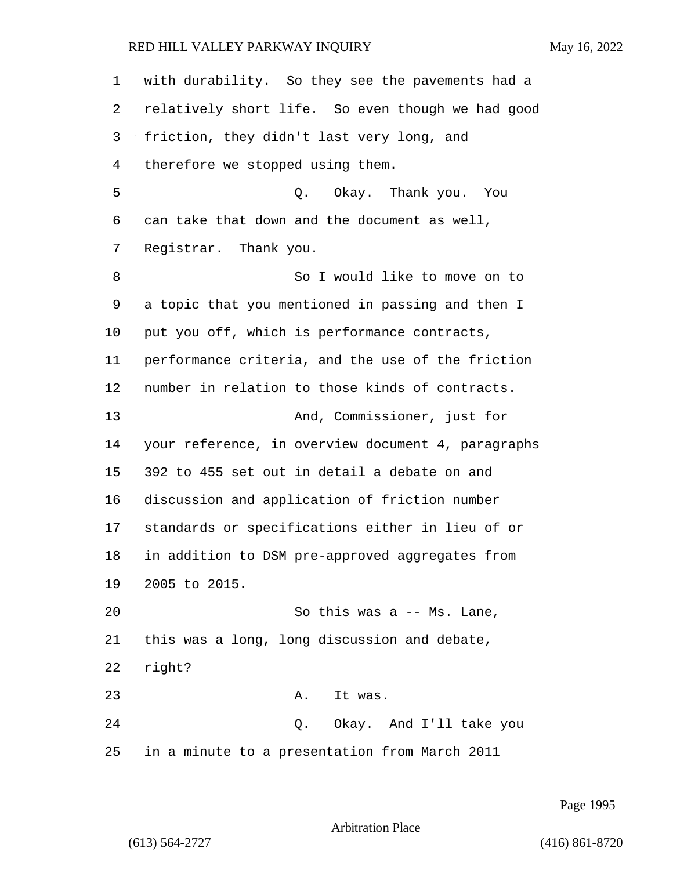with durability. So they see the pavements had a relatively short life. So even though we had good friction, they didn't last very long, and therefore we stopped using them. 5 Q. Okay. Thank you. You can take that down and the document as well, Registrar. Thank you. 8 So I would like to move on to a topic that you mentioned in passing and then I put you off, which is performance contracts, performance criteria, and the use of the friction number in relation to those kinds of contracts. 13 And, Commissioner, just for your reference, in overview document 4, paragraphs 392 to 455 set out in detail a debate on and discussion and application of friction number standards or specifications either in lieu of or in addition to DSM pre-approved aggregates from 2005 to 2015. 20 So this was a -- Ms. Lane, this was a long, long discussion and debate, right? 23 A. It was. 24 Q. Okay. And I'll take you in a minute to a presentation from March 2011

Page 1995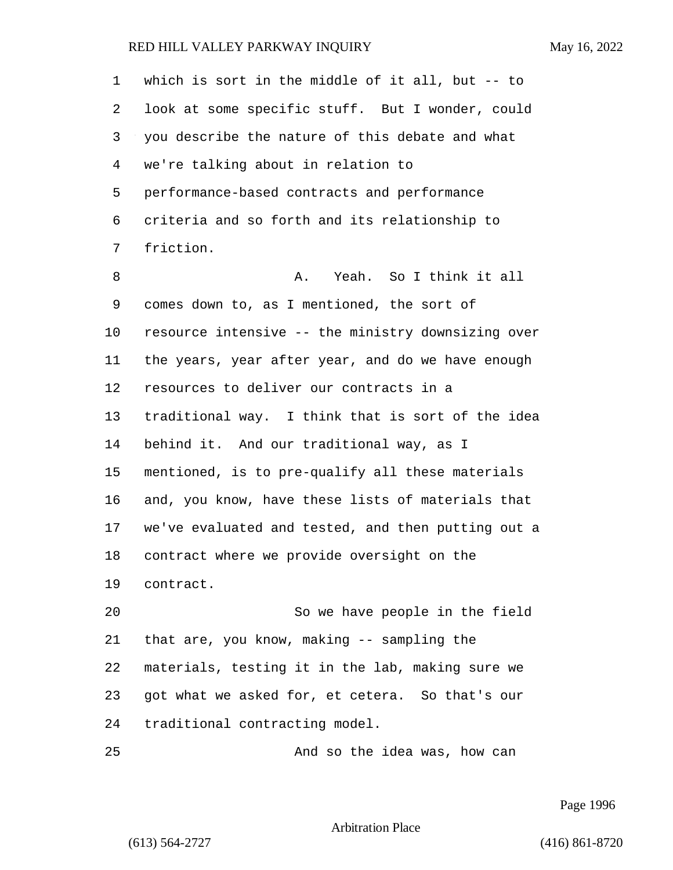| $\mathbf{1}$ | which is sort in the middle of it all, but $-$ to  |
|--------------|----------------------------------------------------|
| 2            | look at some specific stuff. But I wonder, could   |
| 3            | you describe the nature of this debate and what    |
| 4            | we're talking about in relation to                 |
| 5            | performance-based contracts and performance        |
| 6            | criteria and so forth and its relationship to      |
| 7            | friction.                                          |
| 8            | Yeah. So I think it all<br>Α.                      |
| 9            | comes down to, as I mentioned, the sort of         |
| $10 \,$      | resource intensive -- the ministry downsizing over |
| 11           | the years, year after year, and do we have enough  |
| 12           | resources to deliver our contracts in a            |
| 13           | traditional way. I think that is sort of the idea  |
| 14           | behind it. And our traditional way, as I           |
| 15           | mentioned, is to pre-qualify all these materials   |
| 16           | and, you know, have these lists of materials that  |
| 17           | we've evaluated and tested, and then putting out a |
| 18           | contract where we provide oversight on the         |
| 19           | contract.                                          |
| 20           | So we have people in the field                     |
| 21           | that are, you know, making -- sampling the         |
| 22           | materials, testing it in the lab, making sure we   |
| 23           | got what we asked for, et cetera. So that's our    |
| 24           | traditional contracting model.                     |
| 25           | And so the idea was, how can                       |

Page 1996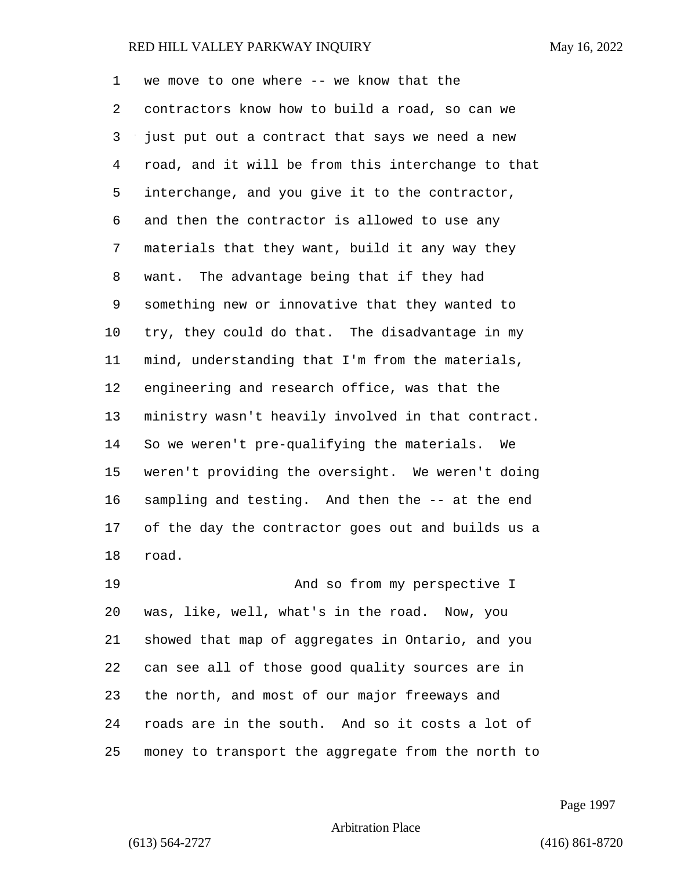we move to one where -- we know that the contractors know how to build a road, so can we just put out a contract that says we need a new road, and it will be from this interchange to that interchange, and you give it to the contractor, and then the contractor is allowed to use any materials that they want, build it any way they want. The advantage being that if they had something new or innovative that they wanted to try, they could do that. The disadvantage in my mind, understanding that I'm from the materials, engineering and research office, was that the ministry wasn't heavily involved in that contract. So we weren't pre-qualifying the materials. We weren't providing the oversight. We weren't doing sampling and testing. And then the -- at the end of the day the contractor goes out and builds us a road. 19 And so from my perspective I was, like, well, what's in the road. Now, you showed that map of aggregates in Ontario, and you can see all of those good quality sources are in the north, and most of our major freeways and roads are in the south. And so it costs a lot of money to transport the aggregate from the north to

Page 1997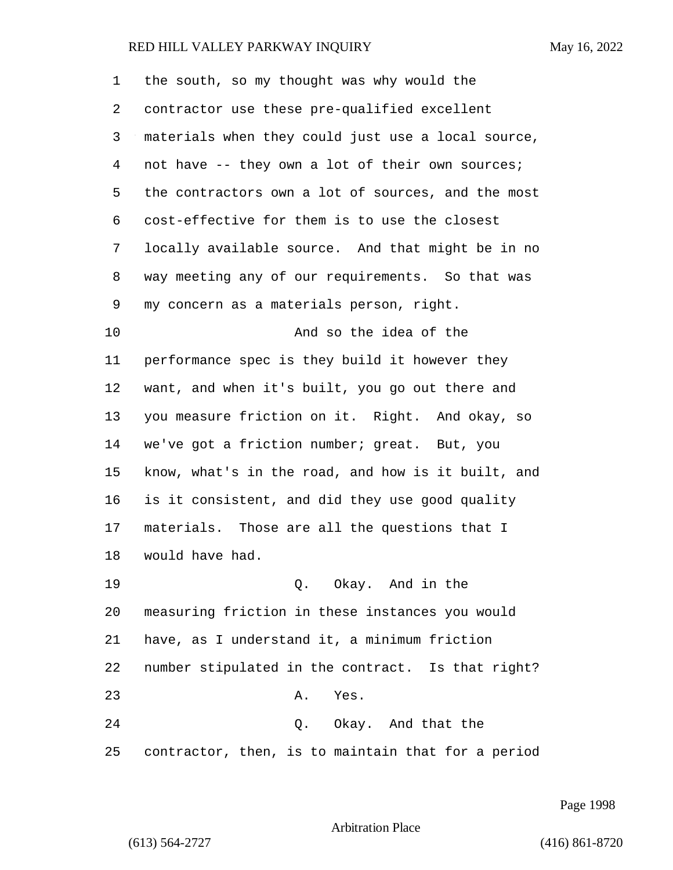| 1  | the south, so my thought was why would the         |
|----|----------------------------------------------------|
| 2  | contractor use these pre-qualified excellent       |
| 3  | materials when they could just use a local source, |
| 4  | not have -- they own a lot of their own sources;   |
| 5  | the contractors own a lot of sources, and the most |
| 6  | cost-effective for them is to use the closest      |
| 7  | locally available source. And that might be in no  |
| 8  | way meeting any of our requirements. So that was   |
| 9  | my concern as a materials person, right.           |
| 10 | And so the idea of the                             |
| 11 | performance spec is they build it however they     |
| 12 | want, and when it's built, you go out there and    |
| 13 | you measure friction on it. Right. And okay, so    |
| 14 | we've got a friction number; great. But, you       |
| 15 | know, what's in the road, and how is it built, and |
| 16 | is it consistent, and did they use good quality    |
| 17 | materials. Those are all the questions that I      |
| 18 | would have had.                                    |
| 19 | Q. Okay. And in the                                |
| 20 | measuring friction in these instances you would    |
| 21 | have, as I understand it, a minimum friction       |
| 22 | number stipulated in the contract. Is that right?  |
| 23 | Α.<br>Yes.                                         |
| 24 | Q. Okay. And that the                              |
| 25 | contractor, then, is to maintain that for a period |

Page 1998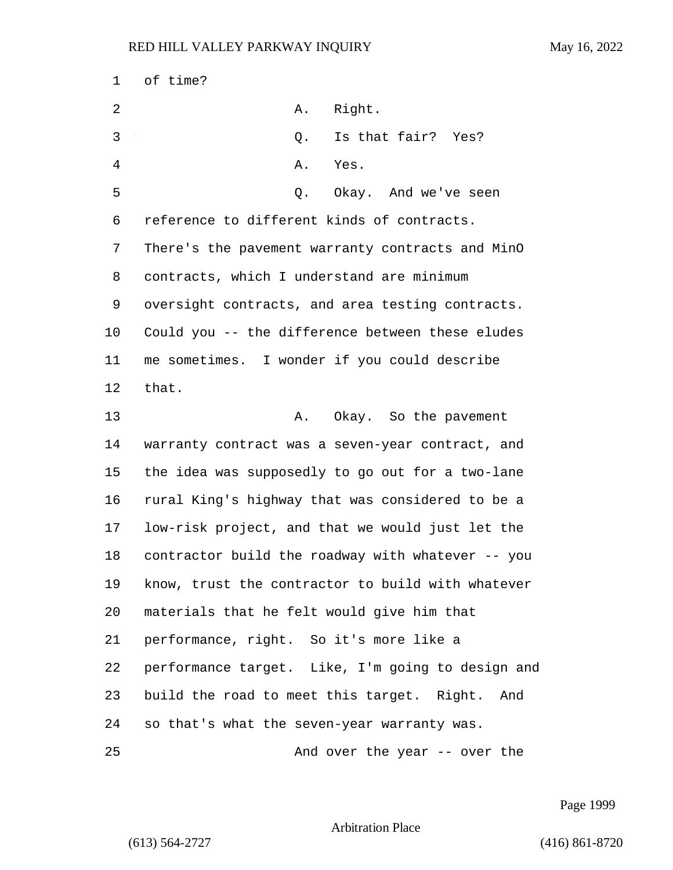of time? 2 A. Right. 3 Q. Is that fair? Yes? 4 A. Yes. 5 Q. Okay. And we've seen reference to different kinds of contracts. There's the pavement warranty contracts and MinO contracts, which I understand are minimum oversight contracts, and area testing contracts. Could you -- the difference between these eludes me sometimes. I wonder if you could describe that. 13 A. Okay. So the pavement warranty contract was a seven-year contract, and the idea was supposedly to go out for a two-lane rural King's highway that was considered to be a low-risk project, and that we would just let the contractor build the roadway with whatever -- you know, trust the contractor to build with whatever materials that he felt would give him that performance, right. So it's more like a performance target. Like, I'm going to design and build the road to meet this target. Right. And so that's what the seven-year warranty was. 25 And over the year -- over the

Page 1999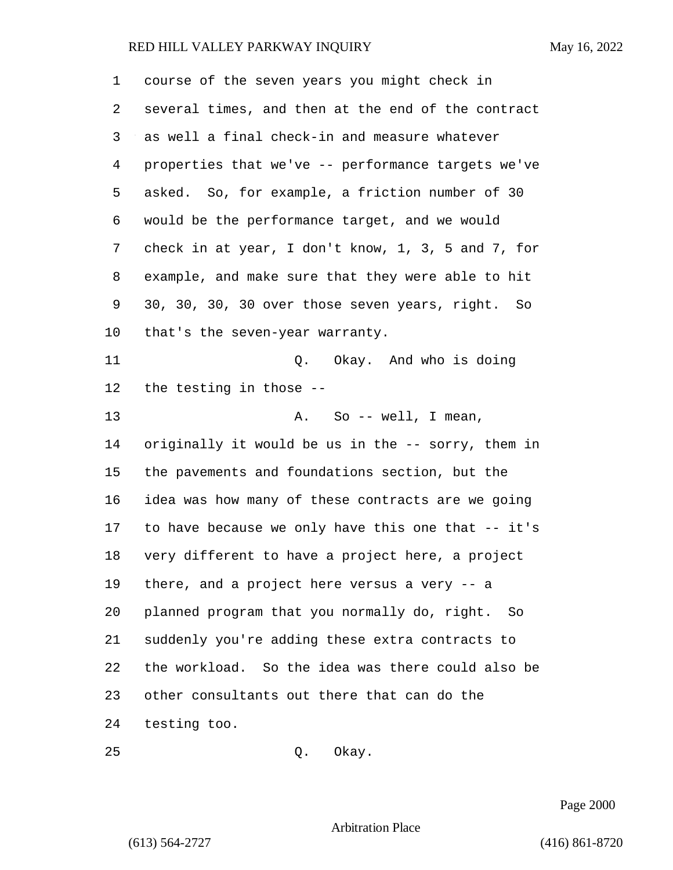| 1  | course of the seven years you might check in       |
|----|----------------------------------------------------|
| 2  | several times, and then at the end of the contract |
| 3  | as well a final check-in and measure whatever      |
| 4  | properties that we've -- performance targets we've |
| 5  | asked. So, for example, a friction number of 30    |
| 6  | would be the performance target, and we would      |
| 7  | check in at year, I don't know, 1, 3, 5 and 7, for |
| 8  | example, and make sure that they were able to hit  |
| 9  | 30, 30, 30, 30 over those seven years, right. So   |
| 10 | that's the seven-year warranty.                    |
| 11 | Okay. And who is doing<br>Q.                       |
| 12 | the testing in those --                            |
| 13 | A. So -- well, I mean,                             |
| 14 | originally it would be us in the -- sorry, them in |
| 15 | the pavements and foundations section, but the     |
| 16 | idea was how many of these contracts are we going  |
| 17 | to have because we only have this one that -- it's |
| 18 | very different to have a project here, a project   |
| 19 | there, and a project here versus a very -- a       |
| 20 | planned program that you normally do, right. So    |
| 21 | suddenly you're adding these extra contracts to    |
| 22 | the workload. So the idea was there could also be  |
| 23 | other consultants out there that can do the        |
| 24 | testing too.                                       |
| 25 | Okay.<br>Q.                                        |

Page 2000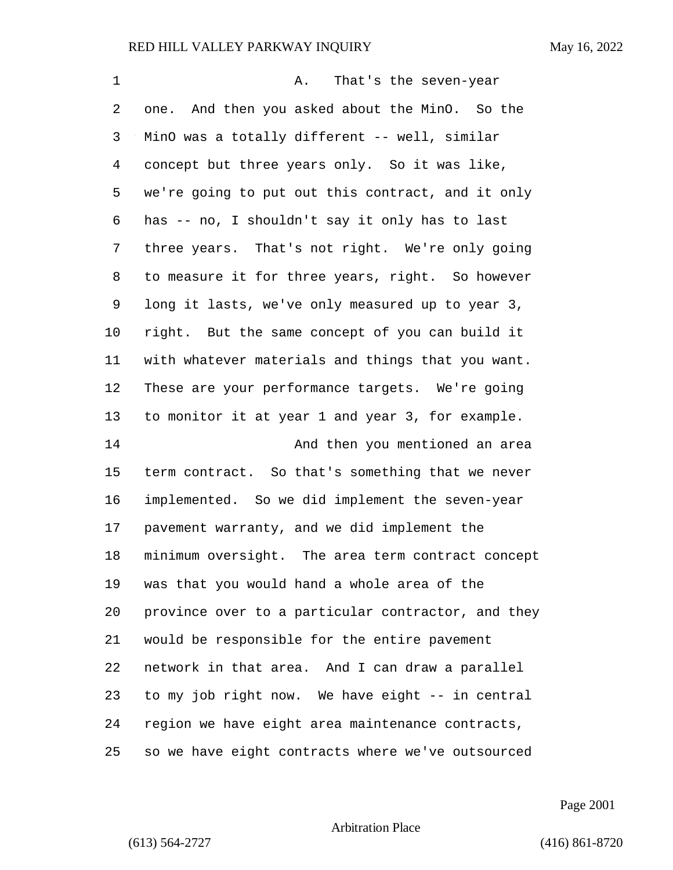| 1              | That's the seven-year<br>Α.                        |
|----------------|----------------------------------------------------|
| 2              | one. And then you asked about the MinO. So the     |
| 3              | MinO was a totally different -- well, similar      |
| $\overline{4}$ | concept but three years only. So it was like,      |
| 5              | we're going to put out this contract, and it only  |
| 6              | has -- no, I shouldn't say it only has to last     |
| 7              | three years. That's not right. We're only going    |
| 8              | to measure it for three years, right. So however   |
| 9              | long it lasts, we've only measured up to year 3,   |
| 10             | right. But the same concept of you can build it    |
| 11             | with whatever materials and things that you want.  |
| 12             | These are your performance targets. We're going    |
| 13             | to monitor it at year 1 and year 3, for example.   |
| 14             | And then you mentioned an area                     |
| 15             | term contract. So that's something that we never   |
| 16             | implemented. So we did implement the seven-year    |
| 17             | pavement warranty, and we did implement the        |
| 18             | minimum oversight. The area term contract concept  |
| 19             | was that you would hand a whole area of the        |
| 20             | province over to a particular contractor, and they |
| 21             | would be responsible for the entire pavement       |
| 22             | network in that area. And I can draw a parallel    |
| 23             | to my job right now. We have eight -- in central   |
| 24             | region we have eight area maintenance contracts,   |
| 25             | so we have eight contracts where we've outsourced  |

Page 2001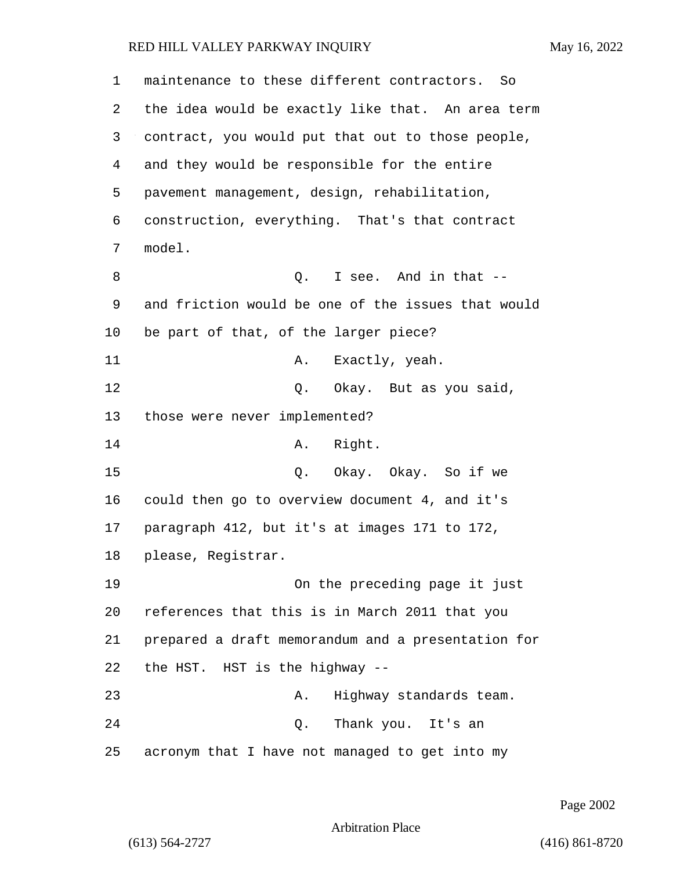| 1  | maintenance to these different contractors. So     |
|----|----------------------------------------------------|
| 2  | the idea would be exactly like that. An area term  |
| 3  | contract, you would put that out to those people,  |
| 4  | and they would be responsible for the entire       |
| 5  | pavement management, design, rehabilitation,       |
| 6  | construction, everything. That's that contract     |
| 7  | model.                                             |
| 8  | I see. And in that --<br>Q.                        |
| 9  | and friction would be one of the issues that would |
| 10 | be part of that, of the larger piece?              |
| 11 | Exactly, yeah.<br>Α.                               |
| 12 | Okay. But as you said,<br>Q.                       |
| 13 | those were never implemented?                      |
| 14 | Right.<br>A.                                       |
| 15 | Q. Okay. Okay. So if we                            |
| 16 | could then go to overview document 4, and it's     |
| 17 | paragraph 412, but it's at images 171 to 172,      |
| 18 | please, Registrar.                                 |
| 19 | On the preceding page it just                      |
| 20 | references that this is in March 2011 that you     |
| 21 | prepared a draft memorandum and a presentation for |
| 22 | the HST. HST is the highway --                     |
| 23 | Highway standards team.<br>Α.                      |
| 24 | Thank you. It's an<br>Q.                           |
| 25 | acronym that I have not managed to get into my     |

Page 2002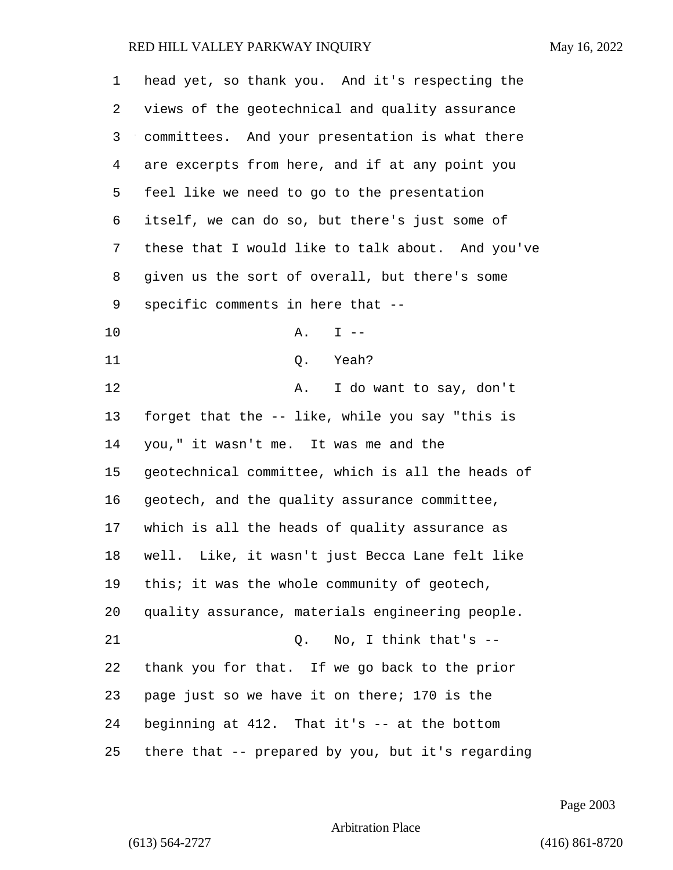| 1  | head yet, so thank you. And it's respecting the   |
|----|---------------------------------------------------|
| 2  | views of the geotechnical and quality assurance   |
| 3  | committees. And your presentation is what there   |
| 4  | are excerpts from here, and if at any point you   |
| 5  | feel like we need to go to the presentation       |
| 6  | itself, we can do so, but there's just some of    |
| 7  | these that I would like to talk about. And you've |
| 8  | given us the sort of overall, but there's some    |
| 9  | specific comments in here that --                 |
| 10 | Α.<br>$I - -$                                     |
| 11 | Q. Yeah?                                          |
| 12 | Α.<br>I do want to say, don't                     |
| 13 | forget that the -- like, while you say "this is   |
| 14 | you," it wasn't me. It was me and the             |
| 15 | geotechnical committee, which is all the heads of |
| 16 | geotech, and the quality assurance committee,     |
| 17 | which is all the heads of quality assurance as    |
| 18 | well. Like, it wasn't just Becca Lane felt like   |
| 19 | this; it was the whole community of geotech,      |
| 20 | quality assurance, materials engineering people.  |
| 21 | $Q.$ No, I think that's $-$                       |
| 22 | thank you for that. If we go back to the prior    |
| 23 | page just so we have it on there; 170 is the      |
| 24 | beginning at 412. That it's -- at the bottom      |
| 25 | there that -- prepared by you, but it's regarding |

Page 2003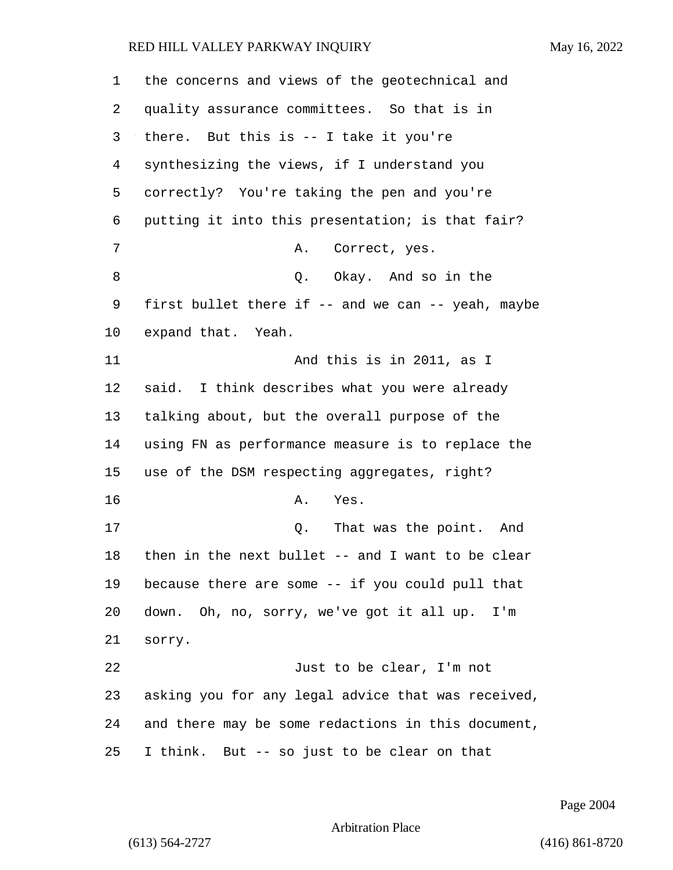the concerns and views of the geotechnical and quality assurance committees. So that is in there. But this is -- I take it you're synthesizing the views, if I understand you correctly? You're taking the pen and you're putting it into this presentation; is that fair? 7 A. Correct, yes. 8 a Q. Okay. And so in the first bullet there if -- and we can -- yeah, maybe expand that. Yeah. **And this is in 2011, as I**  said. I think describes what you were already talking about, but the overall purpose of the using FN as performance measure is to replace the use of the DSM respecting aggregates, right? 16 A. Yes. 17 and 17 and 17 Q. That was the point. And then in the next bullet -- and I want to be clear because there are some -- if you could pull that down. Oh, no, sorry, we've got it all up. I'm sorry. 22 Just to be clear, I'm not asking you for any legal advice that was received, and there may be some redactions in this document, I think. But -- so just to be clear on that

Page 2004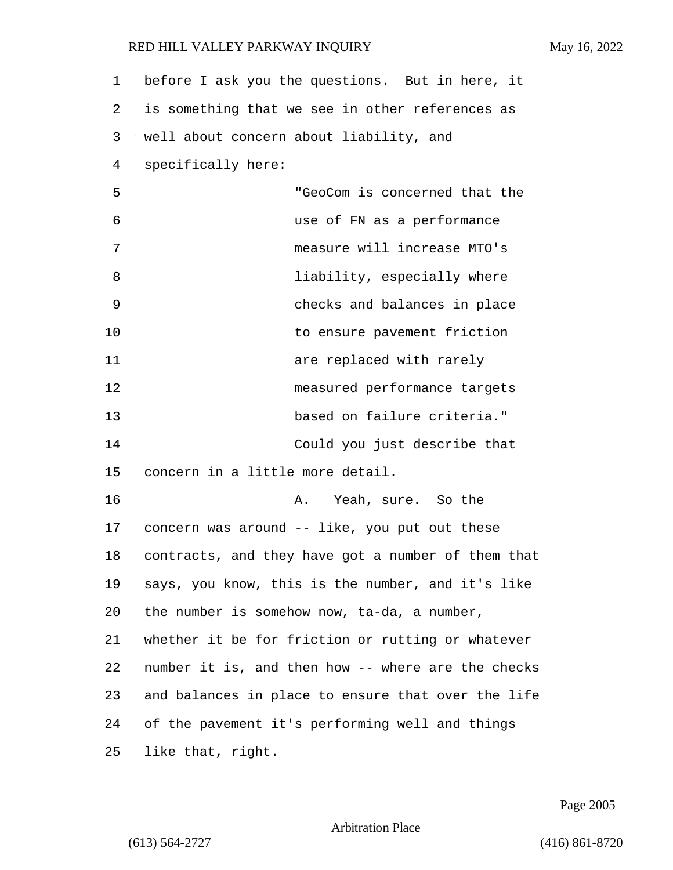| $\mathbf 1$ | before I ask you the questions. But in here, it    |
|-------------|----------------------------------------------------|
| 2           | is something that we see in other references as    |
| 3           | well about concern about liability, and            |
| 4           | specifically here:                                 |
| 5           | "GeoCom is concerned that the                      |
| 6           | use of FN as a performance                         |
| 7           | measure will increase MTO's                        |
| 8           | liability, especially where                        |
| 9           | checks and balances in place                       |
| 10          | to ensure pavement friction                        |
| 11          | are replaced with rarely                           |
| 12          | measured performance targets                       |
| 13          | based on failure criteria."                        |
| 14          | Could you just describe that                       |
| 15          | concern in a little more detail.                   |
| 16          | Yeah, sure. So the<br>Α.                           |
| 17          | concern was around -- like, you put out these      |
| 18          | contracts, and they have got a number of them that |
| 19          | says, you know, this is the number, and it's like  |
| 20          | the number is somehow now, ta-da, a number,        |
| 21          | whether it be for friction or rutting or whatever  |
| 22          | number it is, and then how -- where are the checks |
| 23          | and balances in place to ensure that over the life |
| 24          | of the pavement it's performing well and things    |
| 25          | like that, right.                                  |

Page 2005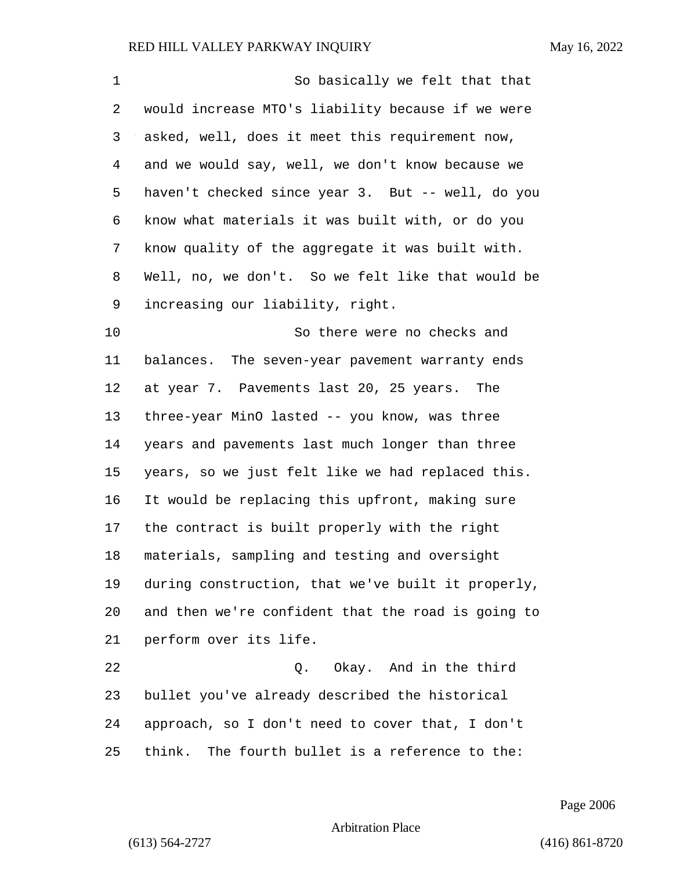| 1  | So basically we felt that that                     |
|----|----------------------------------------------------|
| 2  | would increase MTO's liability because if we were  |
| 3  | asked, well, does it meet this requirement now,    |
| 4  | and we would say, well, we don't know because we   |
| 5  | haven't checked since year 3. But -- well, do you  |
| 6  | know what materials it was built with, or do you   |
| 7  | know quality of the aggregate it was built with.   |
| 8  | Well, no, we don't. So we felt like that would be  |
| 9  | increasing our liability, right.                   |
| 10 | So there were no checks and                        |
| 11 | balances. The seven-year pavement warranty ends    |
| 12 | at year 7. Pavements last 20, 25 years. The        |
| 13 | three-year MinO lasted -- you know, was three      |
| 14 | years and pavements last much longer than three    |
| 15 | years, so we just felt like we had replaced this.  |
| 16 | It would be replacing this upfront, making sure    |
| 17 | the contract is built properly with the right      |
| 18 | materials, sampling and testing and oversight      |
| 19 | during construction, that we've built it properly, |
| 20 | and then we're confident that the road is going to |
| 21 | perform over its life.                             |
| 22 | Okay. And in the third<br>Q.                       |
| 23 | bullet you've already described the historical     |
| 24 | approach, so I don't need to cover that, I don't   |
| 25 | think. The fourth bullet is a reference to the:    |

Page 2006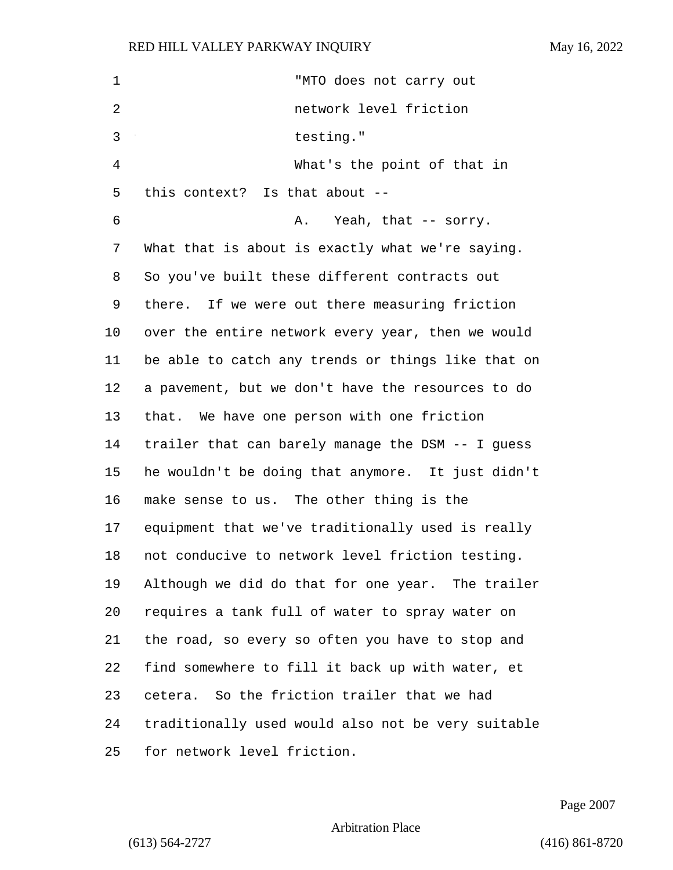| 1              | "MTO does not carry out                            |
|----------------|----------------------------------------------------|
| 2              | network level friction                             |
| 3              | testing."                                          |
| $\overline{4}$ | What's the point of that in                        |
| 5              | this context? Is that about --                     |
| 6              | Yeah, that -- sorry.<br>Α.                         |
| 7              | What that is about is exactly what we're saying.   |
| 8              | So you've built these different contracts out      |
| 9              | there. If we were out there measuring friction     |
| 10             | over the entire network every year, then we would  |
| 11             | be able to catch any trends or things like that on |
| 12             | a pavement, but we don't have the resources to do  |
| 13             | that. We have one person with one friction         |
| 14             | trailer that can barely manage the DSM -- I guess  |
| 15             | he wouldn't be doing that anymore. It just didn't  |
| 16             | make sense to us. The other thing is the           |
| 17             | equipment that we've traditionally used is really  |
| 18             | not conducive to network level friction testing.   |
| 19             | Although we did do that for one year. The trailer  |
| 20             | requires a tank full of water to spray water on    |
| 21             | the road, so every so often you have to stop and   |
| 22             | find somewhere to fill it back up with water, et   |
| 23             | cetera. So the friction trailer that we had        |
| 24             | traditionally used would also not be very suitable |
| 25             | for network level friction.                        |

Page 2007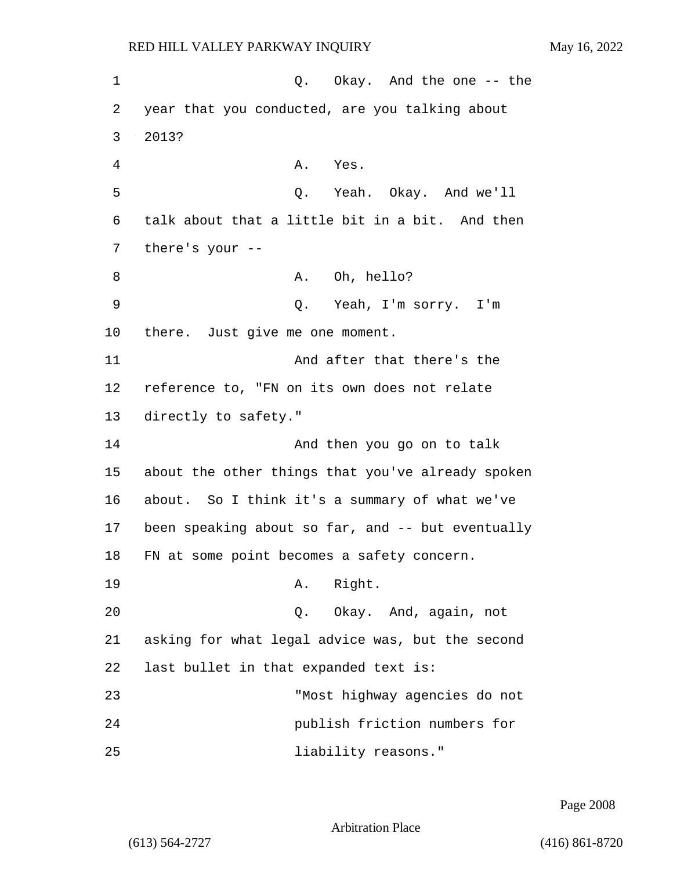1 C. Okay. And the one -- the 2 year that you conducted, are you talking about 3 2013? 4 A. Yes. 5 Q. Yeah. Okay. And we'll 6 talk about that a little bit in a bit. And then 7 there's your -- 8 A. Oh, hello? 9 Q. Yeah, I'm sorry. I'm 10 there. Just give me one moment. 11 And after that there's the 12 reference to, "FN on its own does not relate 13 directly to safety." 14 And then you go on to talk 15 about the other things that you've already spoken 16 about. So I think it's a summary of what we've 17 been speaking about so far, and -- but eventually 18 FN at some point becomes a safety concern. 19 A. Right. 20 Q. Okay. And, again, not 21 asking for what legal advice was, but the second 22 last bullet in that expanded text is: 23 "Most highway agencies do not 24 publish friction numbers for 25 liability reasons."

Page 2008

Arbitration Place

(613) 564-2727 (416) 861-8720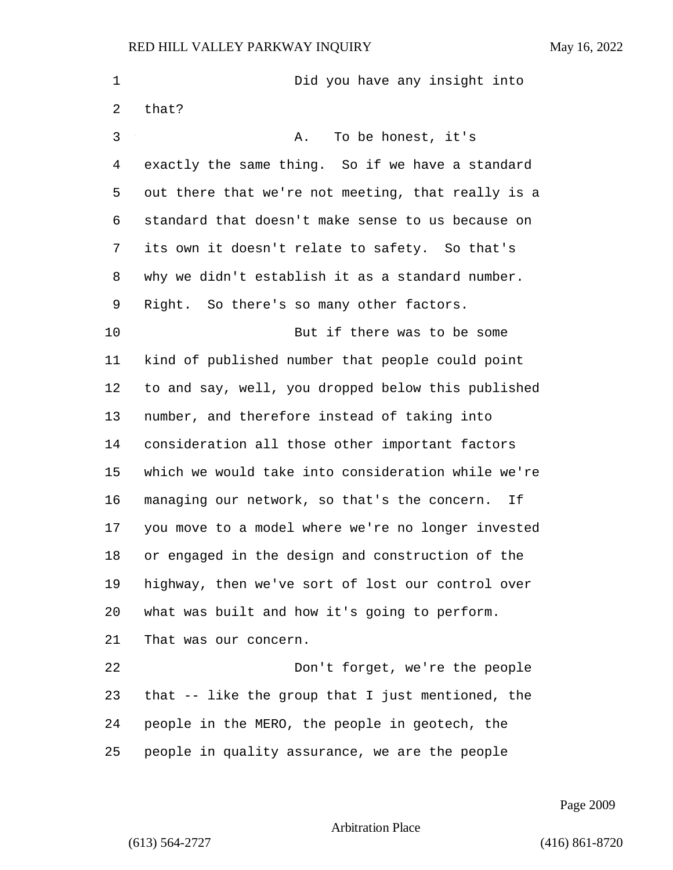| $\mathbf 1$ | Did you have any insight into                      |
|-------------|----------------------------------------------------|
| 2           | that?                                              |
| 3           | To be honest, it's<br>Α.                           |
| 4           | exactly the same thing. So if we have a standard   |
| 5           | out there that we're not meeting, that really is a |
| 6           | standard that doesn't make sense to us because on  |
| 7           | its own it doesn't relate to safety. So that's     |
| 8           | why we didn't establish it as a standard number.   |
| 9           | Right. So there's so many other factors.           |
| 10          | But if there was to be some                        |
| 11          | kind of published number that people could point   |
| 12          | to and say, well, you dropped below this published |
| 13          | number, and therefore instead of taking into       |
| 14          | consideration all those other important factors    |
| 15          | which we would take into consideration while we're |
| 16          | managing our network, so that's the concern.<br>Ιf |
| 17          | you move to a model where we're no longer invested |
| 18          | or engaged in the design and construction of the   |
| 19          | highway, then we've sort of lost our control over  |
| 20          | what was built and how it's going to perform.      |
| 21          | That was our concern.                              |
| 22          | Don't forget, we're the people                     |
| 23          | that -- like the group that I just mentioned, the  |
| 24          | people in the MERO, the people in geotech, the     |
| 25          | people in quality assurance, we are the people     |

Page 2009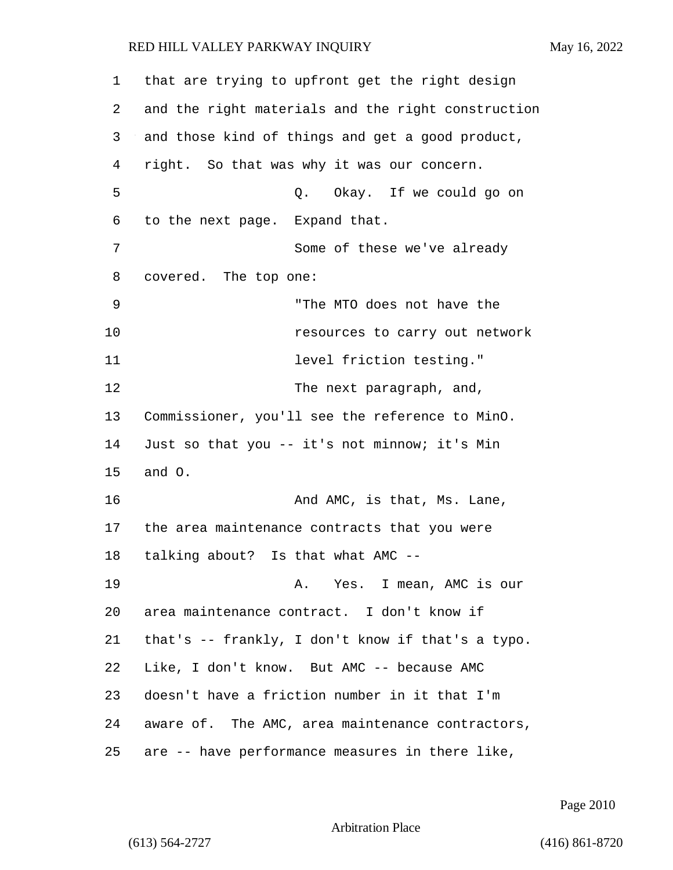that are trying to upfront get the right design and the right materials and the right construction and those kind of things and get a good product, right. So that was why it was our concern. 5 Q. Okay. If we could go on to the next page. Expand that. 7 Some of these we've already covered. The top one: 9 "The MTO does not have the 10 resources to carry out network **11** level friction testing." 12 The next paragraph, and, Commissioner, you'll see the reference to MinO. Just so that you -- it's not minnow; it's Min and O. 16 And AMC, is that, Ms. Lane, the area maintenance contracts that you were talking about? Is that what AMC -- 19 A. Yes. I mean, AMC is our area maintenance contract. I don't know if that's -- frankly, I don't know if that's a typo. Like, I don't know. But AMC -- because AMC doesn't have a friction number in it that I'm aware of. The AMC, area maintenance contractors, are -- have performance measures in there like,

Page 2010

Arbitration Place

(613) 564-2727 (416) 861-8720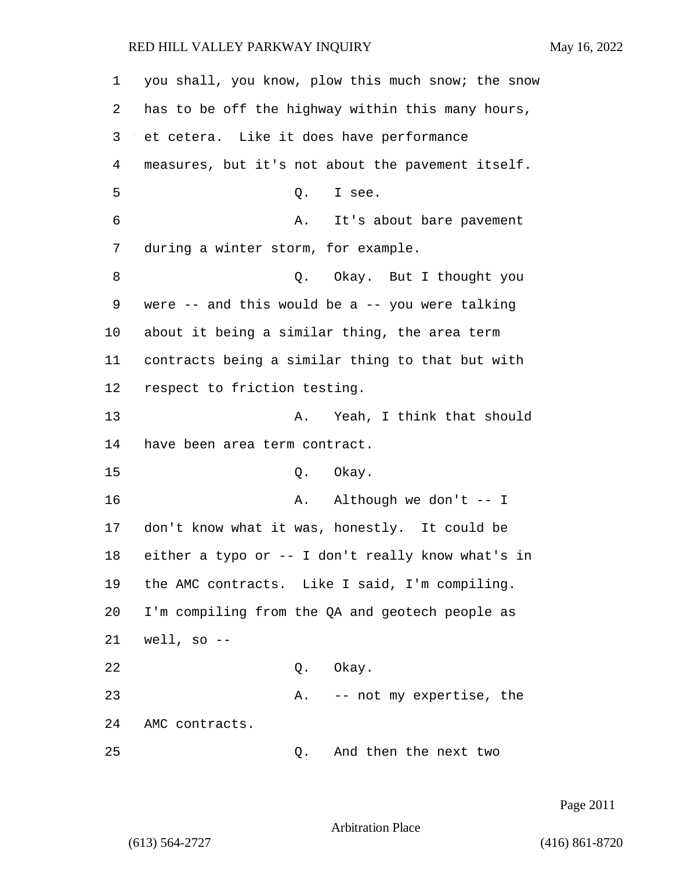| 1  | you shall, you know, plow this much snow; the snow  |
|----|-----------------------------------------------------|
| 2  | has to be off the highway within this many hours,   |
| 3  | et cetera. Like it does have performance            |
| 4  | measures, but it's not about the pavement itself.   |
| 5  | Q. I see.                                           |
| 6  | Α.<br>It's about bare pavement                      |
| 7  | during a winter storm, for example.                 |
| 8  | Q. Okay. But I thought you                          |
| 9  | were $--$ and this would be a $--$ you were talking |
| 10 | about it being a similar thing, the area term       |
| 11 | contracts being a similar thing to that but with    |
| 12 | respect to friction testing.                        |
| 13 | Yeah, I think that should<br>Α.                     |
| 14 | have been area term contract.                       |
| 15 | Q. Okay.                                            |
| 16 | Although we don't $--$ I<br>Α.                      |
| 17 | don't know what it was, honestly. It could be       |
| 18 | either a typo or -- I don't really know what's in   |
| 19 | the AMC contracts. Like I said, I'm compiling.      |
| 20 | I'm compiling from the QA and geotech people as     |
| 21 | well, so $-$                                        |
| 22 | Okay.<br>Q.                                         |
| 23 | -- not my expertise, the<br>Α.                      |
| 24 | AMC contracts.                                      |
| 25 | And then the next two<br>Q.                         |

Page 2011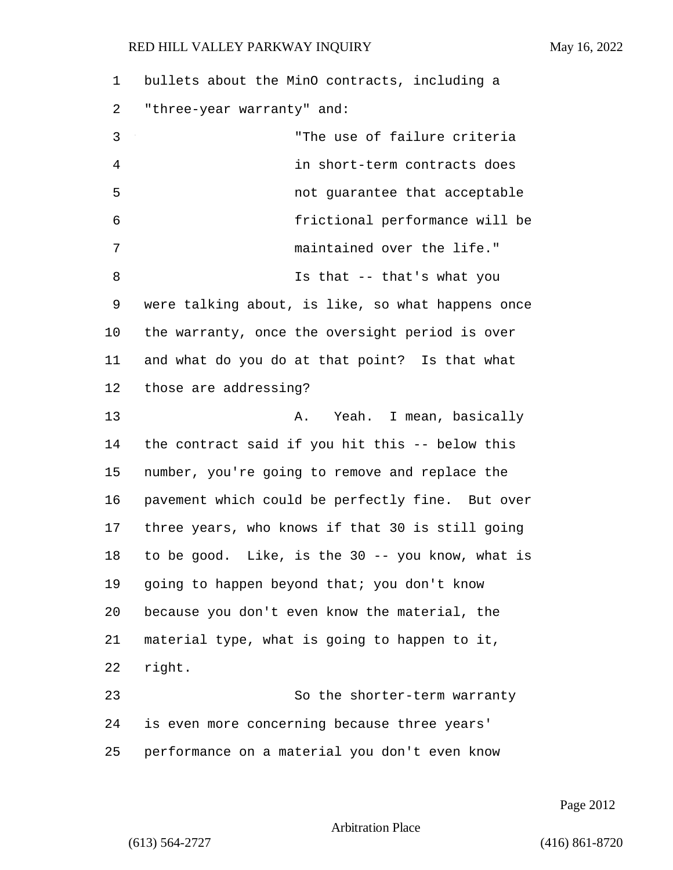bullets about the MinO contracts, including a "three-year warranty" and: 3 "The use of failure criteria 4 in short-term contracts does 5 not guarantee that acceptable 6 frictional performance will be 7 maintained over the life." 8 Is that -- that's what you were talking about, is like, so what happens once the warranty, once the oversight period is over and what do you do at that point? Is that what those are addressing? 13 A. Yeah. I mean, basically the contract said if you hit this -- below this number, you're going to remove and replace the pavement which could be perfectly fine. But over three years, who knows if that 30 is still going to be good. Like, is the 30 -- you know, what is going to happen beyond that; you don't know because you don't even know the material, the material type, what is going to happen to it, 22 right. 23 So the shorter-term warranty is even more concerning because three years' performance on a material you don't even know

Page 2012

#### Arbitration Place

(613) 564-2727 (416) 861-8720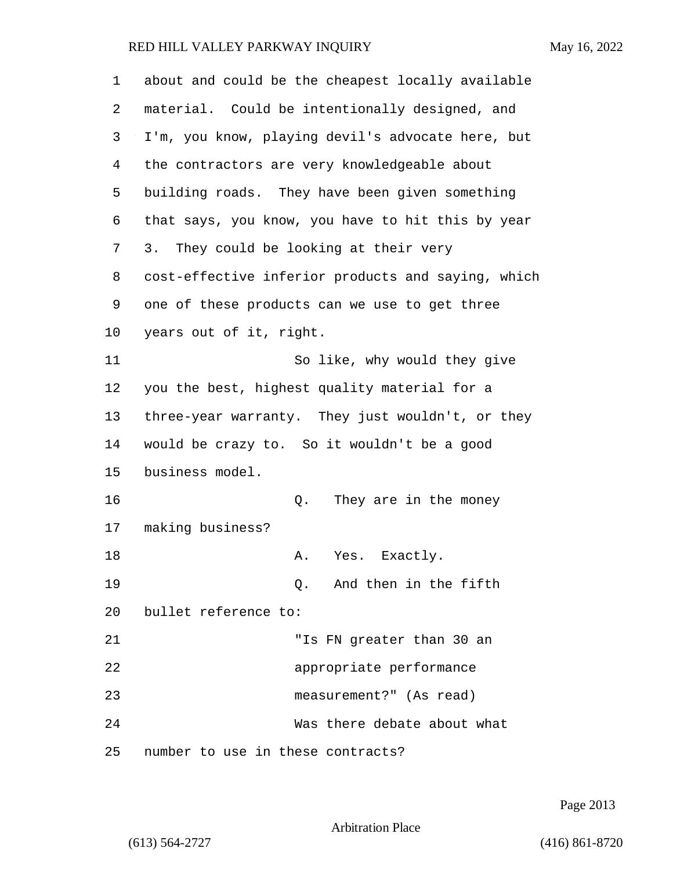| 1              | about and could be the cheapest locally available  |
|----------------|----------------------------------------------------|
| 2              | material. Could be intentionally designed, and     |
| 3              | I'm, you know, playing devil's advocate here, but  |
| $\overline{4}$ | the contractors are very knowledgeable about       |
| 5              | building roads. They have been given something     |
| 6              | that says, you know, you have to hit this by year  |
| 7              | They could be looking at their very<br>3.          |
| 8              | cost-effective inferior products and saying, which |
| 9              | one of these products can we use to get three      |
| 10             | years out of it, right.                            |
| 11             | So like, why would they give                       |
| 12             | you the best, highest quality material for a       |
| 13             | three-year warranty. They just wouldn't, or they   |
| 14             | would be crazy to. So it wouldn't be a good        |
| 15             | business model.                                    |
| 16             | They are in the money<br>Q.                        |
| 17             | making business?                                   |
| 18             | A. Yes. Exactly.                                   |
| 19             | Q. And then in the fifth                           |
| 20             | bullet reference to:                               |
| 21             | "Is FN greater than 30 an                          |
| 22             | appropriate performance                            |
| 23             | measurement?" (As read)                            |
| 24             | Was there debate about what                        |
| 25             | number to use in these contracts?                  |

Page 2013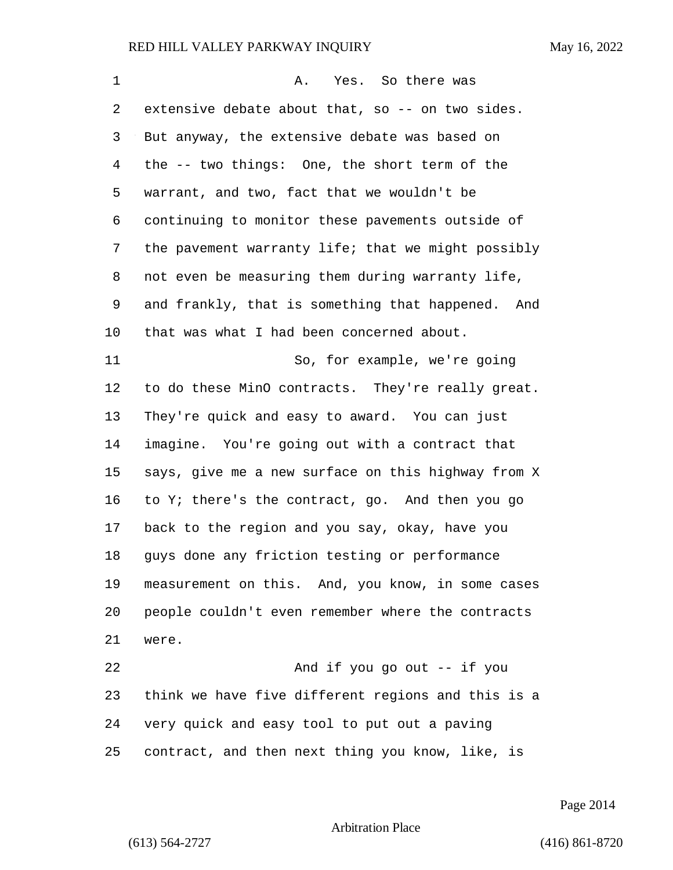| 1  | Yes. So there was<br>Α.                            |
|----|----------------------------------------------------|
| 2  | extensive debate about that, so -- on two sides.   |
| 3  | But anyway, the extensive debate was based on      |
| 4  | the -- two things: One, the short term of the      |
| 5  | warrant, and two, fact that we wouldn't be         |
| 6  | continuing to monitor these pavements outside of   |
| 7  | the pavement warranty life; that we might possibly |
| 8  | not even be measuring them during warranty life,   |
| 9  | and frankly, that is something that happened. And  |
| 10 | that was what I had been concerned about.          |
| 11 | So, for example, we're going                       |
| 12 | to do these MinO contracts. They're really great.  |
| 13 | They're quick and easy to award. You can just      |
| 14 | imagine. You're going out with a contract that     |
| 15 | says, give me a new surface on this highway from X |
| 16 | to Y; there's the contract, go. And then you go    |
| 17 | back to the region and you say, okay, have you     |
| 18 | guys done any friction testing or performance      |
| 19 | measurement on this. And, you know, in some cases  |
| 20 | people couldn't even remember where the contracts  |
| 21 | were.                                              |
| 22 | And if you go out -- if you                        |
| 23 | think we have five different regions and this is a |
| 24 | very quick and easy tool to put out a paving       |
| 25 | contract, and then next thing you know, like, is   |

Page 2014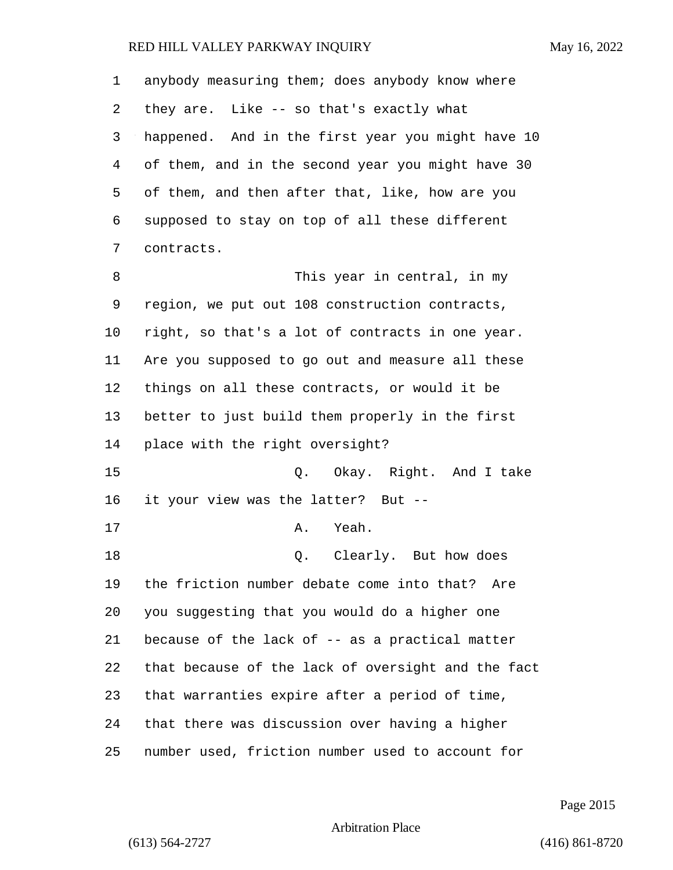| 1  | anybody measuring them; does anybody know where    |
|----|----------------------------------------------------|
| 2  | they are. Like -- so that's exactly what           |
| 3  | happened. And in the first year you might have 10  |
| 4  | of them, and in the second year you might have 30  |
| 5  | of them, and then after that, like, how are you    |
| 6  | supposed to stay on top of all these different     |
| 7  | contracts.                                         |
| 8  | This year in central, in my                        |
| 9  | region, we put out 108 construction contracts,     |
| 10 | right, so that's a lot of contracts in one year.   |
| 11 | Are you supposed to go out and measure all these   |
| 12 | things on all these contracts, or would it be      |
| 13 | better to just build them properly in the first    |
| 14 | place with the right oversight?                    |
| 15 | Q. Okay. Right. And I take                         |
| 16 | it your view was the latter? But --                |
| 17 | Yeah.<br>Α.                                        |
| 18 | Q. Clearly. But how does                           |
| 19 | the friction number debate come into that? Are     |
| 20 | you suggesting that you would do a higher one      |
| 21 | because of the lack of -- as a practical matter    |
| 22 | that because of the lack of oversight and the fact |
| 23 | that warranties expire after a period of time,     |
| 24 | that there was discussion over having a higher     |
| 25 | number used, friction number used to account for   |

Page 2015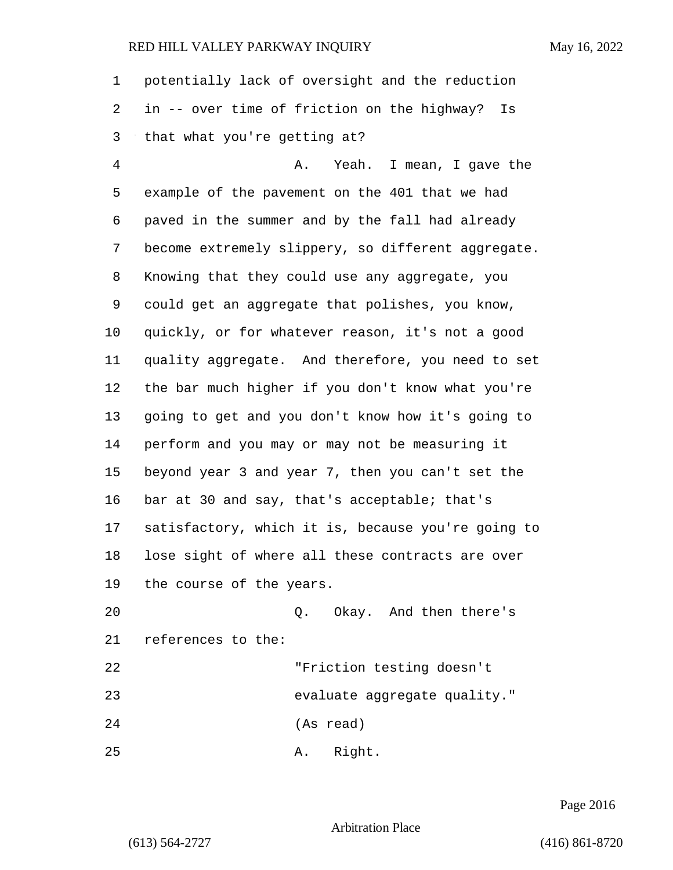potentially lack of oversight and the reduction in -- over time of friction on the highway? Is that what you're getting at? 4 A. Yeah. I mean, I gave the

 example of the pavement on the 401 that we had paved in the summer and by the fall had already become extremely slippery, so different aggregate. Knowing that they could use any aggregate, you could get an aggregate that polishes, you know, quickly, or for whatever reason, it's not a good quality aggregate. And therefore, you need to set the bar much higher if you don't know what you're going to get and you don't know how it's going to perform and you may or may not be measuring it beyond year 3 and year 7, then you can't set the bar at 30 and say, that's acceptable; that's satisfactory, which it is, because you're going to lose sight of where all these contracts are over the course of the years.

20 Q. Okay. And then there's references to the:

22 "Friction testing doesn't

23 evaluate aggregate quality."

24 (As read)

25 A. Right.

Page 2016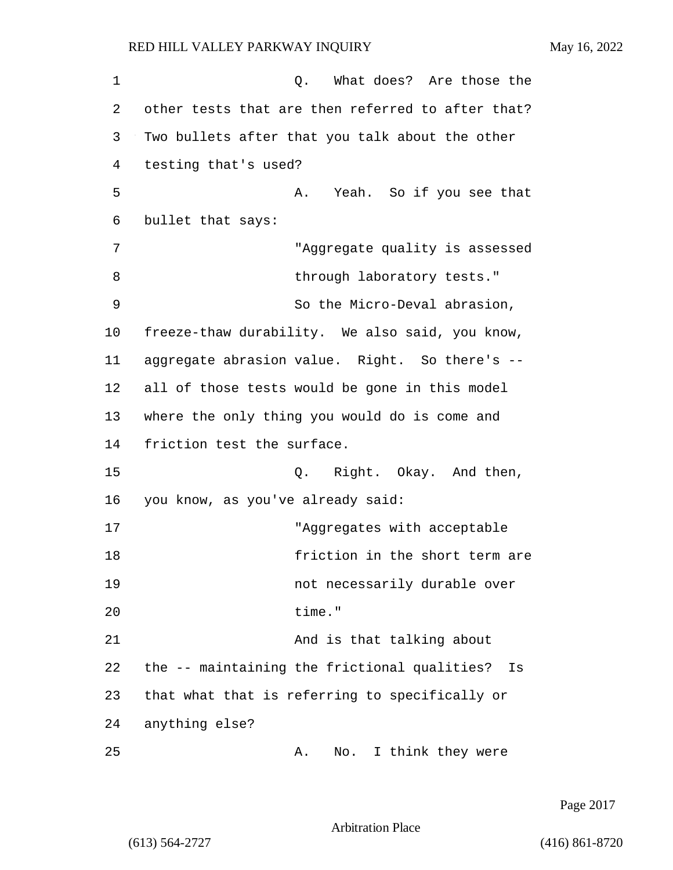1 Q. What does? Are those the 2 other tests that are then referred to after that? 3 Two bullets after that you talk about the other 4 testing that's used? 5 A. Yeah. So if you see that 6 bullet that says: 7 "Aggregate quality is assessed 8 through laboratory tests." 9 So the Micro-Deval abrasion, 10 freeze-thaw durability. We also said, you know, 11 aggregate abrasion value. Right. So there's -- 12 all of those tests would be gone in this model 13 where the only thing you would do is come and 14 friction test the surface. 15 C. Right. Okay. And then, 16 you know, as you've already said: 17 The Magazian Magazia with acceptable with acceptable 18 **friction** in the short term are 19 not necessarily durable over 20 time." 21 And is that talking about 22 the -- maintaining the frictional qualities? Is 23 that what that is referring to specifically or 24 anything else? 25 A. No. I think they were

Page 2017

Arbitration Place

(613) 564-2727 (416) 861-8720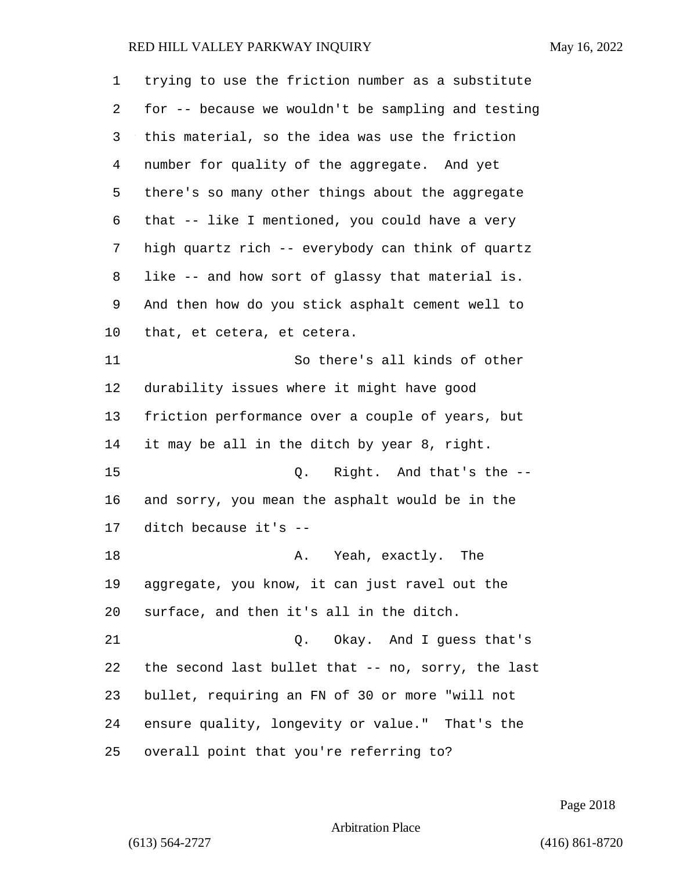| 1  | trying to use the friction number as a substitute  |
|----|----------------------------------------------------|
| 2  | for -- because we wouldn't be sampling and testing |
| 3  | this material, so the idea was use the friction    |
| 4  | number for quality of the aggregate. And yet       |
| 5  | there's so many other things about the aggregate   |
| 6  | that -- like I mentioned, you could have a very    |
| 7  | high quartz rich -- everybody can think of quartz  |
| 8  | like -- and how sort of glassy that material is.   |
| 9  | And then how do you stick asphalt cement well to   |
| 10 | that, et cetera, et cetera.                        |
| 11 | So there's all kinds of other                      |
| 12 | durability issues where it might have good         |
| 13 | friction performance over a couple of years, but   |
| 14 | it may be all in the ditch by year 8, right.       |
| 15 | Right. And that's the --<br>Q.                     |
| 16 | and sorry, you mean the asphalt would be in the    |
| 17 | ditch because it's --                              |
| 18 | A. Yeah, exactly. The                              |
| 19 | aggregate, you know, it can just ravel out the     |
| 20 | surface, and then it's all in the ditch.           |
| 21 | Q. Okay. And I guess that's                        |
| 22 | the second last bullet that -- no, sorry, the last |
| 23 | bullet, requiring an FN of 30 or more "will not    |
| 24 | ensure quality, longevity or value." That's the    |
| 25 | overall point that you're referring to?            |

Page 2018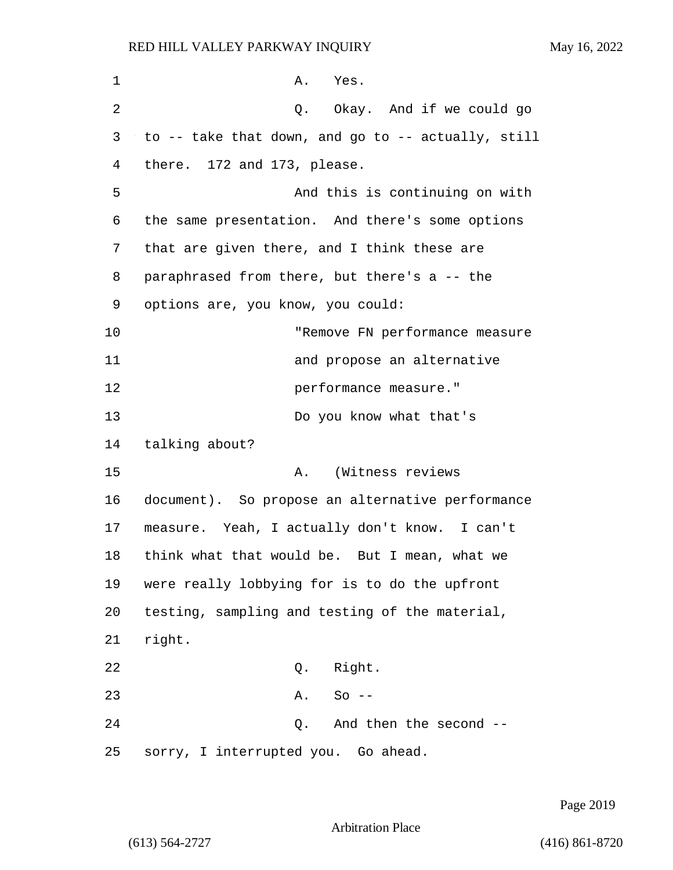| $\mathbf 1$ | A. Yes.                                            |
|-------------|----------------------------------------------------|
| 2           | Q. Okay. And if we could go                        |
| 3           | to -- take that down, and go to -- actually, still |
| 4           | there. 172 and 173, please.                        |
| 5           | And this is continuing on with                     |
| 6           | the same presentation. And there's some options    |
| 7           | that are given there, and I think these are        |
| 8           | paraphrased from there, but there's a -- the       |
| 9           | options are, you know, you could:                  |
| 10          | "Remove FN performance measure                     |
| 11          | and propose an alternative                         |
| 12          | performance measure."                              |
| 13          | Do you know what that's                            |
| 14          | talking about?                                     |
| 15          | (Witness reviews<br>A.                             |
| 16          | document). So propose an alternative performance   |
| 17          | measure. Yeah, I actually don't know. I can't      |
| 18          | think what that would be. But I mean, what we      |
| 19          | were really lobbying for is to do the upfront      |
| 20          | testing, sampling and testing of the material,     |
| 21          | right.                                             |
| 22          | Right.<br>Q.                                       |
| 23          | $So --$<br>A.                                      |
| 24          | And then the second --<br>Q.                       |
| 25          | sorry, I interrupted you. Go ahead.                |

Page 2019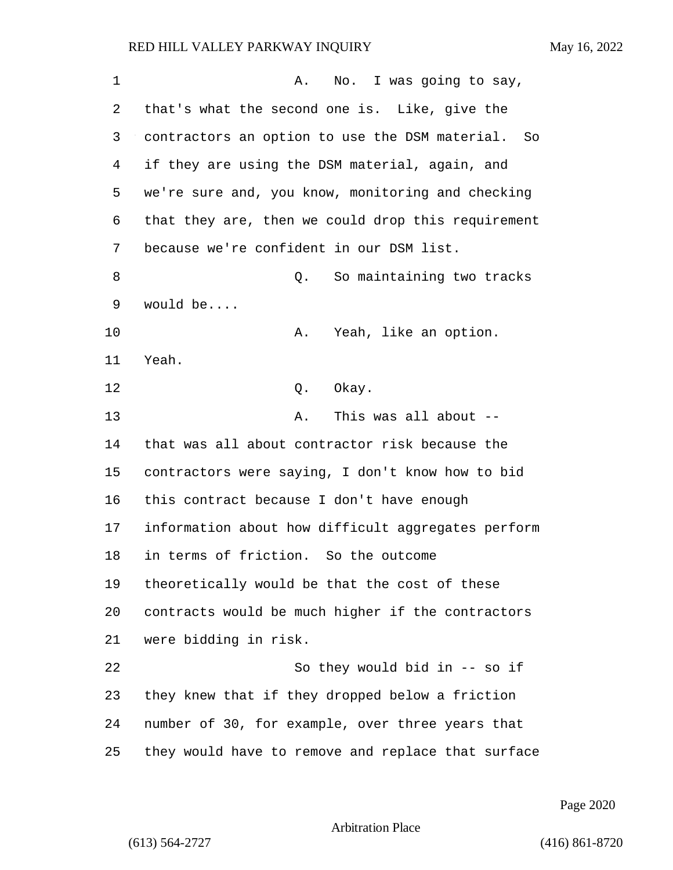| 1  | No. I was going to say,<br>Α.                      |
|----|----------------------------------------------------|
| 2  | that's what the second one is. Like, give the      |
| 3  | contractors an option to use the DSM material. So  |
| 4  | if they are using the DSM material, again, and     |
| 5  | we're sure and, you know, monitoring and checking  |
| 6  | that they are, then we could drop this requirement |
| 7  | because we're confident in our DSM list.           |
| 8  | So maintaining two tracks<br>Q.                    |
| 9  | would be                                           |
| 10 | Yeah, like an option.<br>Α.                        |
| 11 | Yeah.                                              |
| 12 | Q. Okay.                                           |
| 13 | This was all about --<br>Α.                        |
| 14 | that was all about contractor risk because the     |
| 15 | contractors were saying, I don't know how to bid   |
| 16 | this contract because I don't have enough          |
| 17 | information about how difficult aggregates perform |
| 18 | in terms of friction. So the outcome               |
| 19 | theoretically would be that the cost of these      |
| 20 | contracts would be much higher if the contractors  |
| 21 | were bidding in risk.                              |
| 22 | So they would bid in -- so if                      |
| 23 | they knew that if they dropped below a friction    |
| 24 | number of 30, for example, over three years that   |
| 25 | they would have to remove and replace that surface |

Page 2020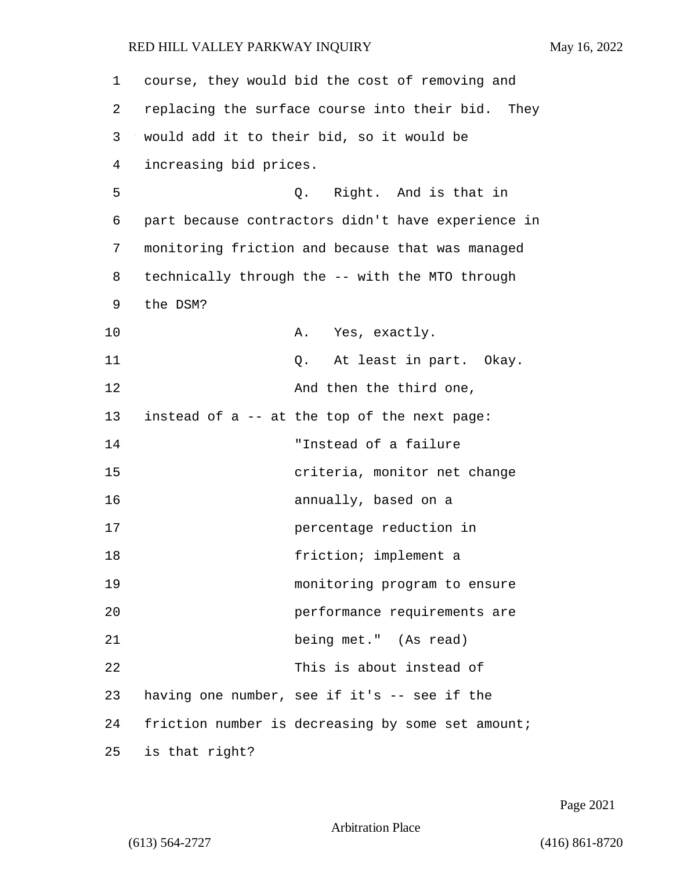| 1  | course, they would bid the cost of removing and    |
|----|----------------------------------------------------|
| 2  | replacing the surface course into their bid. They  |
| 3  | would add it to their bid, so it would be          |
| 4  | increasing bid prices.                             |
| 5  | Q. Right. And is that in                           |
| 6  | part because contractors didn't have experience in |
| 7  | monitoring friction and because that was managed   |
| 8  | technically through the -- with the MTO through    |
| 9  | the DSM?                                           |
| 10 | A. Yes, exactly.                                   |
| 11 | Q. At least in part. Okay.                         |
| 12 | And then the third one,                            |
| 13 | instead of a -- at the top of the next page:       |
| 14 | "Instead of a failure                              |
| 15 | criteria, monitor net change                       |
| 16 | annually, based on a                               |
| 17 | percentage reduction in                            |
| 18 | friction; implement a                              |
| 19 | monitoring program to ensure                       |
| 20 | performance requirements are                       |
| 21 | being met." (As read)                              |
| 22 | This is about instead of                           |
| 23 | having one number, see if it's -- see if the       |
| 24 | friction number is decreasing by some set amount;  |
| 25 | is that right?                                     |

Page 2021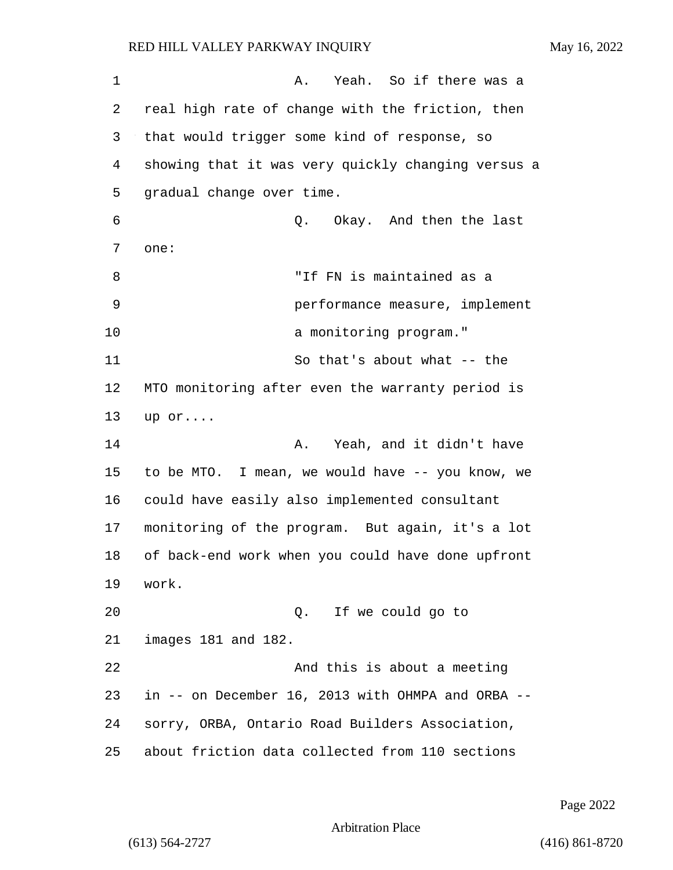1 A. Yeah. So if there was a 2 real high rate of change with the friction, then 3 that would trigger some kind of response, so 4 showing that it was very quickly changing versus a 5 gradual change over time. 6 Q. Okay. And then the last 7 one: 8 "If FN is maintained as a 9 performance measure, implement 10 a monitoring program." 11 So that's about what -- the 12 MTO monitoring after even the warranty period is 13 up or.... 14 **A.** Yeah, and it didn't have 15 to be MTO. I mean, we would have -- you know, we 16 could have easily also implemented consultant 17 monitoring of the program. But again, it's a lot 18 of back-end work when you could have done upfront 19 work. 20 Q. If we could go to 21 images 181 and 182. 22 And this is about a meeting 23 in -- on December 16, 2013 with OHMPA and ORBA -- 24 sorry, ORBA, Ontario Road Builders Association, 25 about friction data collected from 110 sections

Page 2022

Arbitration Place

(613) 564-2727 (416) 861-8720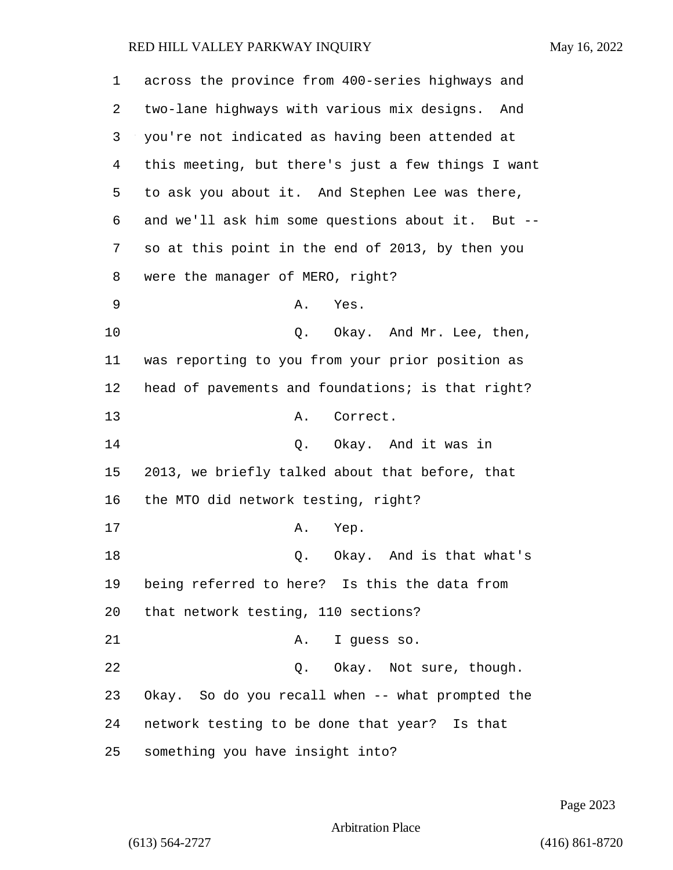| 1  | across the province from 400-series highways and   |
|----|----------------------------------------------------|
| 2  | two-lane highways with various mix designs. And    |
| 3  | you're not indicated as having been attended at    |
| 4  | this meeting, but there's just a few things I want |
| 5  | to ask you about it. And Stephen Lee was there,    |
| 6  | and we'll ask him some questions about it. But --  |
| 7  | so at this point in the end of 2013, by then you   |
| 8  | were the manager of MERO, right?                   |
| 9  | Yes.<br>Α.                                         |
| 10 | Q. Okay. And Mr. Lee, then,                        |
| 11 | was reporting to you from your prior position as   |
| 12 | head of pavements and foundations; is that right?  |
| 13 | Correct.<br>Α.                                     |
| 14 | Q. Okay. And it was in                             |
| 15 | 2013, we briefly talked about that before, that    |
| 16 | the MTO did network testing, right?                |
| 17 | Α.<br>Yep.                                         |
| 18 | Okay. And is that what's<br>Q.                     |
| 19 | being referred to here? Is this the data from      |
| 20 | that network testing, 110 sections?                |
| 21 | I guess so.<br>Α.                                  |
| 22 | Q. Okay. Not sure, though.                         |
| 23 | Okay. So do you recall when -- what prompted the   |
| 24 | network testing to be done that year? Is that      |
| 25 | something you have insight into?                   |

Page 2023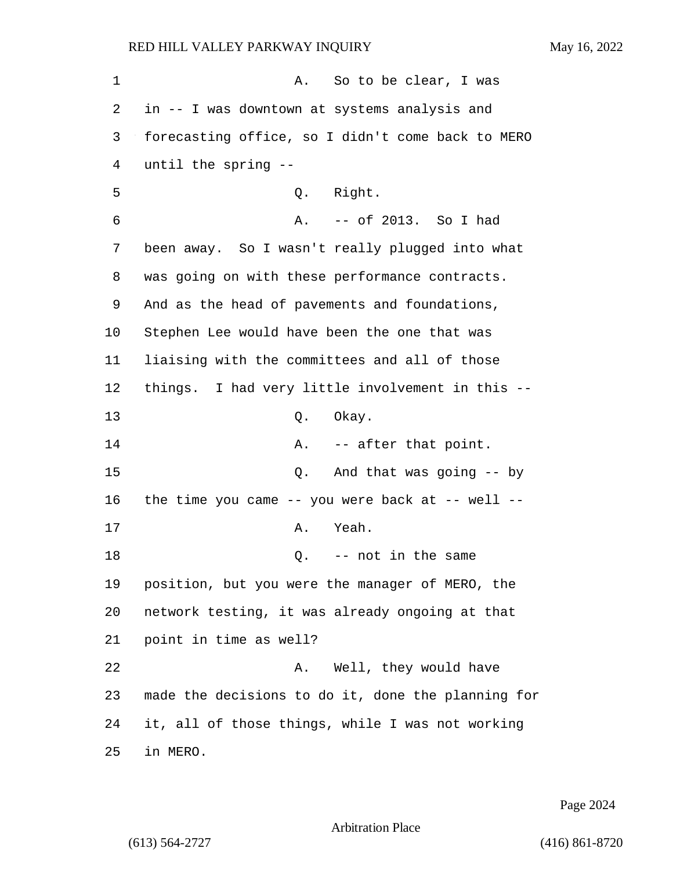1 A. So to be clear, I was in -- I was downtown at systems analysis and forecasting office, so I didn't come back to MERO until the spring -- 5 Q. Right. 6 A. -- of 2013. So I had been away. So I wasn't really plugged into what was going on with these performance contracts. And as the head of pavements and foundations, Stephen Lee would have been the one that was liaising with the committees and all of those things. I had very little involvement in this -- 13 Q. Okay. **A.** -- after that point. 15 Q. And that was going -- by the time you came -- you were back at -- well -- 17 A. Yeah. 18 C. -- not in the same position, but you were the manager of MERO, the network testing, it was already ongoing at that point in time as well? 22 A. Well, they would have made the decisions to do it, done the planning for it, all of those things, while I was not working 25 in MERO.

Page 2024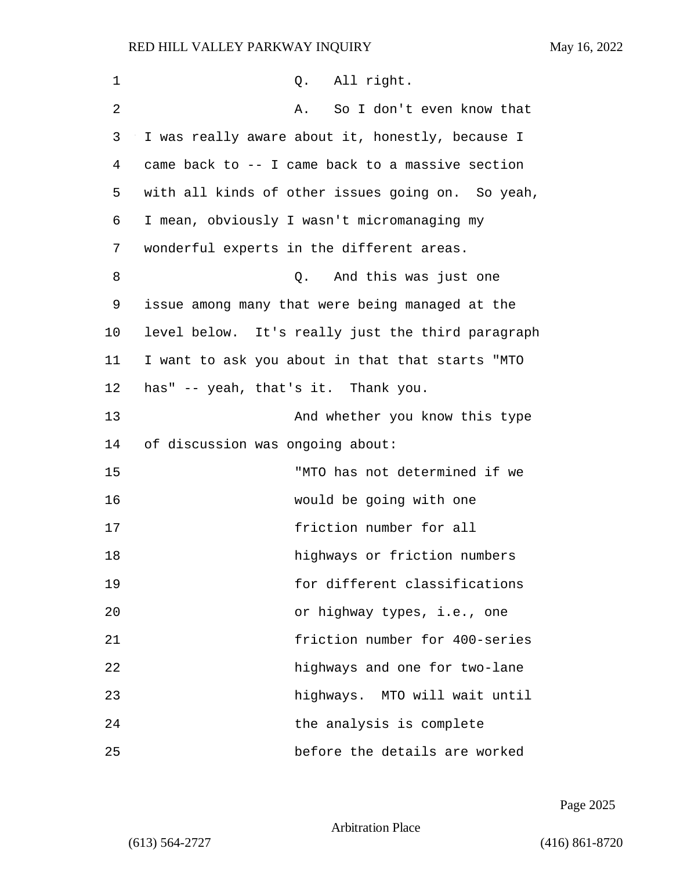| $\mathbf 1$    | Q. All right.                                     |
|----------------|---------------------------------------------------|
| $\overline{2}$ | So I don't even know that<br>Α.                   |
| 3              | I was really aware about it, honestly, because I  |
| 4              | came back to -- I came back to a massive section  |
| 5              | with all kinds of other issues going on. So yeah, |
| 6              | I mean, obviously I wasn't micromanaging my       |
| 7              | wonderful experts in the different areas.         |
| 8              | And this was just one<br>Q.                       |
| 9              | issue among many that were being managed at the   |
| 10             | level below. It's really just the third paragraph |
| 11             | I want to ask you about in that that starts "MTO  |
| 12             | has" -- yeah, that's it. Thank you.               |
| 13             | And whether you know this type                    |
| 14             | of discussion was ongoing about:                  |
| 15             | "MTO has not determined if we                     |
| 16             | would be going with one                           |
| 17             | friction number for all                           |
| 18             | highways or friction numbers                      |
| 19             | for different classifications                     |
| 20             | or highway types, i.e., one                       |
| 21             | friction number for 400-series                    |
| 22             | highways and one for two-lane                     |
| 23             | highways. MTO will wait until                     |
| 24             | the analysis is complete                          |
| 25             | before the details are worked                     |

Page 2025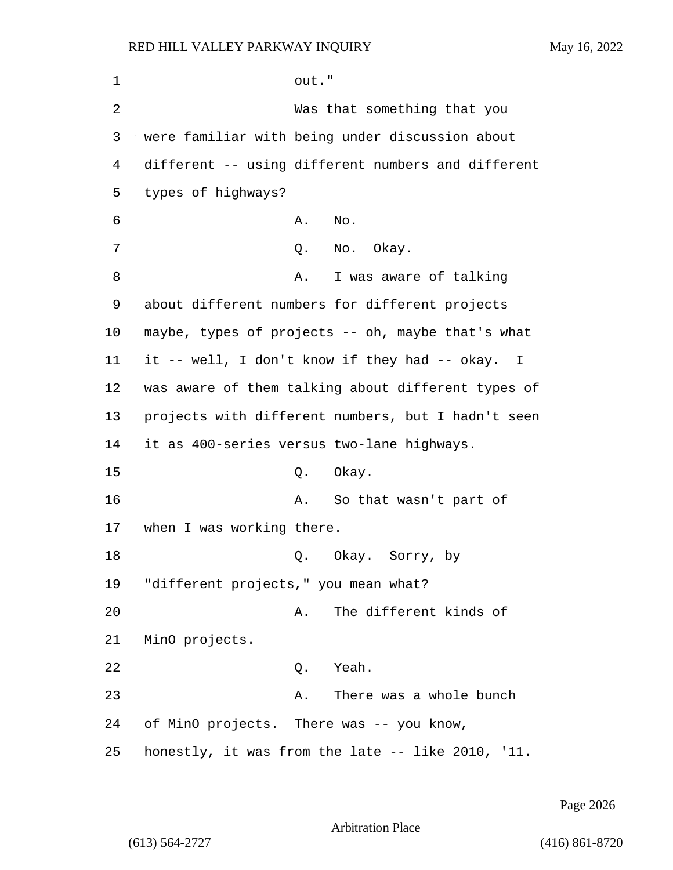| 1  | out."                                              |
|----|----------------------------------------------------|
| 2  | Was that something that you                        |
| 3  | were familiar with being under discussion about    |
| 4  | different -- using different numbers and different |
| 5  | types of highways?                                 |
| 6  | No.<br>Α.                                          |
| 7  | Q. No. Okay.                                       |
| 8  | I was aware of talking<br>Α.                       |
| 9  | about different numbers for different projects     |
| 10 | maybe, types of projects -- oh, maybe that's what  |
| 11 | it -- well, I don't know if they had -- okay. I    |
| 12 | was aware of them talking about different types of |
| 13 | projects with different numbers, but I hadn't seen |
| 14 | it as 400-series versus two-lane highways.         |
| 15 | Okay.<br>Q.                                        |
| 16 | So that wasn't part of<br>Α.                       |
| 17 | when I was working there.                          |
| 18 | Q. Okay. Sorry, by                                 |
| 19 | "different projects," you mean what?               |
| 20 | The different kinds of<br>Α.                       |
| 21 | MinO projects.                                     |
| 22 | Yeah.<br>Q.                                        |
| 23 | There was a whole bunch<br>Α.                      |
| 24 | of MinO projects. There was -- you know,           |
| 25 | honestly, it was from the late -- like 2010, '11.  |

Page 2026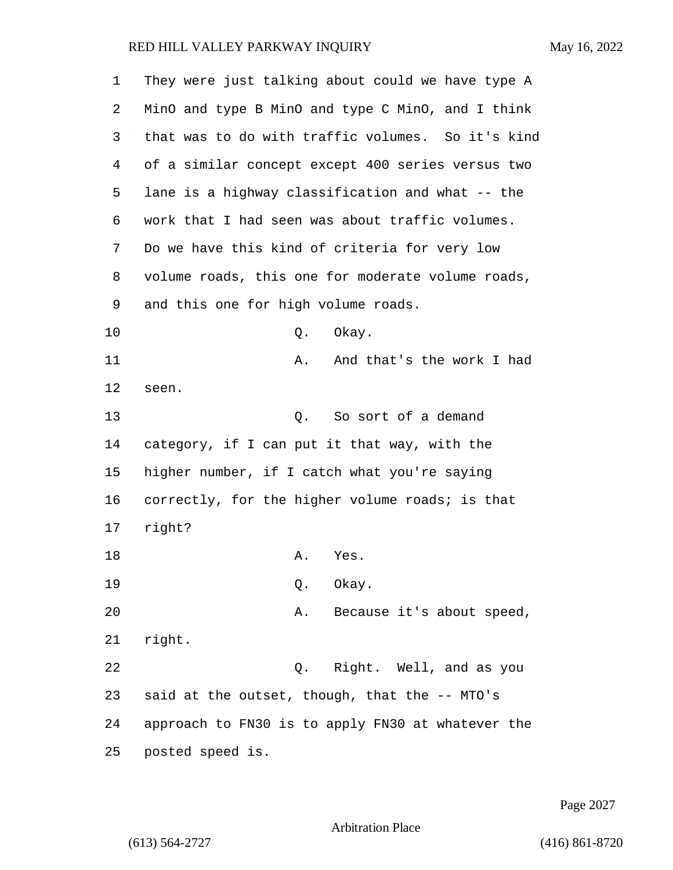| 1  | They were just talking about could we have type A |
|----|---------------------------------------------------|
| 2  | MinO and type B MinO and type C MinO, and I think |
| 3  | that was to do with traffic volumes. So it's kind |
| 4  | of a similar concept except 400 series versus two |
| 5  | lane is a highway classification and what -- the  |
| 6  | work that I had seen was about traffic volumes.   |
| 7  | Do we have this kind of criteria for very low     |
| 8  | volume roads, this one for moderate volume roads, |
| 9  | and this one for high volume roads.               |
| 10 | Q.<br>Okay.                                       |
| 11 | And that's the work I had<br>Α.                   |
| 12 | seen.                                             |
| 13 | So sort of a demand<br>Q.                         |
| 14 | category, if I can put it that way, with the      |
| 15 | higher number, if I catch what you're saying      |
| 16 | correctly, for the higher volume roads; is that   |
| 17 | right?                                            |
| 18 | Α.<br>Yes.                                        |
| 19 | Okay.<br>Q.                                       |
| 20 | Because it's about speed,<br>Α.                   |
| 21 | right.                                            |
| 22 | Q. Right. Well, and as you                        |
| 23 | said at the outset, though, that the -- MTO's     |
| 24 | approach to FN30 is to apply FN30 at whatever the |
| 25 | posted speed is.                                  |

Page 2027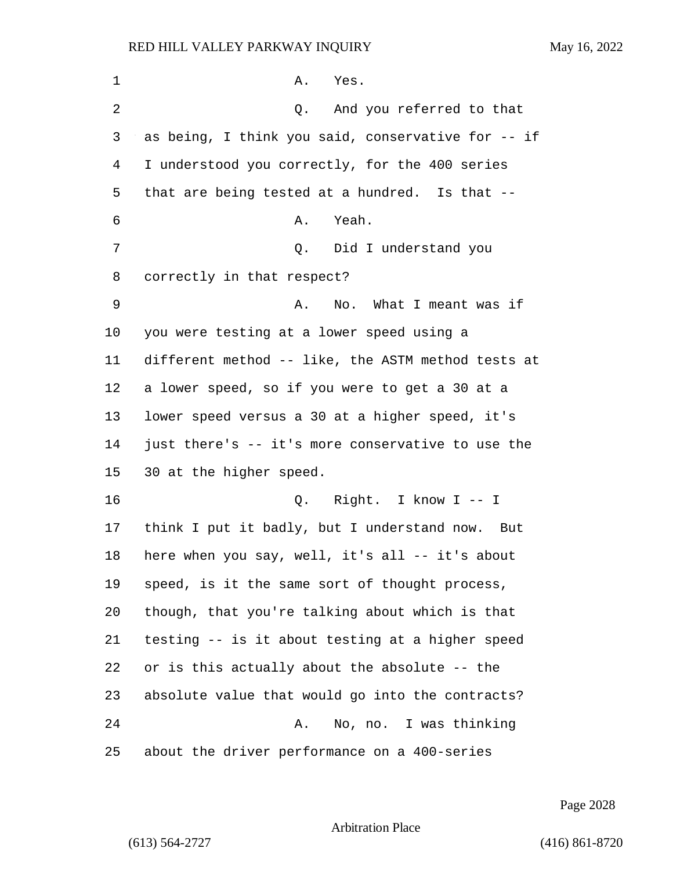| 1  | Yes.<br>Α.                                         |
|----|----------------------------------------------------|
| 2  | And you referred to that<br>Q.                     |
| 3  | as being, I think you said, conservative for -- if |
| 4  | I understood you correctly, for the 400 series     |
| 5  | that are being tested at a hundred. Is that --     |
| 6  | Yeah.<br>Α.                                        |
| 7  | Q. Did I understand you                            |
| 8  | correctly in that respect?                         |
| 9  | No. What I meant was if<br>Α.                      |
| 10 | you were testing at a lower speed using a          |
| 11 | different method -- like, the ASTM method tests at |
| 12 | a lower speed, so if you were to get a 30 at a     |
| 13 | lower speed versus a 30 at a higher speed, it's    |
| 14 | just there's -- it's more conservative to use the  |
| 15 | 30 at the higher speed.                            |
| 16 | Q. Right. I know I -- I                            |
| 17 | think I put it badly, but I understand now. But    |
| 18 | here when you say, well, it's all -- it's about    |
| 19 | speed, is it the same sort of thought process,     |
| 20 | though, that you're talking about which is that    |
| 21 | testing -- is it about testing at a higher speed   |
| 22 | or is this actually about the absolute -- the      |
| 23 | absolute value that would go into the contracts?   |
| 24 | No, no. I was thinking<br>Α.                       |
| 25 | about the driver performance on a 400-series       |

Page 2028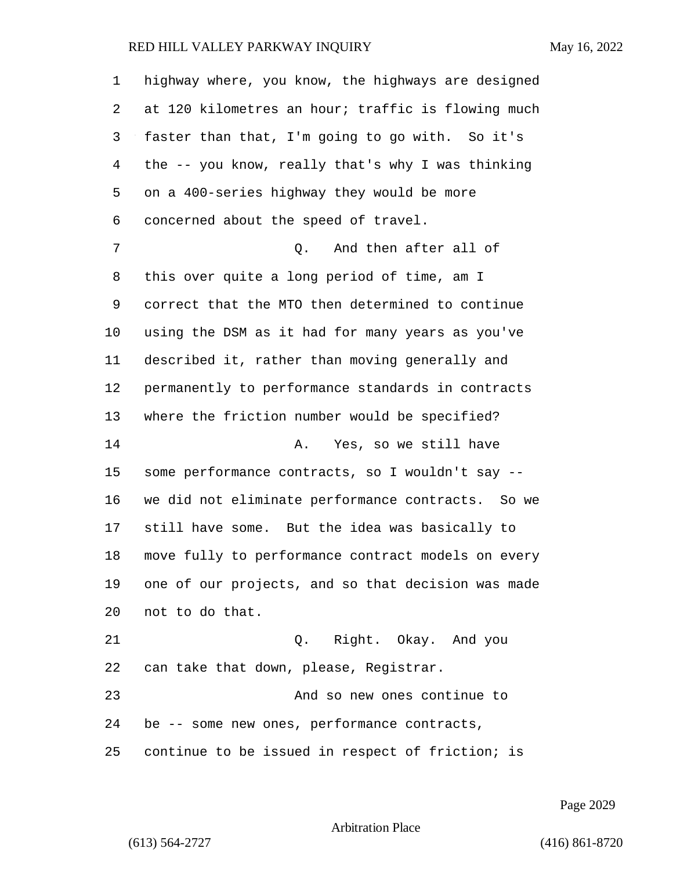| 1              | highway where, you know, the highways are designed |
|----------------|----------------------------------------------------|
| 2              | at 120 kilometres an hour; traffic is flowing much |
| 3              | faster than that, I'm going to go with. So it's    |
| $\overline{4}$ | the -- you know, really that's why I was thinking  |
| 5              | on a 400-series highway they would be more         |
| 6              | concerned about the speed of travel.               |
| 7              | And then after all of<br>Q.                        |
| 8              | this over quite a long period of time, am I        |
| 9              | correct that the MTO then determined to continue   |
| 10             | using the DSM as it had for many years as you've   |
| 11             | described it, rather than moving generally and     |
| 12             | permanently to performance standards in contracts  |
| 13             | where the friction number would be specified?      |
| 14             | Yes, so we still have<br>Α.                        |
| 15             | some performance contracts, so I wouldn't say --   |
| 16             | we did not eliminate performance contracts. So we  |
| 17             | still have some. But the idea was basically to     |
| 18             | move fully to performance contract models on every |
| 19             | one of our projects, and so that decision was made |
| 20             | not to do that.                                    |
| 21             | Q. Right. Okay. And you                            |
| 22             | can take that down, please, Registrar.             |
| 23             | And so new ones continue to                        |
| 24             | be -- some new ones, performance contracts,        |
| 25             | continue to be issued in respect of friction; is   |

Page 2029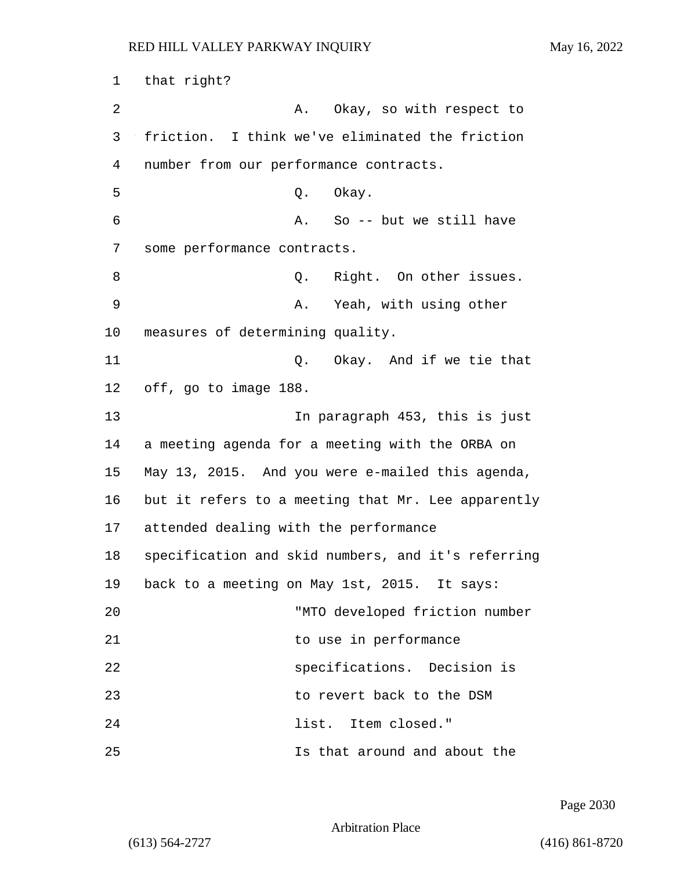1 that right? 2 A. Okay, so with respect to 3 friction. I think we've eliminated the friction 4 number from our performance contracts. 5 Q. Okay. 6 A. So -- but we still have 7 some performance contracts. 8 and 9. Right. On other issues. 9 A. Yeah, with using other 10 measures of determining quality. 11 Q. Okay. And if we tie that 12 off, go to image 188. 13 In paragraph 453, this is just 14 a meeting agenda for a meeting with the ORBA on 15 May 13, 2015. And you were e-mailed this agenda, 16 but it refers to a meeting that Mr. Lee apparently 17 attended dealing with the performance 18 specification and skid numbers, and it's referring 19 back to a meeting on May 1st, 2015. It says: 20 "MTO developed friction number 21 to use in performance 22 specifications. Decision is 23 to revert back to the DSM 24 list. Item closed." 25 Is that around and about the

Page 2030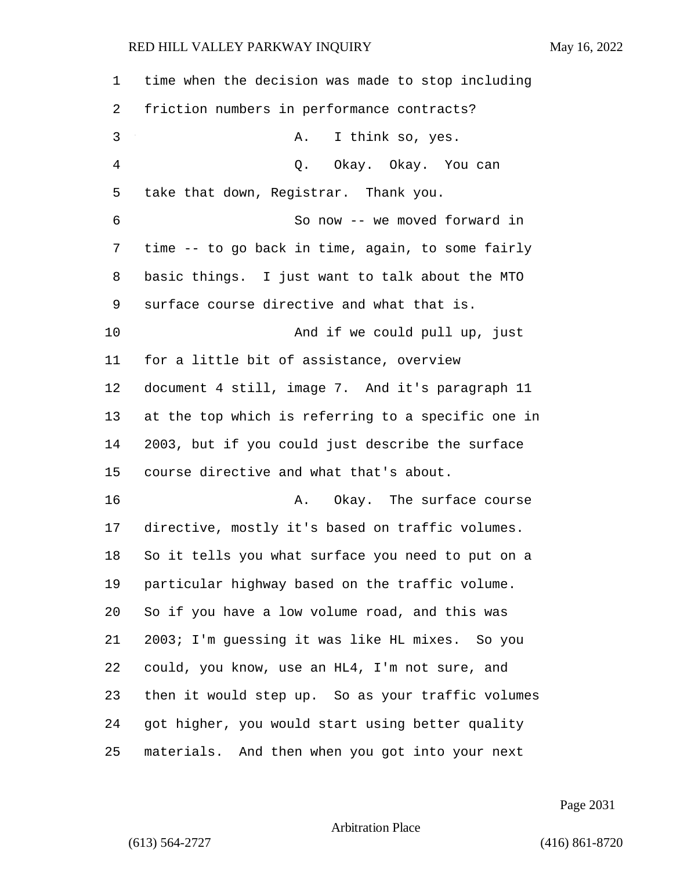| $\mathbf 1$    | time when the decision was made to stop including  |
|----------------|----------------------------------------------------|
| 2              | friction numbers in performance contracts?         |
| 3              | I think so, yes.<br>Α.                             |
| $\overline{4}$ | Q. Okay. Okay. You can                             |
| 5              | take that down, Registrar. Thank you.              |
| 6              | So now -- we moved forward in                      |
| 7              | time -- to go back in time, again, to some fairly  |
| 8              | basic things. I just want to talk about the MTO    |
| 9              | surface course directive and what that is.         |
| 10             | And if we could pull up, just                      |
| 11             | for a little bit of assistance, overview           |
| 12             | document 4 still, image 7. And it's paragraph 11   |
| 13             | at the top which is referring to a specific one in |
| 14             | 2003, but if you could just describe the surface   |
| 15             | course directive and what that's about.            |
| 16             | Okay. The surface course<br>Α.                     |
| 17             | directive, mostly it's based on traffic volumes.   |
| 18             | So it tells you what surface you need to put on a  |
| 19             | particular highway based on the traffic volume.    |
| 20             | So if you have a low volume road, and this was     |
| 21             | 2003; I'm guessing it was like HL mixes. So you    |
| 22             | could, you know, use an HL4, I'm not sure, and     |
| 23             | then it would step up. So as your traffic volumes  |
| 24             | got higher, you would start using better quality   |
| 25             | materials. And then when you got into your next    |

Page 2031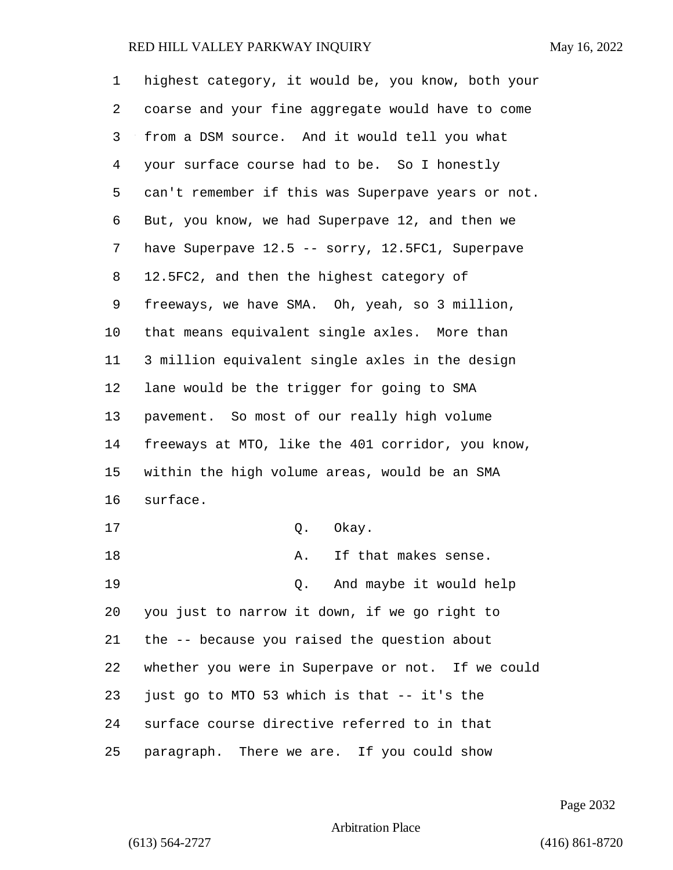| 1  | highest category, it would be, you know, both your |
|----|----------------------------------------------------|
| 2  | coarse and your fine aggregate would have to come  |
| 3  | from a DSM source. And it would tell you what      |
| 4  | your surface course had to be. So I honestly       |
| 5  | can't remember if this was Superpave years or not. |
| 6  | But, you know, we had Superpave 12, and then we    |
| 7  | have Superpave 12.5 -- sorry, 12.5FC1, Superpave   |
| 8  | 12.5FC2, and then the highest category of          |
| 9  | freeways, we have SMA. Oh, yeah, so 3 million,     |
| 10 | that means equivalent single axles. More than      |
| 11 | 3 million equivalent single axles in the design    |
| 12 | lane would be the trigger for going to SMA         |
| 13 | pavement. So most of our really high volume        |
| 14 | freeways at MTO, like the 401 corridor, you know,  |
| 15 | within the high volume areas, would be an SMA      |
| 16 | surface.                                           |
| 17 | Okay.<br>Q.                                        |
| 18 | If that makes sense.<br>Α.                         |
| 19 | Q. And maybe it would help                         |
| 20 | you just to narrow it down, if we go right to      |
| 21 | the -- because you raised the question about       |
| 22 | whether you were in Superpave or not. If we could  |
| 23 | just go to MTO 53 which is that -- it's the        |
| 24 | surface course directive referred to in that       |
| 25 | paragraph. There we are. If you could show         |

Page 2032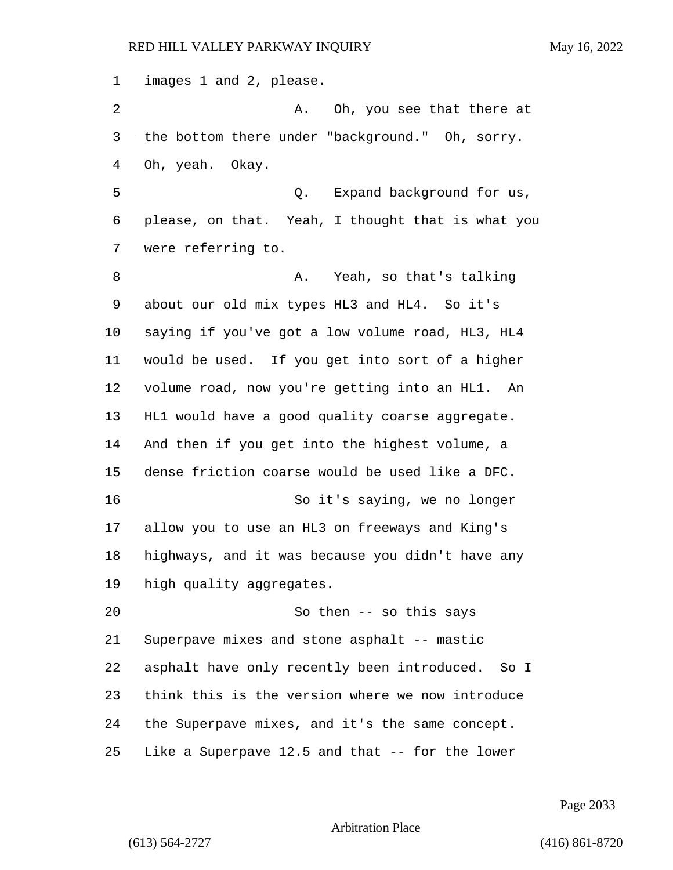images 1 and 2, please.

2 A. Oh, you see that there at the bottom there under "background." Oh, sorry. Oh, yeah. Okay.

5 Q. Expand background for us, please, on that. Yeah, I thought that is what you were referring to.

8 A. Yeah, so that's talking about our old mix types HL3 and HL4. So it's saying if you've got a low volume road, HL3, HL4 would be used. If you get into sort of a higher volume road, now you're getting into an HL1. An HL1 would have a good quality coarse aggregate. And then if you get into the highest volume, a dense friction coarse would be used like a DFC. 16 So it's saying, we no longer allow you to use an HL3 on freeways and King's highways, and it was because you didn't have any high quality aggregates.

20 So then -- so this says Superpave mixes and stone asphalt -- mastic asphalt have only recently been introduced. So I think this is the version where we now introduce the Superpave mixes, and it's the same concept. Like a Superpave 12.5 and that -- for the lower

Page 2033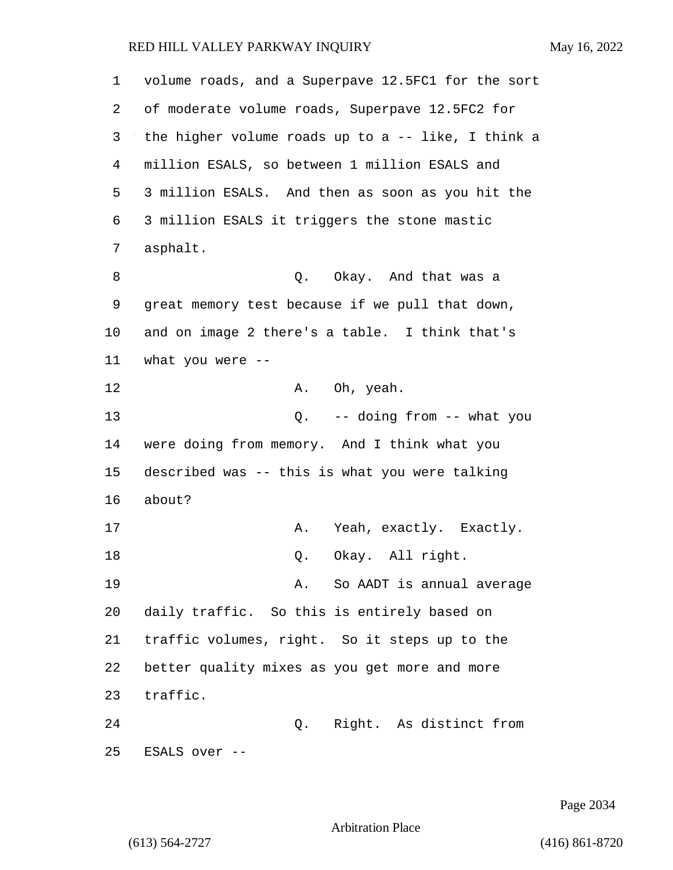| 1  | volume roads, and a Superpave 12.5FC1 for the sort |
|----|----------------------------------------------------|
| 2  | of moderate volume roads, Superpave 12.5FC2 for    |
| 3  | the higher volume roads up to a -- like, I think a |
| 4  | million ESALS, so between 1 million ESALS and      |
| 5  | 3 million ESALS. And then as soon as you hit the   |
| 6  | 3 million ESALS it triggers the stone mastic       |
| 7  | asphalt.                                           |
| 8  | Q. Okay. And that was a                            |
| 9  | great memory test because if we pull that down,    |
| 10 | and on image 2 there's a table. I think that's     |
| 11 | what you were $-$                                  |
| 12 | A. Oh, yeah.                                       |
| 13 | Q. -- doing from -- what you                       |
| 14 | were doing from memory. And I think what you       |
| 15 | described was -- this is what you were talking     |
| 16 | about?                                             |
| 17 | A. Yeah, exactly. Exactly.                         |
| 18 | Okay. All right.<br>Q.                             |
| 19 | So AADT is annual average<br>Α.                    |
| 20 | daily traffic. So this is entirely based on        |
| 21 | traffic volumes, right. So it steps up to the      |
| 22 | better quality mixes as you get more and more      |
| 23 | traffic.                                           |
| 24 | Right. As distinct from<br>Q.                      |
| 25 | ESALS over --                                      |

Page 2034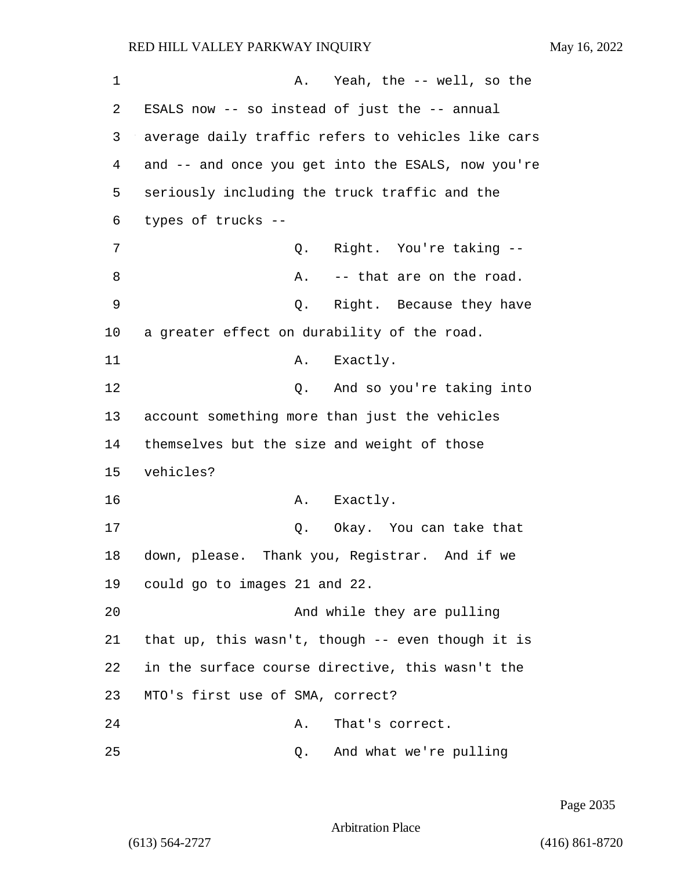| 1  | A. Yeah, the -- well, so the                       |
|----|----------------------------------------------------|
| 2  | ESALS now -- so instead of just the -- annual      |
| 3  | average daily traffic refers to vehicles like cars |
| 4  | and -- and once you get into the ESALS, now you're |
| 5  | seriously including the truck traffic and the      |
| 6  | types of trucks --                                 |
| 7  | Right. You're taking --<br>Q.                      |
| 8  | -- that are on the road.<br>Α.                     |
| 9  | Right. Because they have<br>Q.                     |
| 10 | a greater effect on durability of the road.        |
| 11 | Exactly.<br>Α.                                     |
| 12 | And so you're taking into<br>Q.                    |
| 13 | account something more than just the vehicles      |
| 14 | themselves but the size and weight of those        |
| 15 | vehicles?                                          |
| 16 | A. Exactly.                                        |
| 17 | Q. Okay. You can take that                         |
| 18 | down, please. Thank you, Registrar. And if we      |
| 19 | could go to images 21 and 22.                      |
| 20 | And while they are pulling                         |
| 21 | that up, this wasn't, though -- even though it is  |
| 22 | in the surface course directive, this wasn't the   |
| 23 | MTO's first use of SMA, correct?                   |
| 24 | That's correct.<br>Α.                              |
| 25 | And what we're pulling<br>Q.                       |

Page 2035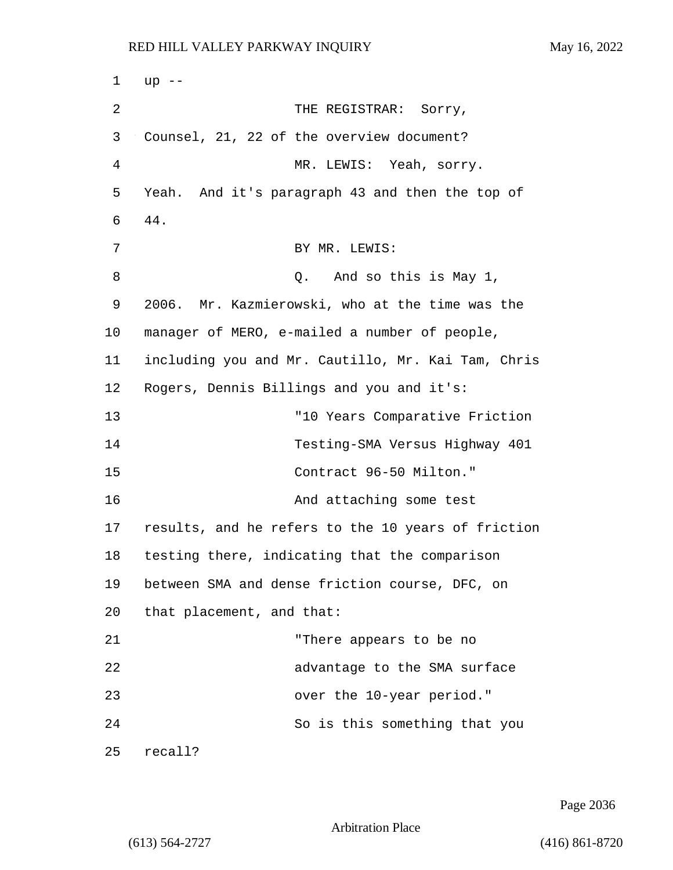1 up -- 2 THE REGISTRAR: Sorry, 3 Counsel, 21, 22 of the overview document? 4 MR. LEWIS: Yeah, sorry. 5 Yeah. And it's paragraph 43 and then the top of 6 44. 7 BY MR. LEWIS: 8 and so this is May 1, 9 2006. Mr. Kazmierowski, who at the time was the 10 manager of MERO, e-mailed a number of people, 11 including you and Mr. Cautillo, Mr. Kai Tam, Chris 12 Rogers, Dennis Billings and you and it's: 13 "10 Years Comparative Friction 14 Testing-SMA Versus Highway 401 15 Contract 96-50 Milton." 16 And attaching some test 17 results, and he refers to the 10 years of friction 18 testing there, indicating that the comparison 19 between SMA and dense friction course, DFC, on 20 that placement, and that: 21 "There appears to be no 22 advantage to the SMA surface 23 over the 10-year period." 24 So is this something that you 25 recall?

Page 2036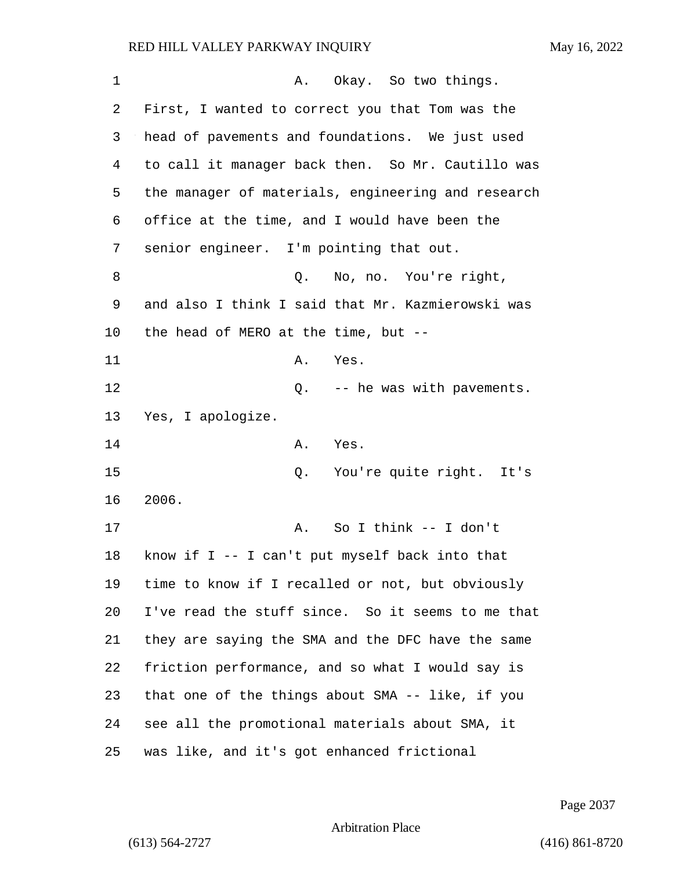| 1  | Okay. So two things.<br>Α.                         |
|----|----------------------------------------------------|
| 2  | First, I wanted to correct you that Tom was the    |
| 3  | head of pavements and foundations. We just used    |
| 4  | to call it manager back then. So Mr. Cautillo was  |
| 5  | the manager of materials, engineering and research |
| 6  | office at the time, and I would have been the      |
| 7  | senior engineer. I'm pointing that out.            |
| 8  | No, no. You're right,<br>Q.                        |
| 9  | and also I think I said that Mr. Kazmierowski was  |
| 10 | the head of MERO at the time, but $-$ -            |
| 11 | Α.<br>Yes.                                         |
| 12 | Q. -- he was with pavements.                       |
| 13 | Yes, I apologize.                                  |
| 14 | Α.<br>Yes.                                         |
| 15 | You're quite right. It's<br>Q.                     |
| 16 | 2006.                                              |
| 17 | So I think $--$ I don't<br>Α.                      |
| 18 | know if I -- I can't put myself back into that     |
| 19 | time to know if I recalled or not, but obviously   |
| 20 | I've read the stuff since. So it seems to me that  |
| 21 | they are saying the SMA and the DFC have the same  |
| 22 | friction performance, and so what I would say is   |
| 23 | that one of the things about SMA -- like, if you   |
| 24 | see all the promotional materials about SMA, it    |
| 25 | was like, and it's got enhanced frictional         |

Page 2037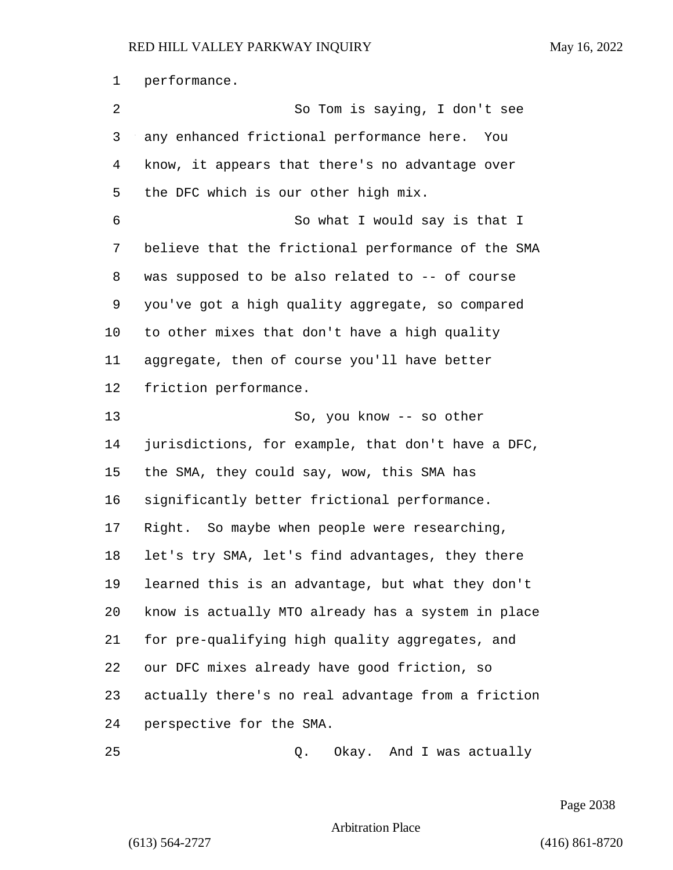performance.

2 So Tom is saying, I don't see any enhanced frictional performance here. You know, it appears that there's no advantage over the DFC which is our other high mix. 6 So what I would say is that I believe that the frictional performance of the SMA was supposed to be also related to -- of course you've got a high quality aggregate, so compared to other mixes that don't have a high quality aggregate, then of course you'll have better friction performance. 13 So, you know -- so other jurisdictions, for example, that don't have a DFC, the SMA, they could say, wow, this SMA has significantly better frictional performance. Right. So maybe when people were researching, let's try SMA, let's find advantages, they there learned this is an advantage, but what they don't know is actually MTO already has a system in place for pre-qualifying high quality aggregates, and our DFC mixes already have good friction, so actually there's no real advantage from a friction perspective for the SMA. 25 Q. Okay. And I was actually

Page 2038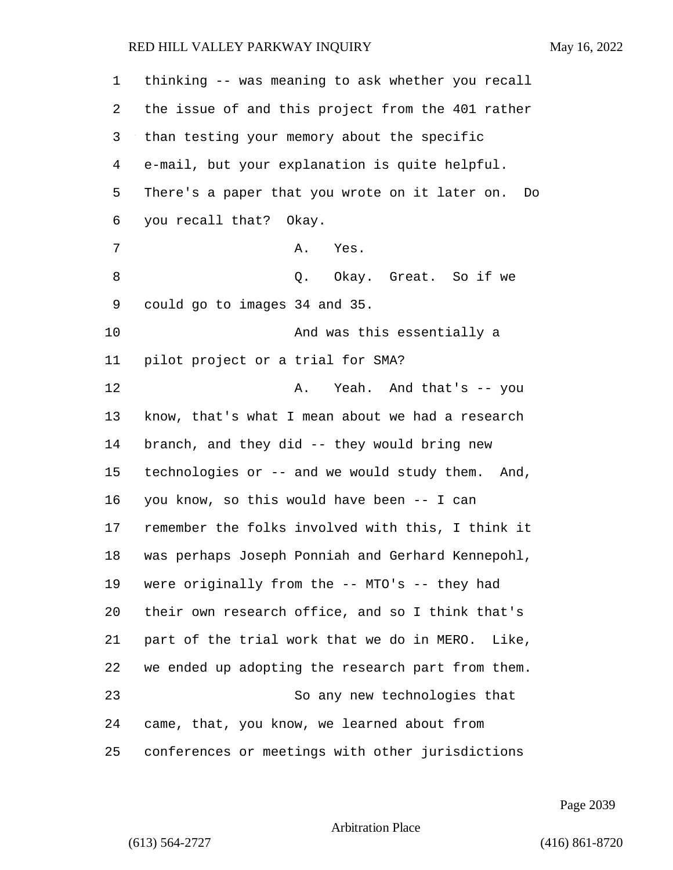| 1  | thinking -- was meaning to ask whether you recall    |
|----|------------------------------------------------------|
| 2  | the issue of and this project from the 401 rather    |
| 3  | than testing your memory about the specific          |
| 4  | e-mail, but your explanation is quite helpful.       |
| 5  | There's a paper that you wrote on it later on.<br>Do |
| 6  | you recall that? Okay.                               |
| 7  | Α.<br>Yes.                                           |
| 8  | Okay. Great. So if we<br>Q.                          |
| 9  | could go to images 34 and 35.                        |
| 10 | And was this essentially a                           |
| 11 | pilot project or a trial for SMA?                    |
| 12 | Yeah. And that's -- you<br>Α.                        |
| 13 | know, that's what I mean about we had a research     |
| 14 | branch, and they did -- they would bring new         |
| 15 | technologies or -- and we would study them. And,     |
| 16 | you know, so this would have been -- I can           |
| 17 | remember the folks involved with this, I think it    |
| 18 | was perhaps Joseph Ponniah and Gerhard Kennepohl,    |
| 19 | were originally from the -- MTO's -- they had        |
| 20 | their own research office, and so I think that's     |
| 21 | part of the trial work that we do in MERO. Like,     |
| 22 | we ended up adopting the research part from them.    |
| 23 | So any new technologies that                         |
| 24 | came, that, you know, we learned about from          |
| 25 | conferences or meetings with other jurisdictions     |

Page 2039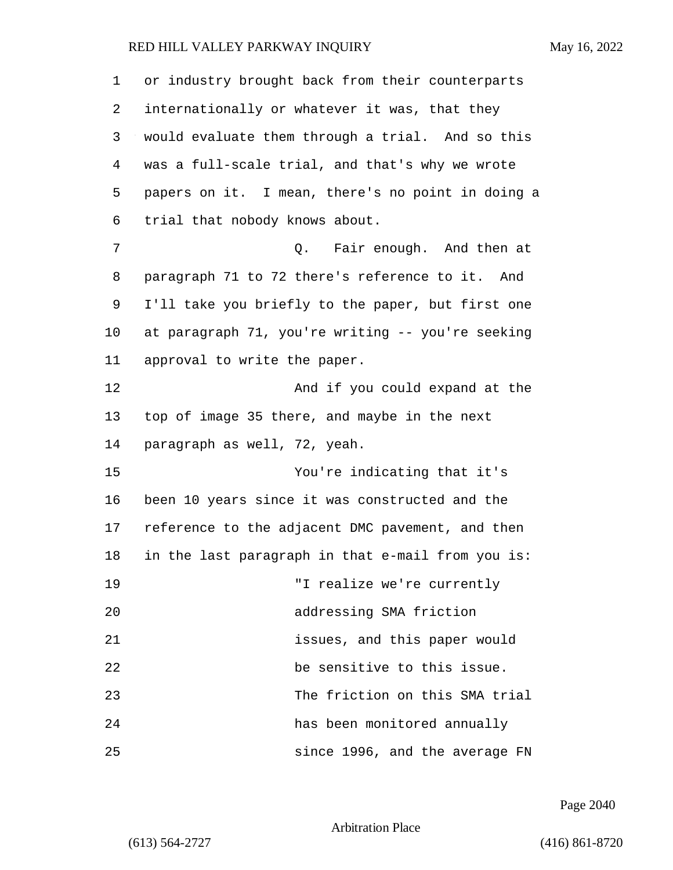| 1       | or industry brought back from their counterparts  |
|---------|---------------------------------------------------|
| 2       | internationally or whatever it was, that they     |
| 3       | would evaluate them through a trial. And so this  |
| 4       | was a full-scale trial, and that's why we wrote   |
| 5       | papers on it. I mean, there's no point in doing a |
| 6       | trial that nobody knows about.                    |
| 7       | Q. Fair enough. And then at                       |
| 8       | paragraph 71 to 72 there's reference to it. And   |
| 9       | I'll take you briefly to the paper, but first one |
| $10 \,$ | at paragraph 71, you're writing -- you're seeking |
| 11      | approval to write the paper.                      |
| 12      | And if you could expand at the                    |
| 13      | top of image 35 there, and maybe in the next      |
| 14      | paragraph as well, 72, yeah.                      |
| 15      | You're indicating that it's                       |
| 16      | been 10 years since it was constructed and the    |
| 17      | reference to the adjacent DMC pavement, and then  |
| 18      | in the last paragraph in that e-mail from you is: |
| 19      | "I realize we're currently                        |
| 20      | addressing SMA friction                           |
| 21      | issues, and this paper would                      |
| 22      | be sensitive to this issue.                       |
| 23      | The friction on this SMA trial                    |
| 24      | has been monitored annually                       |
| 25      | since 1996, and the average FN                    |

Page 2040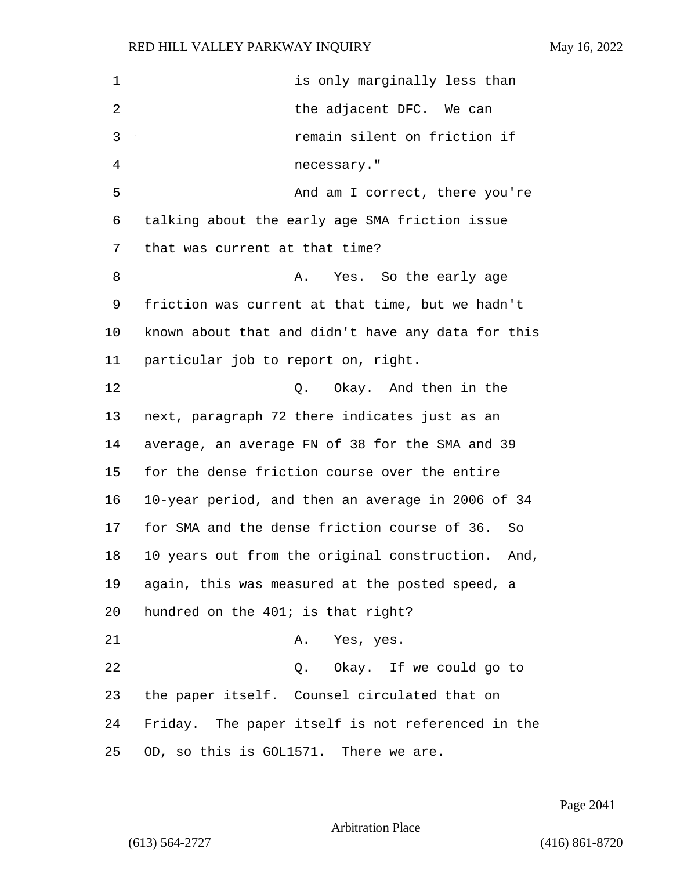| $\mathbf 1$ | is only marginally less than                         |
|-------------|------------------------------------------------------|
| 2           | the adjacent DFC. We can                             |
| 3           | remain silent on friction if                         |
| 4           | necessary."                                          |
| 5           | And am I correct, there you're                       |
| 6           | talking about the early age SMA friction issue       |
| 7           | that was current at that time?                       |
| 8           | Yes. So the early age<br>Α.                          |
| 9           | friction was current at that time, but we hadn't     |
| 10          | known about that and didn't have any data for this   |
| 11          | particular job to report on, right.                  |
| 12          | Q. Okay. And then in the                             |
| 13          | next, paragraph 72 there indicates just as an        |
| 14          | average, an average FN of 38 for the SMA and 39      |
| 15          | for the dense friction course over the entire        |
| 16          | 10-year period, and then an average in 2006 of 34    |
| 17          | for SMA and the dense friction course of 36.<br>So   |
| 18          | 10 years out from the original construction.<br>And, |
| 19          | again, this was measured at the posted speed, a      |
| 20          | hundred on the 401; is that right?                   |
| 21          | A. Yes, yes.                                         |
| 22          | Q. Okay. If we could go to                           |
| 23          | the paper itself. Counsel circulated that on         |
| 24          | Friday. The paper itself is not referenced in the    |
| 25          | OD, so this is GOL1571. There we are.                |

Page 2041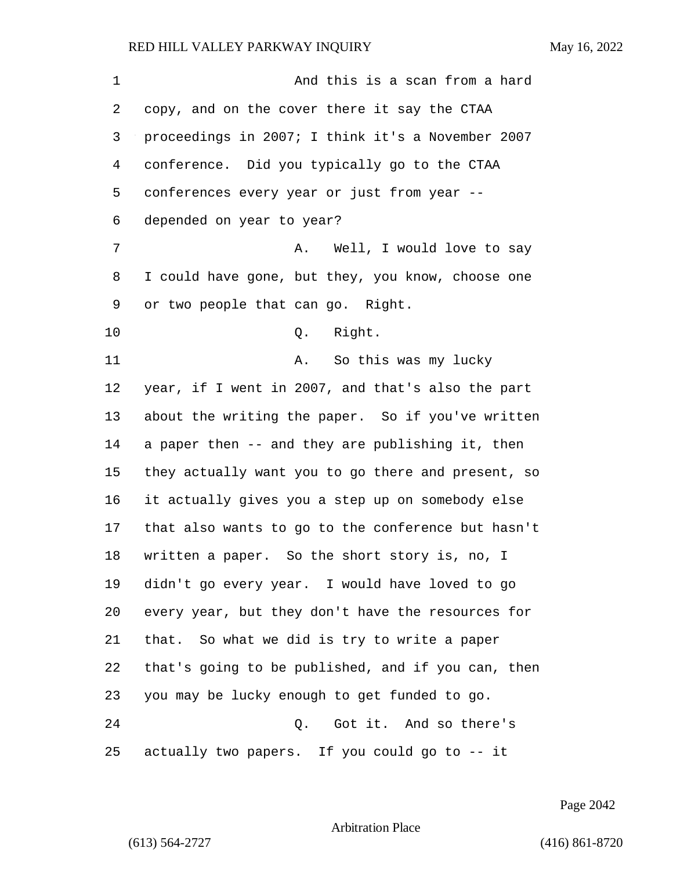1 And this is a scan from a hard copy, and on the cover there it say the CTAA proceedings in 2007; I think it's a November 2007 conference. Did you typically go to the CTAA conferences every year or just from year -- depended on year to year? 7 A. Well, I would love to say I could have gone, but they, you know, choose one or two people that can go. Right. 10 Q. Right. 11 A. So this was my lucky year, if I went in 2007, and that's also the part about the writing the paper. So if you've written a paper then -- and they are publishing it, then they actually want you to go there and present, so it actually gives you a step up on somebody else that also wants to go to the conference but hasn't written a paper. So the short story is, no, I didn't go every year. I would have loved to go every year, but they don't have the resources for that. So what we did is try to write a paper that's going to be published, and if you can, then you may be lucky enough to get funded to go. 24 Q. Got it. And so there's actually two papers. If you could go to -- it

Page 2042

Arbitration Place

(613) 564-2727 (416) 861-8720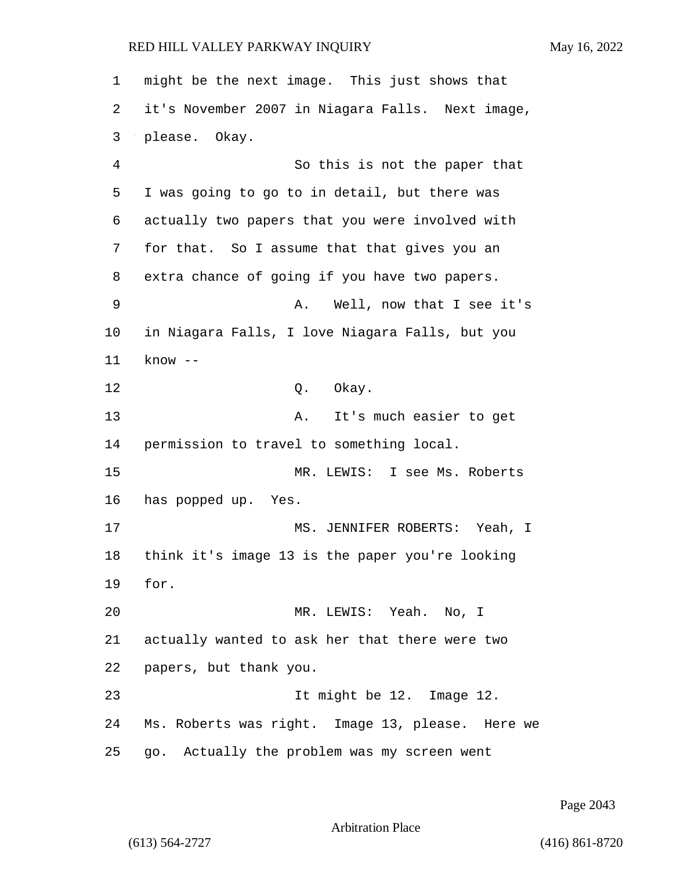1 might be the next image. This just shows that 2 it's November 2007 in Niagara Falls. Next image, 3 please. Okay. 4 So this is not the paper that 5 I was going to go to in detail, but there was 6 actually two papers that you were involved with 7 for that. So I assume that that gives you an 8 extra chance of going if you have two papers. 9 A. Well, now that I see it's 10 in Niagara Falls, I love Niagara Falls, but you 11 know -- 12 0. Okay. 13 A. It's much easier to get 14 permission to travel to something local. 15 MR. LEWIS: I see Ms. Roberts 16 has popped up. Yes. 17 MS. JENNIFER ROBERTS: Yeah, I 18 think it's image 13 is the paper you're looking 19 for. 20 MR. LEWIS: Yeah. No, I 21 actually wanted to ask her that there were two 22 papers, but thank you. 23 It might be 12. Image 12. 24 Ms. Roberts was right. Image 13, please. Here we 25 go. Actually the problem was my screen went

Page 2043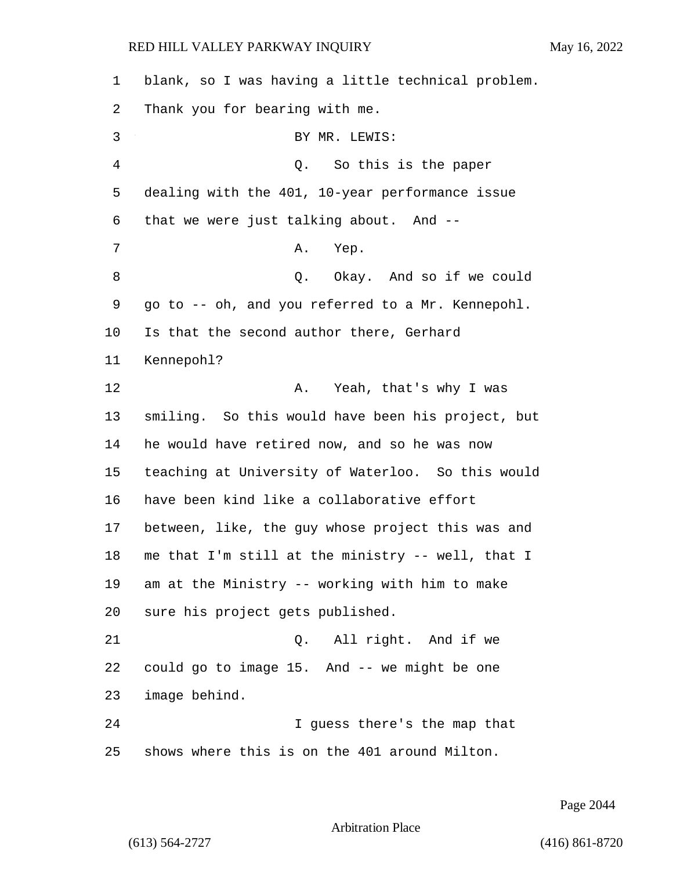| 1  | blank, so I was having a little technical problem. |
|----|----------------------------------------------------|
| 2  | Thank you for bearing with me.                     |
| 3  | BY MR. LEWIS:                                      |
| 4  | So this is the paper<br>Q.                         |
| 5  | dealing with the 401, 10-year performance issue    |
| 6  | that we were just talking about. And --            |
| 7  | Α.<br>Yep.                                         |
| 8  | Q. Okay. And so if we could                        |
| 9  | go to -- oh, and you referred to a Mr. Kennepohl.  |
| 10 | Is that the second author there, Gerhard           |
| 11 | Kennepohl?                                         |
| 12 | Α.<br>Yeah, that's why I was                       |
| 13 | smiling. So this would have been his project, but  |
| 14 | he would have retired now, and so he was now       |
| 15 | teaching at University of Waterloo. So this would  |
| 16 | have been kind like a collaborative effort         |
| 17 | between, like, the guy whose project this was and  |
| 18 | me that I'm still at the ministry -- well, that I  |
| 19 | am at the Ministry -- working with him to make     |
| 20 | sure his project gets published.                   |
| 21 | All right. And if we<br>Q.                         |
| 22 | could go to image 15. And -- we might be one       |
| 23 | image behind.                                      |
| 24 | I guess there's the map that                       |
| 25 | shows where this is on the 401 around Milton.      |

Page 2044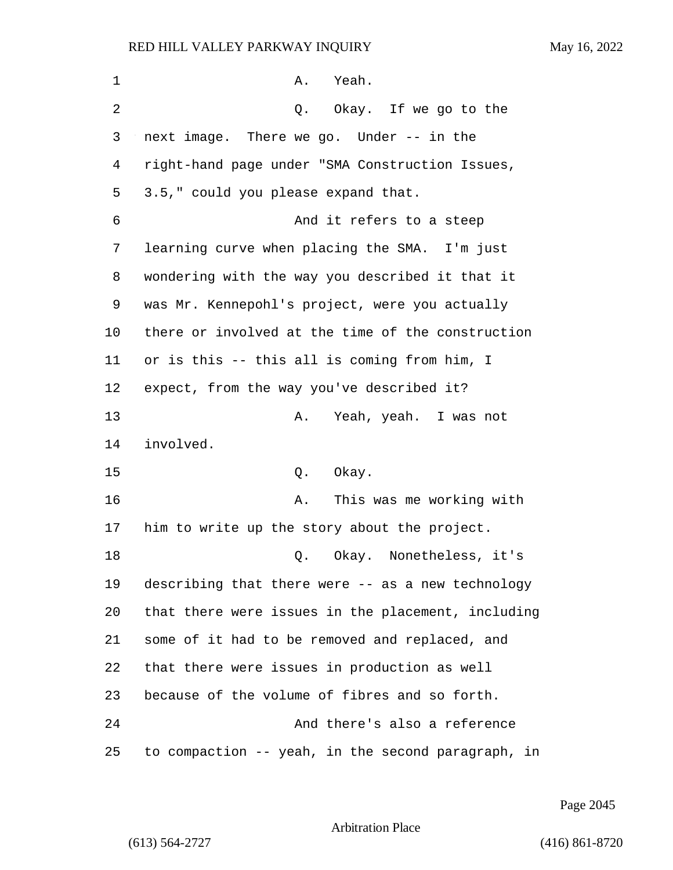| 1  | Yeah.<br>Α.                                        |
|----|----------------------------------------------------|
| 2  | Okay. If we go to the<br>Q.                        |
| 3  | next image. There we go. Under -- in the           |
| 4  | right-hand page under "SMA Construction Issues,    |
| 5  | 3.5," could you please expand that.                |
| 6  | And it refers to a steep                           |
| 7  | learning curve when placing the SMA. I'm just      |
| 8  | wondering with the way you described it that it    |
| 9  | was Mr. Kennepohl's project, were you actually     |
| 10 | there or involved at the time of the construction  |
| 11 | or is this -- this all is coming from him, I       |
| 12 | expect, from the way you've described it?          |
| 13 | Yeah, yeah. I was not<br>Α.                        |
| 14 | involved.                                          |
| 15 | Okay.<br>Q.                                        |
| 16 | This was me working with<br>Α.                     |
| 17 | him to write up the story about the project.       |
| 18 | Okay. Nonetheless, it's<br>Q.                      |
| 19 | describing that there were -- as a new technology  |
| 20 | that there were issues in the placement, including |
| 21 | some of it had to be removed and replaced, and     |
| 22 | that there were issues in production as well       |
| 23 | because of the volume of fibres and so forth.      |
| 24 | And there's also a reference                       |
| 25 | to compaction -- yeah, in the second paragraph, in |

Page 2045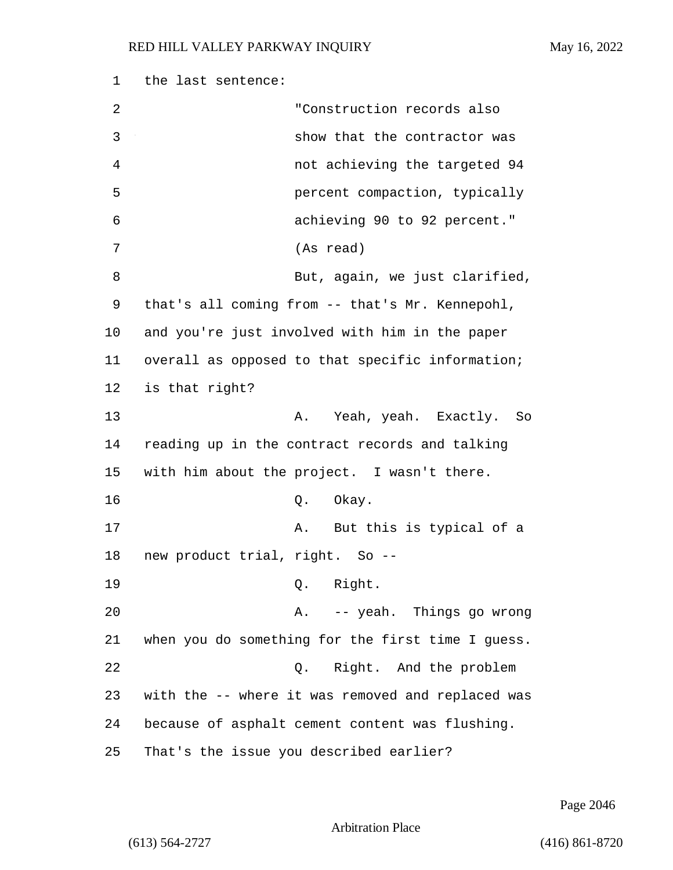| 1  | the last sentence:                                |
|----|---------------------------------------------------|
| 2  | "Construction records also                        |
| 3  | show that the contractor was                      |
| 4  | not achieving the targeted 94                     |
| 5  | percent compaction, typically                     |
| 6  | achieving 90 to 92 percent."                      |
| 7  | (As read)                                         |
| 8  | But, again, we just clarified,                    |
| 9  | that's all coming from -- that's Mr. Kennepohl,   |
| 10 | and you're just involved with him in the paper    |
| 11 | overall as opposed to that specific information;  |
| 12 | is that right?                                    |
| 13 | Yeah, yeah. Exactly. So<br>Α.                     |
| 14 | reading up in the contract records and talking    |
| 15 | with him about the project. I wasn't there.       |
| 16 | Okay.<br>Q.                                       |
| 17 | But this is typical of a<br>Α.                    |
| 18 | new product trial, right. So --                   |
| 19 | Q. Right.                                         |
| 20 | A. -- yeah. Things go wrong                       |
| 21 | when you do something for the first time I guess. |
| 22 | Right. And the problem<br>$Q$ .                   |
| 23 | with the -- where it was removed and replaced was |
| 24 | because of asphalt cement content was flushing.   |
| 25 | That's the issue you described earlier?           |

Page 2046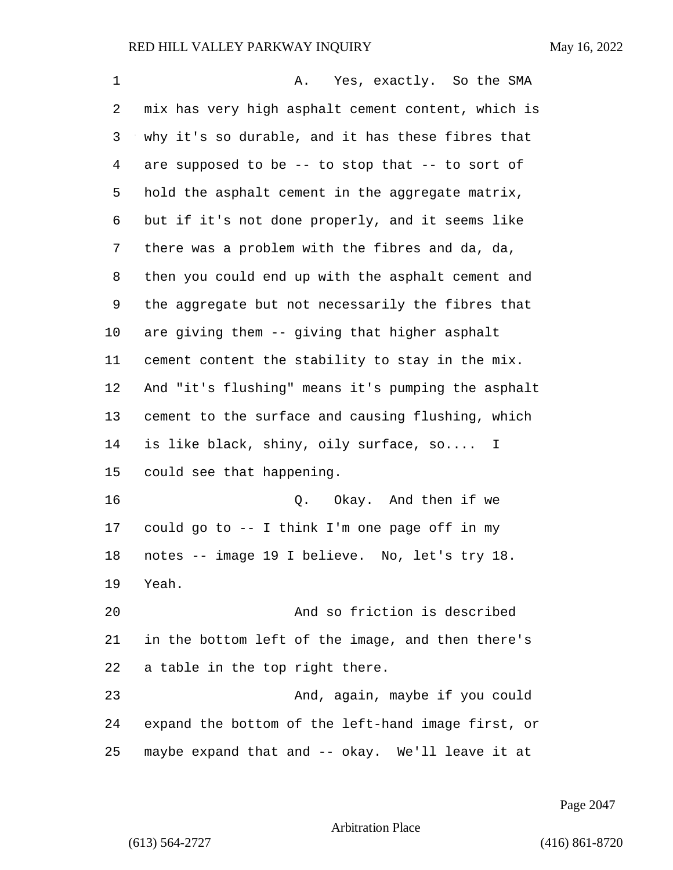| $\mathbf 1$ | Yes, exactly. So the SMA<br>Α.                     |
|-------------|----------------------------------------------------|
| 2           | mix has very high asphalt cement content, which is |
| 3           | why it's so durable, and it has these fibres that  |
| 4           | are supposed to be -- to stop that -- to sort of   |
| 5           | hold the asphalt cement in the aggregate matrix,   |
| 6           | but if it's not done properly, and it seems like   |
| 7           | there was a problem with the fibres and da, da,    |
| 8           | then you could end up with the asphalt cement and  |
| 9           | the aggregate but not necessarily the fibres that  |
| 10          | are giving them -- giving that higher asphalt      |
| 11          | cement content the stability to stay in the mix.   |
| 12          | And "it's flushing" means it's pumping the asphalt |
| 13          | cement to the surface and causing flushing, which  |
| 14          | is like black, shiny, oily surface, so I           |
| 15          | could see that happening.                          |
| 16          | Okay. And then if we<br>Q.                         |
| 17          | could go to -- I think I'm one page off in my      |
| 18          | notes -- image 19 I believe. No, let's try 18.     |
| 19          | Yeah.                                              |
| 20          | And so friction is described                       |
| 21          | in the bottom left of the image, and then there's  |
| 22          | a table in the top right there.                    |
| 23          | And, again, maybe if you could                     |
| 24          | expand the bottom of the left-hand image first, or |
| 25          | maybe expand that and -- okay. We'll leave it at   |

Page 2047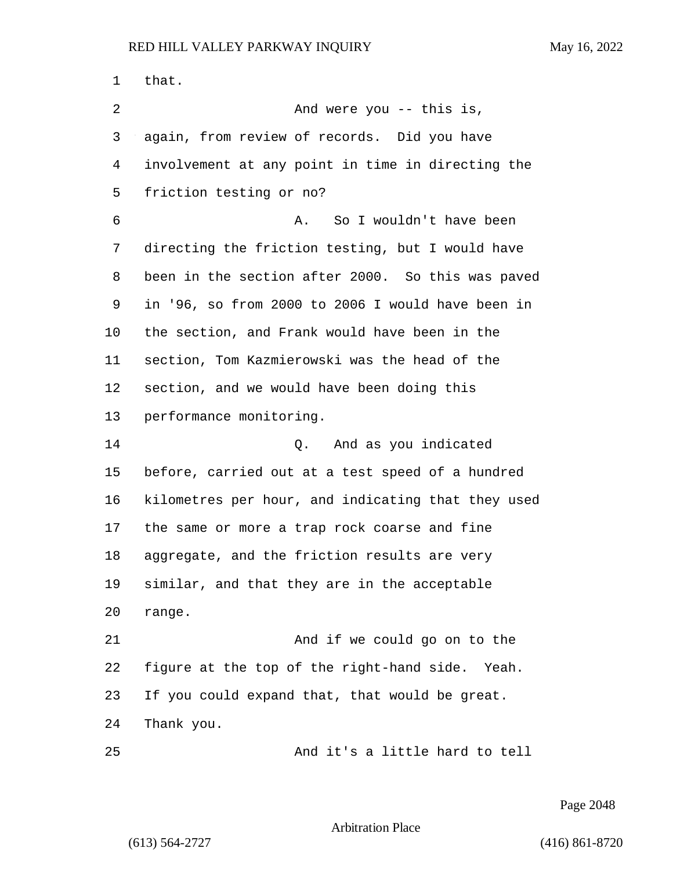that. 2 And were you -- this is, again, from review of records. Did you have involvement at any point in time in directing the friction testing or no? 6 A. So I wouldn't have been directing the friction testing, but I would have been in the section after 2000. So this was paved in '96, so from 2000 to 2006 I would have been in the section, and Frank would have been in the section, Tom Kazmierowski was the head of the section, and we would have been doing this performance monitoring. 14 Q. And as you indicated before, carried out at a test speed of a hundred kilometres per hour, and indicating that they used the same or more a trap rock coarse and fine aggregate, and the friction results are very similar, and that they are in the acceptable range. 21 And if we could go on to the figure at the top of the right-hand side. Yeah. If you could expand that, that would be great. Thank you. 25 And it's a little hard to tell

Page 2048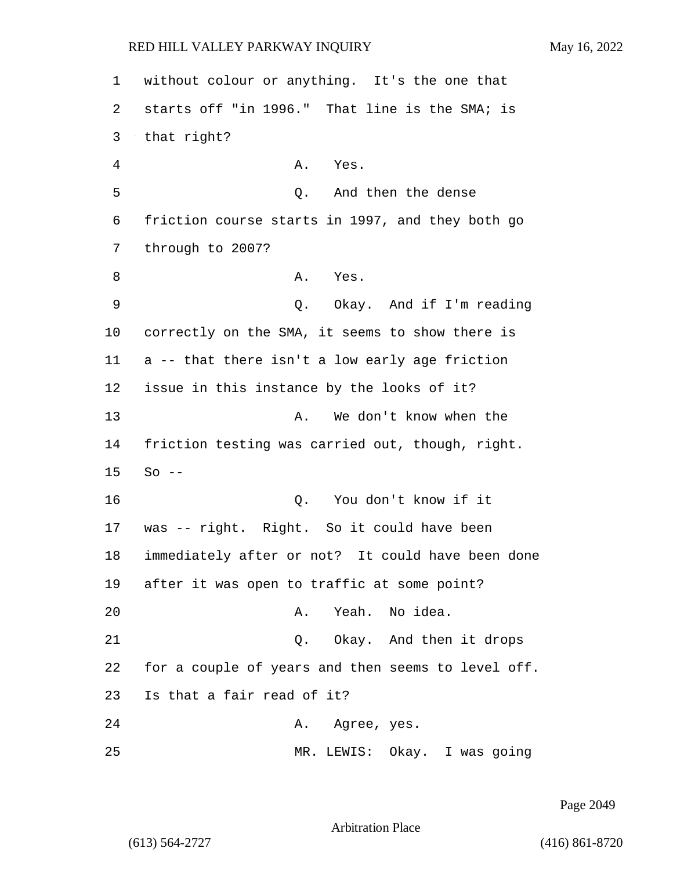1 without colour or anything. It's the one that 2 starts off "in 1996." That line is the SMA; is 3 that right? 4 A. Yes. 5 Q. And then the dense 6 friction course starts in 1997, and they both go 7 through to 2007? 8 A. Yes. 9 Q. Okay. And if I'm reading 10 correctly on the SMA, it seems to show there is 11 a -- that there isn't a low early age friction 12 issue in this instance by the looks of it? 13 A. We don't know when the 14 friction testing was carried out, though, right. 15 So -- 16 Q. You don't know if it 17 was -- right. Right. So it could have been 18 immediately after or not? It could have been done 19 after it was open to traffic at some point? 20 A. Yeah. No idea. 21 Q. Okay. And then it drops 22 for a couple of years and then seems to level off. 23 Is that a fair read of it? 24 A. Agree, yes. 25 MR. LEWIS: Okay. I was going

Page 2049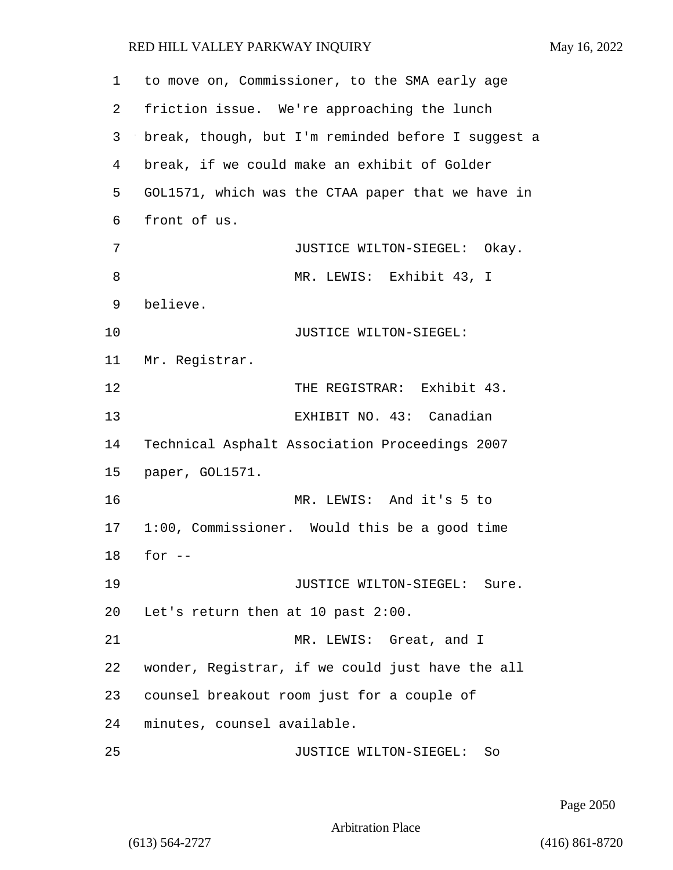| 1  | to move on, Commissioner, to the SMA early age     |
|----|----------------------------------------------------|
| 2  | friction issue. We're approaching the lunch        |
| 3  | break, though, but I'm reminded before I suggest a |
| 4  | break, if we could make an exhibit of Golder       |
| 5  | GOL1571, which was the CTAA paper that we have in  |
| 6  | front of us.                                       |
| 7  | JUSTICE WILTON-SIEGEL: Okay.                       |
| 8  | MR. LEWIS: Exhibit 43, I                           |
| 9  | believe.                                           |
| 10 | JUSTICE WILTON-SIEGEL:                             |
| 11 | Mr. Registrar.                                     |
| 12 | THE REGISTRAR: Exhibit 43.                         |
| 13 | EXHIBIT NO. 43: Canadian                           |
| 14 | Technical Asphalt Association Proceedings 2007     |
| 15 | paper, GOL1571.                                    |
| 16 | MR. LEWIS: And it's 5 to                           |
| 17 | 1:00, Commissioner. Would this be a good time      |
| 18 | for $--$                                           |
| 19 | JUSTICE WILTON-SIEGEL: Sure.                       |
| 20 | Let's return then at 10 past 2:00.                 |
| 21 | MR. LEWIS: Great, and I                            |
| 22 | wonder, Registrar, if we could just have the all   |
| 23 | counsel breakout room just for a couple of         |
| 24 | minutes, counsel available.                        |
| 25 | JUSTICE WILTON-SIEGEL:<br>So                       |

Page 2050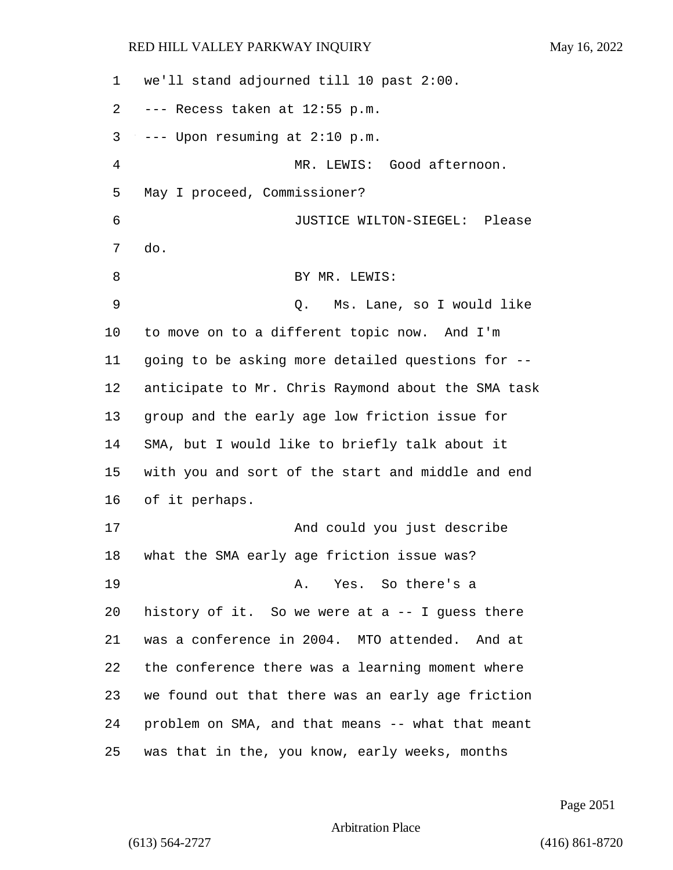we'll stand adjourned till 10 past 2:00. --- Recess taken at 12:55 p.m.  $3 \rightarrow -$ - Upon resuming at 2:10 p.m. 4 MR. LEWIS: Good afternoon. May I proceed, Commissioner? 6 JUSTICE WILTON-SIEGEL: Please do. 8 BY MR. LEWIS: 9 Q. Ms. Lane, so I would like to move on to a different topic now. And I'm going to be asking more detailed questions for -- anticipate to Mr. Chris Raymond about the SMA task group and the early age low friction issue for SMA, but I would like to briefly talk about it with you and sort of the start and middle and end of it perhaps. 17 And could you just describe what the SMA early age friction issue was? 19 A. Yes. So there's a history of it. So we were at a -- I guess there was a conference in 2004. MTO attended. And at the conference there was a learning moment where we found out that there was an early age friction problem on SMA, and that means -- what that meant was that in the, you know, early weeks, months

Page 2051

```
Arbitration Place
```
(613) 564-2727 (416) 861-8720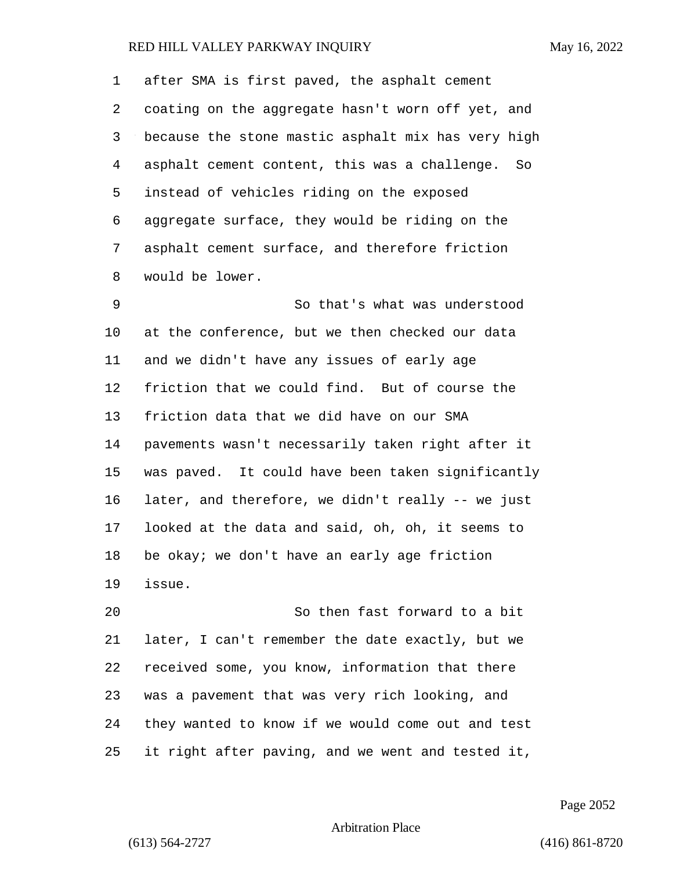after SMA is first paved, the asphalt cement coating on the aggregate hasn't worn off yet, and because the stone mastic asphalt mix has very high asphalt cement content, this was a challenge. So instead of vehicles riding on the exposed aggregate surface, they would be riding on the asphalt cement surface, and therefore friction would be lower.

9 So that's what was understood at the conference, but we then checked our data and we didn't have any issues of early age friction that we could find. But of course the friction data that we did have on our SMA pavements wasn't necessarily taken right after it was paved. It could have been taken significantly later, and therefore, we didn't really -- we just looked at the data and said, oh, oh, it seems to be okay; we don't have an early age friction issue.

20 So then fast forward to a bit later, I can't remember the date exactly, but we received some, you know, information that there was a pavement that was very rich looking, and they wanted to know if we would come out and test it right after paving, and we went and tested it,

Page 2052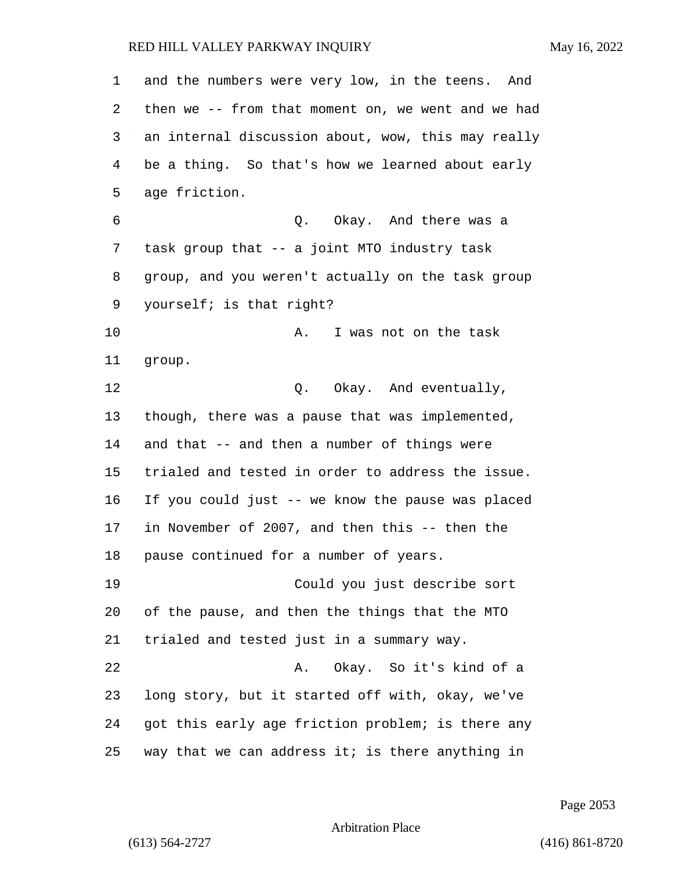| 1  | and the numbers were very low, in the teens. And   |
|----|----------------------------------------------------|
| 2  | then we -- from that moment on, we went and we had |
| 3  | an internal discussion about, wow, this may really |
| 4  | be a thing. So that's how we learned about early   |
| 5  | age friction.                                      |
| 6  | Q. Okay. And there was a                           |
| 7  | task group that -- a joint MTO industry task       |
| 8  | group, and you weren't actually on the task group  |
| 9  | yourself; is that right?                           |
| 10 | I was not on the task<br>Α.                        |
| 11 | group.                                             |
| 12 | Q. Okay. And eventually,                           |
| 13 | though, there was a pause that was implemented,    |
| 14 | and that -- and then a number of things were       |
| 15 | trialed and tested in order to address the issue.  |
| 16 | If you could just -- we know the pause was placed  |
| 17 | in November of 2007, and then this -- then the     |
| 18 | pause continued for a number of years.             |
| 19 | Could you just describe sort                       |
| 20 | of the pause, and then the things that the MTO     |
| 21 | trialed and tested just in a summary way.          |
| 22 | Okay. So it's kind of a<br>Α.                      |
| 23 | long story, but it started off with, okay, we've   |
| 24 | got this early age friction problem; is there any  |
| 25 | way that we can address it; is there anything in   |

Page 2053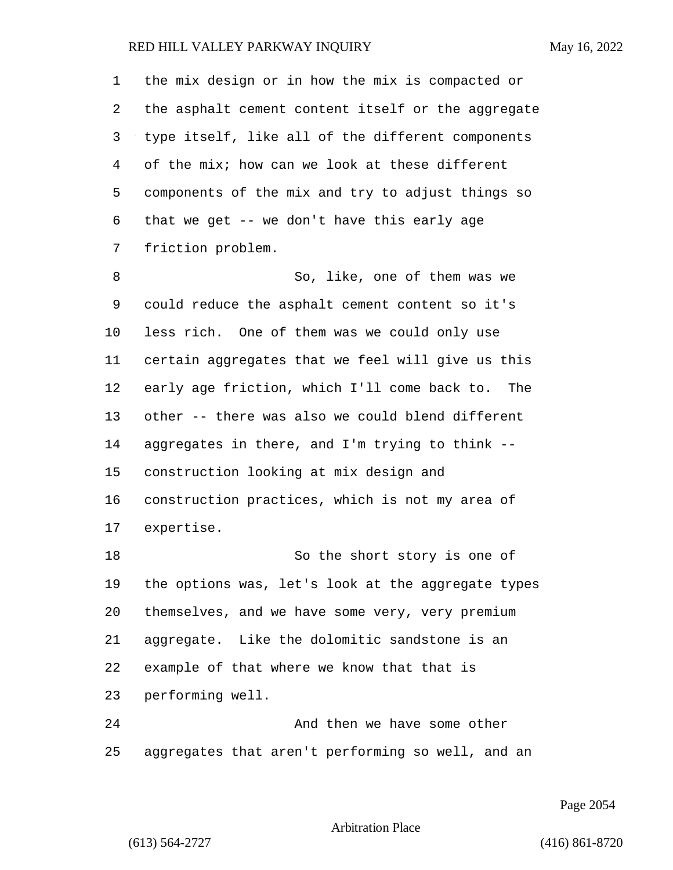the mix design or in how the mix is compacted or the asphalt cement content itself or the aggregate type itself, like all of the different components of the mix; how can we look at these different components of the mix and try to adjust things so that we get -- we don't have this early age friction problem. 8 So, like, one of them was we could reduce the asphalt cement content so it's less rich. One of them was we could only use certain aggregates that we feel will give us this early age friction, which I'll come back to. The other -- there was also we could blend different aggregates in there, and I'm trying to think -- construction looking at mix design and construction practices, which is not my area of expertise. 18 So the short story is one of the options was, let's look at the aggregate types themselves, and we have some very, very premium aggregate. Like the dolomitic sandstone is an example of that where we know that that is performing well. 24 And then we have some other

aggregates that aren't performing so well, and an

Page 2054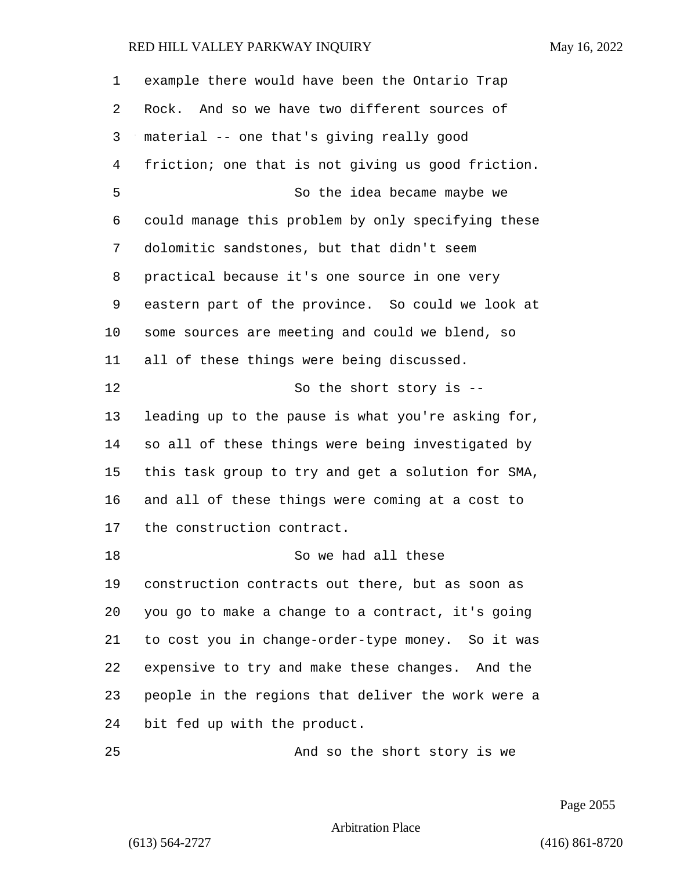example there would have been the Ontario Trap Rock. And so we have two different sources of material -- one that's giving really good friction; one that is not giving us good friction. 5 So the idea became maybe we could manage this problem by only specifying these dolomitic sandstones, but that didn't seem practical because it's one source in one very eastern part of the province. So could we look at some sources are meeting and could we blend, so all of these things were being discussed. 12 So the short story is -- leading up to the pause is what you're asking for, so all of these things were being investigated by this task group to try and get a solution for SMA, and all of these things were coming at a cost to the construction contract. 18 So we had all these construction contracts out there, but as soon as you go to make a change to a contract, it's going to cost you in change-order-type money. So it was expensive to try and make these changes. And the people in the regions that deliver the work were a bit fed up with the product. 25 And so the short story is we

Page 2055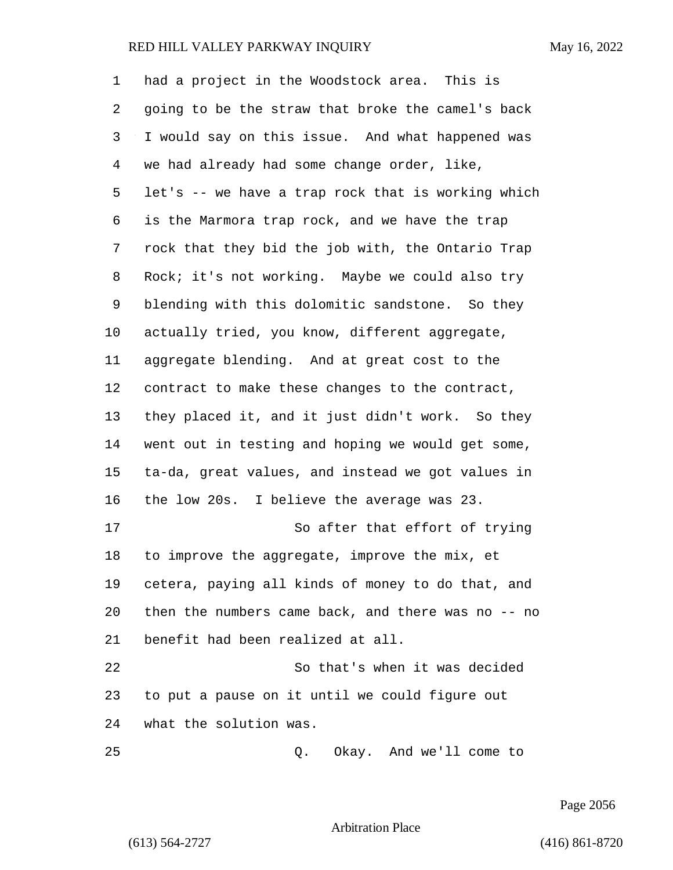had a project in the Woodstock area. This is going to be the straw that broke the camel's back I would say on this issue. And what happened was we had already had some change order, like, let's -- we have a trap rock that is working which is the Marmora trap rock, and we have the trap rock that they bid the job with, the Ontario Trap Rock; it's not working. Maybe we could also try blending with this dolomitic sandstone. So they actually tried, you know, different aggregate, aggregate blending. And at great cost to the contract to make these changes to the contract, they placed it, and it just didn't work. So they went out in testing and hoping we would get some, ta-da, great values, and instead we got values in the low 20s. I believe the average was 23. 17 So after that effort of trying to improve the aggregate, improve the mix, et cetera, paying all kinds of money to do that, and then the numbers came back, and there was no -- no benefit had been realized at all. 22 So that's when it was decided to put a pause on it until we could figure out what the solution was. 25 Q. Okay. And we'll come to

Page 2056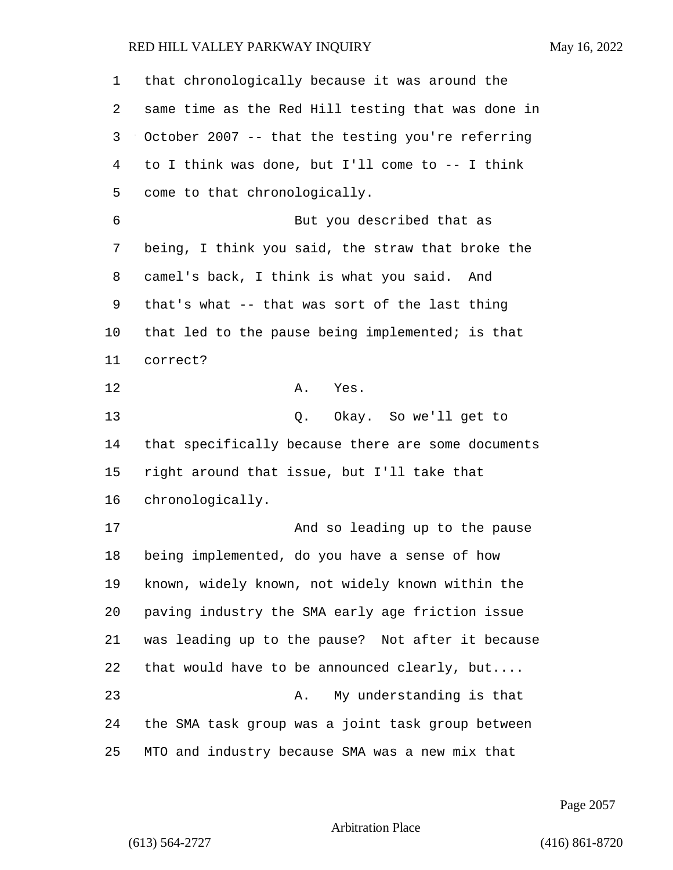that chronologically because it was around the same time as the Red Hill testing that was done in October 2007 -- that the testing you're referring to I think was done, but I'll come to -- I think come to that chronologically. 6 But you described that as being, I think you said, the straw that broke the camel's back, I think is what you said. And that's what -- that was sort of the last thing that led to the pause being implemented; is that correct? 12 A. Yes. 13 Q. Okay. So we'll get to that specifically because there are some documents right around that issue, but I'll take that chronologically. 17 And so leading up to the pause being implemented, do you have a sense of how known, widely known, not widely known within the paving industry the SMA early age friction issue was leading up to the pause? Not after it because that would have to be announced clearly, but.... 23 A. My understanding is that the SMA task group was a joint task group between MTO and industry because SMA was a new mix that

Page 2057

```
Arbitration Place
```
(613) 564-2727 (416) 861-8720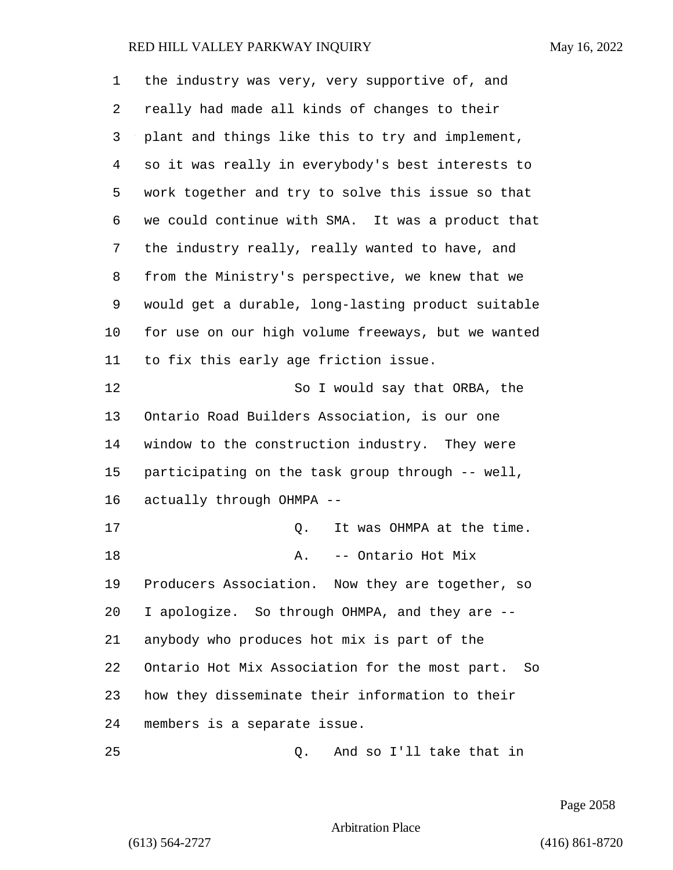| 1  | the industry was very, very supportive of, and       |
|----|------------------------------------------------------|
| 2  | really had made all kinds of changes to their        |
| 3  | plant and things like this to try and implement,     |
| 4  | so it was really in everybody's best interests to    |
| 5  | work together and try to solve this issue so that    |
| 6  | we could continue with SMA. It was a product that    |
| 7  | the industry really, really wanted to have, and      |
| 8  | from the Ministry's perspective, we knew that we     |
| 9  | would get a durable, long-lasting product suitable   |
| 10 | for use on our high volume freeways, but we wanted   |
| 11 | to fix this early age friction issue.                |
| 12 | So I would say that ORBA, the                        |
| 13 | Ontario Road Builders Association, is our one        |
| 14 | window to the construction industry. They were       |
| 15 | participating on the task group through -- well,     |
| 16 | actually through OHMPA --                            |
| 17 | It was OHMPA at the time.<br>Q.                      |
| 18 | -- Ontario Hot Mix<br>Α.                             |
| 19 | Producers Association. Now they are together, so     |
| 20 | I apologize. So through OHMPA, and they are --       |
| 21 | anybody who produces hot mix is part of the          |
| 22 | Ontario Hot Mix Association for the most part.<br>So |
| 23 | how they disseminate their information to their      |
| 24 | members is a separate issue.                         |
| 25 | And so I'll take that in<br>Q.                       |

Page 2058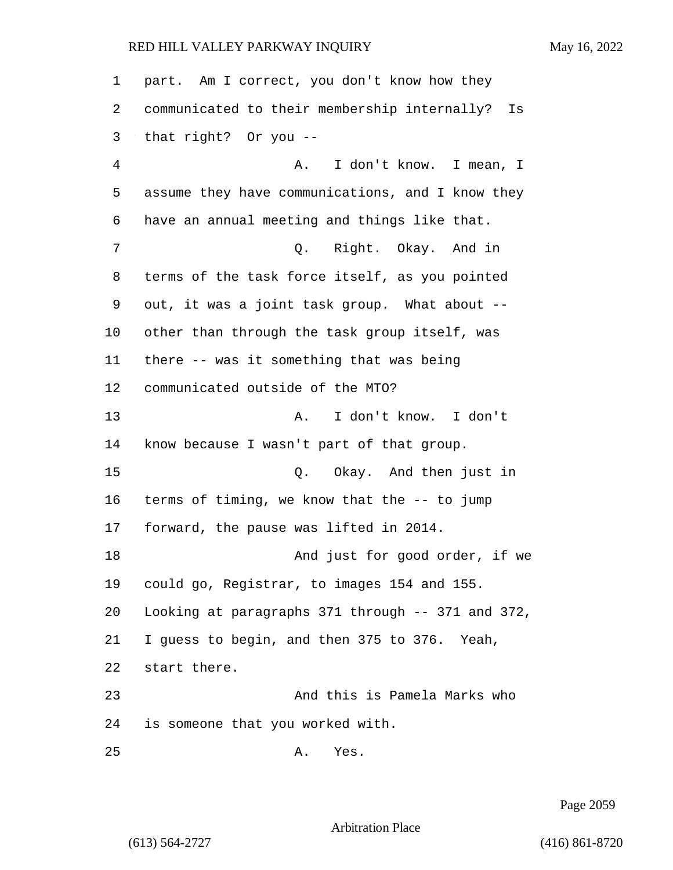| 1              | part. Am I correct, you don't know how they       |
|----------------|---------------------------------------------------|
| 2              | communicated to their membership internally? Is   |
| 3              | that right? Or you --                             |
| $\overline{4}$ | I don't know. I mean, I<br>Α.                     |
| 5              | assume they have communications, and I know they  |
| 6              | have an annual meeting and things like that.      |
| 7              | Q. Right. Okay. And in                            |
| 8              | terms of the task force itself, as you pointed    |
| 9              | out, it was a joint task group. What about --     |
| 10             | other than through the task group itself, was     |
| 11             | there -- was it something that was being          |
| 12             | communicated outside of the MTO?                  |
| 13             | I don't know. I don't<br>Α.                       |
| 14             | know because I wasn't part of that group.         |
| 15             | Okay. And then just in<br>Q.                      |
| 16             | terms of timing, we know that the -- to jump      |
| $17 \,$        | forward, the pause was lifted in 2014.            |
| 18             | And just for good order, if we                    |
| 19             | could go, Registrar, to images 154 and 155.       |
| 20             | Looking at paragraphs 371 through -- 371 and 372, |
| 21             | I guess to begin, and then 375 to 376. Yeah,      |
| 22             | start there.                                      |
| 23             | And this is Pamela Marks who                      |
| 24             | is someone that you worked with.                  |
| 25             | Yes.<br>Α.                                        |

Page 2059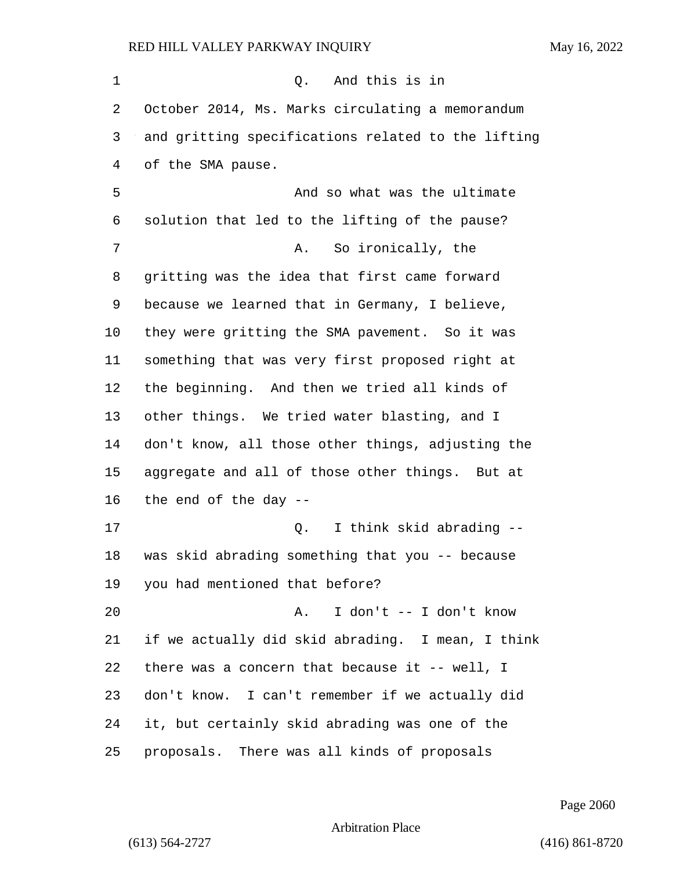| 1  | And this is in<br>Q.                               |
|----|----------------------------------------------------|
| 2  | October 2014, Ms. Marks circulating a memorandum   |
| 3  | and gritting specifications related to the lifting |
| 4  | of the SMA pause.                                  |
| 5  | And so what was the ultimate                       |
| 6  | solution that led to the lifting of the pause?     |
| 7  | So ironically, the<br>Α.                           |
| 8  | gritting was the idea that first came forward      |
| 9  | because we learned that in Germany, I believe,     |
| 10 | they were gritting the SMA pavement. So it was     |
| 11 | something that was very first proposed right at    |
| 12 | the beginning. And then we tried all kinds of      |
| 13 | other things. We tried water blasting, and I       |
| 14 | don't know, all those other things, adjusting the  |
| 15 | aggregate and all of those other things. But at    |
| 16 | the end of the day --                              |
| 17 | I think skid abrading --<br>Q.                     |
| 18 | was skid abrading something that you -- because    |
| 19 | you had mentioned that before?                     |
| 20 | I don't -- I don't know<br>Α.                      |
| 21 | if we actually did skid abrading. I mean, I think  |
| 22 | there was a concern that because it -- well, I     |
| 23 | don't know. I can't remember if we actually did    |
| 24 | it, but certainly skid abrading was one of the     |
| 25 | proposals. There was all kinds of proposals        |

Page 2060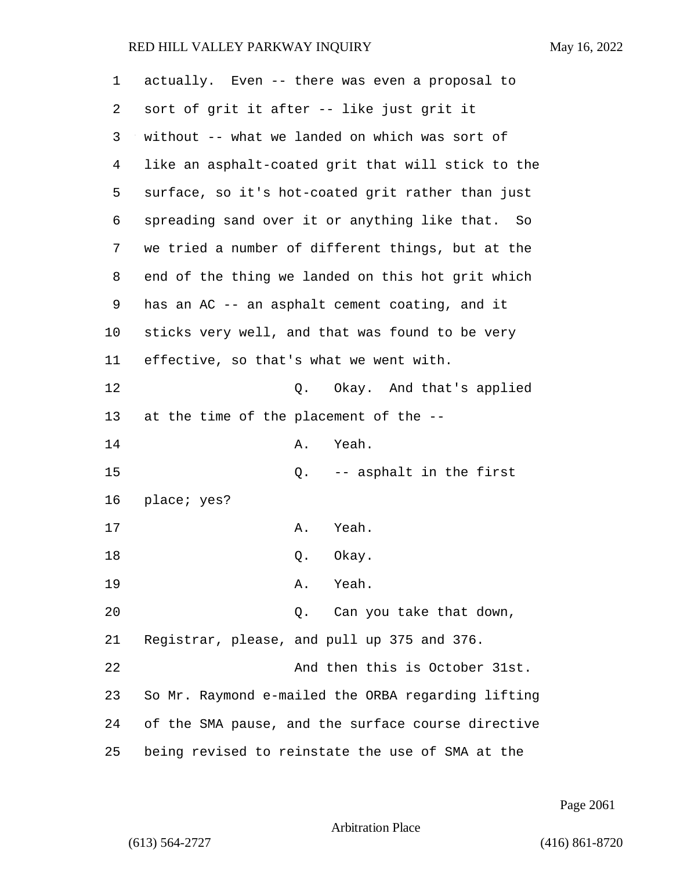| 1  | actually. Even -- there was even a proposal to     |
|----|----------------------------------------------------|
| 2  | sort of grit it after -- like just grit it         |
| 3  | without -- what we landed on which was sort of     |
| 4  | like an asphalt-coated grit that will stick to the |
| 5  | surface, so it's hot-coated grit rather than just  |
| 6  | spreading sand over it or anything like that. So   |
| 7  | we tried a number of different things, but at the  |
| 8  | end of the thing we landed on this hot grit which  |
| 9  | has an AC -- an asphalt cement coating, and it     |
| 10 | sticks very well, and that was found to be very    |
| 11 | effective, so that's what we went with.            |
| 12 | Okay. And that's applied<br>Q.                     |
| 13 | at the time of the placement of the --             |
| 14 | Yeah.<br>Α.                                        |
| 15 | Q. -- asphalt in the first                         |
| 16 | place; yes?                                        |
| 17 | Yeah.<br>Α.                                        |
| 18 | Q.<br>Okay.                                        |
| 19 | Yeah.<br>Α.                                        |
| 20 | Can you take that down,<br>Q.                      |
| 21 | Registrar, please, and pull up 375 and 376.        |
| 22 | And then this is October 31st.                     |
| 23 | So Mr. Raymond e-mailed the ORBA regarding lifting |
| 24 | of the SMA pause, and the surface course directive |
| 25 | being revised to reinstate the use of SMA at the   |

Page 2061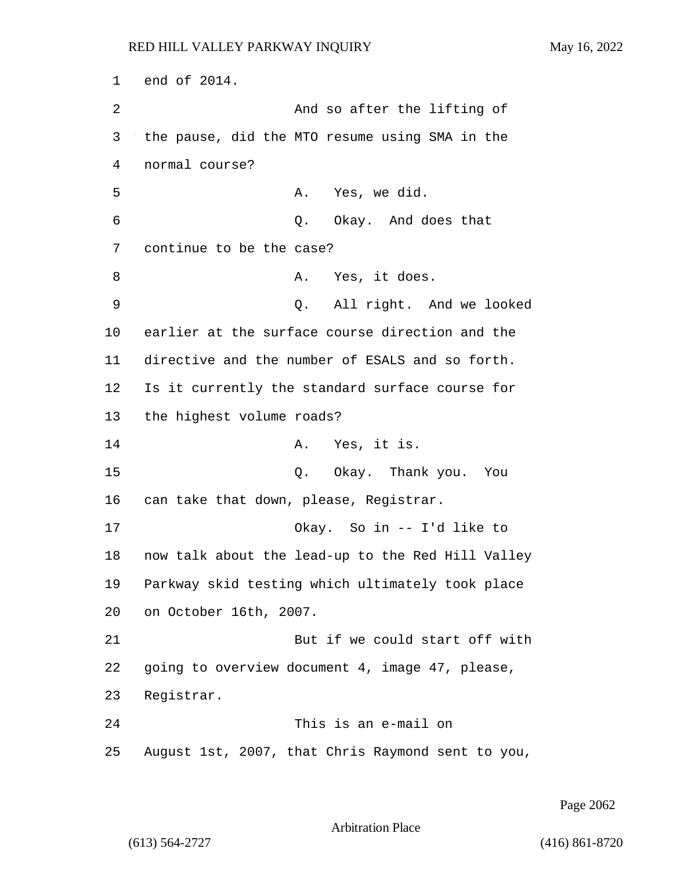1 end of 2014. 2 And so after the lifting of 3 the pause, did the MTO resume using SMA in the 4 normal course? 5 A. Yes, we did. 6 Q. Okay. And does that 7 continue to be the case? 8 A. Yes, it does. 9 Q. All right. And we looked 10 earlier at the surface course direction and the 11 directive and the number of ESALS and so forth. 12 Is it currently the standard surface course for 13 the highest volume roads? 14 A. Yes, it is. 15 Q. Okay. Thank you. You 16 can take that down, please, Registrar. 17 Okay. So in -- I'd like to 18 now talk about the lead-up to the Red Hill Valley 19 Parkway skid testing which ultimately took place 20 on October 16th, 2007. 21 But if we could start off with 22 going to overview document 4, image 47, please, 23 Registrar. 24 This is an e-mail on 25 August 1st, 2007, that Chris Raymond sent to you,

Page 2062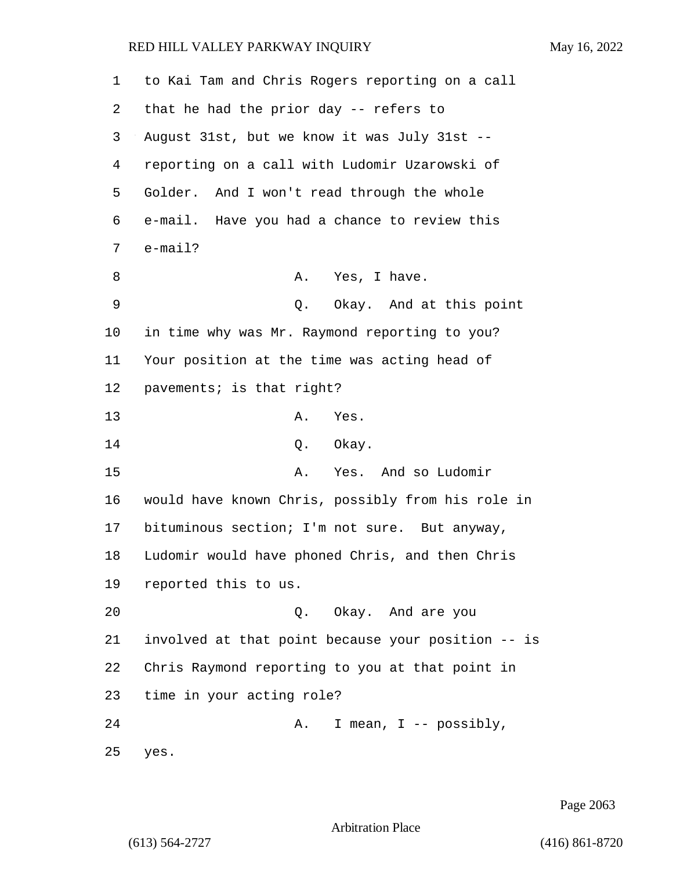| 1  | to Kai Tam and Chris Rogers reporting on a call    |
|----|----------------------------------------------------|
| 2  | that he had the prior day -- refers to             |
| 3  | August 31st, but we know it was July 31st --       |
| 4  | reporting on a call with Ludomir Uzarowski of      |
| 5  | Golder. And I won't read through the whole         |
| 6  | e-mail. Have you had a chance to review this       |
| 7  | $e$ -mail?                                         |
| 8  | Yes, I have.<br>Α.                                 |
| 9  | Q. Okay. And at this point                         |
| 10 | in time why was Mr. Raymond reporting to you?      |
| 11 | Your position at the time was acting head of       |
| 12 | pavements; is that right?                          |
| 13 | Α.<br>Yes.                                         |
| 14 | Q. Okay.                                           |
| 15 | Yes. And so Ludomir<br>Α.                          |
| 16 | would have known Chris, possibly from his role in  |
| 17 | bituminous section; I'm not sure. But anyway,      |
| 18 | Ludomir would have phoned Chris, and then Chris    |
| 19 | reported this to us.                               |
| 20 | Q. Okay. And are you                               |
| 21 | involved at that point because your position -- is |
| 22 | Chris Raymond reporting to you at that point in    |
| 23 | time in your acting role?                          |
| 24 | I mean, $I$ -- possibly,<br>Α.                     |
| 25 | yes.                                               |

Page 2063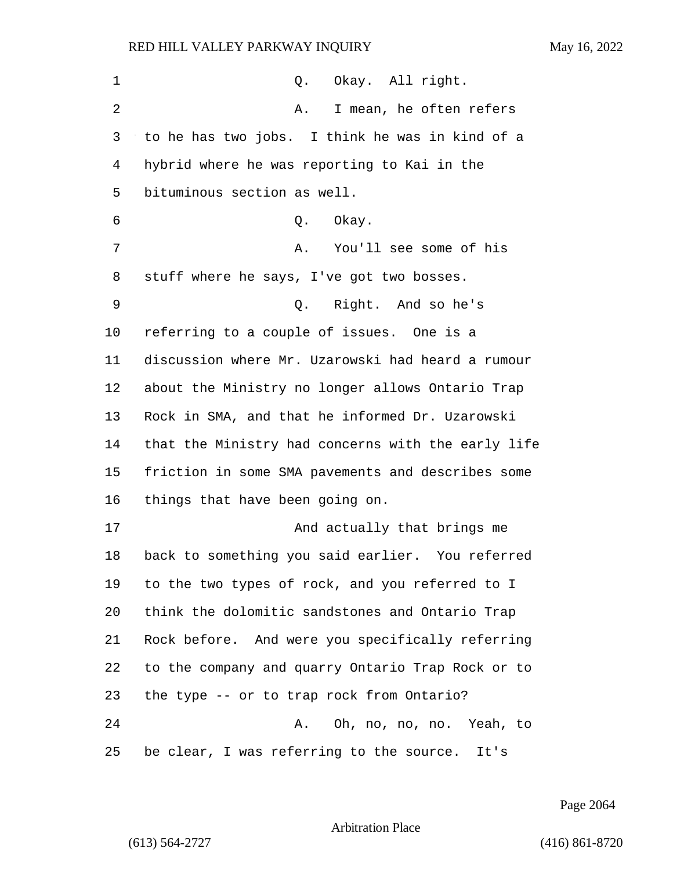| $\mathbf 1$ | Q. Okay. All right.                                |
|-------------|----------------------------------------------------|
| 2           | I mean, he often refers<br>Α.                      |
| 3           | to he has two jobs. I think he was in kind of a    |
| 4           | hybrid where he was reporting to Kai in the        |
| 5           | bituminous section as well.                        |
| 6           | Okay.<br>Q.                                        |
| 7           | You'll see some of his<br>Α.                       |
| 8           | stuff where he says, I've got two bosses.          |
| 9           | Q. Right. And so he's                              |
| $10 \,$     | referring to a couple of issues. One is a          |
| 11          | discussion where Mr. Uzarowski had heard a rumour  |
| 12          | about the Ministry no longer allows Ontario Trap   |
| 13          | Rock in SMA, and that he informed Dr. Uzarowski    |
| 14          | that the Ministry had concerns with the early life |
| 15          | friction in some SMA pavements and describes some  |
| 16          | things that have been going on.                    |
| 17          | And actually that brings me                        |
| 18          | back to something you said earlier. You referred   |
| 19          | to the two types of rock, and you referred to I    |
| 20          | think the dolomitic sandstones and Ontario Trap    |
| 21          | Rock before. And were you specifically referring   |
| 22          | to the company and quarry Ontario Trap Rock or to  |
| 23          | the type -- or to trap rock from Ontario?          |
| 24          | A. Oh, no, no, no. Yeah, to                        |
| 25          | be clear, I was referring to the source. It's      |

Page 2064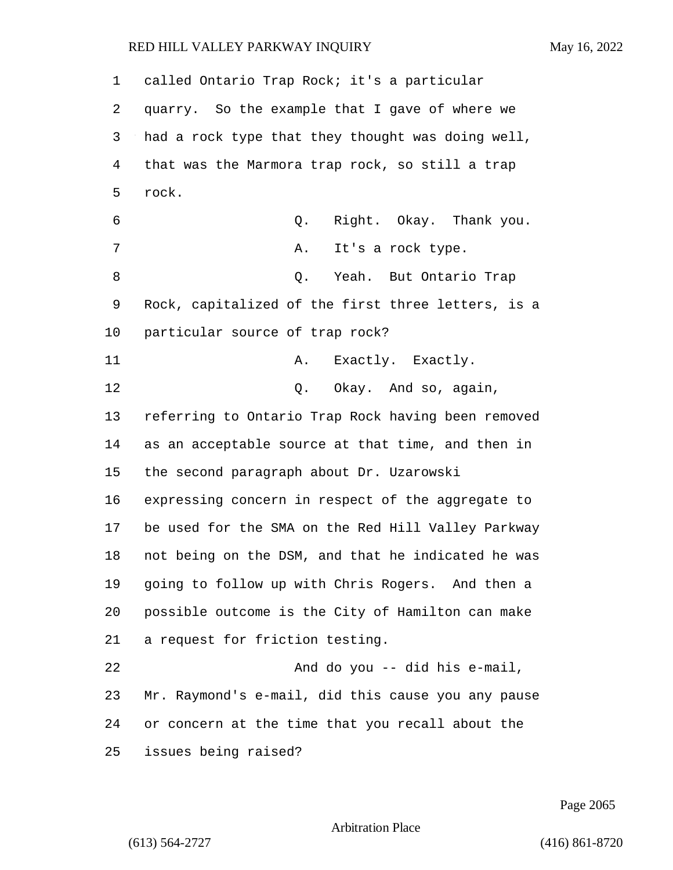| 1  | called Ontario Trap Rock; it's a particular        |
|----|----------------------------------------------------|
| 2  | quarry. So the example that I gave of where we     |
| 3  | had a rock type that they thought was doing well,  |
| 4  | that was the Marmora trap rock, so still a trap    |
| 5  | rock.                                              |
| 6  | Right. Okay. Thank you.<br>Q.                      |
| 7  | Α.<br>It's a rock type.                            |
| 8  | Q. Yeah. But Ontario Trap                          |
| 9  | Rock, capitalized of the first three letters, is a |
| 10 | particular source of trap rock?                    |
| 11 | A. Exactly. Exactly.                               |
| 12 | Q. Okay. And so, again,                            |
| 13 | referring to Ontario Trap Rock having been removed |
| 14 | as an acceptable source at that time, and then in  |
| 15 | the second paragraph about Dr. Uzarowski           |
| 16 | expressing concern in respect of the aggregate to  |
| 17 | be used for the SMA on the Red Hill Valley Parkway |
| 18 | not being on the DSM, and that he indicated he was |
| 19 | going to follow up with Chris Rogers. And then a   |
| 20 | possible outcome is the City of Hamilton can make  |
| 21 | a request for friction testing.                    |
| 22 | And do you -- did his e-mail,                      |
| 23 | Mr. Raymond's e-mail, did this cause you any pause |
| 24 | or concern at the time that you recall about the   |
| 25 | issues being raised?                               |

Page 2065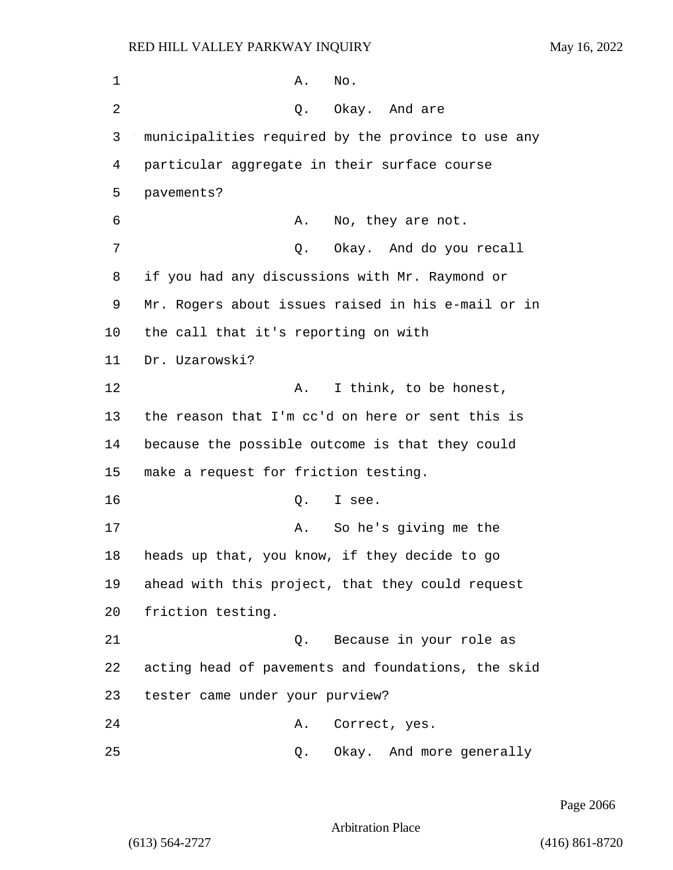1 A. No. 2 Q. Okay. And are 3 municipalities required by the province to use any 4 particular aggregate in their surface course 5 pavements? 6 A. No, they are not. 7 C. Okay. And do you recall 8 if you had any discussions with Mr. Raymond or 9 Mr. Rogers about issues raised in his e-mail or in 10 the call that it's reporting on with 11 Dr. Uzarowski? 12 A. I think, to be honest, 13 the reason that I'm cc'd on here or sent this is 14 because the possible outcome is that they could 15 make a request for friction testing. 16 Q. I see. 17 A. So he's giving me the 18 heads up that, you know, if they decide to go 19 ahead with this project, that they could request 20 friction testing. 21 Q. Because in your role as 22 acting head of pavements and foundations, the skid 23 tester came under your purview? 24 A. Correct, yes. 25 Q. Okay. And more generally

Page 2066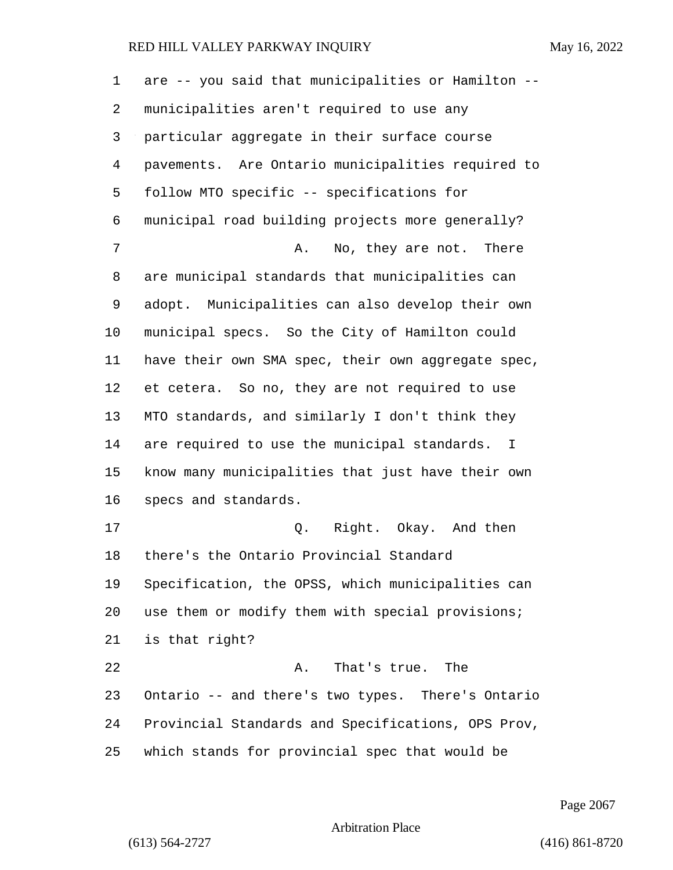| $\mathbf{1}$ | are -- you said that municipalities or Hamilton -- |
|--------------|----------------------------------------------------|
| 2            | municipalities aren't required to use any          |
| 3            | particular aggregate in their surface course       |
| 4            | pavements. Are Ontario municipalities required to  |
| 5            | follow MTO specific -- specifications for          |
| 6            | municipal road building projects more generally?   |
| 7            | No, they are not. There<br>Α.                      |
| 8            | are municipal standards that municipalities can    |
| 9            | adopt. Municipalities can also develop their own   |
| 10           | municipal specs. So the City of Hamilton could     |
| 11           | have their own SMA spec, their own aggregate spec, |
| 12           | et cetera. So no, they are not required to use     |
| 13           | MTO standards, and similarly I don't think they    |
| 14           | are required to use the municipal standards. I     |
| 15           | know many municipalities that just have their own  |
| 16           | specs and standards.                               |
| 17           | Q. Right. Okay. And then                           |
| 18           | there's the Ontario Provincial Standard            |
| 19           | Specification, the OPSS, which municipalities can  |
| 20           | use them or modify them with special provisions;   |
| 21           | is that right?                                     |
| 22           | That's true.<br>The<br>Α.                          |
| 23           | Ontario -- and there's two types. There's Ontario  |
| 24           | Provincial Standards and Specifications, OPS Prov, |
| 25           | which stands for provincial spec that would be     |

Page 2067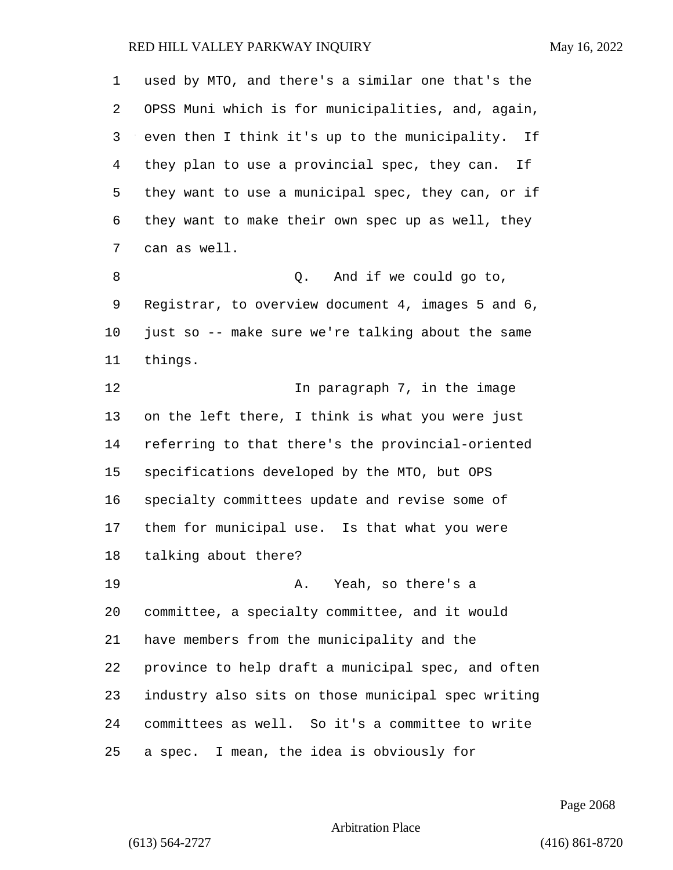| 1  | used by MTO, and there's a similar one that's the   |
|----|-----------------------------------------------------|
| 2  | OPSS Muni which is for municipalities, and, again,  |
| 3  | even then I think it's up to the municipality. If   |
| 4  | they plan to use a provincial spec, they can.<br>If |
| 5  | they want to use a municipal spec, they can, or if  |
| 6  | they want to make their own spec up as well, they   |
| 7  | can as well.                                        |
| 8  | And if we could go to,<br>Q.                        |
| 9  | Registrar, to overview document 4, images 5 and 6,  |
| 10 | just so -- make sure we're talking about the same   |
| 11 | things.                                             |
| 12 | In paragraph 7, in the image                        |
| 13 | on the left there, I think is what you were just    |
| 14 | referring to that there's the provincial-oriented   |
| 15 | specifications developed by the MTO, but OPS        |
| 16 | specialty committees update and revise some of      |
| 17 | them for municipal use. Is that what you were       |
| 18 | talking about there?                                |
| 19 | Yeah, so there's a<br>Α.                            |
| 20 | committee, a specialty committee, and it would      |
| 21 | have members from the municipality and the          |
| 22 | province to help draft a municipal spec, and often  |
| 23 | industry also sits on those municipal spec writing  |
| 24 | committees as well. So it's a committee to write    |
| 25 | a spec. I mean, the idea is obviously for           |

Page 2068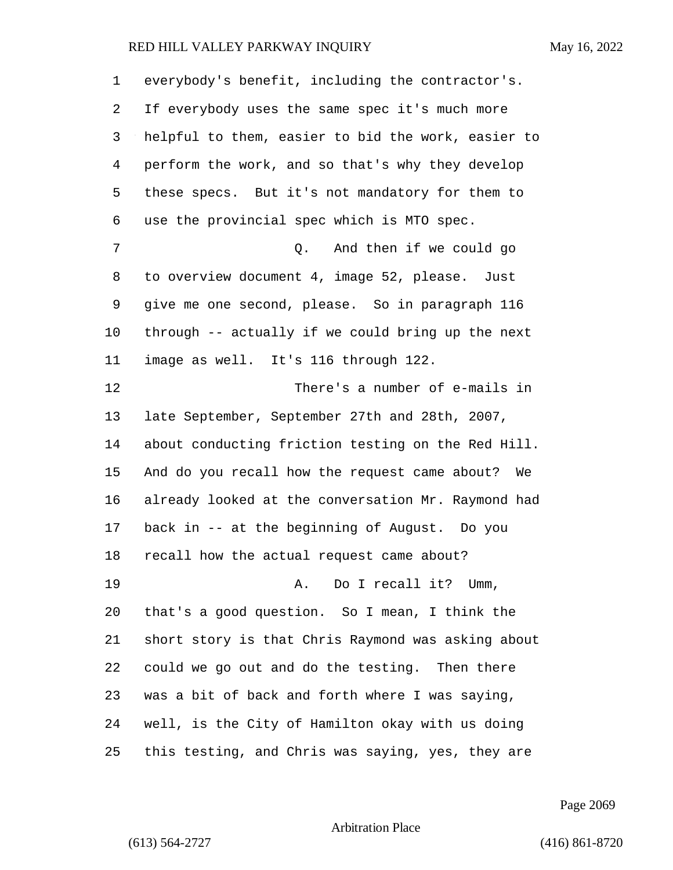| 1              | everybody's benefit, including the contractor's.    |
|----------------|-----------------------------------------------------|
| 2              | If everybody uses the same spec it's much more      |
| 3              | helpful to them, easier to bid the work, easier to  |
| $\overline{4}$ | perform the work, and so that's why they develop    |
| 5              | these specs. But it's not mandatory for them to     |
| 6              | use the provincial spec which is MTO spec.          |
| 7              | And then if we could go<br>Q.                       |
| 8              | to overview document 4, image 52, please. Just      |
| 9              | give me one second, please. So in paragraph 116     |
| 10             | through -- actually if we could bring up the next   |
| 11             | image as well. It's 116 through 122.                |
| 12             | There's a number of e-mails in                      |
| 13             | late September, September 27th and 28th, 2007,      |
| 14             | about conducting friction testing on the Red Hill.  |
| 15             | And do you recall how the request came about?<br>We |
| 16             | already looked at the conversation Mr. Raymond had  |
| 17             | back in -- at the beginning of August. Do you       |
| 18             | recall how the actual request came about?           |
| 19             | Do I recall it? Umm,<br>Α.                          |
| 20             | that's a good question. So I mean, I think the      |
| 21             | short story is that Chris Raymond was asking about  |
| 22             | could we go out and do the testing. Then there      |
| 23             | was a bit of back and forth where I was saying,     |
| 24             | well, is the City of Hamilton okay with us doing    |
| 25             | this testing, and Chris was saying, yes, they are   |

Page 2069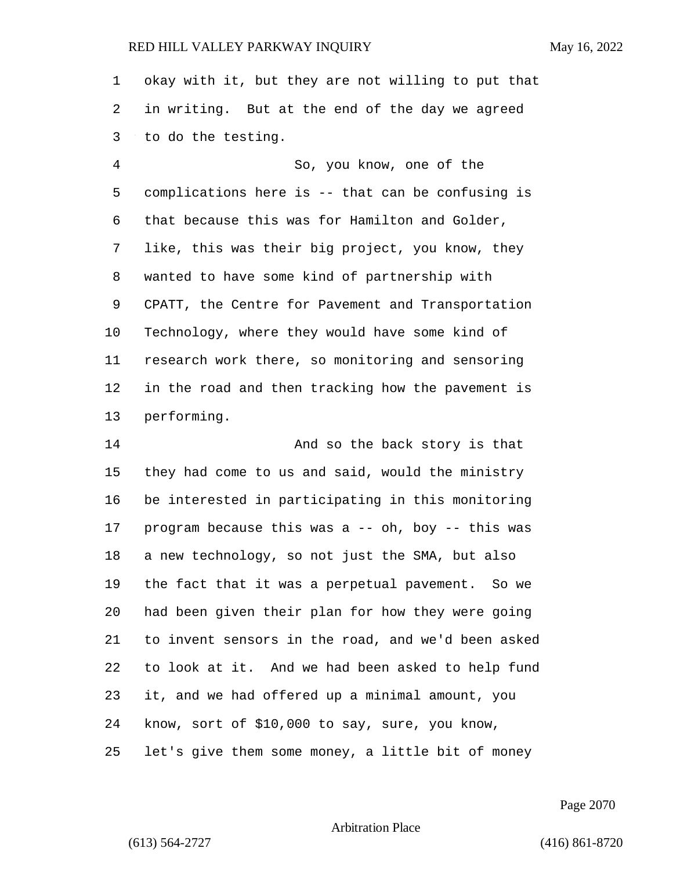okay with it, but they are not willing to put that in writing. But at the end of the day we agreed to do the testing.

4 So, you know, one of the complications here is -- that can be confusing is that because this was for Hamilton and Golder, like, this was their big project, you know, they wanted to have some kind of partnership with CPATT, the Centre for Pavement and Transportation Technology, where they would have some kind of research work there, so monitoring and sensoring in the road and then tracking how the pavement is performing.

14 And so the back story is that they had come to us and said, would the ministry be interested in participating in this monitoring program because this was a -- oh, boy -- this was a new technology, so not just the SMA, but also the fact that it was a perpetual pavement. So we had been given their plan for how they were going to invent sensors in the road, and we'd been asked to look at it. And we had been asked to help fund it, and we had offered up a minimal amount, you know, sort of \$10,000 to say, sure, you know, let's give them some money, a little bit of money

Page 2070

Arbitration Place

(613) 564-2727 (416) 861-8720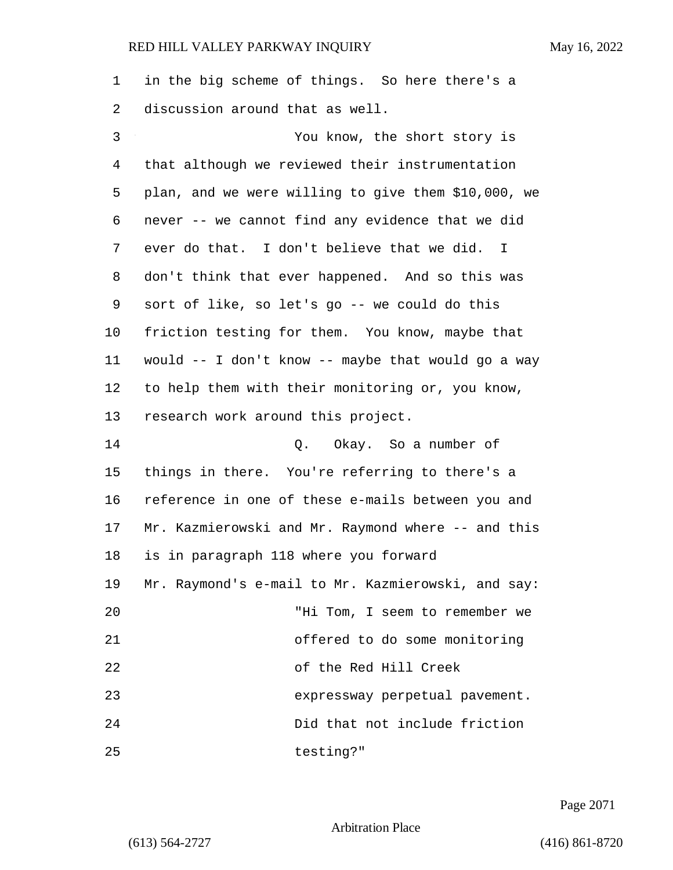1 in the big scheme of things. So here there's a 2 discussion around that as well.

3 You know, the short story is that although we reviewed their instrumentation plan, and we were willing to give them \$10,000, we never -- we cannot find any evidence that we did ever do that. I don't believe that we did. I don't think that ever happened. And so this was sort of like, so let's go -- we could do this friction testing for them. You know, maybe that would -- I don't know -- maybe that would go a way to help them with their monitoring or, you know, research work around this project. 14 Q. Okay. So a number of things in there. You're referring to there's a reference in one of these e-mails between you and Mr. Kazmierowski and Mr. Raymond where -- and this is in paragraph 118 where you forward Mr. Raymond's e-mail to Mr. Kazmierowski, and say: 20 "Hi Tom, I seem to remember we 21 offered to do some monitoring 22 of the Red Hill Creek 23 expressway perpetual pavement. 24 Did that not include friction 25 testing?"

Page 2071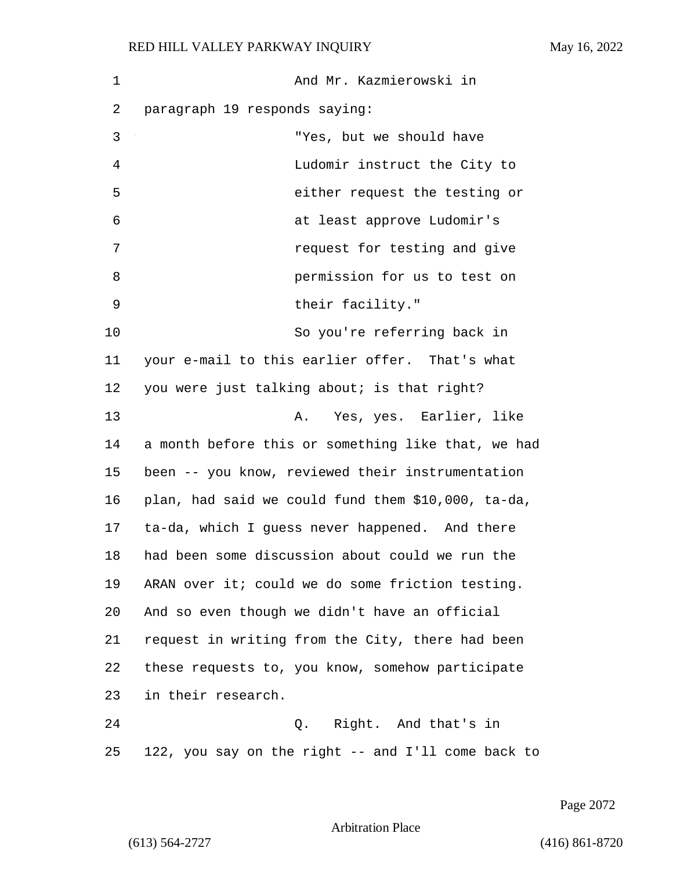| 1  | And Mr. Kazmierowski in                            |
|----|----------------------------------------------------|
| 2  | paragraph 19 responds saying:                      |
| 3  | "Yes, but we should have                           |
| 4  | Ludomir instruct the City to                       |
| 5  | either request the testing or                      |
| 6  | at least approve Ludomir's                         |
| 7  | request for testing and give                       |
| 8  | permission for us to test on                       |
| 9  | their facility."                                   |
| 10 | So you're referring back in                        |
| 11 | your e-mail to this earlier offer. That's what     |
| 12 | you were just talking about; is that right?        |
| 13 | Yes, yes. Earlier, like<br>Α.                      |
| 14 | a month before this or something like that, we had |
| 15 | been -- you know, reviewed their instrumentation   |
| 16 | plan, had said we could fund them \$10,000, ta-da, |
| 17 | ta-da, which I guess never happened. And there     |
| 18 | had been some discussion about could we run the    |
| 19 | ARAN over it; could we do some friction testing.   |
| 20 | And so even though we didn't have an official      |
| 21 | request in writing from the City, there had been   |
| 22 | these requests to, you know, somehow participate   |
| 23 | in their research.                                 |
| 24 | Q. Right. And that's in                            |
| 25 | 122, you say on the right -- and I'll come back to |

Page 2072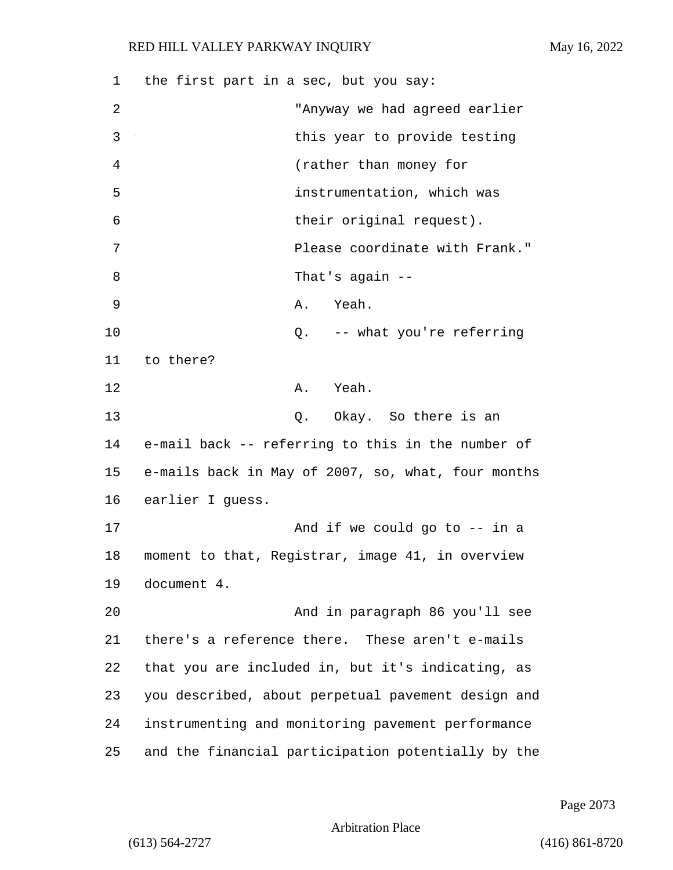1 the first part in a sec, but you say: 2 "Anyway we had agreed earlier 3 between this year to provide testing 4 (rather than money for 5 instrumentation, which was 6 their original request). 7 Please coordinate with Frank." 8 That's again --9 A. Yeah. 10 Q. -- what you're referring 11 to there? 12 A. Yeah. 13 Q. Okay. So there is an 14 e-mail back -- referring to this in the number of 15 e-mails back in May of 2007, so, what, four months 16 earlier I guess. 17 And if we could go to -- in a 18 moment to that, Registrar, image 41, in overview 19 document 4. 20 And in paragraph 86 you'll see 21 there's a reference there. These aren't e-mails 22 that you are included in, but it's indicating, as 23 you described, about perpetual pavement design and 24 instrumenting and monitoring pavement performance 25 and the financial participation potentially by the

Page 2073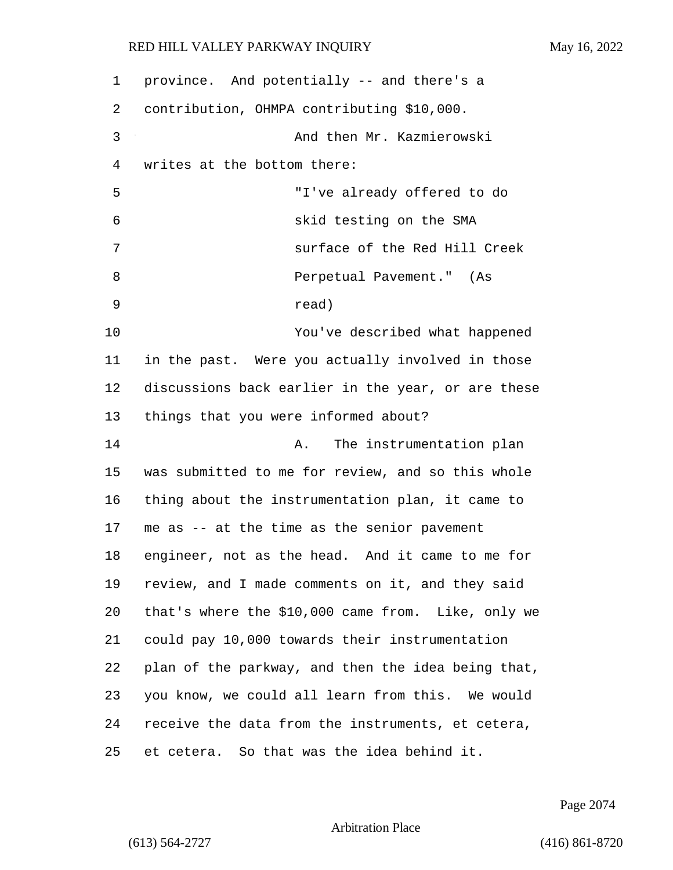| 1  | province. And potentially -- and there's a         |
|----|----------------------------------------------------|
| 2  | contribution, OHMPA contributing \$10,000.         |
| 3  | And then Mr. Kazmierowski                          |
| 4  | writes at the bottom there:                        |
| 5  | "I've already offered to do                        |
| 6  | skid testing on the SMA                            |
| 7  | surface of the Red Hill Creek                      |
| 8  | Perpetual Pavement." (As                           |
| 9  | read)                                              |
| 10 | You've described what happened                     |
| 11 | in the past. Were you actually involved in those   |
| 12 | discussions back earlier in the year, or are these |
| 13 | things that you were informed about?               |
| 14 | The instrumentation plan<br>Α.                     |
| 15 | was submitted to me for review, and so this whole  |
| 16 | thing about the instrumentation plan, it came to   |
| 17 | me as -- at the time as the senior pavement        |
| 18 | engineer, not as the head. And it came to me for   |
| 19 | review, and I made comments on it, and they said   |
| 20 | that's where the \$10,000 came from. Like, only we |
| 21 | could pay 10,000 towards their instrumentation     |
| 22 | plan of the parkway, and then the idea being that, |
| 23 | you know, we could all learn from this. We would   |
| 24 | receive the data from the instruments, et cetera,  |
| 25 | et cetera. So that was the idea behind it.         |

Page 2074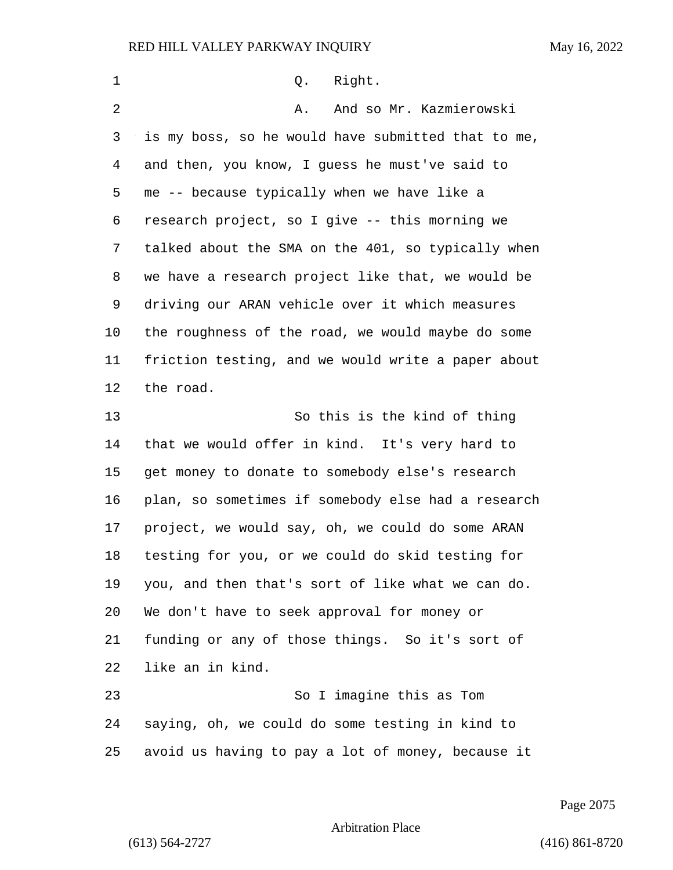| 1  | Right.<br>Q.                                       |
|----|----------------------------------------------------|
| 2  | And so Mr. Kazmierowski<br>Α.                      |
| 3  | is my boss, so he would have submitted that to me, |
| 4  | and then, you know, I guess he must've said to     |
| 5  | me -- because typically when we have like a        |
| 6  | research project, so I give -- this morning we     |
| 7  | talked about the SMA on the 401, so typically when |
| 8  | we have a research project like that, we would be  |
| 9  | driving our ARAN vehicle over it which measures    |
| 10 | the roughness of the road, we would maybe do some  |
| 11 | friction testing, and we would write a paper about |
| 12 | the road.                                          |
| 13 | So this is the kind of thing                       |
| 14 | that we would offer in kind. It's very hard to     |
| 15 | get money to donate to somebody else's research    |
| 16 | plan, so sometimes if somebody else had a research |
| 17 | project, we would say, oh, we could do some ARAN   |
| 18 | testing for you, or we could do skid testing for   |
| 19 | you, and then that's sort of like what we can do.  |
| 20 | We don't have to seek approval for money or        |
| 21 | funding or any of those things. So it's sort of    |
| 22 | like an in kind.                                   |
| 23 | So I imagine this as Tom                           |
| 24 | saying, oh, we could do some testing in kind to    |
| 25 | avoid us having to pay a lot of money, because it  |

Page 2075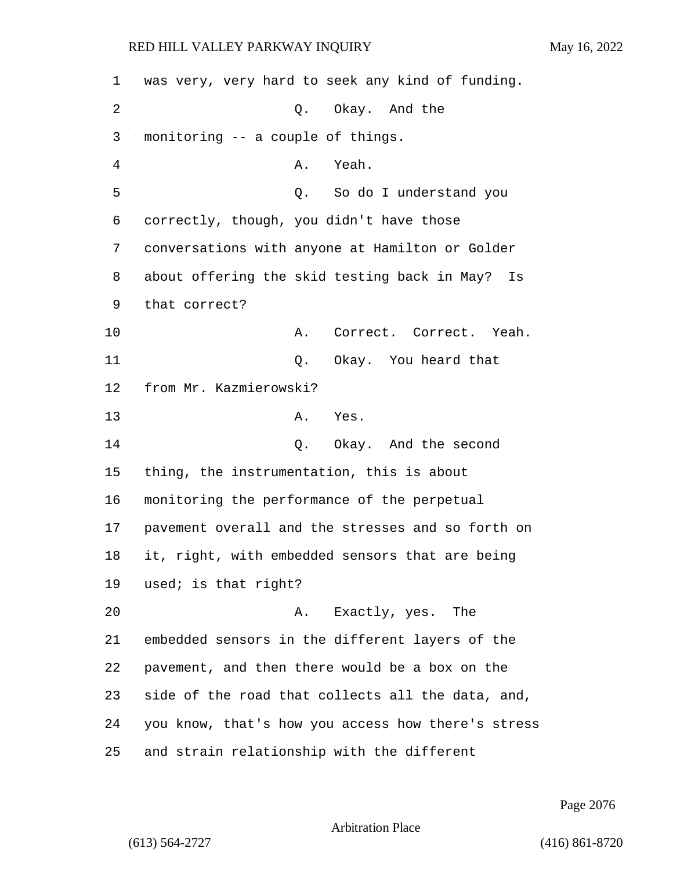| 1  | was very, very hard to seek any kind of funding.   |
|----|----------------------------------------------------|
| 2  | Q. Okay. And the                                   |
| 3  | monitoring -- a couple of things.                  |
| 4  | Yeah.<br>Α.                                        |
| 5  | Q. So do I understand you                          |
| 6  | correctly, though, you didn't have those           |
| 7  | conversations with anyone at Hamilton or Golder    |
| 8  | about offering the skid testing back in May?<br>Is |
| 9  | that correct?                                      |
| 10 | Α.<br>Correct. Correct. Yeah.                      |
| 11 | Okay. You heard that<br>Q.                         |
| 12 | from Mr. Kazmierowski?                             |
| 13 | Α.<br>Yes.                                         |
| 14 | Q. Okay. And the second                            |
| 15 | thing, the instrumentation, this is about          |
| 16 | monitoring the performance of the perpetual        |
| 17 | pavement overall and the stresses and so forth on  |
| 18 | it, right, with embedded sensors that are being    |
| 19 | used; is that right?                               |
| 20 | Exactly, yes. The<br>Α.                            |
| 21 | embedded sensors in the different layers of the    |
| 22 | pavement, and then there would be a box on the     |
| 23 | side of the road that collects all the data, and,  |
| 24 | you know, that's how you access how there's stress |
| 25 | and strain relationship with the different         |

Page 2076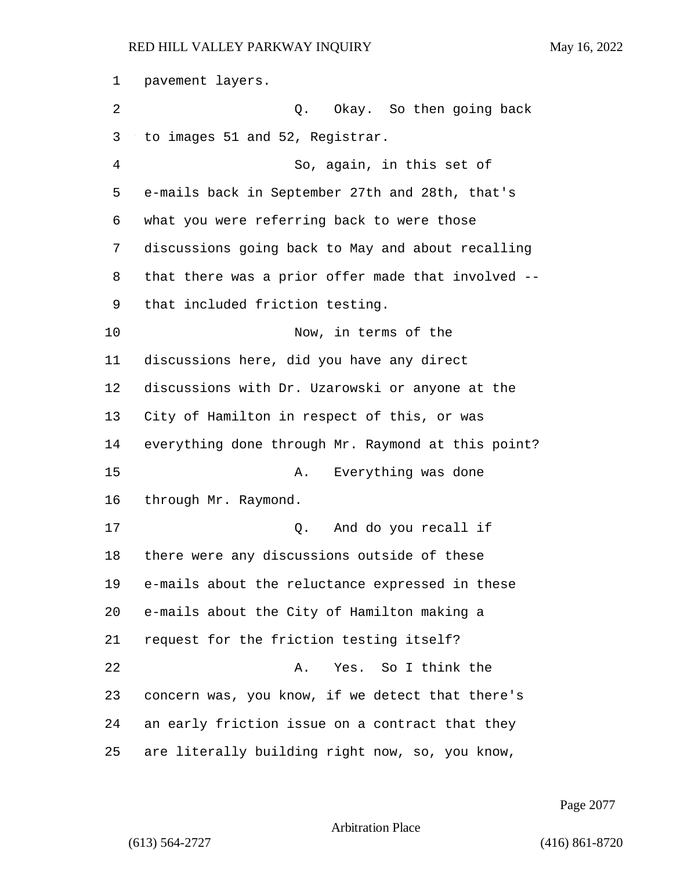pavement layers. 2 Q. Okay. So then going back to images 51 and 52, Registrar. 4 So, again, in this set of e-mails back in September 27th and 28th, that's what you were referring back to were those discussions going back to May and about recalling that there was a prior offer made that involved -- that included friction testing. 10 Now, in terms of the discussions here, did you have any direct discussions with Dr. Uzarowski or anyone at the City of Hamilton in respect of this, or was everything done through Mr. Raymond at this point? 15 A. Everything was done through Mr. Raymond. 17 Q. And do you recall if there were any discussions outside of these e-mails about the reluctance expressed in these e-mails about the City of Hamilton making a request for the friction testing itself? 22 A. Yes. So I think the concern was, you know, if we detect that there's an early friction issue on a contract that they are literally building right now, so, you know,

Page 2077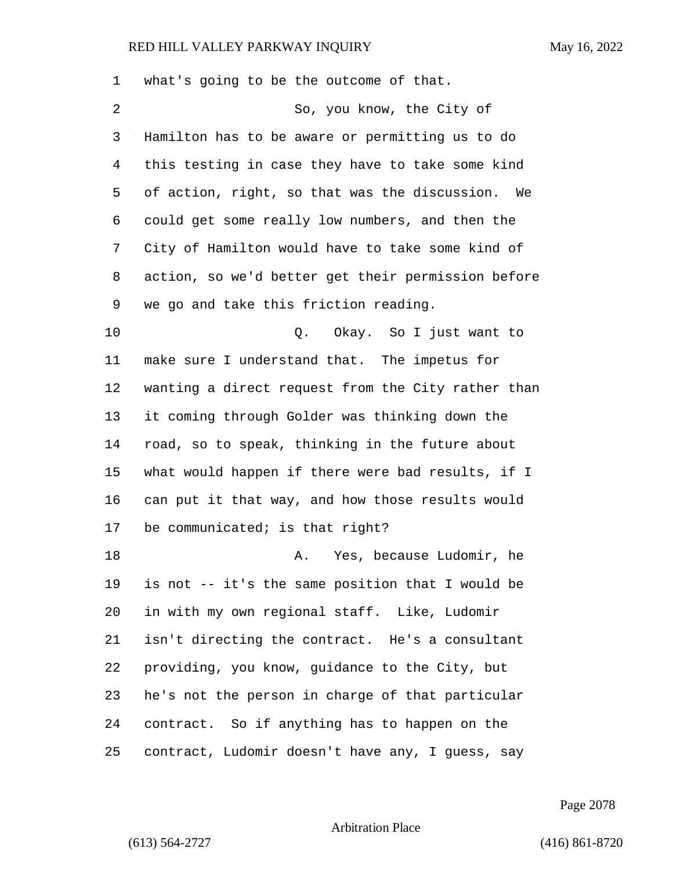| $\mathbf 1$    | what's going to be the outcome of that.             |
|----------------|-----------------------------------------------------|
| $\overline{2}$ | So, you know, the City of                           |
| 3              | Hamilton has to be aware or permitting us to do     |
| 4              | this testing in case they have to take some kind    |
| 5              | of action, right, so that was the discussion.<br>We |
| 6              | could get some really low numbers, and then the     |
| 7              | City of Hamilton would have to take some kind of    |
| 8              | action, so we'd better get their permission before  |
| 9              | we go and take this friction reading.               |
| 10             | Q. Okay. So I just want to                          |
| 11             | make sure I understand that. The impetus for        |
| 12             | wanting a direct request from the City rather than  |
| 13             | it coming through Golder was thinking down the      |
| 14             | road, so to speak, thinking in the future about     |
| 15             | what would happen if there were bad results, if I   |
| 16             | can put it that way, and how those results would    |
| 17             | be communicated; is that right?                     |
| 18             | Yes, because Ludomir, he<br>Α.                      |
| 19             | is not -- it's the same position that I would be    |
| 20             | in with my own regional staff. Like, Ludomir        |
| 21             | isn't directing the contract. He's a consultant     |
| 22             | providing, you know, guidance to the City, but      |
| 23             | he's not the person in charge of that particular    |
| 24             | contract. So if anything has to happen on the       |
| 25             | contract, Ludomir doesn't have any, I guess, say    |

Page 2078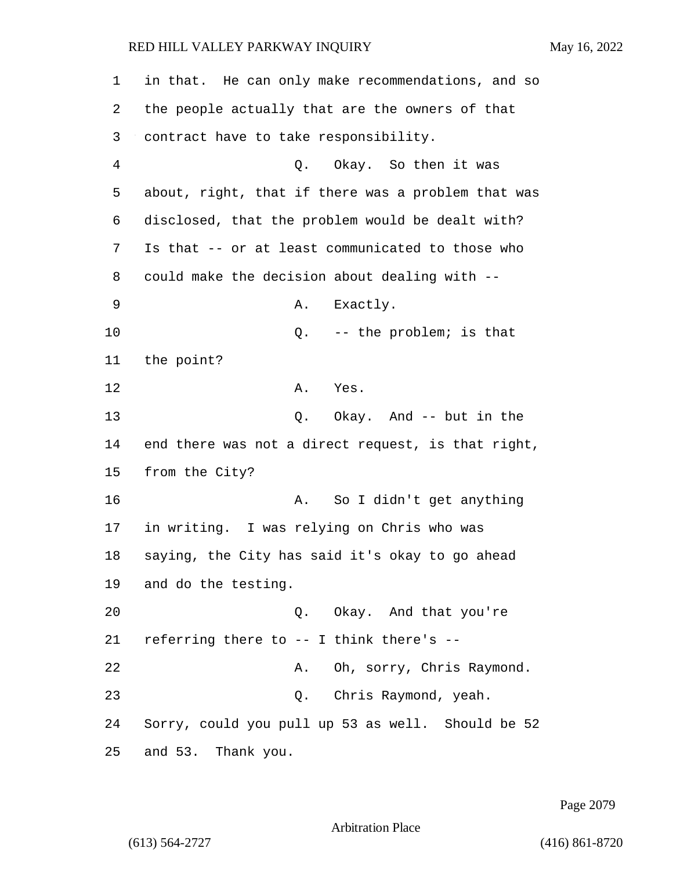| 1              | in that. He can only make recommendations, and so  |
|----------------|----------------------------------------------------|
| 2              | the people actually that are the owners of that    |
| 3              | contract have to take responsibility.              |
| $\overline{4}$ | Q. Okay. So then it was                            |
| 5              | about, right, that if there was a problem that was |
| 6              | disclosed, that the problem would be dealt with?   |
| 7              | Is that -- or at least communicated to those who   |
| 8              | could make the decision about dealing with --      |
| 9              | Exactly.<br>Α.                                     |
| 10             | -- the problem; is that<br>Q.                      |
| 11             | the point?                                         |
| 12             | Α.<br>Yes.                                         |
| 13             | Okay. And -- but in the<br>Q.                      |
| 14             | end there was not a direct request, is that right, |
| 15             | from the City?                                     |
| 16             | So I didn't get anything<br>Α.                     |
| 17             | in writing. I was relying on Chris who was         |
| 18             | saying, the City has said it's okay to go ahead    |
| 19             | and do the testing.                                |
| 20             | Q. Okay. And that you're                           |
| 21             | referring there to -- I think there's --           |
| 22             | A. Oh, sorry, Chris Raymond.                       |
| 23             | Q. Chris Raymond, yeah.                            |
| 24             | Sorry, could you pull up 53 as well. Should be 52  |
| 25             | and 53. Thank you.                                 |

Page 2079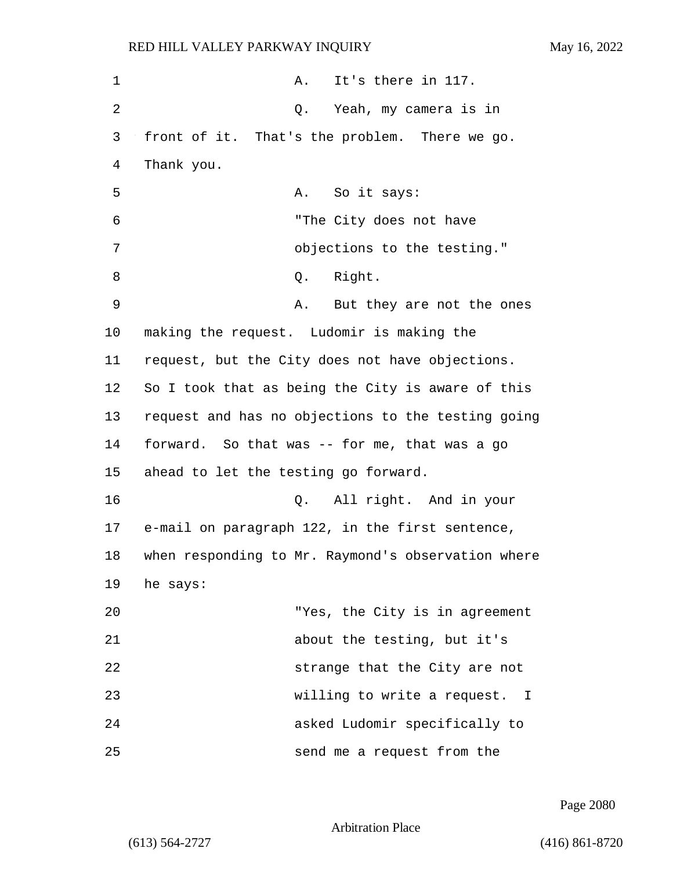| $\mathbf 1$ | It's there in 117.<br>Α.                           |
|-------------|----------------------------------------------------|
| 2           | Q. Yeah, my camera is in                           |
| 3           | front of it. That's the problem. There we go.      |
| 4           | Thank you.                                         |
| 5           | So it says:<br>А.                                  |
| 6           | "The City does not have                            |
| 7           | objections to the testing."                        |
| 8           | Q. Right.                                          |
| 9           | Α.<br>But they are not the ones                    |
| 10          | making the request. Ludomir is making the          |
| 11          | request, but the City does not have objections.    |
| 12          | So I took that as being the City is aware of this  |
| 13          | request and has no objections to the testing going |
| 14          | forward. So that was -- for me, that was a go      |
| 15          | ahead to let the testing go forward.               |
| 16          | All right. And in your<br>Q.                       |
| 17          | e-mail on paragraph 122, in the first sentence,    |
| 18          | when responding to Mr. Raymond's observation where |
| 19          | he says:                                           |
| 20          | "Yes, the City is in agreement                     |
| 21          | about the testing, but it's                        |
| 22          | strange that the City are not                      |
| 23          | willing to write a request. I                      |
| 24          | asked Ludomir specifically to                      |
| 25          | send me a request from the                         |

Page 2080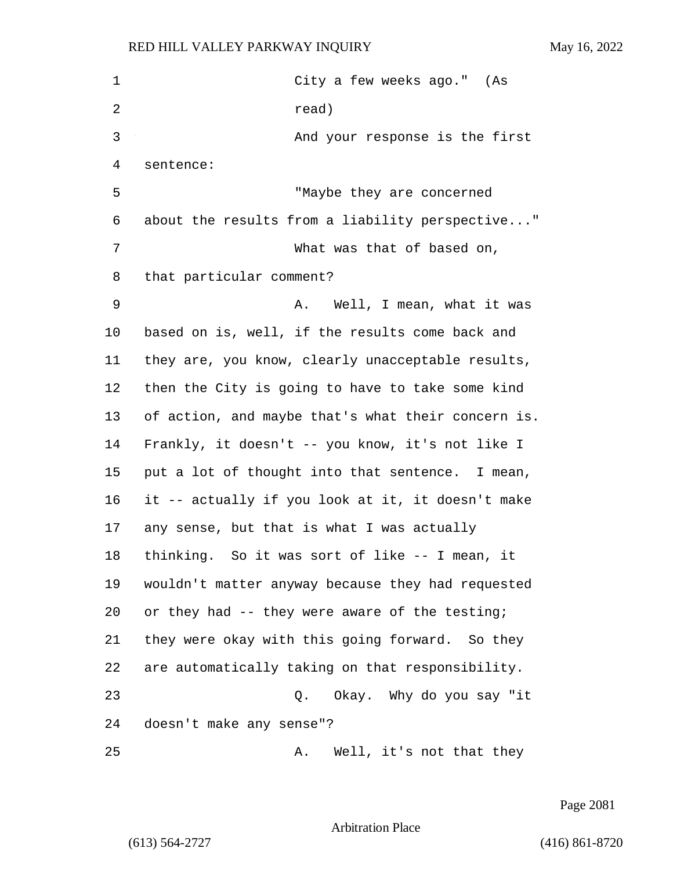| $\mathbf 1$ | City a few weeks ago." (As                         |
|-------------|----------------------------------------------------|
| 2           | read)                                              |
| 3           | And your response is the first                     |
| 4           | sentence:                                          |
| 5           | "Maybe they are concerned                          |
| 6           | about the results from a liability perspective"    |
| 7           | What was that of based on,                         |
| 8           | that particular comment?                           |
| 9           | Well, I mean, what it was<br>A.                    |
| 10          | based on is, well, if the results come back and    |
| 11          | they are, you know, clearly unacceptable results,  |
| 12          | then the City is going to have to take some kind   |
| 13          | of action, and maybe that's what their concern is. |
| 14          | Frankly, it doesn't -- you know, it's not like I   |
| 15          | put a lot of thought into that sentence. I mean,   |
| 16          | it -- actually if you look at it, it doesn't make  |
| 17          | any sense, but that is what I was actually         |
| 18          | thinking. So it was sort of like -- I mean, it     |
| 19          | wouldn't matter anyway because they had requested  |
| 20          | or they had -- they were aware of the testing;     |
| 21          | they were okay with this going forward. So they    |
| 22          | are automatically taking on that responsibility.   |
| 23          | Okay. Why do you say "it<br>Q.                     |
| 24          | doesn't make any sense"?                           |
| 25          | Well, it's not that they<br>Α.                     |

Page 2081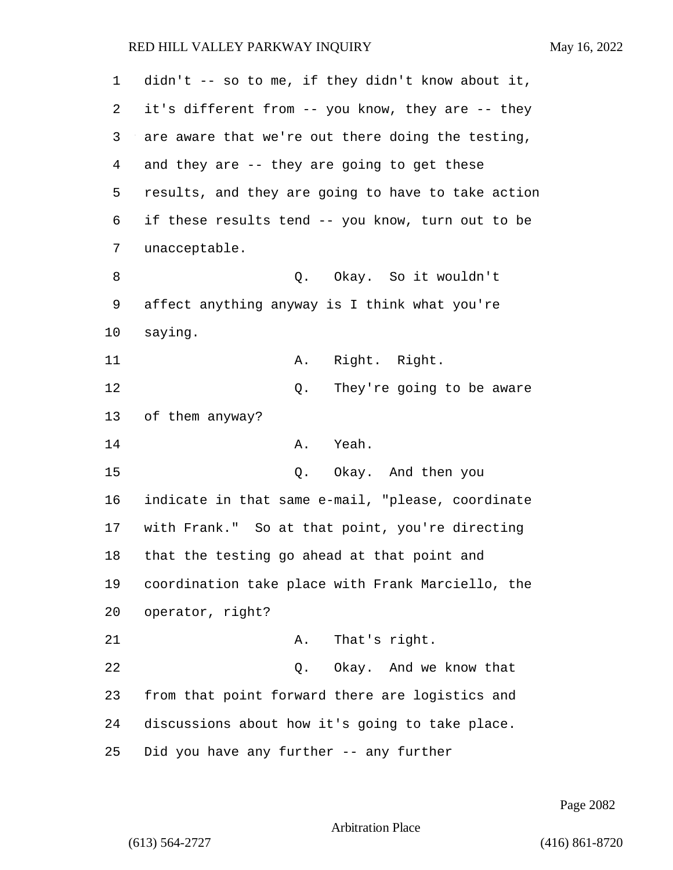| $\mathbf{1}$ | didn't -- so to me, if they didn't know about it,  |
|--------------|----------------------------------------------------|
| 2            | it's different from -- you know, they are -- they  |
| 3            | are aware that we're out there doing the testing,  |
| 4            | and they are -- they are going to get these        |
| 5            | results, and they are going to have to take action |
| 6            | if these results tend -- you know, turn out to be  |
| 7            | unacceptable.                                      |
| 8            | Q. Okay. So it wouldn't                            |
| 9            | affect anything anyway is I think what you're      |
| 10           | saying.                                            |
| 11           | Right. Right.<br>Α.                                |
| 12           | They're going to be aware<br>Q.                    |
| 13           | of them anyway?                                    |
| 14           | Yeah.<br>Α.                                        |
| 15           | Okay. And then you<br>Q.                           |
| 16           | indicate in that same e-mail, "please, coordinate  |
| 17           | with Frank." So at that point, you're directing    |
| 18           | that the testing go ahead at that point and        |
| 19           | coordination take place with Frank Marciello, the  |
| 20           | operator, right?                                   |
| 21           | That's right.<br>Α.                                |
| 22           | Okay. And we know that<br>Q.                       |
| 23           | from that point forward there are logistics and    |
| 24           | discussions about how it's going to take place.    |
| 25           | Did you have any further -- any further            |

Page 2082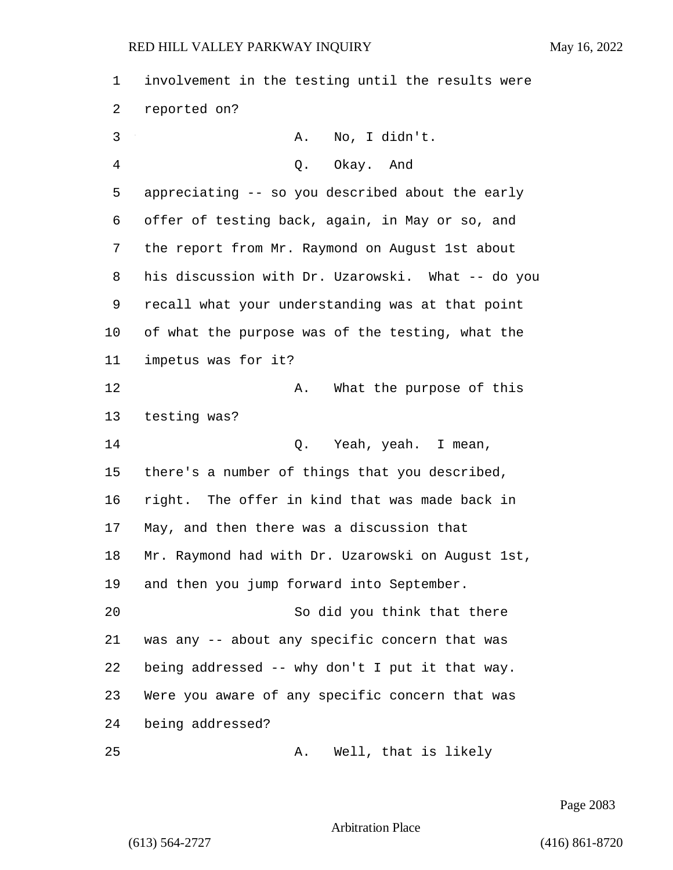| 1  | involvement in the testing until the results were |
|----|---------------------------------------------------|
| 2  | reported on?                                      |
| 3  | No, I didn't.<br>Α.                               |
| 4  | Q. Okay. And                                      |
| 5  | appreciating -- so you described about the early  |
| 6  | offer of testing back, again, in May or so, and   |
| 7  | the report from Mr. Raymond on August 1st about   |
| 8  | his discussion with Dr. Uzarowski. What -- do you |
| 9  | recall what your understanding was at that point  |
| 10 | of what the purpose was of the testing, what the  |
| 11 | impetus was for it?                               |
| 12 | What the purpose of this<br>Α.                    |
| 13 | testing was?                                      |
| 14 | Yeah, yeah. I mean,<br>Q.                         |
| 15 | there's a number of things that you described,    |
| 16 | right. The offer in kind that was made back in    |
| 17 | May, and then there was a discussion that         |
| 18 | Mr. Raymond had with Dr. Uzarowski on August 1st, |
| 19 | and then you jump forward into September.         |
| 20 | So did you think that there                       |
| 21 | was any -- about any specific concern that was    |
| 22 | being addressed -- why don't I put it that way.   |
| 23 | Were you aware of any specific concern that was   |
| 24 | being addressed?                                  |
| 25 | Well, that is likely<br>Α.                        |

Page 2083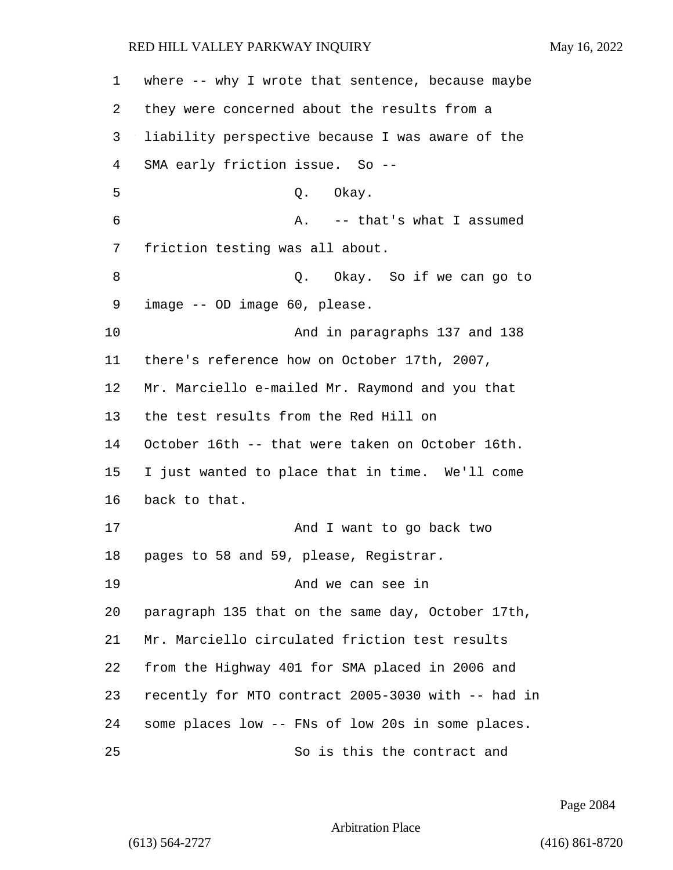| 1  | where -- why I wrote that sentence, because maybe  |
|----|----------------------------------------------------|
| 2  | they were concerned about the results from a       |
| 3  | liability perspective because I was aware of the   |
| 4  | SMA early friction issue. So --                    |
| 5  | Q. Okay.                                           |
| 6  | A. -- that's what I assumed                        |
| 7  | friction testing was all about.                    |
| 8  | Q. Okay. So if we can go to                        |
| 9  | image -- OD image 60, please.                      |
| 10 | And in paragraphs 137 and 138                      |
| 11 | there's reference how on October 17th, 2007,       |
| 12 | Mr. Marciello e-mailed Mr. Raymond and you that    |
| 13 | the test results from the Red Hill on              |
| 14 | October 16th -- that were taken on October 16th.   |
| 15 | I just wanted to place that in time. We'll come    |
| 16 | back to that.                                      |
| 17 | And I want to go back two                          |
| 18 | pages to 58 and 59, please, Registrar.             |
| 19 | And we can see in                                  |
| 20 | paragraph 135 that on the same day, October 17th,  |
| 21 | Mr. Marciello circulated friction test results     |
| 22 | from the Highway 401 for SMA placed in 2006 and    |
| 23 | recently for MTO contract 2005-3030 with -- had in |
| 24 | some places low -- FNs of low 20s in some places.  |
| 25 | So is this the contract and                        |

Page 2084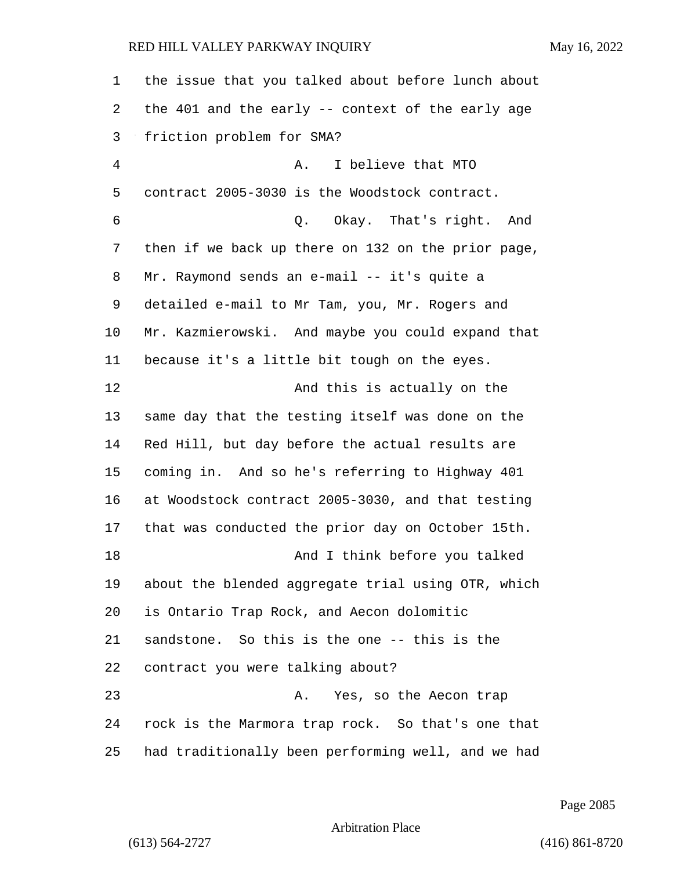the issue that you talked about before lunch about the 401 and the early -- context of the early age friction problem for SMA? 4 A. I believe that MTO contract 2005-3030 is the Woodstock contract. 6 Q. Okay. That's right. And then if we back up there on 132 on the prior page, Mr. Raymond sends an e-mail -- it's quite a detailed e-mail to Mr Tam, you, Mr. Rogers and Mr. Kazmierowski. And maybe you could expand that because it's a little bit tough on the eyes. 12 And this is actually on the same day that the testing itself was done on the Red Hill, but day before the actual results are coming in. And so he's referring to Highway 401 at Woodstock contract 2005-3030, and that testing that was conducted the prior day on October 15th. 18 And I think before you talked about the blended aggregate trial using OTR, which is Ontario Trap Rock, and Aecon dolomitic sandstone. So this is the one -- this is the contract you were talking about? 23 A. Yes, so the Aecon trap rock is the Marmora trap rock. So that's one that had traditionally been performing well, and we had

Page 2085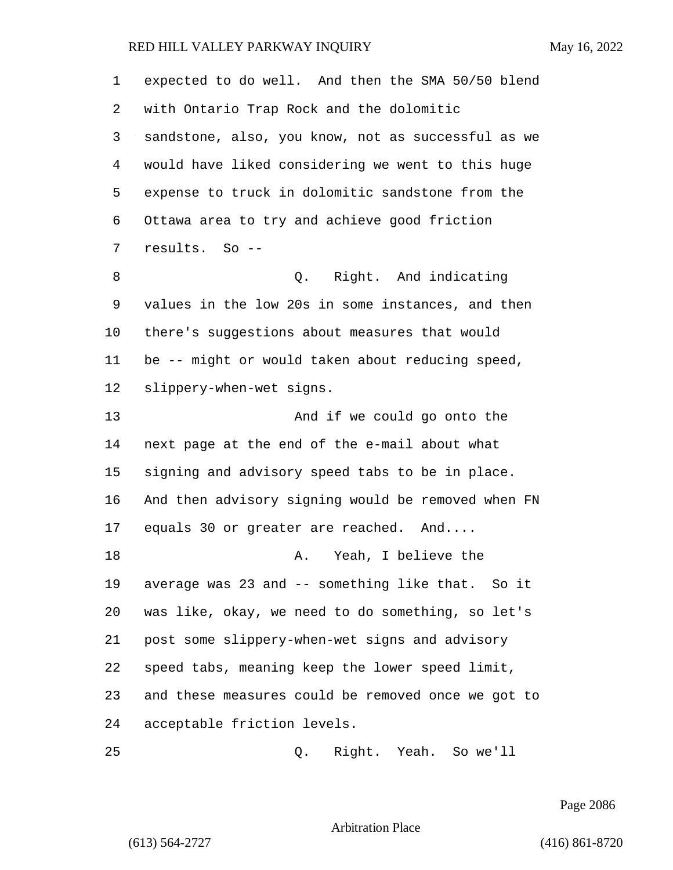expected to do well. And then the SMA 50/50 blend with Ontario Trap Rock and the dolomitic sandstone, also, you know, not as successful as we would have liked considering we went to this huge expense to truck in dolomitic sandstone from the Ottawa area to try and achieve good friction results. So -- 8 and indicating the Right. And indicating values in the low 20s in some instances, and then there's suggestions about measures that would be -- might or would taken about reducing speed, slippery-when-wet signs. 13 And if we could go onto the next page at the end of the e-mail about what signing and advisory speed tabs to be in place. And then advisory signing would be removed when FN equals 30 or greater are reached. And.... 18 A. Yeah, I believe the average was 23 and -- something like that. So it was like, okay, we need to do something, so let's post some slippery-when-wet signs and advisory speed tabs, meaning keep the lower speed limit, and these measures could be removed once we got to acceptable friction levels.

25 Q. Right. Yeah. So we'll

Page 2086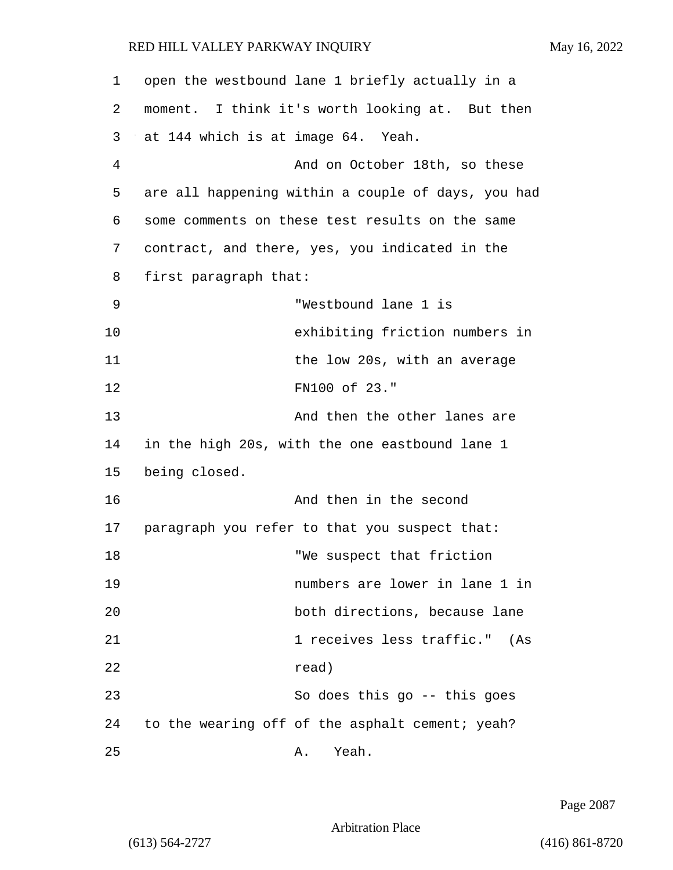| 1  | open the westbound lane 1 briefly actually in a    |
|----|----------------------------------------------------|
| 2  | moment. I think it's worth looking at. But then    |
| 3  | at 144 which is at image 64. Yeah.                 |
| 4  | And on October 18th, so these                      |
| 5  | are all happening within a couple of days, you had |
| 6  | some comments on these test results on the same    |
| 7  | contract, and there, yes, you indicated in the     |
| 8  | first paragraph that:                              |
| 9  | "Westbound lane 1 is                               |
| 10 | exhibiting friction numbers in                     |
| 11 | the low 20s, with an average                       |
| 12 | FN100 of 23."                                      |
| 13 | And then the other lanes are                       |
| 14 | in the high 20s, with the one eastbound lane 1     |
| 15 | being closed.                                      |
| 16 | And then in the second                             |
| 17 | paragraph you refer to that you suspect that:      |
| 18 | "We suspect that friction                          |
| 19 | numbers are lower in lane 1 in                     |
| 20 | both directions, because lane                      |
| 21 | 1 receives less traffic." (As                      |
| 22 | read)                                              |
| 23 | So does this go $-$ this goes                      |
| 24 | to the wearing off of the asphalt cement; yeah?    |
| 25 | Yeah.<br>Α.                                        |

Page 2087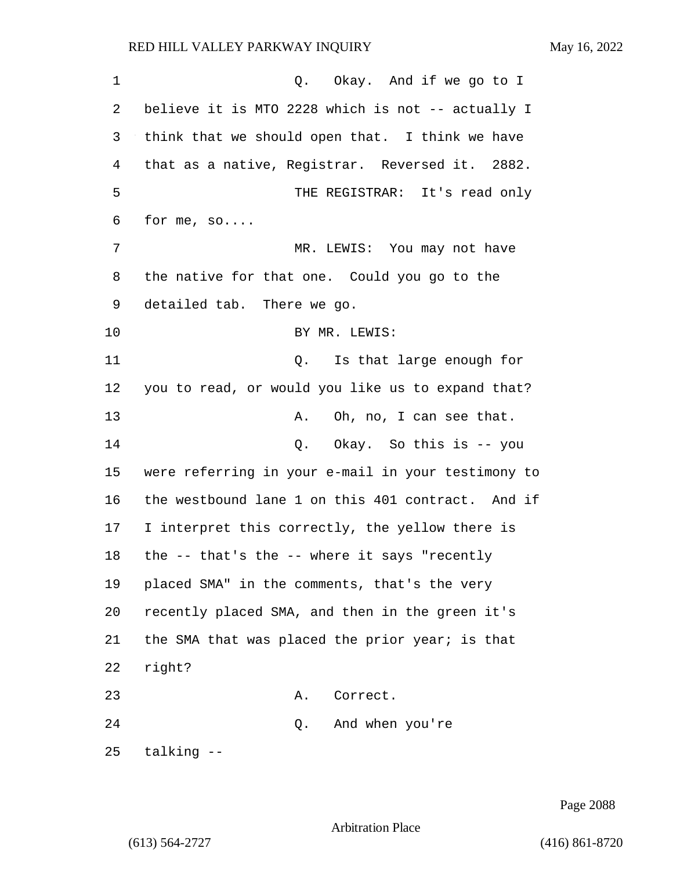| 1  | Q. Okay. And if we go to I                         |
|----|----------------------------------------------------|
| 2  | believe it is MTO 2228 which is not -- actually I  |
| 3  | think that we should open that. I think we have    |
| 4  | that as a native, Registrar. Reversed it. 2882.    |
| 5  | THE REGISTRAR: It's read only                      |
| 6  | for me, $so$                                       |
| 7  | MR. LEWIS: You may not have                        |
| 8  | the native for that one. Could you go to the       |
| 9  | detailed tab. There we go.                         |
| 10 | BY MR. LEWIS:                                      |
| 11 | Is that large enough for<br>Q.                     |
| 12 | you to read, or would you like us to expand that?  |
| 13 | Oh, no, I can see that.<br>Α.                      |
| 14 | Okay. So this is -- you<br>Q.                      |
| 15 | were referring in your e-mail in your testimony to |
| 16 | the westbound lane 1 on this 401 contract. And if  |
| 17 | I interpret this correctly, the yellow there is    |
| 18 | the -- that's the -- where it says "recently       |
| 19 | placed SMA" in the comments, that's the very       |
| 20 | recently placed SMA, and then in the green it's    |
| 21 | the SMA that was placed the prior year; is that    |
| 22 | right?                                             |
| 23 | Correct.<br>Α.                                     |
| 24 | Q. And when you're                                 |
| 25 | talking --                                         |

Page 2088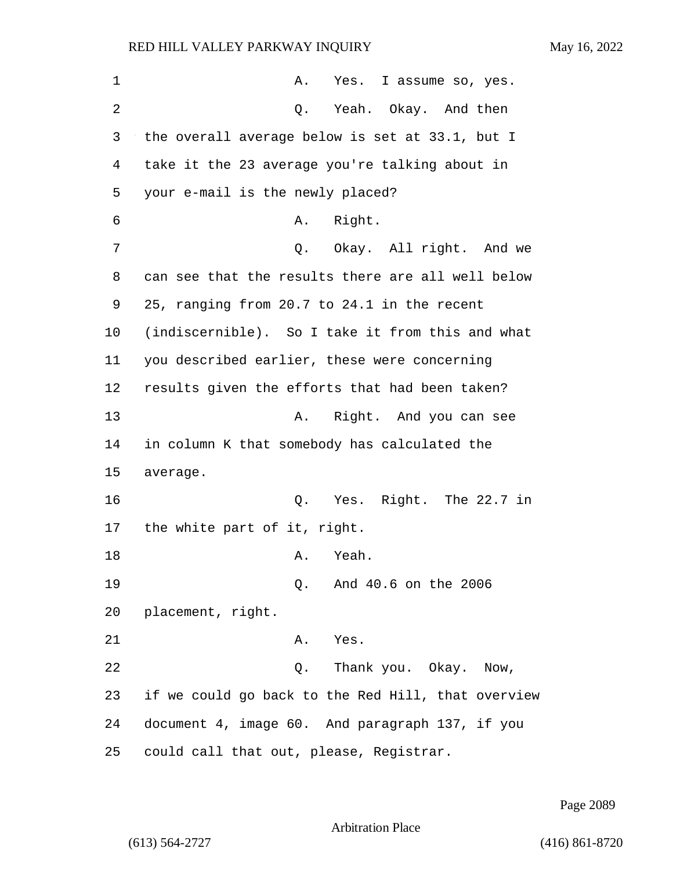| 1  | A. Yes. I assume so, yes.                          |
|----|----------------------------------------------------|
| 2  | Yeah. Okay. And then<br>Q.                         |
| 3  | the overall average below is set at 33.1, but I    |
| 4  | take it the 23 average you're talking about in     |
| 5  | your e-mail is the newly placed?                   |
| 6  | Right.<br>Α.                                       |
| 7  | Okay. All right. And we<br>Q.                      |
| 8  | can see that the results there are all well below  |
| 9  | 25, ranging from 20.7 to 24.1 in the recent        |
| 10 | (indiscernible). So I take it from this and what   |
| 11 | you described earlier, these were concerning       |
| 12 | results given the efforts that had been taken?     |
| 13 | Right. And you can see<br>Α.                       |
| 14 | in column K that somebody has calculated the       |
| 15 | average.                                           |
| 16 | Q. Yes. Right. The 22.7 in                         |
| 17 | the white part of it, right.                       |
| 18 | Yeah.<br>Α.                                        |
| 19 | And 40.6 on the 2006<br>Q.                         |
| 20 | placement, right.                                  |
| 21 | Yes.<br>Α.                                         |
| 22 | Thank you. Okay. Now,<br>Q.                        |
| 23 | if we could go back to the Red Hill, that overview |
| 24 | document 4, image 60. And paragraph 137, if you    |
| 25 | could call that out, please, Registrar.            |

Page 2089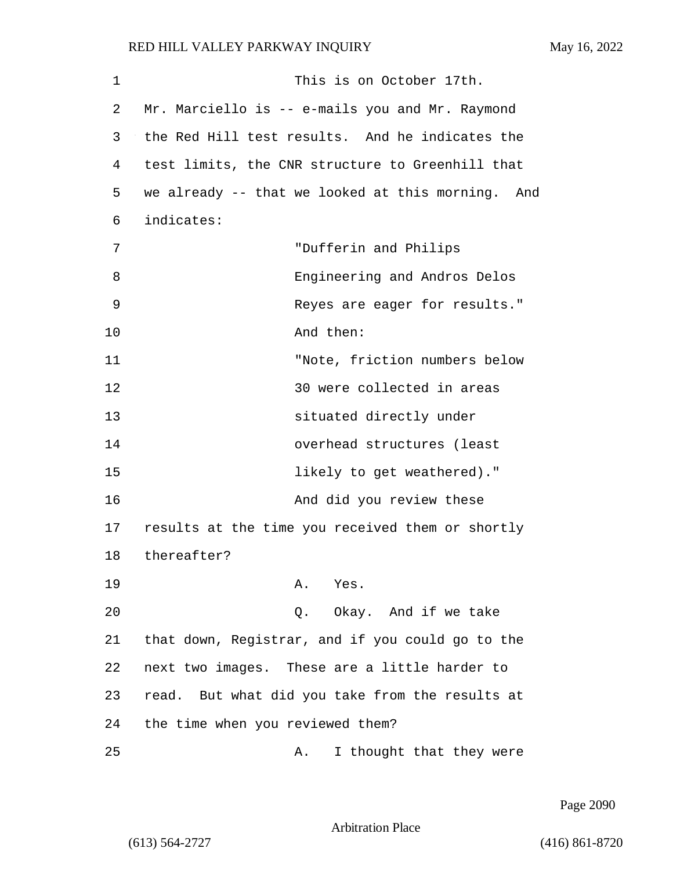| 1  | This is on October 17th.                          |
|----|---------------------------------------------------|
| 2  | Mr. Marciello is -- e-mails you and Mr. Raymond   |
| 3  | the Red Hill test results. And he indicates the   |
| 4  | test limits, the CNR structure to Greenhill that  |
| 5  | we already -- that we looked at this morning. And |
| 6  | indicates:                                        |
| 7  | "Dufferin and Philips                             |
| 8  | Engineering and Andros Delos                      |
| 9  | Reyes are eager for results."                     |
| 10 | And then:                                         |
| 11 | "Note, friction numbers below                     |
| 12 | 30 were collected in areas                        |
| 13 | situated directly under                           |
| 14 | overhead structures (least                        |
| 15 | likely to get weathered)."                        |
| 16 | And did you review these                          |
| 17 | results at the time you received them or shortly  |
| 18 | thereafter?                                       |
| 19 | A. Yes.                                           |
| 20 | Q. Okay. And if we take                           |
| 21 | that down, Registrar, and if you could go to the  |
| 22 | next two images. These are a little harder to     |
| 23 | read. But what did you take from the results at   |
| 24 | the time when you reviewed them?                  |
| 25 | I thought that they were<br>Α.                    |

Page 2090

Arbitration Place

(613) 564-2727 (416) 861-8720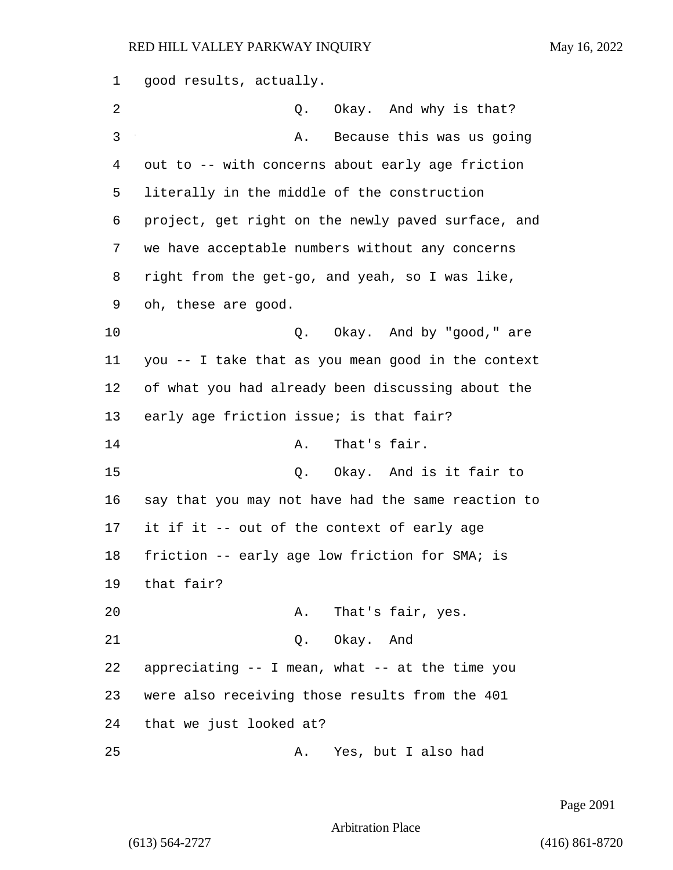good results, actually. 2 Q. Okay. And why is that? 3 A. Because this was us going out to -- with concerns about early age friction literally in the middle of the construction project, get right on the newly paved surface, and we have acceptable numbers without any concerns right from the get-go, and yeah, so I was like, oh, these are good. 10 Q. Okay. And by "good," are you -- I take that as you mean good in the context of what you had already been discussing about the 13 early age friction issue; is that fair? 14 A. That's fair. 15 C. Okay. And is it fair to say that you may not have had the same reaction to it if it -- out of the context of early age friction -- early age low friction for SMA; is that fair? 20 A. That's fair, yes. 21 Q. Okay. And appreciating -- I mean, what -- at the time you were also receiving those results from the 401 that we just looked at? 25 A. Yes, but I also had

Page 2091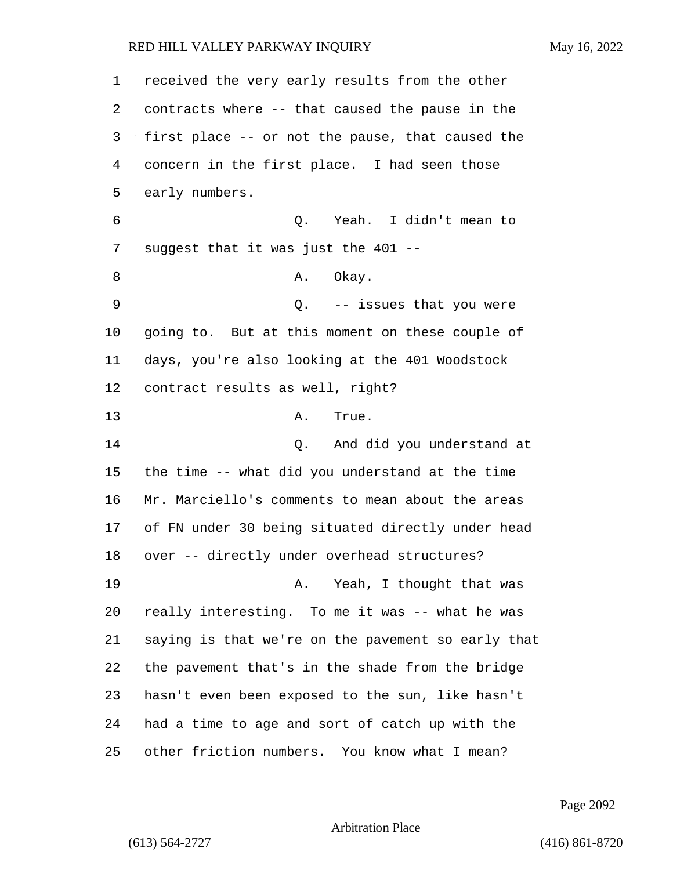received the very early results from the other contracts where -- that caused the pause in the first place -- or not the pause, that caused the concern in the first place. I had seen those early numbers. 6 Q. Yeah. I didn't mean to suggest that it was just the 401 -- 8 A. Okay. 9 Q. -- issues that you were going to. But at this moment on these couple of days, you're also looking at the 401 Woodstock contract results as well, right? 13 A. True. 14 Q. And did you understand at the time -- what did you understand at the time Mr. Marciello's comments to mean about the areas of FN under 30 being situated directly under head over -- directly under overhead structures? 19 A. Yeah, I thought that was really interesting. To me it was -- what he was saying is that we're on the pavement so early that the pavement that's in the shade from the bridge hasn't even been exposed to the sun, like hasn't had a time to age and sort of catch up with the other friction numbers. You know what I mean?

Page 2092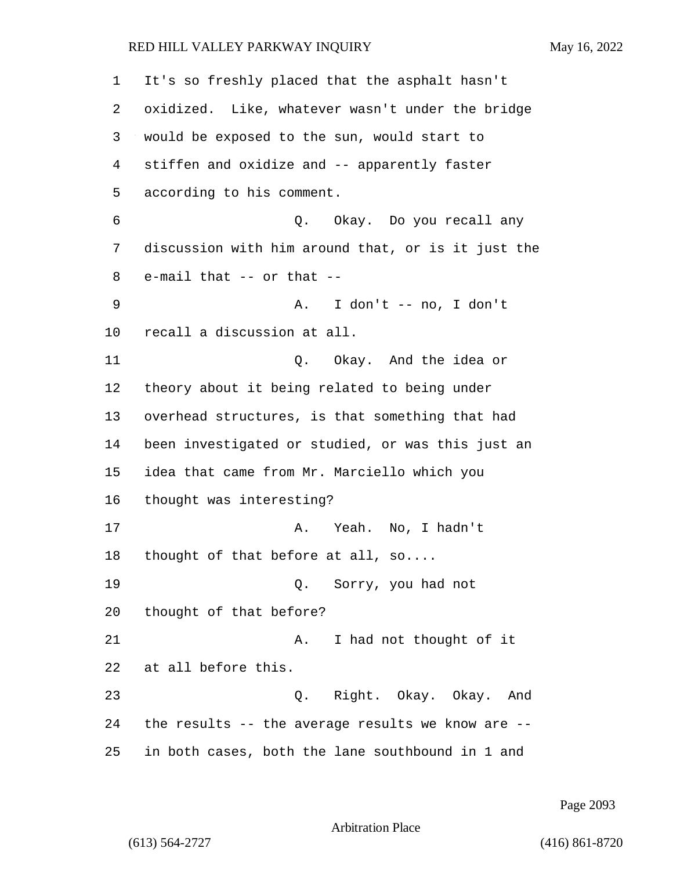It's so freshly placed that the asphalt hasn't oxidized. Like, whatever wasn't under the bridge would be exposed to the sun, would start to stiffen and oxidize and -- apparently faster according to his comment. 6 Q. Okay. Do you recall any discussion with him around that, or is it just the e-mail that -- or that -- 9 A. I don't -- no, I don't recall a discussion at all. 11 Q. Okay. And the idea or theory about it being related to being under overhead structures, is that something that had been investigated or studied, or was this just an idea that came from Mr. Marciello which you thought was interesting? 17 A. Yeah. No, I hadn't thought of that before at all, so.... 19 Q. Sorry, you had not thought of that before? 21 A. I had not thought of it at all before this. 23 Q. Right. Okay. Okay. And the results -- the average results we know are -- in both cases, both the lane southbound in 1 and

Page 2093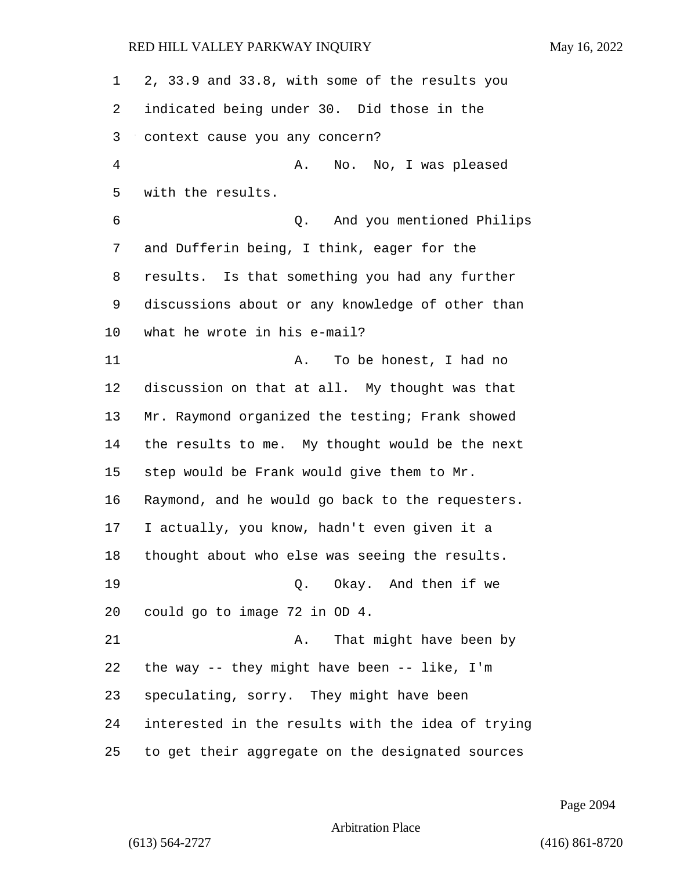| 1  | 2, 33.9 and 33.8, with some of the results you    |
|----|---------------------------------------------------|
| 2  | indicated being under 30. Did those in the        |
| 3  | context cause you any concern?                    |
| 4  | No. No, I was pleased<br>Α.                       |
| 5  | with the results.                                 |
| 6  | And you mentioned Philips<br>Q.                   |
| 7  | and Dufferin being, I think, eager for the        |
| 8  | results. Is that something you had any further    |
| 9  | discussions about or any knowledge of other than  |
| 10 | what he wrote in his e-mail?                      |
| 11 | To be honest, I had no<br>Α.                      |
| 12 | discussion on that at all. My thought was that    |
| 13 | Mr. Raymond organized the testing; Frank showed   |
| 14 | the results to me. My thought would be the next   |
| 15 | step would be Frank would give them to Mr.        |
| 16 | Raymond, and he would go back to the requesters.  |
| 17 | I actually, you know, hadn't even given it a      |
| 18 | thought about who else was seeing the results.    |
| 19 | Q. Okay. And then if we                           |
| 20 | could go to image 72 in OD 4.                     |
| 21 | That might have been by<br>Α.                     |
| 22 | the way $-$ they might have been $-$ like, I'm    |
| 23 | speculating, sorry. They might have been          |
| 24 | interested in the results with the idea of trying |
| 25 | to get their aggregate on the designated sources  |

Page 2094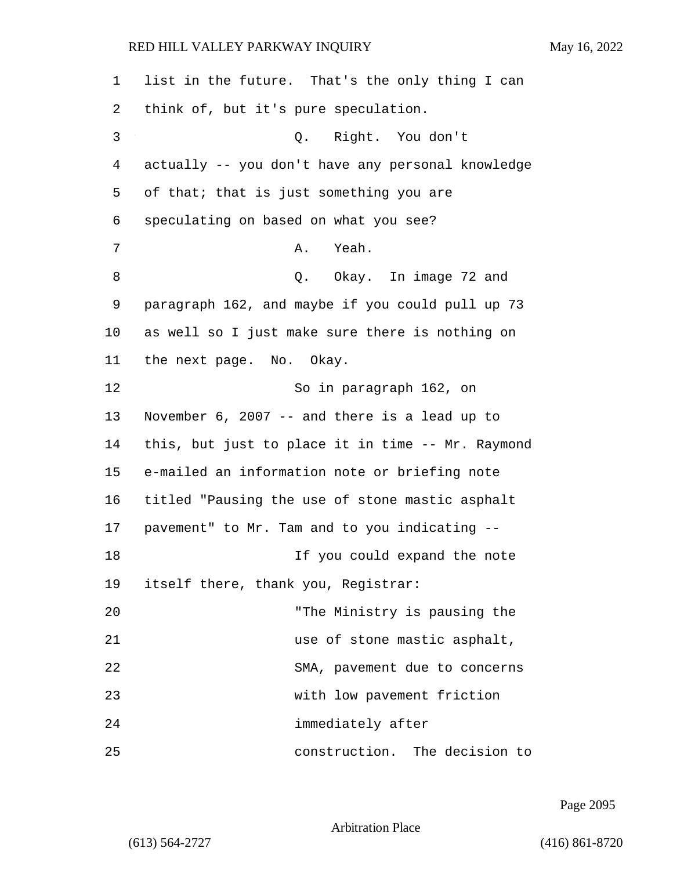| 1  | list in the future. That's the only thing I can   |
|----|---------------------------------------------------|
| 2  | think of, but it's pure speculation.              |
| 3  | Right. You don't<br>Q.                            |
| 4  | actually -- you don't have any personal knowledge |
| 5  | of that; that is just something you are           |
| 6  | speculating on based on what you see?             |
| 7  | Yeah.<br>Α.                                       |
| 8  | Q. Okay. In image 72 and                          |
| 9  | paragraph 162, and maybe if you could pull up 73  |
| 10 | as well so I just make sure there is nothing on   |
| 11 | the next page. No. Okay.                          |
| 12 | So in paragraph 162, on                           |
| 13 | November 6, 2007 -- and there is a lead up to     |
| 14 | this, but just to place it in time -- Mr. Raymond |
| 15 | e-mailed an information note or briefing note     |
| 16 | titled "Pausing the use of stone mastic asphalt   |
| 17 | pavement" to Mr. Tam and to you indicating --     |
| 18 | If you could expand the note                      |
| 19 | itself there, thank you, Registrar:               |
| 20 | "The Ministry is pausing the                      |
| 21 | use of stone mastic asphalt,                      |
| 22 | SMA, pavement due to concerns                     |
| 23 | with low pavement friction                        |
| 24 | immediately after                                 |
| 25 | construction. The decision to                     |

Page 2095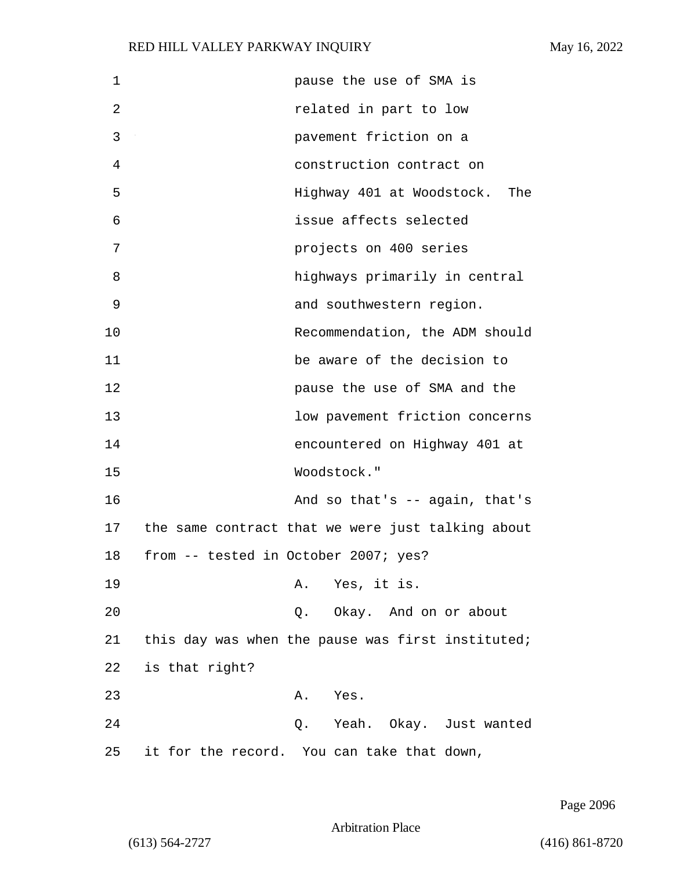| 1  | pause the use of SMA is                           |
|----|---------------------------------------------------|
| 2  | related in part to low                            |
| 3  | pavement friction on a                            |
| 4  | construction contract on                          |
| 5  | Highway 401 at Woodstock. The                     |
| 6  | issue affects selected                            |
| 7  | projects on 400 series                            |
| 8  | highways primarily in central                     |
| 9  | and southwestern region.                          |
| 10 | Recommendation, the ADM should                    |
| 11 | be aware of the decision to                       |
| 12 | pause the use of SMA and the                      |
| 13 | low pavement friction concerns                    |
| 14 | encountered on Highway 401 at                     |
| 15 | Woodstock."                                       |
| 16 | And so that's $-$ again, that's                   |
| 17 | the same contract that we were just talking about |
| 18 | from -- tested in October 2007; yes?              |
| 19 | A. Yes, it is.                                    |
| 20 | Q. Okay. And on or about                          |
| 21 | this day was when the pause was first instituted; |
| 22 | is that right?                                    |
| 23 | A. Yes.                                           |
| 24 | Q. Yeah. Okay. Just wanted                        |
| 25 | it for the record. You can take that down,        |

Page 2096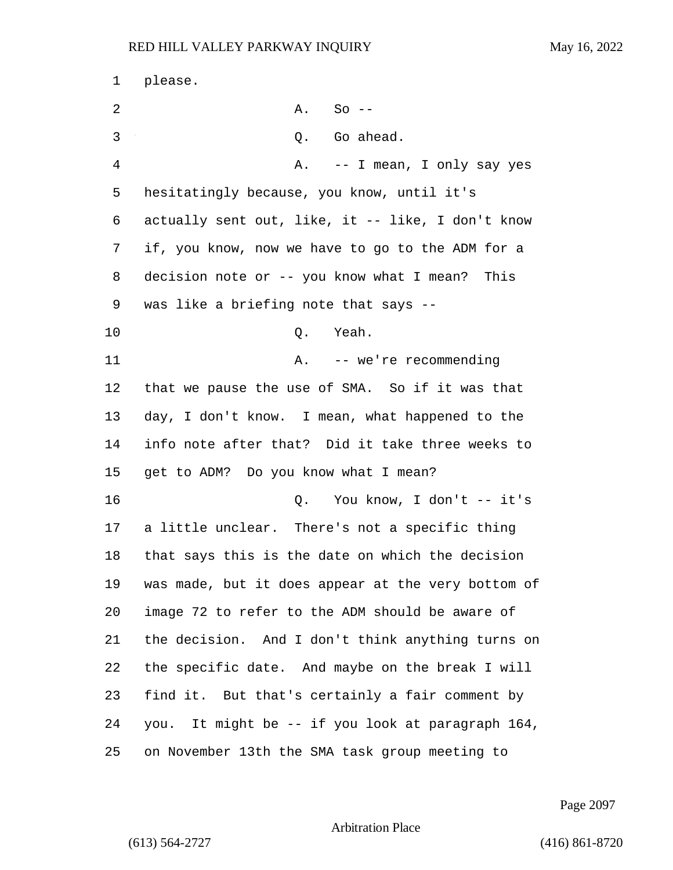please. 2 A. So -- 3 Q. Go ahead. 4 A. -- I mean, I only say yes hesitatingly because, you know, until it's actually sent out, like, it -- like, I don't know if, you know, now we have to go to the ADM for a decision note or -- you know what I mean? This was like a briefing note that says -- 10 Q. Yeah. 11 A. -- we're recommending that we pause the use of SMA. So if it was that day, I don't know. I mean, what happened to the info note after that? Did it take three weeks to get to ADM? Do you know what I mean? 16 Q. You know, I don't -- it's a little unclear. There's not a specific thing that says this is the date on which the decision was made, but it does appear at the very bottom of image 72 to refer to the ADM should be aware of the decision. And I don't think anything turns on the specific date. And maybe on the break I will find it. But that's certainly a fair comment by you. It might be -- if you look at paragraph 164, on November 13th the SMA task group meeting to

Page 2097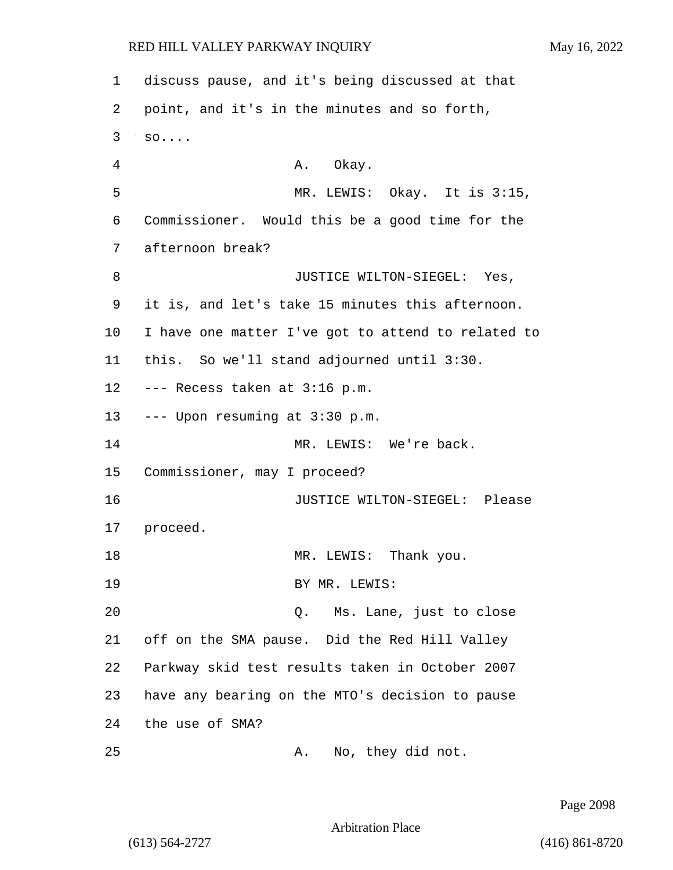1 discuss pause, and it's being discussed at that 2 point, and it's in the minutes and so forth, 3 so.... 4 A. Okay. 5 MR. LEWIS: Okay. It is 3:15, 6 Commissioner. Would this be a good time for the 7 afternoon break? 8 JUSTICE WILTON-SIEGEL: Yes, 9 it is, and let's take 15 minutes this afternoon. 10 I have one matter I've got to attend to related to 11 this. So we'll stand adjourned until 3:30. 12 --- Recess taken at 3:16 p.m. 13 --- Upon resuming at 3:30 p.m. 14 MR. LEWIS: We're back. 15 Commissioner, may I proceed? 16 JUSTICE WILTON-SIEGEL: Please 17 proceed. 18 MR. LEWIS: Thank you. 19 BY MR. LEWIS: 20 Q. Ms. Lane, just to close 21 off on the SMA pause. Did the Red Hill Valley 22 Parkway skid test results taken in October 2007 23 have any bearing on the MTO's decision to pause 24 the use of SMA? 25 A. No, they did not.

Page 2098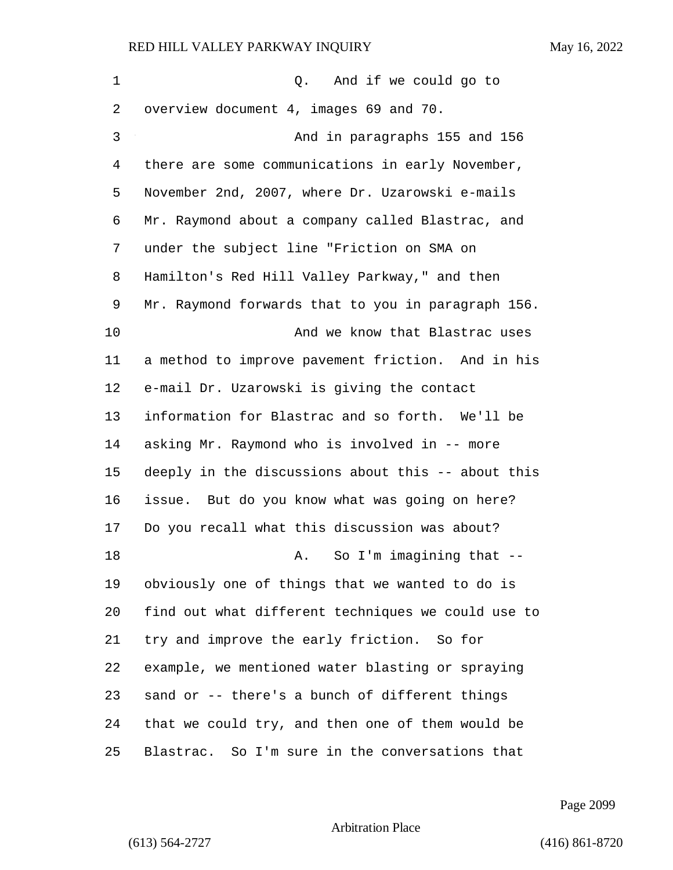| $\mathbf 1$ | Q. And if we could go to                           |
|-------------|----------------------------------------------------|
| 2           | overview document 4, images 69 and 70.             |
| 3           | And in paragraphs 155 and 156                      |
| 4           | there are some communications in early November,   |
| 5           | November 2nd, 2007, where Dr. Uzarowski e-mails    |
| 6           | Mr. Raymond about a company called Blastrac, and   |
| 7           | under the subject line "Friction on SMA on         |
| 8           | Hamilton's Red Hill Valley Parkway," and then      |
| 9           | Mr. Raymond forwards that to you in paragraph 156. |
| 10          | And we know that Blastrac uses                     |
| 11          | a method to improve pavement friction. And in his  |
| 12          | e-mail Dr. Uzarowski is giving the contact         |
| 13          | information for Blastrac and so forth. We'll be    |
| 14          | asking Mr. Raymond who is involved in -- more      |
| 15          | deeply in the discussions about this -- about this |
| 16          | issue. But do you know what was going on here?     |
| 17          | Do you recall what this discussion was about?      |
| 18          | So I'm imagining that --<br>Α.                     |
| 19          | obviously one of things that we wanted to do is    |
| 20          | find out what different techniques we could use to |
| 21          | try and improve the early friction. So for         |
| 22          | example, we mentioned water blasting or spraying   |
| 23          | sand or -- there's a bunch of different things     |
| 24          | that we could try, and then one of them would be   |
| 25          | Blastrac. So I'm sure in the conversations that    |

Page 2099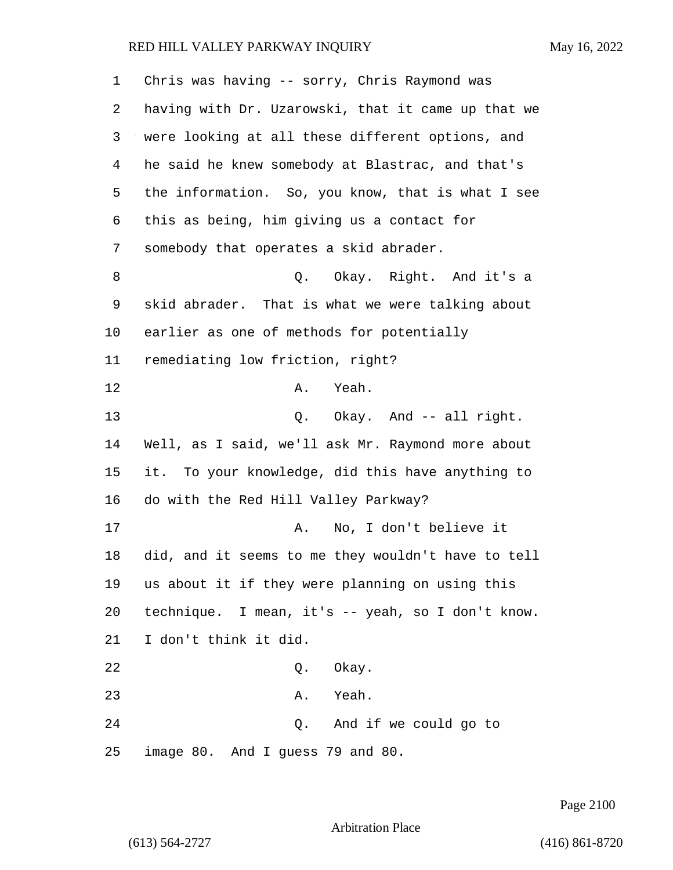| 1  | Chris was having -- sorry, Chris Raymond was       |
|----|----------------------------------------------------|
| 2  | having with Dr. Uzarowski, that it came up that we |
| 3  | were looking at all these different options, and   |
| 4  | he said he knew somebody at Blastrac, and that's   |
| 5  | the information. So, you know, that is what I see  |
| 6  | this as being, him giving us a contact for         |
| 7  | somebody that operates a skid abrader.             |
| 8  | Q. Okay. Right. And it's a                         |
| 9  | skid abrader. That is what we were talking about   |
| 10 | earlier as one of methods for potentially          |
| 11 | remediating low friction, right?                   |
| 12 | A. Yeah.                                           |
| 13 | Q. Okay. And -- all right.                         |
| 14 | Well, as I said, we'll ask Mr. Raymond more about  |
| 15 | it. To your knowledge, did this have anything to   |
| 16 | do with the Red Hill Valley Parkway?               |
| 17 | No, I don't believe it<br>Α.                       |
| 18 | did, and it seems to me they wouldn't have to tell |
| 19 | us about it if they were planning on using this    |
| 20 | technique. I mean, it's -- yeah, so I don't know.  |
| 21 | I don't think it did.                              |
| 22 | Okay.<br>Q.                                        |
| 23 | A. Yeah.                                           |
| 24 | Q. And if we could go to                           |
| 25 | image 80. And I guess 79 and 80.                   |

Page 2100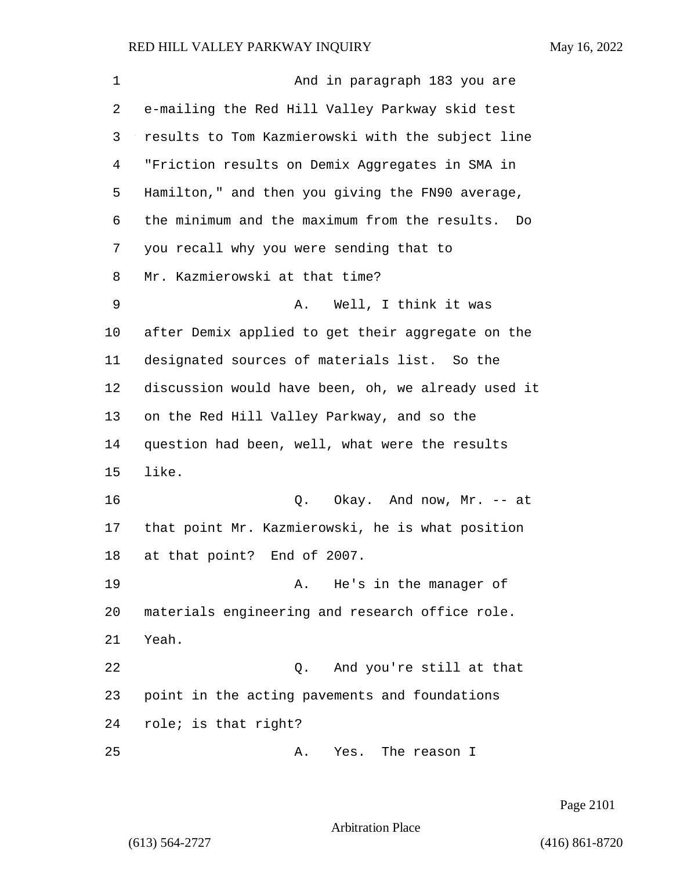| 1  | And in paragraph 183 you are                        |
|----|-----------------------------------------------------|
| 2  | e-mailing the Red Hill Valley Parkway skid test     |
| 3  | results to Tom Kazmierowski with the subject line   |
| 4  | "Friction results on Demix Aggregates in SMA in     |
| 5  | Hamilton," and then you giving the FN90 average,    |
| 6  | the minimum and the maximum from the results.<br>Do |
| 7  | you recall why you were sending that to             |
| 8  | Mr. Kazmierowski at that time?                      |
| 9  | Well, I think it was<br>Α.                          |
| 10 | after Demix applied to get their aggregate on the   |
| 11 | designated sources of materials list. So the        |
| 12 | discussion would have been, oh, we already used it  |
| 13 | on the Red Hill Valley Parkway, and so the          |
| 14 | question had been, well, what were the results      |
| 15 | like.                                               |
| 16 | Q. Okay. And now, Mr. -- at                         |
| 17 | that point Mr. Kazmierowski, he is what position    |
| 18 | at that point?<br>End of 2007.                      |
| 19 | He's in the manager of<br>Α.                        |
| 20 | materials engineering and research office role.     |
| 21 | Yeah.                                               |
| 22 | And you're still at that<br>Q.                      |
| 23 | point in the acting pavements and foundations       |
| 24 | role; is that right?                                |
| 25 | Yes. The reason I<br>Α.                             |

Page 2101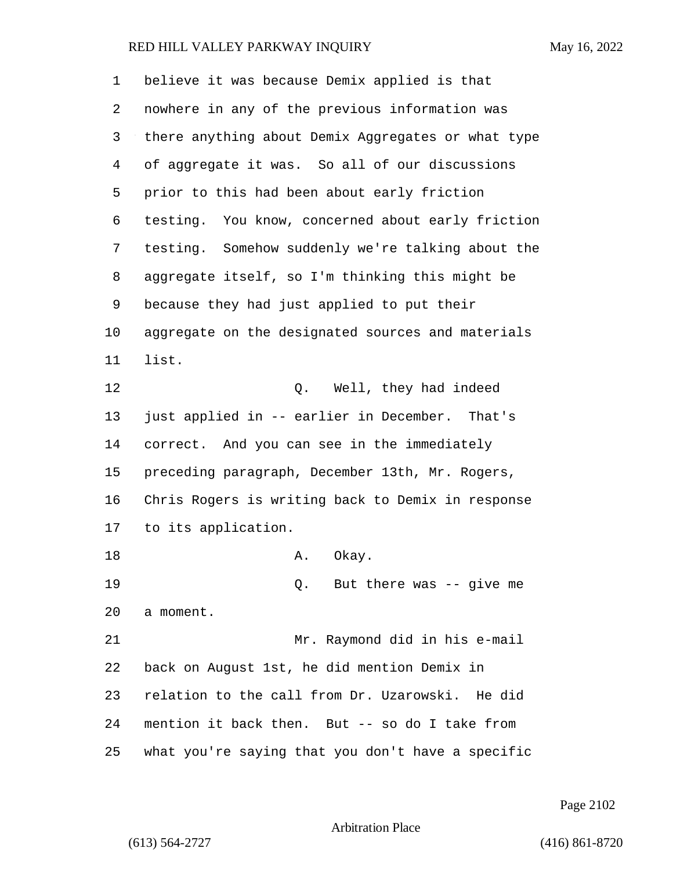| 1  | believe it was because Demix applied is that       |
|----|----------------------------------------------------|
| 2  | nowhere in any of the previous information was     |
| 3  | there anything about Demix Aggregates or what type |
| 4  | of aggregate it was. So all of our discussions     |
| 5  | prior to this had been about early friction        |
| 6  | testing. You know, concerned about early friction  |
| 7  | testing. Somehow suddenly we're talking about the  |
| 8  | aggregate itself, so I'm thinking this might be    |
| 9  | because they had just applied to put their         |
| 10 | aggregate on the designated sources and materials  |
| 11 | list.                                              |
| 12 | Well, they had indeed<br>Q.                        |
| 13 | just applied in -- earlier in December. That's     |
| 14 | correct. And you can see in the immediately        |
| 15 | preceding paragraph, December 13th, Mr. Rogers,    |
| 16 | Chris Rogers is writing back to Demix in response  |
| 17 | to its application.                                |
| 18 | Α.<br>Okay.                                        |
| 19 | Q. But there was $-$ give me                       |
| 20 | a moment.                                          |
| 21 | Mr. Raymond did in his e-mail                      |
| 22 | back on August 1st, he did mention Demix in        |
| 23 | relation to the call from Dr. Uzarowski. He did    |
| 24 | mention it back then. But -- so do I take from     |
| 25 | what you're saying that you don't have a specific  |

Page 2102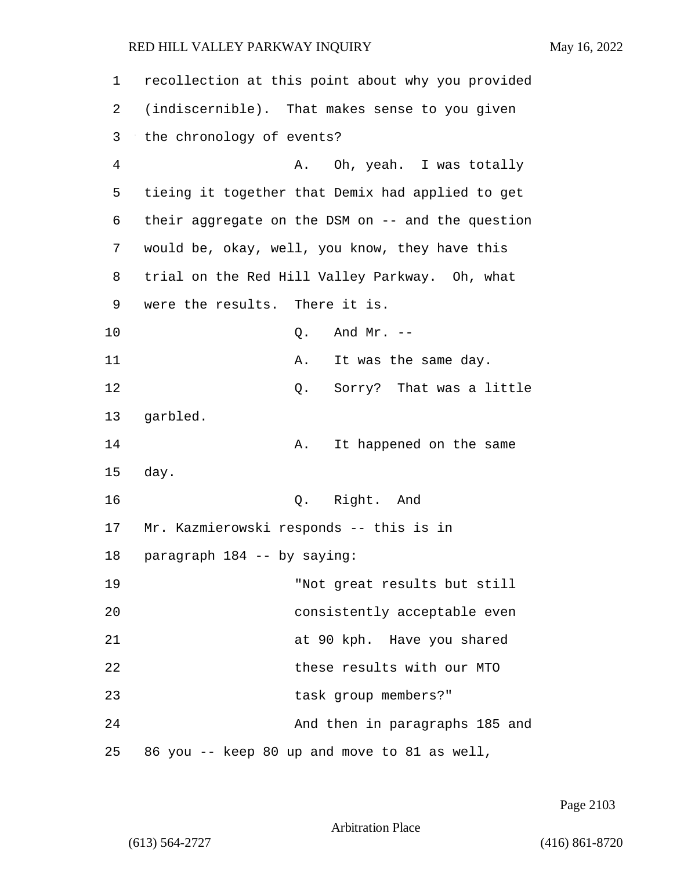| 1  | recollection at this point about why you provided |
|----|---------------------------------------------------|
| 2  | (indiscernible). That makes sense to you given    |
| 3  | the chronology of events?                         |
| 4  | A. Oh, yeah. I was totally                        |
| 5  | tieing it together that Demix had applied to get  |
| 6  | their aggregate on the DSM on -- and the question |
| 7  | would be, okay, well, you know, they have this    |
| 8  | trial on the Red Hill Valley Parkway. Oh, what    |
| 9  | were the results. There it is.                    |
| 10 | And $Mr. --$<br>Q.                                |
| 11 | It was the same day.<br>Α.                        |
| 12 | Q.<br>Sorry? That was a little                    |
| 13 | garbled.                                          |
| 14 | It happened on the same<br>Α.                     |
| 15 | day.                                              |
| 16 | Q. Right. And                                     |
| 17 | Mr. Kazmierowski responds -- this is in           |
| 18 | paragraph 184 -- by saying:                       |
| 19 | "Not great results but still                      |
| 20 | consistently acceptable even                      |
| 21 | at 90 kph. Have you shared                        |
| 22 | these results with our MTO                        |
| 23 | task group members?"                              |
| 24 | And then in paragraphs 185 and                    |
| 25 | 86 you -- keep 80 up and move to 81 as well,      |

Page 2103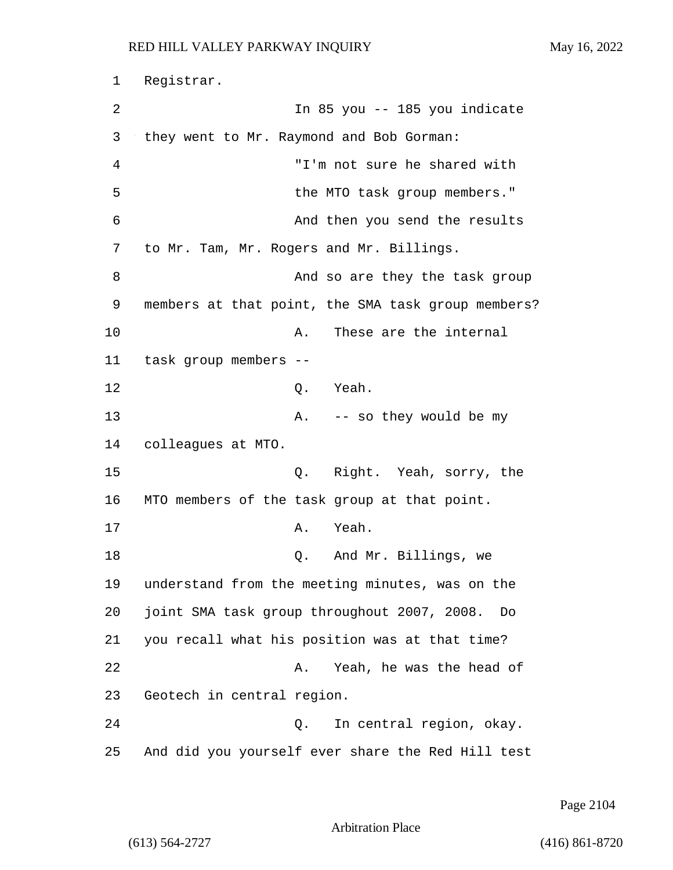1 Registrar. 2 In 85 you -- 185 you indicate 3 they went to Mr. Raymond and Bob Gorman: 4 "I'm not sure he shared with 5 the MTO task group members." 6 And then you send the results 7 to Mr. Tam, Mr. Rogers and Mr. Billings. 8 And so are they the task group 9 members at that point, the SMA task group members? 10 A. These are the internal 11 task group members -- 12 Q. Yeah. 13 A. -- so they would be my 14 colleagues at MTO. 15 Q. Right. Yeah, sorry, the 16 MTO members of the task group at that point. 17 A. Yeah. 18 Q. And Mr. Billings, we 19 understand from the meeting minutes, was on the 20 joint SMA task group throughout 2007, 2008. Do 21 you recall what his position was at that time? 22 A. Yeah, he was the head of 23 Geotech in central region. 24 Q. In central region, okay. 25 And did you yourself ever share the Red Hill test

Page 2104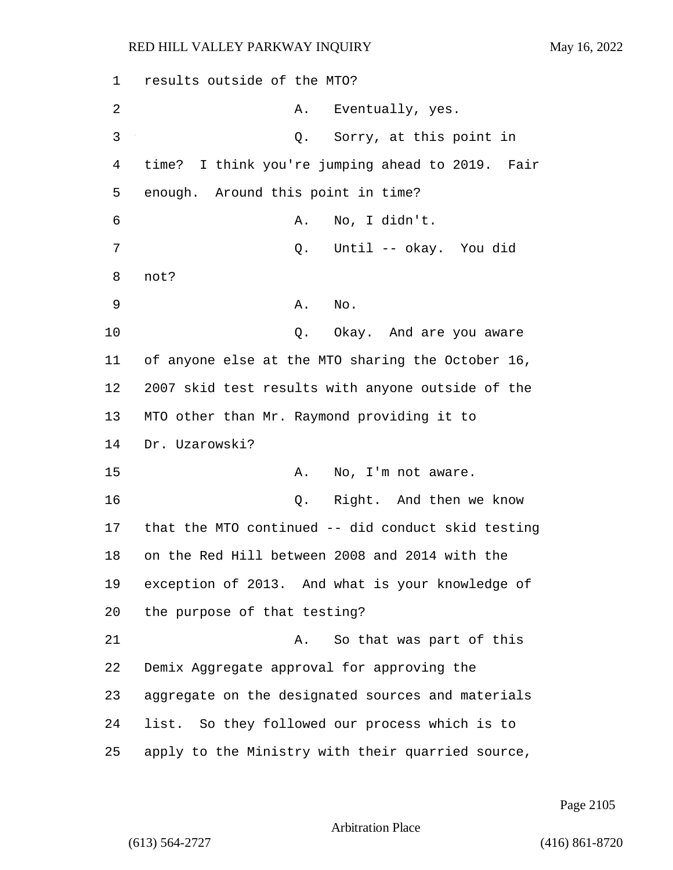1 results outside of the MTO? 2 A. Eventually, yes. 3 Q. Sorry, at this point in 4 time? I think you're jumping ahead to 2019. Fair 5 enough. Around this point in time? 6 A. No, I didn't. 7 Q. Until -- okay. You did 8 not? 9 A. No. 10 Q. Okay. And are you aware 11 of anyone else at the MTO sharing the October 16, 12 2007 skid test results with anyone outside of the 13 MTO other than Mr. Raymond providing it to 14 Dr. Uzarowski? 15 A. No, I'm not aware. 16 Q. Right. And then we know 17 that the MTO continued -- did conduct skid testing 18 on the Red Hill between 2008 and 2014 with the 19 exception of 2013. And what is your knowledge of 20 the purpose of that testing? 21 A. So that was part of this 22 Demix Aggregate approval for approving the 23 aggregate on the designated sources and materials 24 list. So they followed our process which is to 25 apply to the Ministry with their quarried source,

Page 2105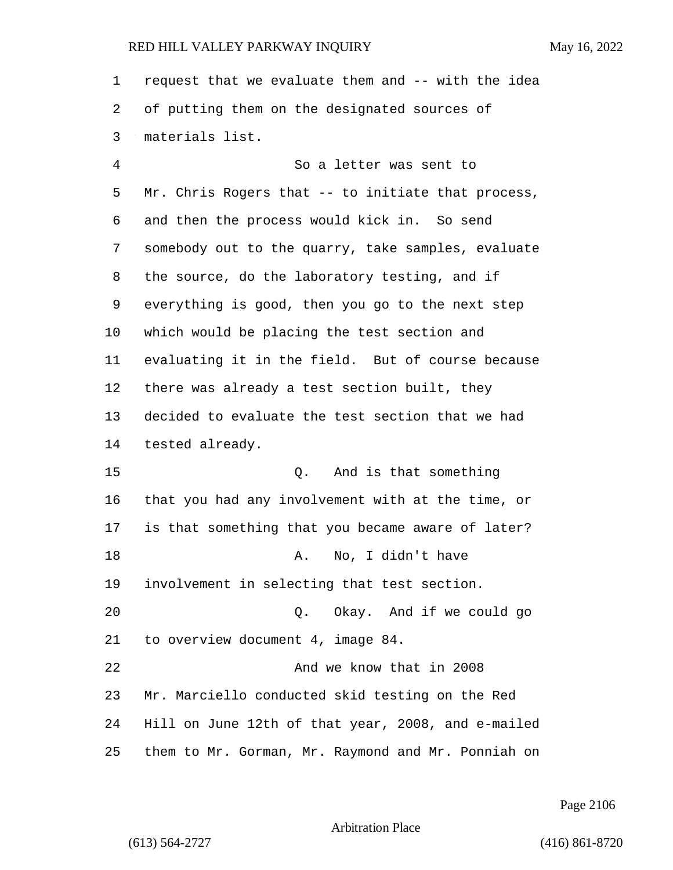request that we evaluate them and -- with the idea of putting them on the designated sources of materials list.

4 So a letter was sent to Mr. Chris Rogers that -- to initiate that process, and then the process would kick in. So send somebody out to the quarry, take samples, evaluate the source, do the laboratory testing, and if everything is good, then you go to the next step which would be placing the test section and evaluating it in the field. But of course because there was already a test section built, they decided to evaluate the test section that we had tested already. 15 Q. And is that something that you had any involvement with at the time, or is that something that you became aware of later? 18 A. No, I didn't have involvement in selecting that test section. 20 Q. Okay. And if we could go to overview document 4, image 84. 22 And we know that in 2008

 Mr. Marciello conducted skid testing on the Red Hill on June 12th of that year, 2008, and e-mailed them to Mr. Gorman, Mr. Raymond and Mr. Ponniah on

Page 2106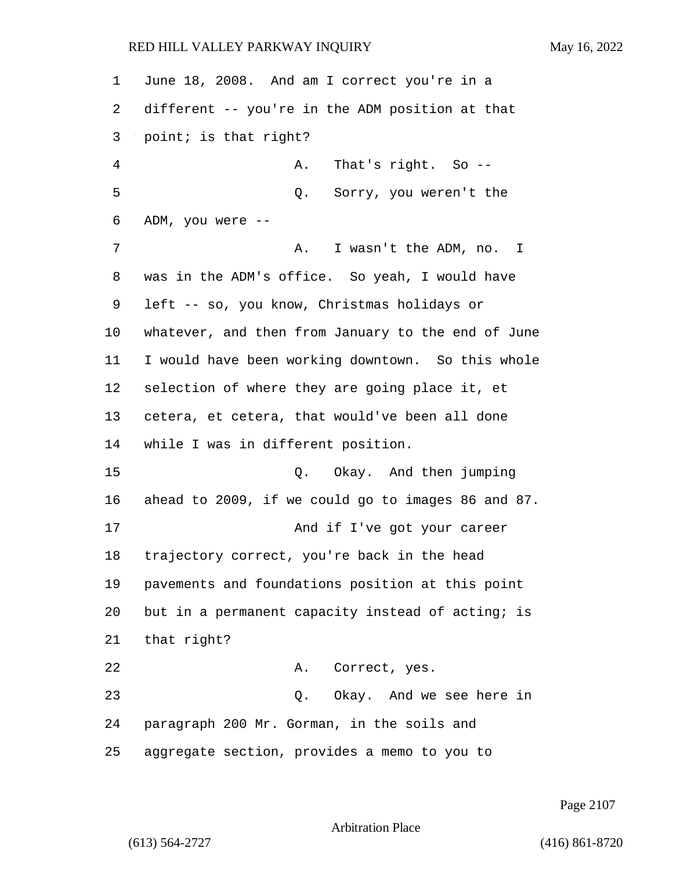June 18, 2008. And am I correct you're in a different -- you're in the ADM position at that point; is that right? 4 A. That's right. So -- 5 Q. Sorry, you weren't the ADM, you were -- 7 A. I wasn't the ADM, no. I was in the ADM's office. So yeah, I would have left -- so, you know, Christmas holidays or whatever, and then from January to the end of June I would have been working downtown. So this whole selection of where they are going place it, et cetera, et cetera, that would've been all done while I was in different position. 15 Q. Okay. And then jumping ahead to 2009, if we could go to images 86 and 87. 17 And if I've got your career trajectory correct, you're back in the head pavements and foundations position at this point but in a permanent capacity instead of acting; is that right? 22 A. Correct, yes. 23 Q. Okay. And we see here in paragraph 200 Mr. Gorman, in the soils and aggregate section, provides a memo to you to

Page 2107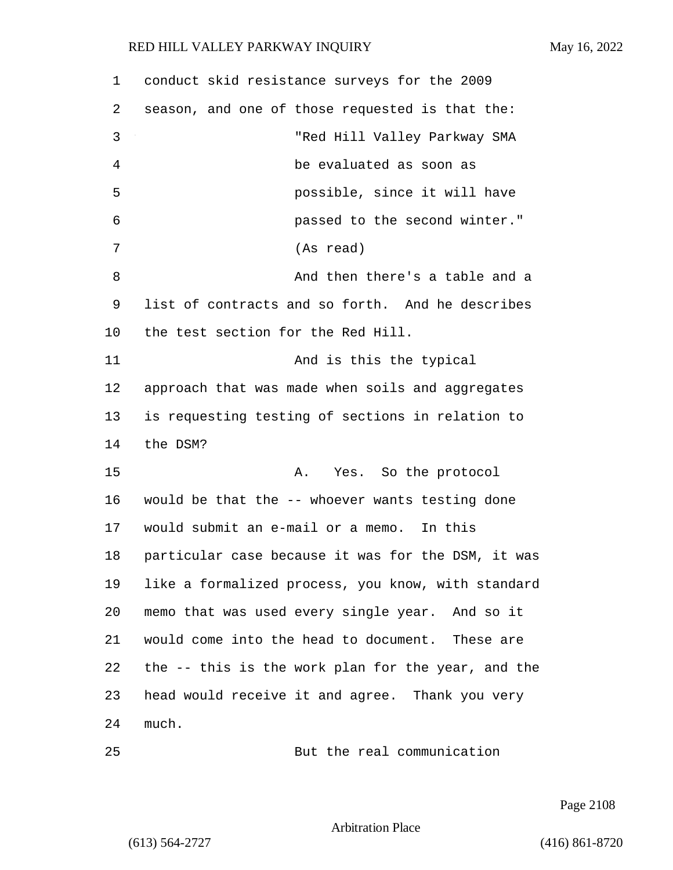| 1  | conduct skid resistance surveys for the 2009       |
|----|----------------------------------------------------|
| 2  | season, and one of those requested is that the:    |
| 3  | "Red Hill Valley Parkway SMA                       |
| 4  | be evaluated as soon as                            |
| 5  | possible, since it will have                       |
| 6  | passed to the second winter."                      |
| 7  | (As read)                                          |
| 8  | And then there's a table and a                     |
| 9  | list of contracts and so forth. And he describes   |
| 10 | the test section for the Red Hill.                 |
| 11 | And is this the typical                            |
| 12 | approach that was made when soils and aggregates   |
| 13 | is requesting testing of sections in relation to   |
| 14 | the DSM?                                           |
| 15 | Yes. So the protocol<br>Α.                         |
| 16 | would be that the -- whoever wants testing done    |
| 17 | would submit an e-mail or a memo. In this          |
| 18 | particular case because it was for the DSM, it was |
| 19 | like a formalized process, you know, with standard |
| 20 | memo that was used every single year. And so it    |
| 21 | would come into the head to document. These are    |
| 22 | the -- this is the work plan for the year, and the |
| 23 | head would receive it and agree. Thank you very    |
| 24 | much.                                              |

25 But the real communication

Page 2108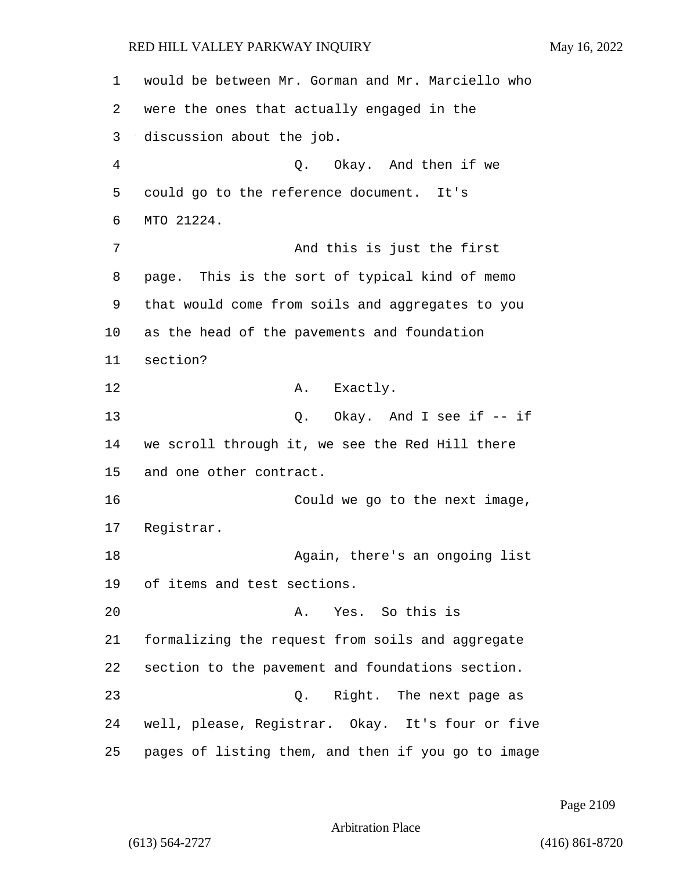would be between Mr. Gorman and Mr. Marciello who were the ones that actually engaged in the discussion about the job. 4 Q. Okay. And then if we could go to the reference document. It's MTO 21224. 7 And this is just the first page. This is the sort of typical kind of memo that would come from soils and aggregates to you as the head of the pavements and foundation 11 section? 12 A. Exactly. 13 Q. Okay. And I see if -- if we scroll through it, we see the Red Hill there and one other contract. 16 Could we go to the next image, Registrar. 18 Again, there's an ongoing list of items and test sections. 20 A. Yes. So this is formalizing the request from soils and aggregate section to the pavement and foundations section. 23 and 2. Right. The next page as well, please, Registrar. Okay. It's four or five pages of listing them, and then if you go to image

Page 2109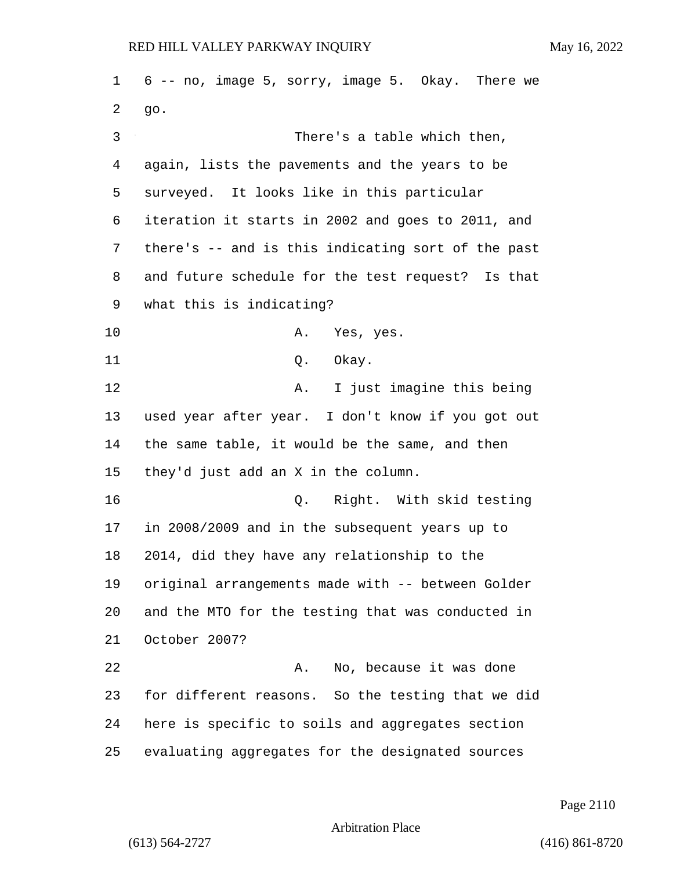6 -- no, image 5, sorry, image 5. Okay. There we go. 3 There's a table which then, again, lists the pavements and the years to be surveyed. It looks like in this particular iteration it starts in 2002 and goes to 2011, and there's -- and is this indicating sort of the past and future schedule for the test request? Is that what this is indicating? 10 A. Yes, yes. 11 Q. Okay. 12 A. I just imagine this being used year after year. I don't know if you got out the same table, it would be the same, and then they'd just add an X in the column. 16 Q. Right. With skid testing in 2008/2009 and in the subsequent years up to 2014, did they have any relationship to the original arrangements made with -- between Golder and the MTO for the testing that was conducted in October 2007? 22 A. No, because it was done for different reasons. So the testing that we did here is specific to soils and aggregates section evaluating aggregates for the designated sources

Page 2110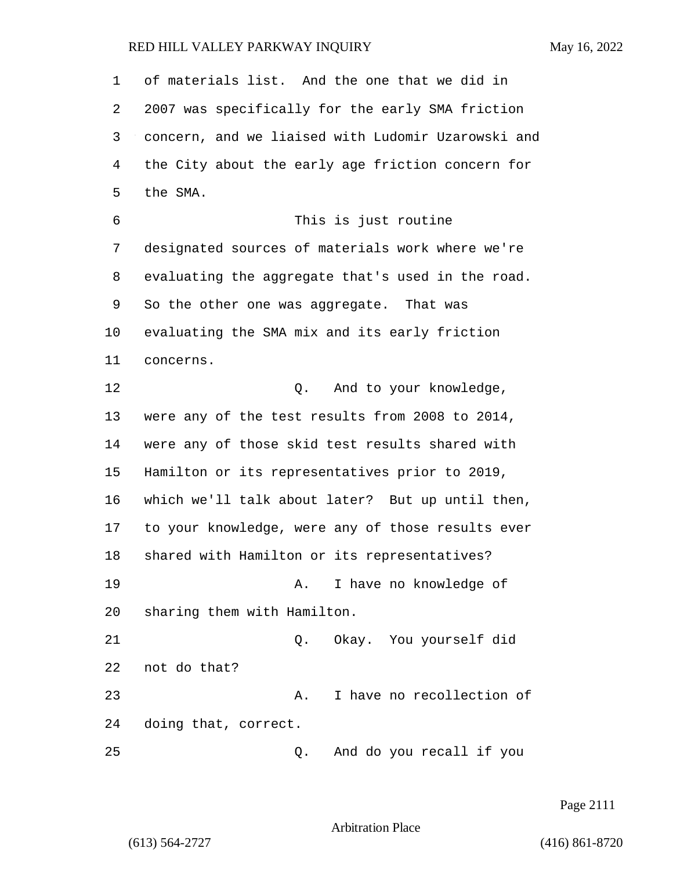of materials list. And the one that we did in 2007 was specifically for the early SMA friction concern, and we liaised with Ludomir Uzarowski and the City about the early age friction concern for the SMA. 6 This is just routine designated sources of materials work where we're evaluating the aggregate that's used in the road. So the other one was aggregate. That was evaluating the SMA mix and its early friction concerns. 12 O. And to your knowledge, were any of the test results from 2008 to 2014, were any of those skid test results shared with Hamilton or its representatives prior to 2019, which we'll talk about later? But up until then, to your knowledge, were any of those results ever shared with Hamilton or its representatives? 19 A. I have no knowledge of sharing them with Hamilton. 21 Q. Okay. You yourself did not do that? 23 A. I have no recollection of doing that, correct. 25 Q. And do you recall if you

Page 2111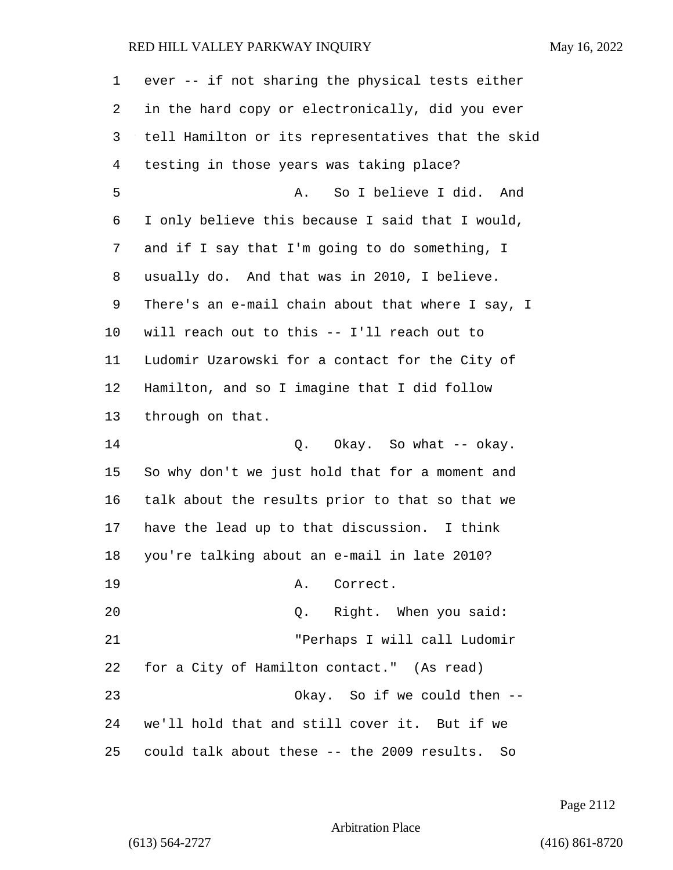| 1  | ever -- if not sharing the physical tests either   |
|----|----------------------------------------------------|
| 2  | in the hard copy or electronically, did you ever   |
| 3  | tell Hamilton or its representatives that the skid |
| 4  | testing in those years was taking place?           |
| 5  | So I believe I did. And<br>Α.                      |
| 6  | I only believe this because I said that I would,   |
| 7  | and if I say that I'm going to do something, I     |
| 8  | usually do. And that was in 2010, I believe.       |
| 9  | There's an e-mail chain about that where I say, I  |
| 10 | will reach out to this -- I'll reach out to        |
| 11 | Ludomir Uzarowski for a contact for the City of    |
| 12 | Hamilton, and so I imagine that I did follow       |
| 13 | through on that.                                   |
| 14 | Q. Okay. So what -- okay.                          |
| 15 | So why don't we just hold that for a moment and    |
| 16 | talk about the results prior to that so that we    |
| 17 | have the lead up to that discussion. I think       |
| 18 | you're talking about an e-mail in late 2010?       |
| 19 | Α.<br>Correct.                                     |
| 20 | Q. Right. When you said:                           |
| 21 | "Perhaps I will call Ludomir                       |
| 22 | for a City of Hamilton contact." (As read)         |
| 23 | Okay. So if we could then --                       |
| 24 | we'll hold that and still cover it. But if we      |
| 25 | could talk about these -- the 2009 results. So     |

Page 2112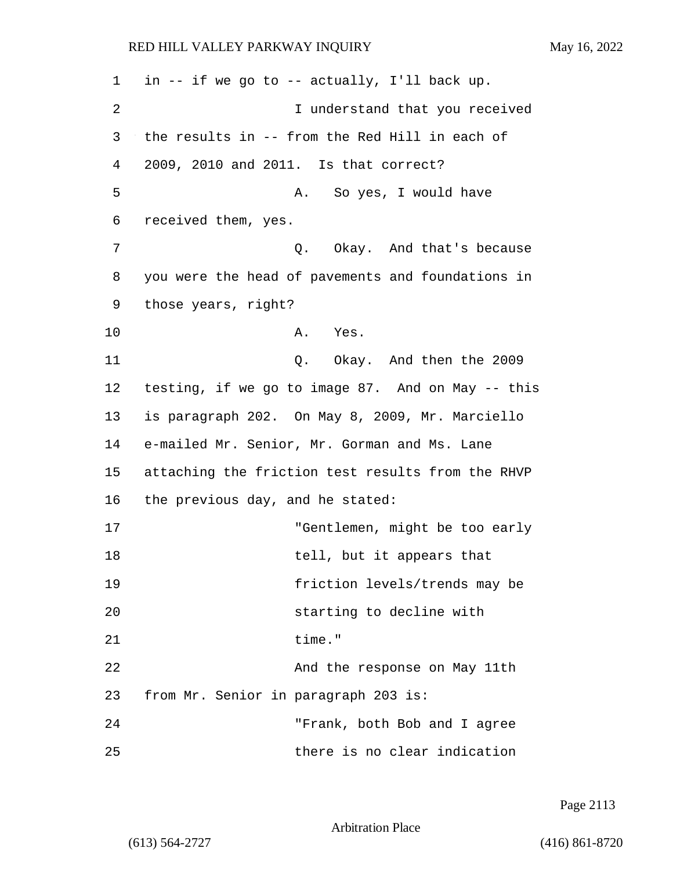1 in -- if we go to -- actually, I'll back up. 2 I understand that you received 3 the results in -- from the Red Hill in each of 4 2009, 2010 and 2011. Is that correct? 5 A. So yes, I would have 6 received them, yes. 7 C. Okay. And that's because 8 you were the head of pavements and foundations in 9 those years, right? 10 A. Yes. 11 Q. Okay. And then the 2009 12 testing, if we go to image 87. And on May -- this 13 is paragraph 202. On May 8, 2009, Mr. Marciello 14 e-mailed Mr. Senior, Mr. Gorman and Ms. Lane 15 attaching the friction test results from the RHVP 16 the previous day, and he stated: 17 "Gentlemen, might be too early 18 tell, but it appears that 19 friction levels/trends may be 20 starting to decline with 21 time." 22 And the response on May 11th 23 from Mr. Senior in paragraph 203 is: 24 "Frank, both Bob and I agree 25 there is no clear indication

Page 2113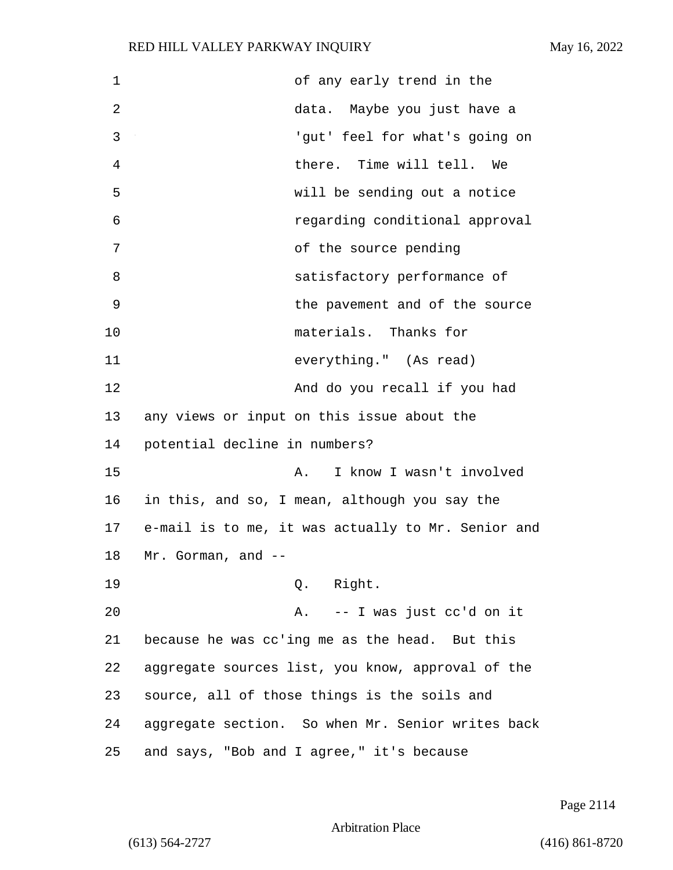| $\mathbf 1$ | of any early trend in the                          |
|-------------|----------------------------------------------------|
| 2           | data. Maybe you just have a                        |
| 3           | 'gut' feel for what's going on                     |
| 4           | there. Time will tell. We                          |
| 5           | will be sending out a notice                       |
| 6           | regarding conditional approval                     |
| 7           | of the source pending                              |
| 8           | satisfactory performance of                        |
| 9           | the pavement and of the source                     |
| 10          | materials. Thanks for                              |
| 11          | everything." (As read)                             |
| 12          | And do you recall if you had                       |
| 13          | any views or input on this issue about the         |
| 14          | potential decline in numbers?                      |
| 15          | I know I wasn't involved<br>Α.                     |
| 16          | in this, and so, I mean, although you say the      |
| 17          | e-mail is to me, it was actually to Mr. Senior and |
| 18          | Mr. Gorman, and                                    |
| 19          | Q. Right.                                          |
| 20          | A. -- I was just cc'd on it                        |
| 21          | because he was cc'ing me as the head. But this     |
| 22          | aggregate sources list, you know, approval of the  |
| 23          | source, all of those things is the soils and       |
| 24          | aggregate section. So when Mr. Senior writes back  |
| 25          | and says, "Bob and I agree," it's because          |

Page 2114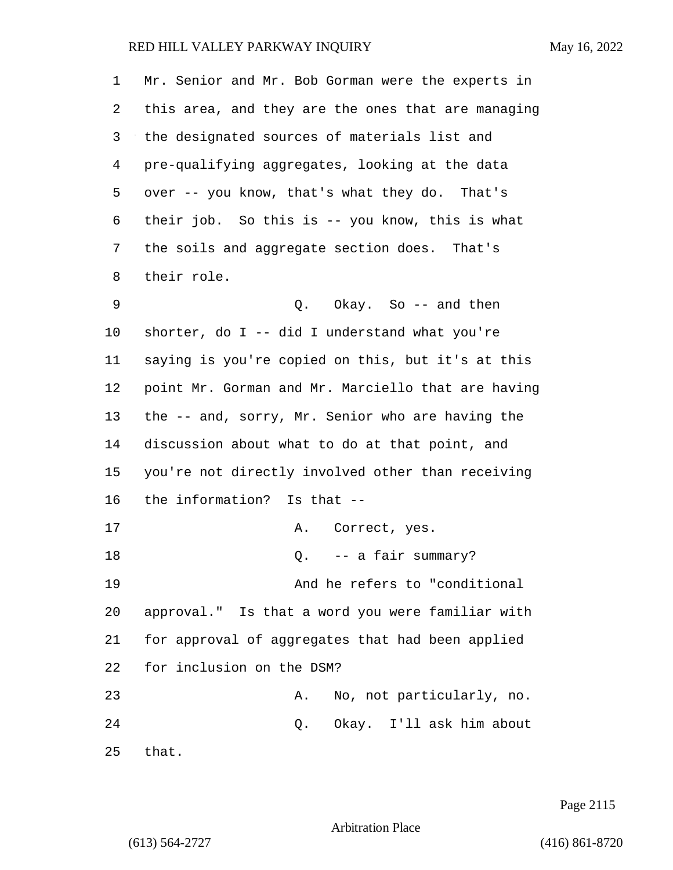| 1  | Mr. Senior and Mr. Bob Gorman were the experts in  |
|----|----------------------------------------------------|
| 2  | this area, and they are the ones that are managing |
| 3  | the designated sources of materials list and       |
| 4  | pre-qualifying aggregates, looking at the data     |
| 5  | over -- you know, that's what they do. That's      |
| 6  | their job. So this is -- you know, this is what    |
| 7  | the soils and aggregate section does. That's       |
| 8  | their role.                                        |
| 9  | Q. Okay. So -- and then                            |
| 10 | shorter, do I -- did I understand what you're      |
| 11 | saying is you're copied on this, but it's at this  |
| 12 | point Mr. Gorman and Mr. Marciello that are having |
| 13 | the -- and, sorry, Mr. Senior who are having the   |
| 14 | discussion about what to do at that point, and     |
| 15 | you're not directly involved other than receiving  |
| 16 | the information? Is that --                        |
| 17 | Correct, yes.<br>Α.                                |
| 18 | -- a fair summary?<br>Q.                           |
| 19 | And he refers to "conditional                      |
| 20 | approval." Is that a word you were familiar with   |
| 21 | for approval of aggregates that had been applied   |
| 22 | for inclusion on the DSM?                          |
| 23 | No, not particularly, no.<br>Α.                    |
| 24 | Q. Okay. I'll ask him about                        |
| 25 | that.                                              |

Page 2115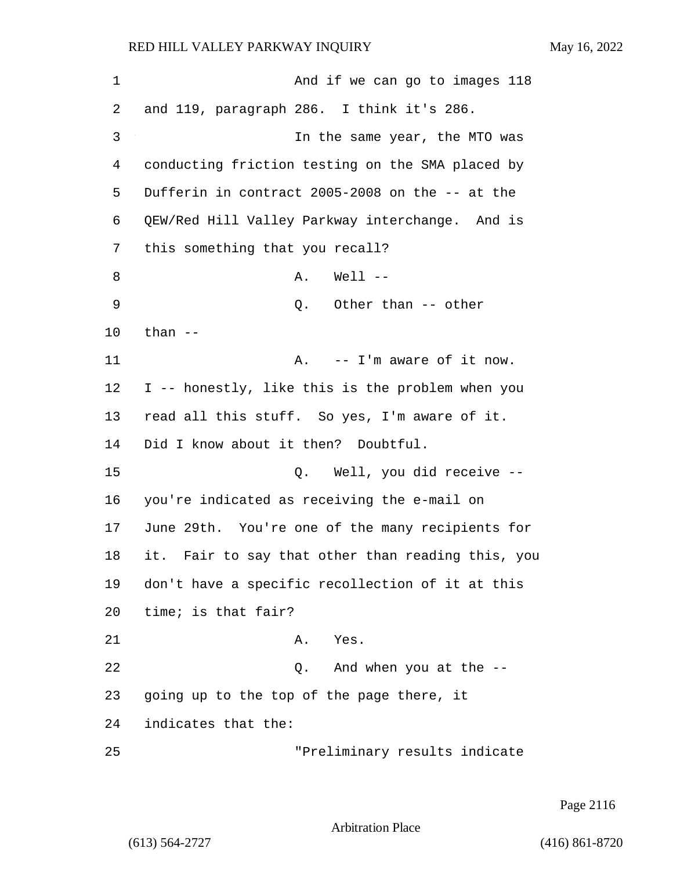| 1  | And if we can go to images 118                    |
|----|---------------------------------------------------|
| 2  | and 119, paragraph 286. I think it's 286.         |
| 3  | In the same year, the MTO was                     |
| 4  | conducting friction testing on the SMA placed by  |
| 5  | Dufferin in contract 2005-2008 on the -- at the   |
| 6  | QEW/Red Hill Valley Parkway interchange. And is   |
| 7  | this something that you recall?                   |
| 8  | $Well1$ --<br>Α.                                  |
| 9  | Other than -- other<br>Q.                         |
| 10 | than $--$                                         |
| 11 | -- I'm aware of it now.<br>Α.                     |
| 12 | I -- honestly, like this is the problem when you  |
| 13 | read all this stuff. So yes, I'm aware of it.     |
| 14 | Did I know about it then? Doubtful.               |
| 15 | Q. Well, you did receive --                       |
| 16 | you're indicated as receiving the e-mail on       |
| 17 | June 29th. You're one of the many recipients for  |
| 18 | it. Fair to say that other than reading this, you |
| 19 | don't have a specific recollection of it at this  |
| 20 | time; is that fair?                               |
| 21 | A.<br>Yes.                                        |
| 22 | And when you at the --<br>Q.                      |
| 23 | going up to the top of the page there, it         |
| 24 | indicates that the:                               |
| 25 | "Preliminary results indicate                     |

Page 2116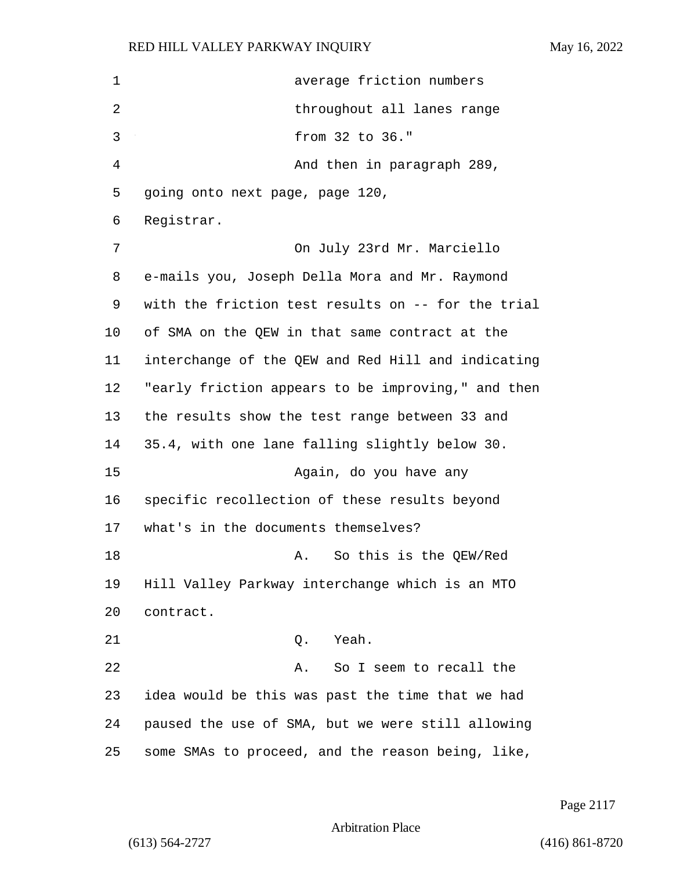| $\mathbf 1$ | average friction numbers                           |
|-------------|----------------------------------------------------|
| 2           | throughout all lanes range                         |
| 3           | from 32 to 36."                                    |
| 4           | And then in paragraph 289,                         |
| 5           | going onto next page, page 120,                    |
| 6           | Registrar.                                         |
| 7           | On July 23rd Mr. Marciello                         |
| 8           | e-mails you, Joseph Della Mora and Mr. Raymond     |
| 9           | with the friction test results on -- for the trial |
| 10          | of SMA on the QEW in that same contract at the     |
| 11          | interchange of the QEW and Red Hill and indicating |
| 12          | "early friction appears to be improving," and then |
| 13          | the results show the test range between 33 and     |
| 14          | 35.4, with one lane falling slightly below 30.     |
| 15          | Again, do you have any                             |
| 16          | specific recollection of these results beyond      |
| 17          | what's in the documents themselves?                |
| 18          | So this is the QEW/Red<br>Α.                       |
| 19          | Hill Valley Parkway interchange which is an MTO    |
| 20          | contract.                                          |
| 21          | Q. Yeah.                                           |
| 22          | So I seem to recall the<br>Α.                      |
| 23          | idea would be this was past the time that we had   |
| 24          | paused the use of SMA, but we were still allowing  |
| 25          | some SMAs to proceed, and the reason being, like,  |

Page 2117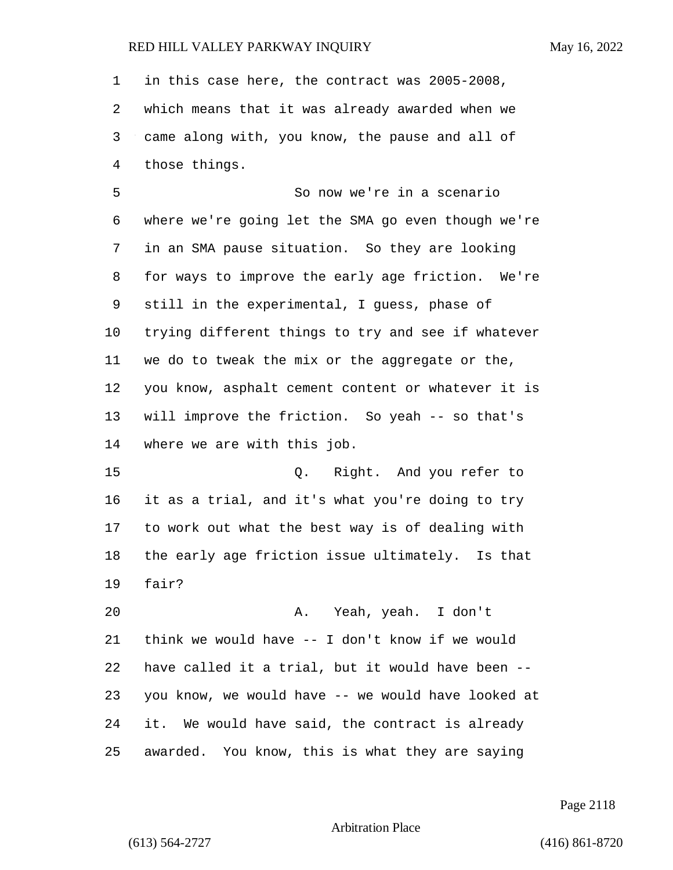in this case here, the contract was 2005-2008, which means that it was already awarded when we came along with, you know, the pause and all of those things.

5 So now we're in a scenario where we're going let the SMA go even though we're in an SMA pause situation. So they are looking for ways to improve the early age friction. We're still in the experimental, I guess, phase of trying different things to try and see if whatever we do to tweak the mix or the aggregate or the, you know, asphalt cement content or whatever it is will improve the friction. So yeah -- so that's where we are with this job.

15 Q. Right. And you refer to it as a trial, and it's what you're doing to try to work out what the best way is of dealing with the early age friction issue ultimately. Is that fair?

20 A. Yeah, yeah. I don't think we would have -- I don't know if we would have called it a trial, but it would have been -- you know, we would have -- we would have looked at it. We would have said, the contract is already awarded. You know, this is what they are saying

Page 2118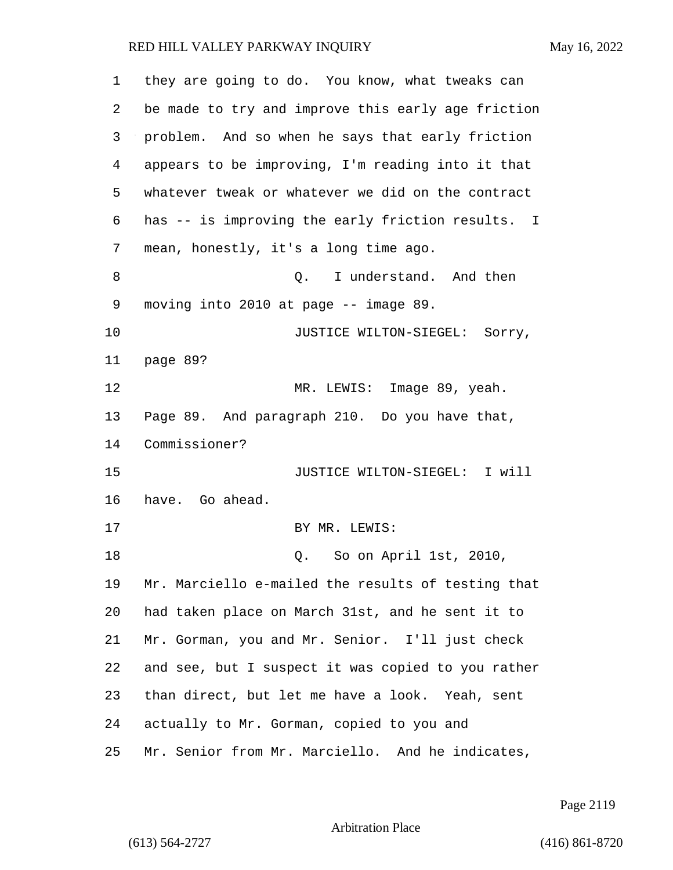| 1  | they are going to do. You know, what tweaks can    |  |  |  |
|----|----------------------------------------------------|--|--|--|
| 2  | be made to try and improve this early age friction |  |  |  |
| 3  | problem. And so when he says that early friction   |  |  |  |
| 4  | appears to be improving, I'm reading into it that  |  |  |  |
| 5  | whatever tweak or whatever we did on the contract  |  |  |  |
| 6  | has -- is improving the early friction results. I  |  |  |  |
| 7  | mean, honestly, it's a long time ago.              |  |  |  |
| 8  | Q. I understand. And then                          |  |  |  |
| 9  | moving into 2010 at page -- image 89.              |  |  |  |
| 10 | JUSTICE WILTON-SIEGEL: Sorry,                      |  |  |  |
| 11 | page 89?                                           |  |  |  |
| 12 | MR. LEWIS: Image 89, yeah.                         |  |  |  |
| 13 | Page 89. And paragraph 210. Do you have that,      |  |  |  |
| 14 | Commissioner?                                      |  |  |  |
| 15 | JUSTICE WILTON-SIEGEL: I will                      |  |  |  |
| 16 | have. Go ahead.                                    |  |  |  |
| 17 | BY MR. LEWIS:                                      |  |  |  |
| 18 | Q. So on April 1st, 2010,                          |  |  |  |
| 19 | Mr. Marciello e-mailed the results of testing that |  |  |  |
| 20 | had taken place on March 31st, and he sent it to   |  |  |  |
| 21 | Mr. Gorman, you and Mr. Senior. I'll just check    |  |  |  |
| 22 | and see, but I suspect it was copied to you rather |  |  |  |
| 23 | than direct, but let me have a look. Yeah, sent    |  |  |  |
| 24 | actually to Mr. Gorman, copied to you and          |  |  |  |
| 25 | Mr. Senior from Mr. Marciello. And he indicates,   |  |  |  |

Page 2119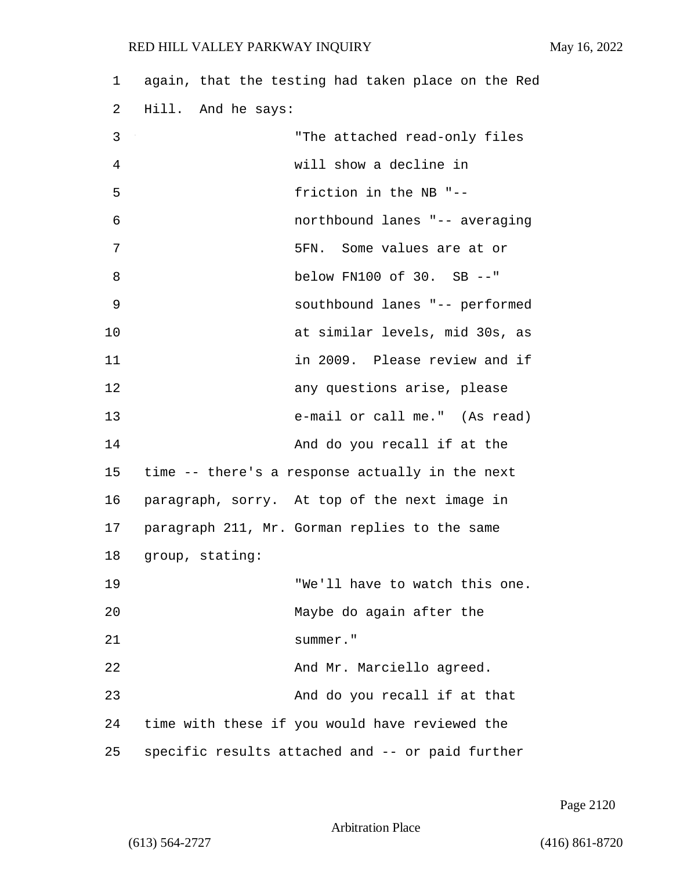| 1  | again, that the testing had taken place on the Red |
|----|----------------------------------------------------|
| 2  | Hill. And he says:                                 |
| 3  | "The attached read-only files                      |
| 4  | will show a decline in                             |
| 5  | friction in the NB "--                             |
| 6  | northbound lanes "-- averaging                     |
| 7  | 5FN. Some values are at or                         |
| 8  | below FN100 of 30. SB --"                          |
| 9  | southbound lanes "-- performed                     |
| 10 | at similar levels, mid 30s, as                     |
| 11 | in 2009. Please review and if                      |
| 12 | any questions arise, please                        |
| 13 | e-mail or call me." (As read)                      |
| 14 | And do you recall if at the                        |
| 15 | time -- there's a response actually in the next    |
| 16 | paragraph, sorry. At top of the next image in      |
| 17 | paragraph 211, Mr. Gorman replies to the same      |
| 18 | group, stating:                                    |
| 19 | "We'll have to watch this one.                     |
| 20 | Maybe do again after the                           |
| 21 | summer."                                           |
| 22 | And Mr. Marciello agreed.                          |
| 23 | And do you recall if at that                       |
| 24 | time with these if you would have reviewed the     |
| 25 | specific results attached and -- or paid further   |

Page 2120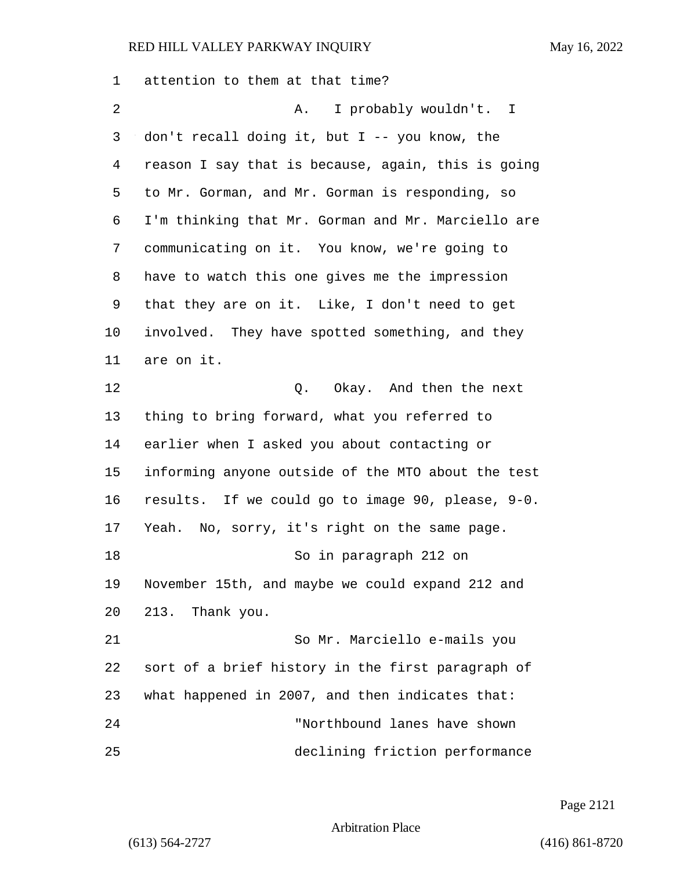attention to them at that time? 2 A. I probably wouldn't. I don't recall doing it, but I -- you know, the reason I say that is because, again, this is going to Mr. Gorman, and Mr. Gorman is responding, so I'm thinking that Mr. Gorman and Mr. Marciello are communicating on it. You know, we're going to have to watch this one gives me the impression that they are on it. Like, I don't need to get involved. They have spotted something, and they are on it. 12 C. Okay. And then the next thing to bring forward, what you referred to earlier when I asked you about contacting or informing anyone outside of the MTO about the test results. If we could go to image 90, please, 9-0. Yeah. No, sorry, it's right on the same page. 18 So in paragraph 212 on November 15th, and maybe we could expand 212 and 213. Thank you. 21 So Mr. Marciello e-mails you sort of a brief history in the first paragraph of what happened in 2007, and then indicates that: 24 "Northbound lanes have shown 25 declining friction performance

Page 2121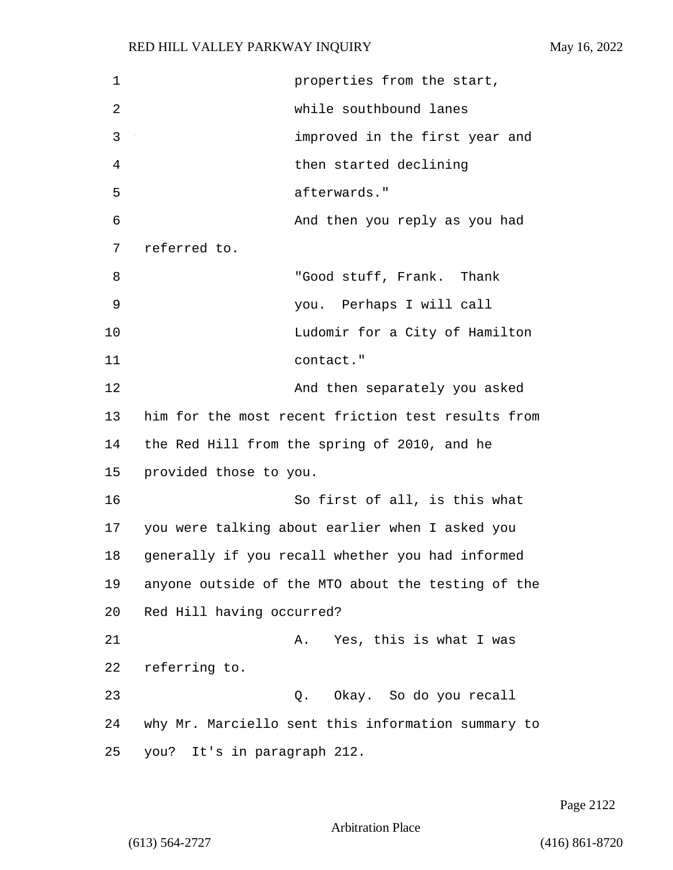1 **properties from the start,** 2 while southbound lanes 3 improved in the first year and 4 then started declining 5 afterwards." 6 And then you reply as you had 7 referred to. 8 Thank Thank "Good stuff, Frank. Thank 9 you. Perhaps I will call 10 Ludomir for a City of Hamilton 11 contact." 12 And then separately you asked 13 him for the most recent friction test results from 14 the Red Hill from the spring of 2010, and he 15 provided those to you. 16 So first of all, is this what 17 you were talking about earlier when I asked you 18 generally if you recall whether you had informed 19 anyone outside of the MTO about the testing of the 20 Red Hill having occurred? 21 A. Yes, this is what I was 22 referring to. 23 Q. Okay. So do you recall 24 why Mr. Marciello sent this information summary to 25 you? It's in paragraph 212.

Page 2122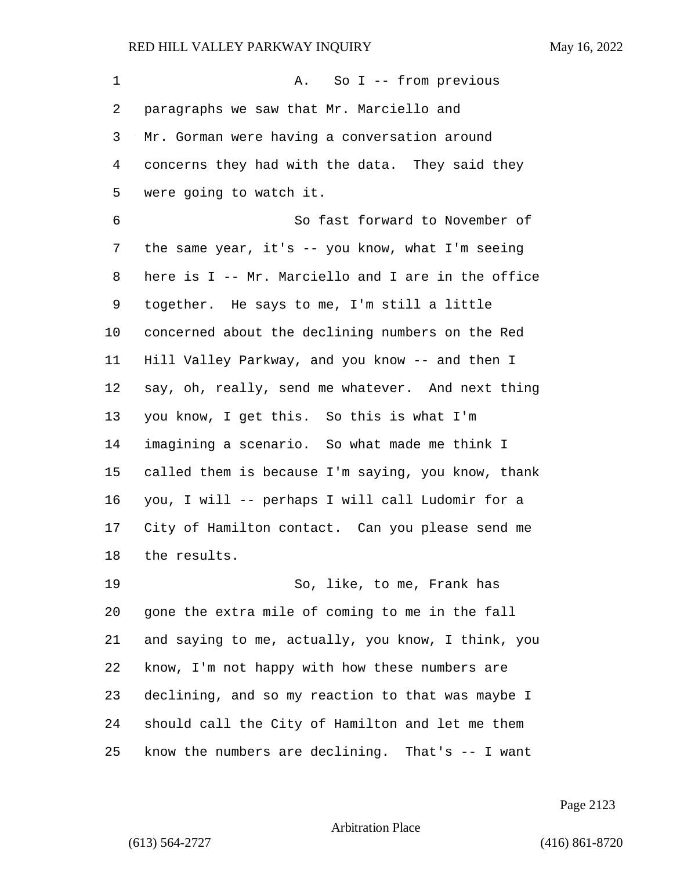1 A. So I -- from previous paragraphs we saw that Mr. Marciello and Mr. Gorman were having a conversation around concerns they had with the data. They said they were going to watch it. 6 So fast forward to November of the same year, it's -- you know, what I'm seeing here is I -- Mr. Marciello and I are in the office together. He says to me, I'm still a little concerned about the declining numbers on the Red Hill Valley Parkway, and you know -- and then I say, oh, really, send me whatever. And next thing you know, I get this. So this is what I'm imagining a scenario. So what made me think I called them is because I'm saying, you know, thank you, I will -- perhaps I will call Ludomir for a City of Hamilton contact. Can you please send me the results. 19 So, like, to me, Frank has gone the extra mile of coming to me in the fall and saying to me, actually, you know, I think, you know, I'm not happy with how these numbers are declining, and so my reaction to that was maybe I should call the City of Hamilton and let me them

know the numbers are declining. That's -- I want

Page 2123

Arbitration Place

(613) 564-2727 (416) 861-8720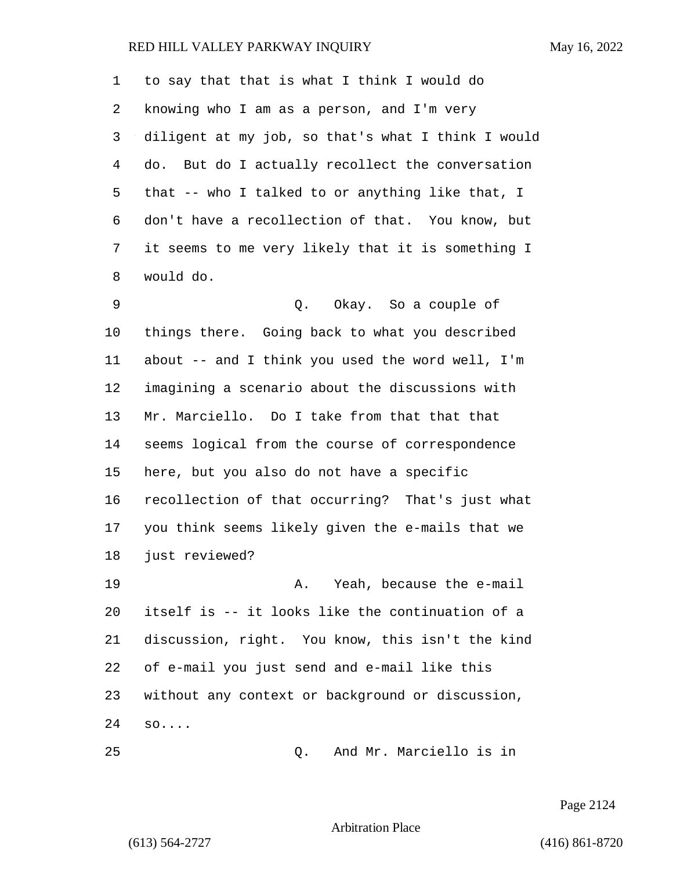to say that that is what I think I would do knowing who I am as a person, and I'm very diligent at my job, so that's what I think I would do. But do I actually recollect the conversation that -- who I talked to or anything like that, I don't have a recollection of that. You know, but it seems to me very likely that it is something I would do.

9 Q. Okay. So a couple of things there. Going back to what you described about -- and I think you used the word well, I'm imagining a scenario about the discussions with Mr. Marciello. Do I take from that that that seems logical from the course of correspondence here, but you also do not have a specific recollection of that occurring? That's just what you think seems likely given the e-mails that we just reviewed?

19 A. Yeah, because the e-mail itself is -- it looks like the continuation of a discussion, right. You know, this isn't the kind of e-mail you just send and e-mail like this without any context or background or discussion, so....

25 Q. And Mr. Marciello is in

Page 2124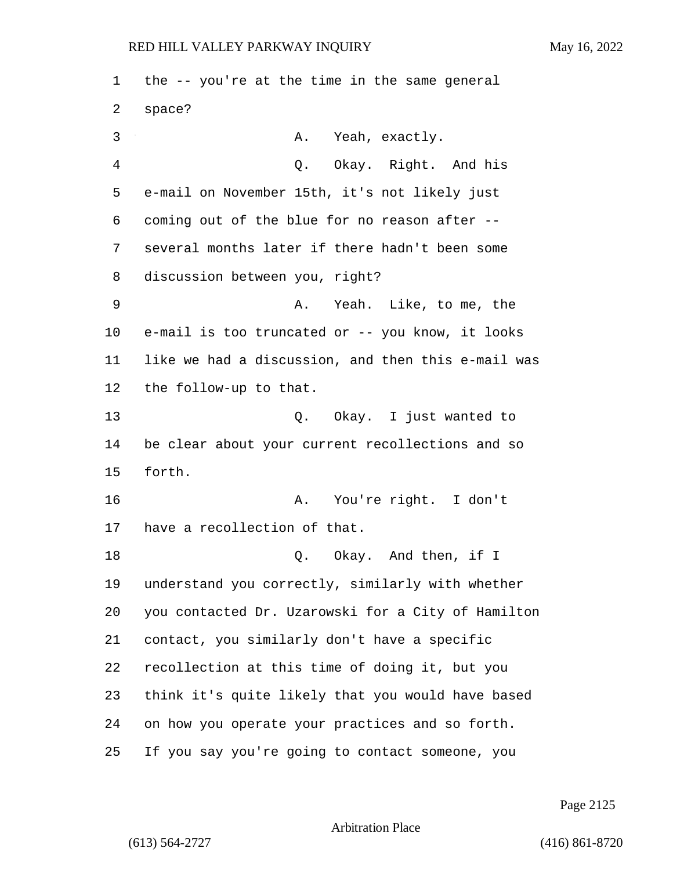the -- you're at the time in the same general space? 3 A. Yeah, exactly. 4 Q. Okay. Right. And his e-mail on November 15th, it's not likely just coming out of the blue for no reason after -- several months later if there hadn't been some discussion between you, right? 9 A. Yeah. Like, to me, the e-mail is too truncated or -- you know, it looks like we had a discussion, and then this e-mail was the follow-up to that. 13 Q. Okay. I just wanted to be clear about your current recollections and so forth. 16 A. You're right. I don't have a recollection of that. 18 Q. Okay. And then, if I understand you correctly, similarly with whether you contacted Dr. Uzarowski for a City of Hamilton contact, you similarly don't have a specific recollection at this time of doing it, but you think it's quite likely that you would have based on how you operate your practices and so forth. If you say you're going to contact someone, you

Page 2125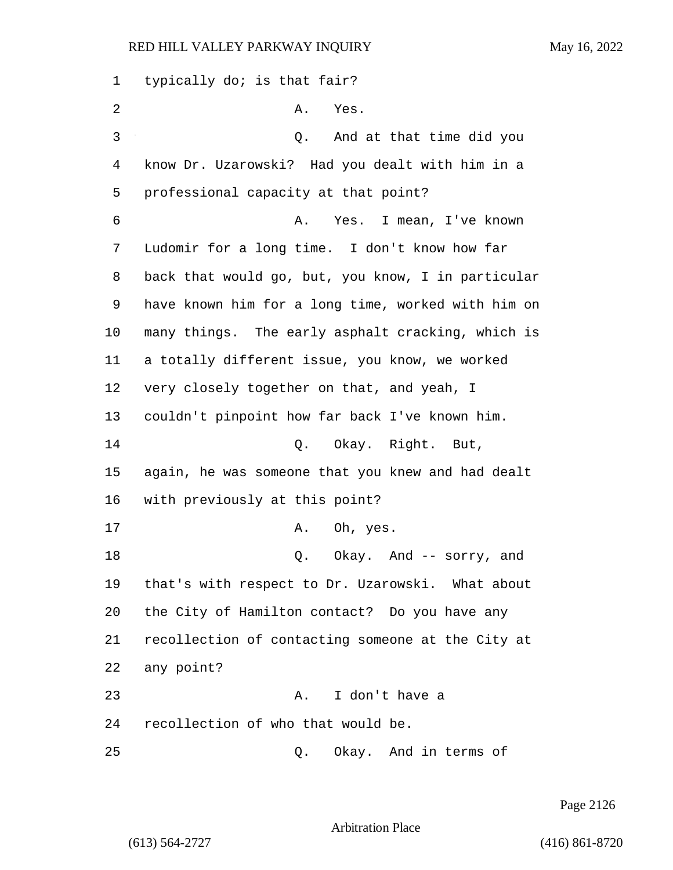typically do; is that fair? 2 A. Yes. 3 Q. And at that time did you know Dr. Uzarowski? Had you dealt with him in a professional capacity at that point? 6 A. Yes. I mean, I've known Ludomir for a long time. I don't know how far back that would go, but, you know, I in particular have known him for a long time, worked with him on many things. The early asphalt cracking, which is a totally different issue, you know, we worked very closely together on that, and yeah, I couldn't pinpoint how far back I've known him. 14 Q. Okay. Right. But, again, he was someone that you knew and had dealt with previously at this point? 17 A. Oh, yes. 18 Q. Okay. And -- sorry, and that's with respect to Dr. Uzarowski. What about the City of Hamilton contact? Do you have any recollection of contacting someone at the City at any point? 23 A. I don't have a recollection of who that would be. 25 Q. Okay. And in terms of

Page 2126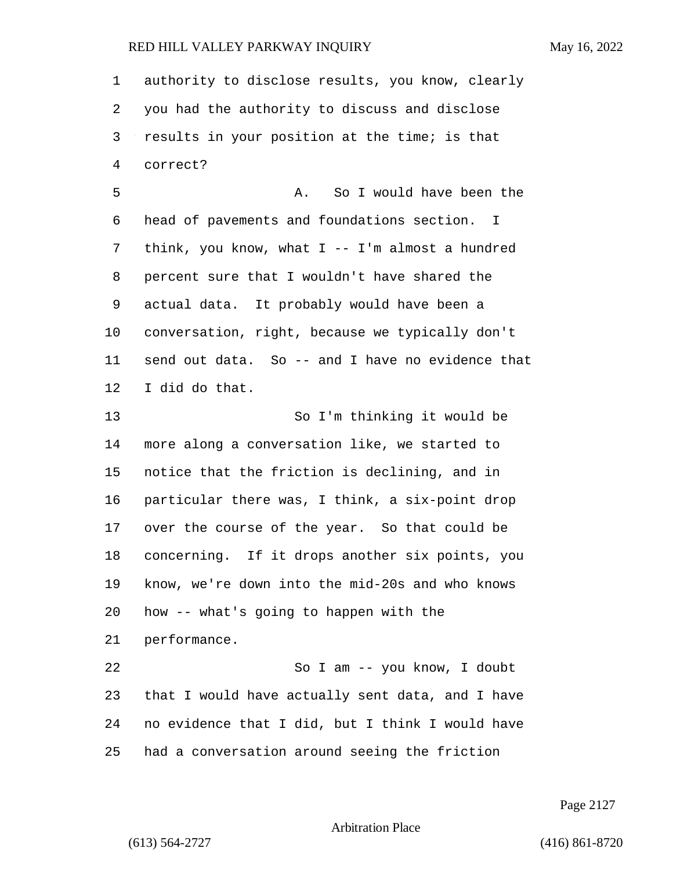authority to disclose results, you know, clearly you had the authority to discuss and disclose results in your position at the time; is that correct?

5 A. So I would have been the head of pavements and foundations section. I think, you know, what I -- I'm almost a hundred percent sure that I wouldn't have shared the actual data. It probably would have been a conversation, right, because we typically don't send out data. So -- and I have no evidence that I did do that.

13 So I'm thinking it would be more along a conversation like, we started to notice that the friction is declining, and in particular there was, I think, a six-point drop over the course of the year. So that could be concerning. If it drops another six points, you know, we're down into the mid-20s and who knows how -- what's going to happen with the performance. 22 So I am -- you know, I doubt

 that I would have actually sent data, and I have no evidence that I did, but I think I would have had a conversation around seeing the friction

Page 2127

Arbitration Place

(613) 564-2727 (416) 861-8720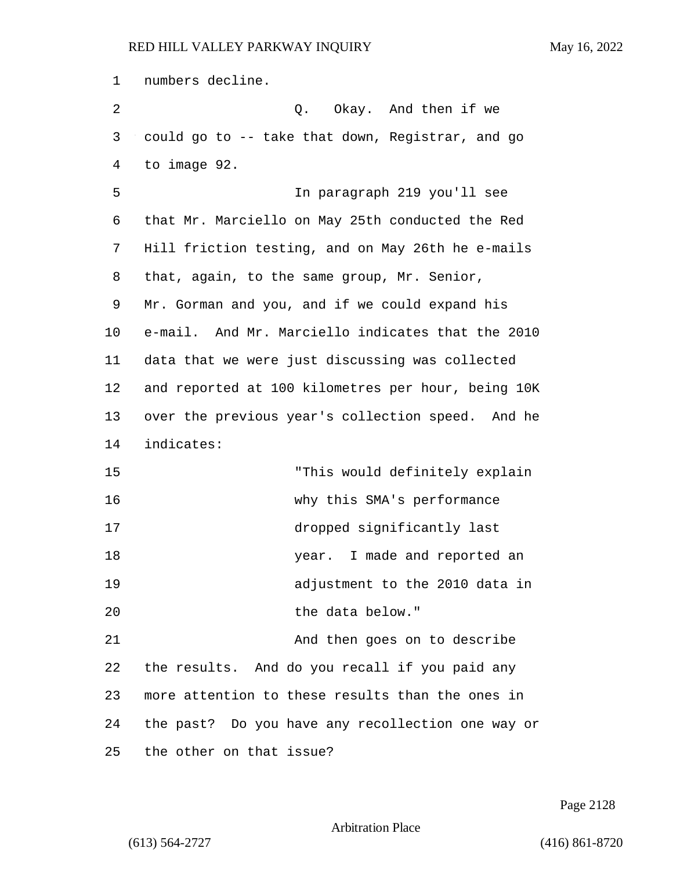numbers decline. 2 Q. Okay. And then if we could go to -- take that down, Registrar, and go to image 92. 5 In paragraph 219 you'll see that Mr. Marciello on May 25th conducted the Red Hill friction testing, and on May 26th he e-mails that, again, to the same group, Mr. Senior, Mr. Gorman and you, and if we could expand his e-mail. And Mr. Marciello indicates that the 2010 data that we were just discussing was collected and reported at 100 kilometres per hour, being 10K over the previous year's collection speed. And he indicates: 15 "This would definitely explain 16 why this SMA's performance 17 dropped significantly last 18 18 year. I made and reported an 19 adjustment to the 2010 data in 20 the data below." 21 And then goes on to describe the results. And do you recall if you paid any more attention to these results than the ones in the past? Do you have any recollection one way or the other on that issue?

Page 2128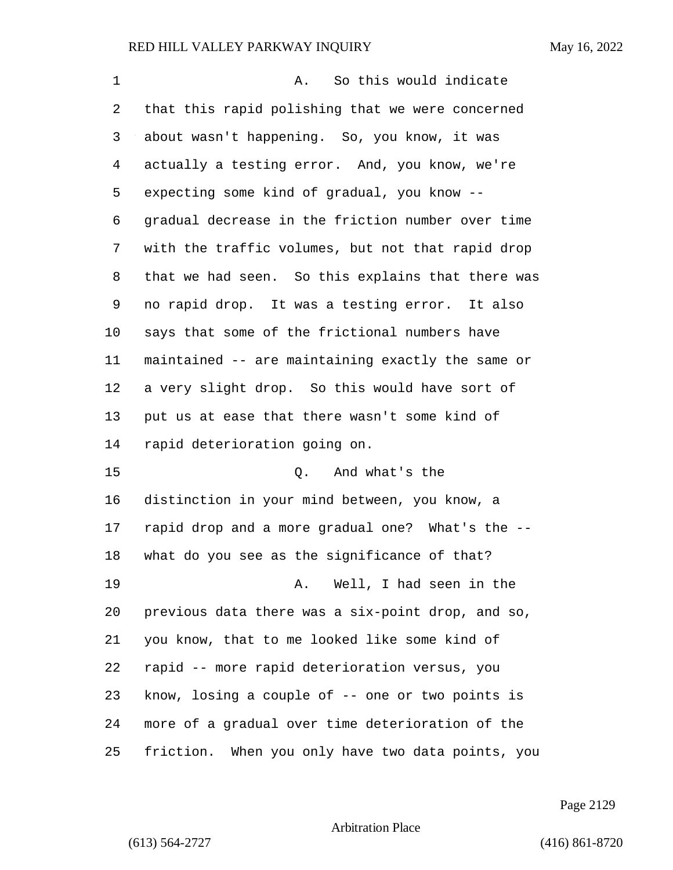| 1  | So this would indicate<br>Α.                      |  |  |  |  |
|----|---------------------------------------------------|--|--|--|--|
| 2  | that this rapid polishing that we were concerned  |  |  |  |  |
| 3  | about wasn't happening. So, you know, it was      |  |  |  |  |
| 4  | actually a testing error. And, you know, we're    |  |  |  |  |
| 5  | expecting some kind of gradual, you know --       |  |  |  |  |
| 6  | gradual decrease in the friction number over time |  |  |  |  |
| 7  | with the traffic volumes, but not that rapid drop |  |  |  |  |
| 8  | that we had seen. So this explains that there was |  |  |  |  |
| 9  | no rapid drop. It was a testing error. It also    |  |  |  |  |
| 10 | says that some of the frictional numbers have     |  |  |  |  |
| 11 | maintained -- are maintaining exactly the same or |  |  |  |  |
| 12 | a very slight drop. So this would have sort of    |  |  |  |  |
| 13 | put us at ease that there wasn't some kind of     |  |  |  |  |
| 14 | rapid deterioration going on.                     |  |  |  |  |
| 15 | And what's the<br>Q.                              |  |  |  |  |
| 16 | distinction in your mind between, you know, a     |  |  |  |  |
| 17 | rapid drop and a more gradual one? What's the --  |  |  |  |  |
| 18 | what do you see as the significance of that?      |  |  |  |  |
| 19 | Well, I had seen in the<br>Α.                     |  |  |  |  |
| 20 | previous data there was a six-point drop, and so, |  |  |  |  |
| 21 | you know, that to me looked like some kind of     |  |  |  |  |
| 22 | rapid -- more rapid deterioration versus, you     |  |  |  |  |
| 23 | know, losing a couple of -- one or two points is  |  |  |  |  |
| 24 | more of a gradual over time deterioration of the  |  |  |  |  |
| 25 | friction. When you only have two data points, you |  |  |  |  |

Page 2129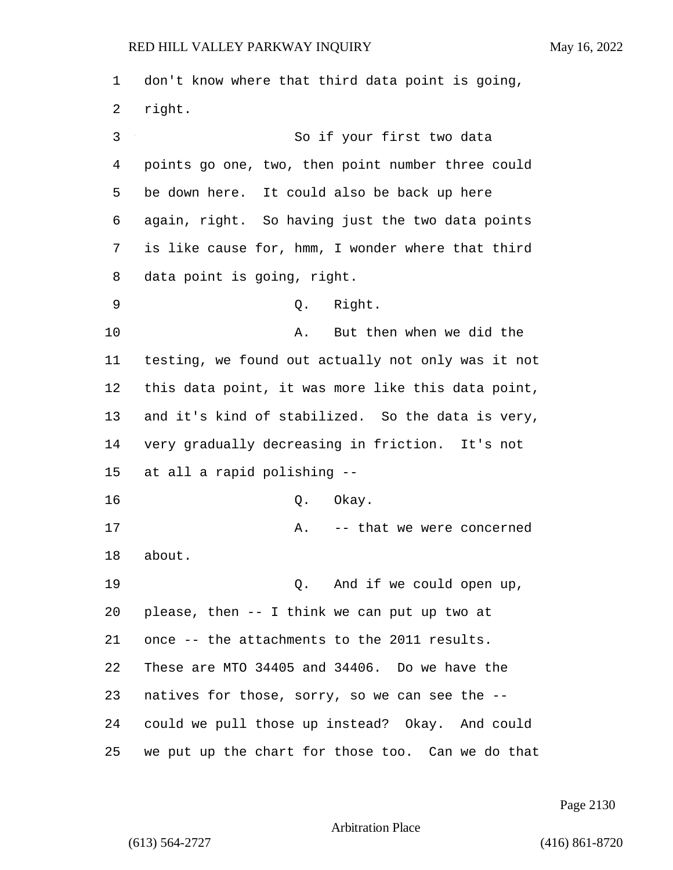don't know where that third data point is going, right. 3 So if your first two data points go one, two, then point number three could be down here. It could also be back up here again, right. So having just the two data points is like cause for, hmm, I wonder where that third data point is going, right. 9 Q. Right. 10 A. But then when we did the testing, we found out actually not only was it not this data point, it was more like this data point, and it's kind of stabilized. So the data is very, very gradually decreasing in friction. It's not at all a rapid polishing -- 16 Q. Okay. 17 A. -- that we were concerned about. 19 Q. And if we could open up, please, then -- I think we can put up two at once -- the attachments to the 2011 results. These are MTO 34405 and 34406. Do we have the natives for those, sorry, so we can see the -- could we pull those up instead? Okay. And could we put up the chart for those too. Can we do that

Page 2130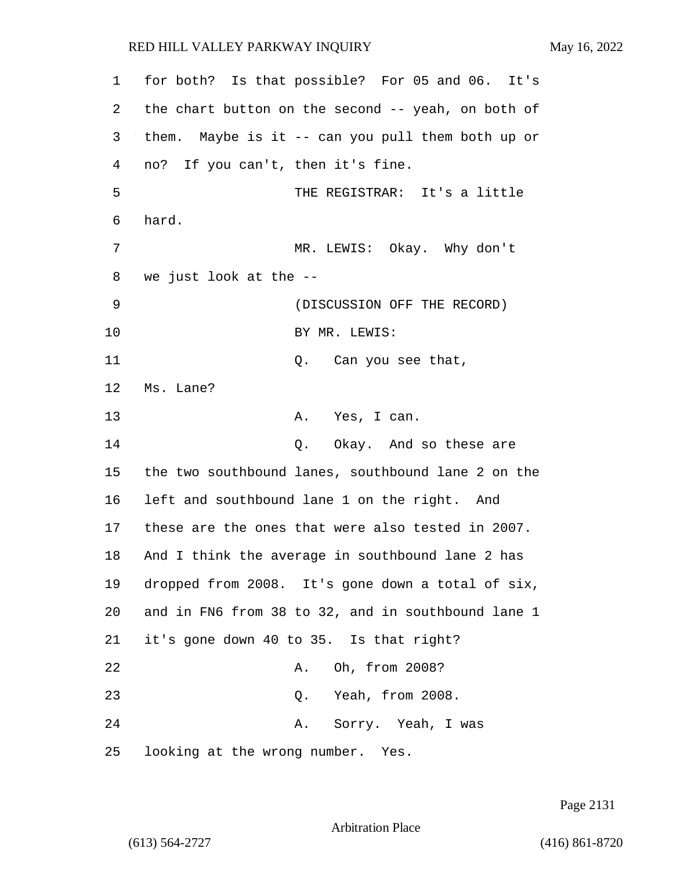| 1  | for both? Is that possible? For 05 and 06. It's    |  |  |  |  |
|----|----------------------------------------------------|--|--|--|--|
| 2  | the chart button on the second -- yeah, on both of |  |  |  |  |
| 3  | them. Maybe is it -- can you pull them both up or  |  |  |  |  |
| 4  | no? If you can't, then it's fine.                  |  |  |  |  |
| 5  | THE REGISTRAR: It's a little                       |  |  |  |  |
| 6  | hard.                                              |  |  |  |  |
| 7  | MR. LEWIS: Okay. Why don't                         |  |  |  |  |
| 8  | we just look at the --                             |  |  |  |  |
| 9  | (DISCUSSION OFF THE RECORD)                        |  |  |  |  |
| 10 | BY MR. LEWIS:                                      |  |  |  |  |
| 11 | Q. Can you see that,                               |  |  |  |  |
| 12 | Ms. Lane?                                          |  |  |  |  |
| 13 | A. Yes, I can.                                     |  |  |  |  |
| 14 | Q. Okay. And so these are                          |  |  |  |  |
| 15 | the two southbound lanes, southbound lane 2 on the |  |  |  |  |
| 16 | left and southbound lane 1 on the right. And       |  |  |  |  |
| 17 | these are the ones that were also tested in 2007.  |  |  |  |  |
| 18 | And I think the average in southbound lane 2 has   |  |  |  |  |
| 19 | dropped from 2008. It's gone down a total of six,  |  |  |  |  |
| 20 | and in FN6 from 38 to 32, and in southbound lane 1 |  |  |  |  |
| 21 | it's gone down 40 to 35. Is that right?            |  |  |  |  |
| 22 | A. Oh, from 2008?                                  |  |  |  |  |
| 23 | Q. Yeah, from 2008.                                |  |  |  |  |
| 24 | A. Sorry. Yeah, I was                              |  |  |  |  |
| 25 | looking at the wrong number. Yes.                  |  |  |  |  |

Page 2131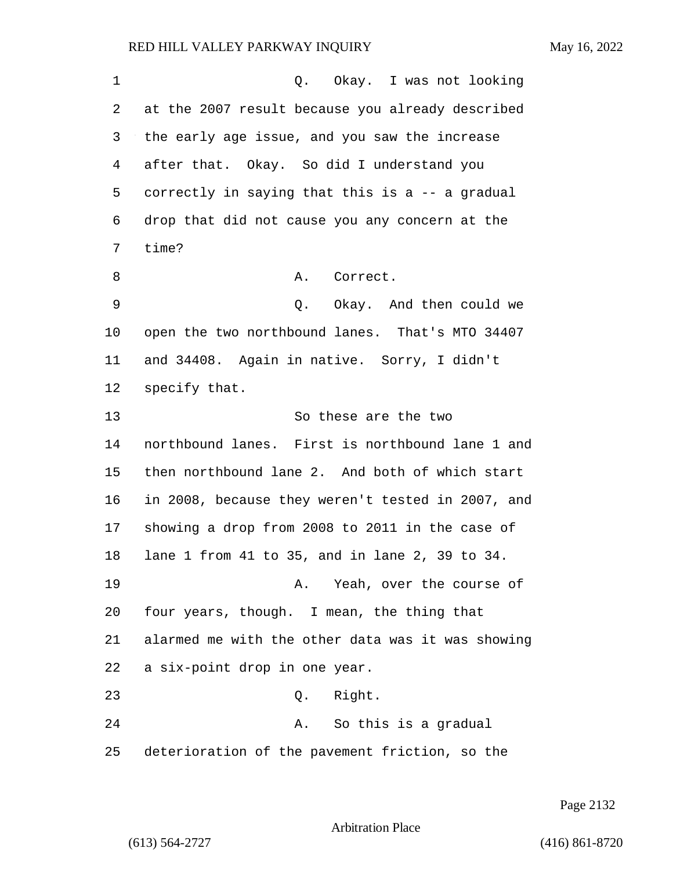| 1  | Okay. I was not looking<br>Q.                     |
|----|---------------------------------------------------|
| 2  | at the 2007 result because you already described  |
| 3  | the early age issue, and you saw the increase     |
| 4  | after that. Okay. So did I understand you         |
| 5  | correctly in saying that this is a -- a gradual   |
| 6  | drop that did not cause you any concern at the    |
| 7  | time?                                             |
| 8  | A.<br>Correct.                                    |
| 9  | Okay. And then could we<br>Q.                     |
| 10 | open the two northbound lanes. That's MTO 34407   |
| 11 | and 34408. Again in native. Sorry, I didn't       |
| 12 | specify that.                                     |
| 13 | So these are the two                              |
| 14 | northbound lanes. First is northbound lane 1 and  |
| 15 | then northbound lane 2. And both of which start   |
| 16 | in 2008, because they weren't tested in 2007, and |
| 17 | showing a drop from 2008 to 2011 in the case of   |
| 18 | lane 1 from 41 to 35, and in lane 2, 39 to 34.    |
| 19 | A. Yeah, over the course of                       |
| 20 | four years, though. I mean, the thing that        |
| 21 | alarmed me with the other data was it was showing |
| 22 | a six-point drop in one year.                     |
| 23 | Q. Right.                                         |
| 24 | A. So this is a gradual                           |
| 25 | deterioration of the pavement friction, so the    |

Page 2132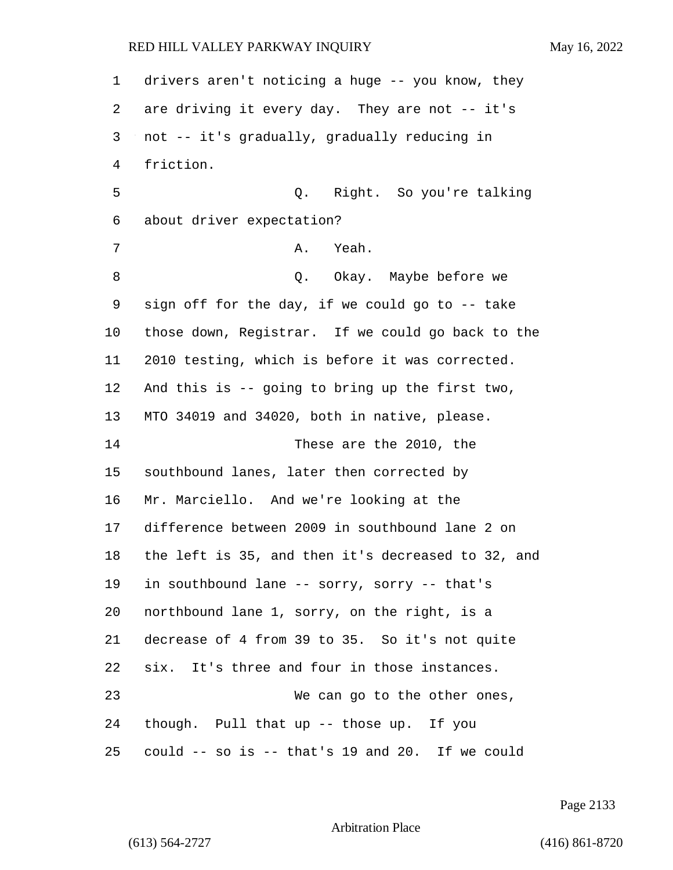drivers aren't noticing a huge -- you know, they are driving it every day. They are not -- it's not -- it's gradually, gradually reducing in friction. 5 Q. Right. So you're talking about driver expectation? 7 A. Yeah. 8 a Q. Okay. Maybe before we sign off for the day, if we could go to -- take those down, Registrar. If we could go back to the 2010 testing, which is before it was corrected. And this is -- going to bring up the first two, MTO 34019 and 34020, both in native, please. 14 These are the 2010, the southbound lanes, later then corrected by Mr. Marciello. And we're looking at the difference between 2009 in southbound lane 2 on the left is 35, and then it's decreased to 32, and in southbound lane -- sorry, sorry -- that's northbound lane 1, sorry, on the right, is a decrease of 4 from 39 to 35. So it's not quite six. It's three and four in those instances. 23 We can go to the other ones, though. Pull that up -- those up. If you could -- so is -- that's 19 and 20. If we could

Page 2133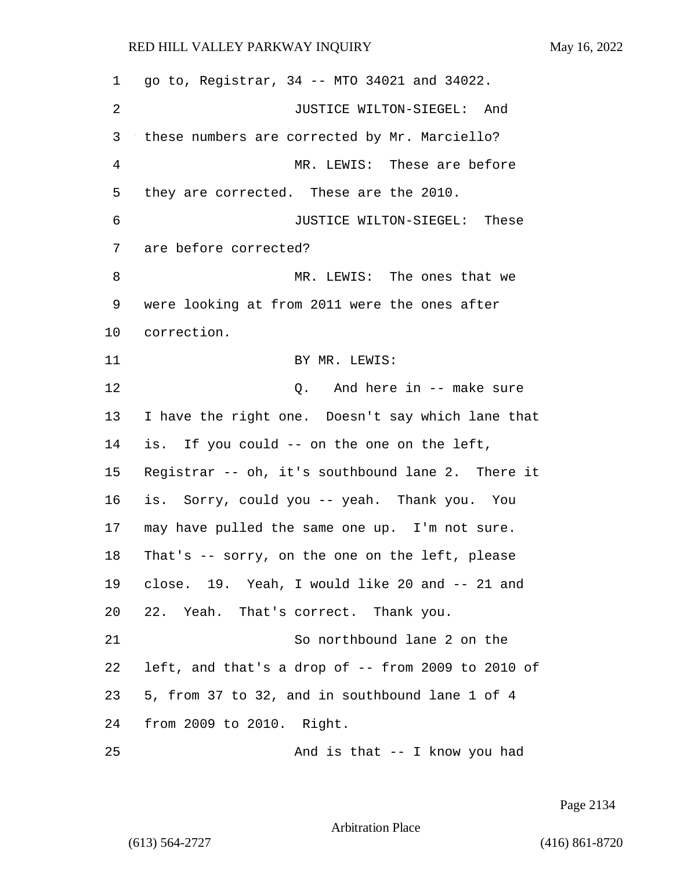| 1  | go to, Registrar, 34 -- MTO 34021 and 34022.          |
|----|-------------------------------------------------------|
| 2  | JUSTICE WILTON-SIEGEL: And                            |
| 3  | these numbers are corrected by Mr. Marciello?         |
| 4  | MR. LEWIS: These are before                           |
| 5  | they are corrected. These are the 2010.               |
| 6  | JUSTICE WILTON-SIEGEL: These                          |
| 7  | are before corrected?                                 |
| 8  | MR. LEWIS: The ones that we                           |
| 9  | were looking at from 2011 were the ones after         |
| 10 | correction.                                           |
| 11 | BY MR. LEWIS:                                         |
| 12 | Q. And here in -- make sure                           |
| 13 | I have the right one. Doesn't say which lane that     |
| 14 | is. If you could -- on the one on the left,           |
| 15 | Registrar -- oh, it's southbound lane 2. There it     |
| 16 | is. Sorry, could you -- yeah. Thank you. You          |
| 17 | may have pulled the same one up. I'm not sure.        |
| 18 | That's -- sorry, on the one on the left, please       |
|    | 19 close. 19. Yeah, I would like 20 and -- 21 and     |
| 20 | 22. Yeah. That's correct. Thank you.                  |
| 21 | So northbound lane 2 on the                           |
| 22 | left, and that's a drop of $-$ - from 2009 to 2010 of |
| 23 | 5, from 37 to 32, and in southbound lane 1 of 4       |
| 24 | from 2009 to 2010. Right.                             |
| 25 | And is that -- I know you had                         |

Page 2134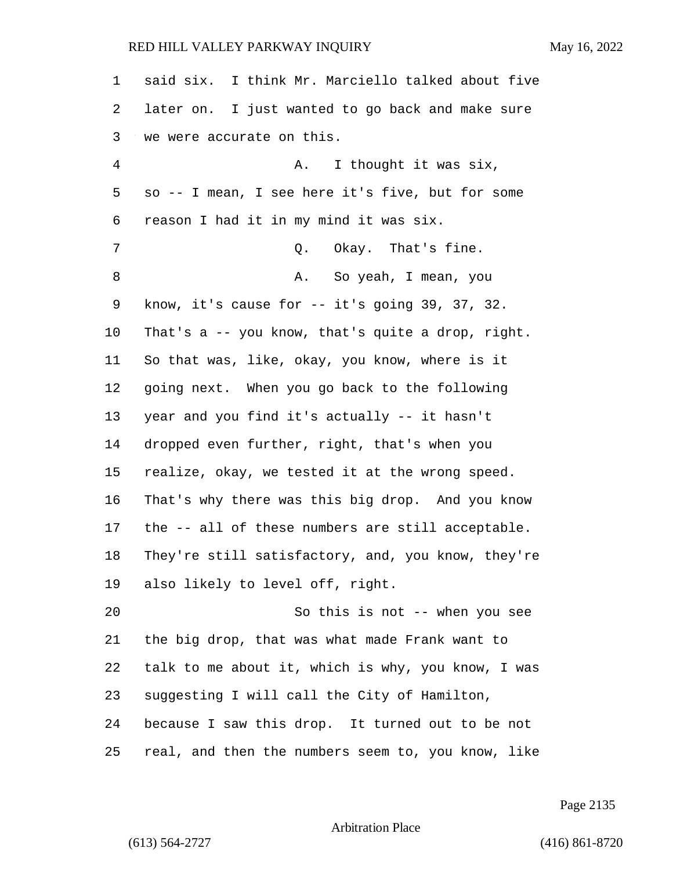| 1              | said six. I think Mr. Marciello talked about five  |
|----------------|----------------------------------------------------|
| 2              | later on. I just wanted to go back and make sure   |
| 3              | we were accurate on this.                          |
| $\overline{4}$ | I thought it was six,<br>Α.                        |
| 5              | so -- I mean, I see here it's five, but for some   |
| 6              | reason I had it in my mind it was six.             |
| 7              | Okay. That's fine.<br>Q.                           |
| 8              | So yeah, I mean, you<br>Α.                         |
| 9              | know, it's cause for $-$ it's going 39, 37, 32.    |
| 10             | That's a -- you know, that's quite a drop, right.  |
| 11             | So that was, like, okay, you know, where is it     |
| 12             | going next. When you go back to the following      |
| 13             | year and you find it's actually -- it hasn't       |
| 14             | dropped even further, right, that's when you       |
| 15             | realize, okay, we tested it at the wrong speed.    |
| 16             | That's why there was this big drop. And you know   |
| 17             | the -- all of these numbers are still acceptable.  |
| 18             | They're still satisfactory, and, you know, they're |
| 19             | also likely to level off, right.                   |
| 20             | So this is not -- when you see                     |
| 21             | the big drop, that was what made Frank want to     |
| 22             | talk to me about it, which is why, you know, I was |
| 23             | suggesting I will call the City of Hamilton,       |
| 24             | because I saw this drop. It turned out to be not   |
| 25             | real, and then the numbers seem to, you know, like |

Page 2135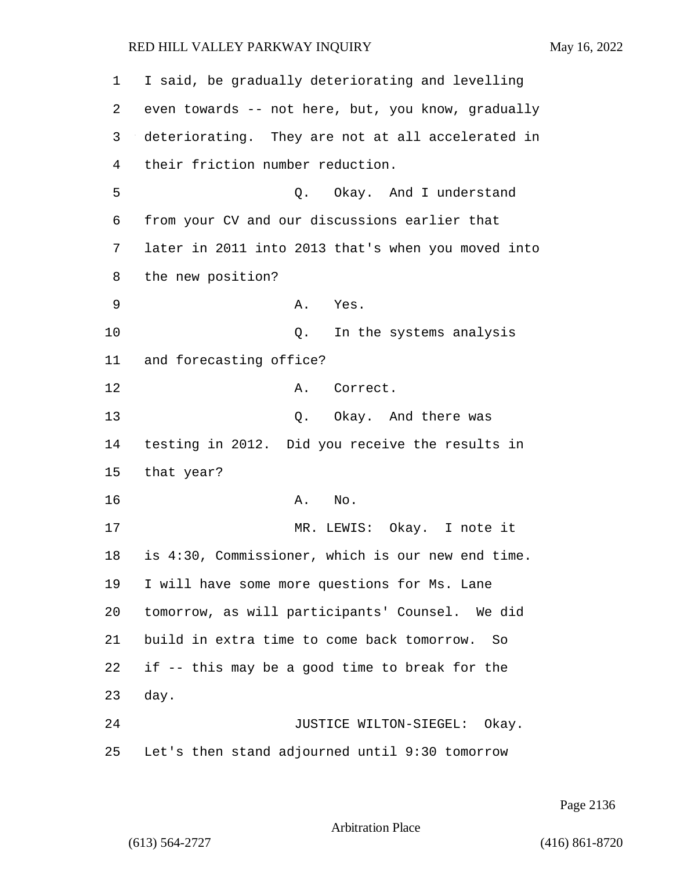| 1  | I said, be gradually deteriorating and levelling   |
|----|----------------------------------------------------|
| 2  | even towards -- not here, but, you know, gradually |
| 3  | deteriorating. They are not at all accelerated in  |
| 4  | their friction number reduction.                   |
| 5  | Okay. And I understand<br>Q.                       |
| 6  | from your CV and our discussions earlier that      |
| 7  | later in 2011 into 2013 that's when you moved into |
| 8  | the new position?                                  |
| 9  | A. Yes.                                            |
| 10 | In the systems analysis<br>Q.                      |
| 11 | and forecasting office?                            |
| 12 | Correct.<br>Α.                                     |
| 13 | Q. Okay. And there was                             |
| 14 | testing in 2012. Did you receive the results in    |
| 15 | that year?                                         |
| 16 | No.<br>Α.                                          |
| 17 | MR. LEWIS: Okay. I note it                         |
| 18 | is 4:30, Commissioner, which is our new end time.  |
| 19 | I will have some more questions for Ms. Lane       |
| 20 | tomorrow, as will participants' Counsel. We did    |
| 21 | build in extra time to come back tomorrow.<br>So   |
| 22 | if -- this may be a good time to break for the     |
| 23 | day.                                               |
| 24 | JUSTICE WILTON-SIEGEL: Okay.                       |
| 25 | Let's then stand adjourned until 9:30 tomorrow     |

Page 2136